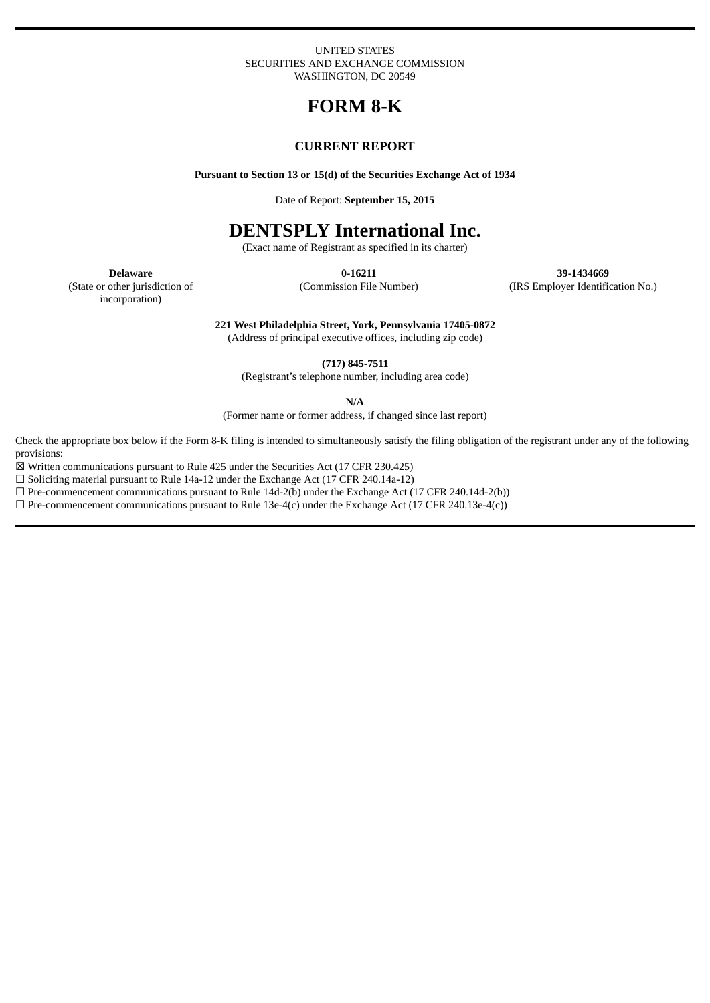#### UNITED STATES SECURITIES AND EXCHANGE COMMISSION WASHINGTON, DC 20549

# **FORM 8-K**

## **CURRENT REPORT**

**Pursuant to Section 13 or 15(d) of the Securities Exchange Act of 1934**

Date of Report: **September 15, 2015**

# **DENTSPLY International Inc.**

(Exact name of Registrant as specified in its charter)

**Delaware 0-16211 39-1434669** (Commission File Number) (IRS Employer Identification No.)

(State or other jurisdiction of incorporation)

**221 West Philadelphia Street, York, Pennsylvania 17405-0872**

(Address of principal executive offices, including zip code)

**(717) 845-7511**

(Registrant's telephone number, including area code)

**N/A**

(Former name or former address, if changed since last report)

Check the appropriate box below if the Form 8-K filing is intended to simultaneously satisfy the filing obligation of the registrant under any of the following provisions:

 $\overline{\boxtimes}$  Written communications pursuant to Rule 425 under the Securities Act (17 CFR 230.425)

☐ Soliciting material pursuant to Rule 14a-12 under the Exchange Act (17 CFR 240.14a-12)

 $\Box$  Pre-commencement communications pursuant to Rule 14d-2(b) under the Exchange Act (17 CFR 240.14d-2(b))

 $\Box$  Pre-commencement communications pursuant to Rule 13e-4(c) under the Exchange Act (17 CFR 240.13e-4(c))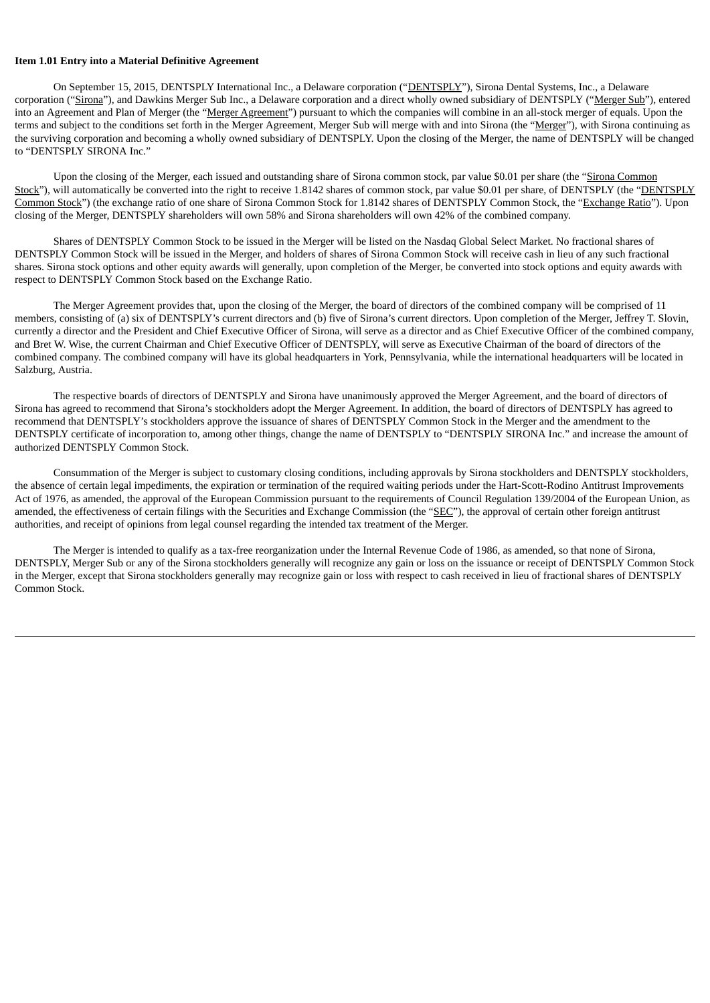#### **Item 1.01 Entry into a Material Definitive Agreement**

On September 15, 2015, DENTSPLY International Inc., a Delaware corporation ("DENTSPLY"), Sirona Dental Systems, Inc., a Delaware corporation ("Sirona"), and Dawkins Merger Sub Inc., a Delaware corporation and a direct wholly owned subsidiary of DENTSPLY ("Merger Sub"), entered into an Agreement and Plan of Merger (the "Merger Agreement") pursuant to which the companies will combine in an all-stock merger of equals. Upon the terms and subject to the conditions set forth in the Merger Agreement, Merger Sub will merge with and into Sirona (the "Merger"), with Sirona continuing as the surviving corporation and becoming a wholly owned subsidiary of DENTSPLY. Upon the closing of the Merger, the name of DENTSPLY will be changed to "DENTSPLY SIRONA Inc."

Upon the closing of the Merger, each issued and outstanding share of Sirona common stock, par value \$0.01 per share (the "Sirona Common Stock"), will automatically be converted into the right to receive 1.8142 shares of common stock, par value \$0.01 per share, of DENTSPLY (the "DENTSPLY Common Stock") (the exchange ratio of one share of Sirona Common Stock for 1.8142 shares of DENTSPLY Common Stock, the "Exchange Ratio"). Upon closing of the Merger, DENTSPLY shareholders will own 58% and Sirona shareholders will own 42% of the combined company.

Shares of DENTSPLY Common Stock to be issued in the Merger will be listed on the Nasdaq Global Select Market. No fractional shares of DENTSPLY Common Stock will be issued in the Merger, and holders of shares of Sirona Common Stock will receive cash in lieu of any such fractional shares. Sirona stock options and other equity awards will generally, upon completion of the Merger, be converted into stock options and equity awards with respect to DENTSPLY Common Stock based on the Exchange Ratio.

The Merger Agreement provides that, upon the closing of the Merger, the board of directors of the combined company will be comprised of 11 members, consisting of (a) six of DENTSPLY's current directors and (b) five of Sirona's current directors. Upon completion of the Merger, Jeffrey T. Slovin, currently a director and the President and Chief Executive Officer of Sirona, will serve as a director and as Chief Executive Officer of the combined company, and Bret W. Wise, the current Chairman and Chief Executive Officer of DENTSPLY, will serve as Executive Chairman of the board of directors of the combined company. The combined company will have its global headquarters in York, Pennsylvania, while the international headquarters will be located in Salzburg, Austria.

The respective boards of directors of DENTSPLY and Sirona have unanimously approved the Merger Agreement, and the board of directors of Sirona has agreed to recommend that Sirona's stockholders adopt the Merger Agreement. In addition, the board of directors of DENTSPLY has agreed to recommend that DENTSPLY's stockholders approve the issuance of shares of DENTSPLY Common Stock in the Merger and the amendment to the DENTSPLY certificate of incorporation to, among other things, change the name of DENTSPLY to "DENTSPLY SIRONA Inc." and increase the amount of authorized DENTSPLY Common Stock.

Consummation of the Merger is subject to customary closing conditions, including approvals by Sirona stockholders and DENTSPLY stockholders, the absence of certain legal impediments, the expiration or termination of the required waiting periods under the Hart-Scott-Rodino Antitrust Improvements Act of 1976, as amended, the approval of the European Commission pursuant to the requirements of Council Regulation 139/2004 of the European Union, as amended, the effectiveness of certain filings with the Securities and Exchange Commission (the "SEC"), the approval of certain other foreign antitrust authorities, and receipt of opinions from legal counsel regarding the intended tax treatment of the Merger.

The Merger is intended to qualify as a tax-free reorganization under the Internal Revenue Code of 1986, as amended, so that none of Sirona, DENTSPLY, Merger Sub or any of the Sirona stockholders generally will recognize any gain or loss on the issuance or receipt of DENTSPLY Common Stock in the Merger, except that Sirona stockholders generally may recognize gain or loss with respect to cash received in lieu of fractional shares of DENTSPLY Common Stock.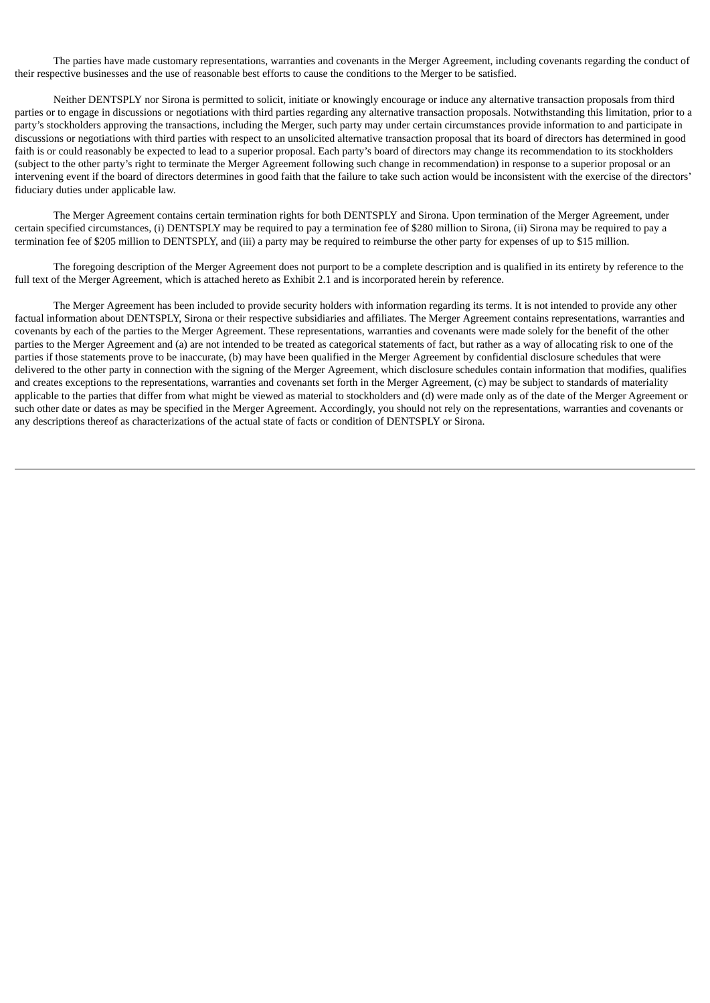The parties have made customary representations, warranties and covenants in the Merger Agreement, including covenants regarding the conduct of their respective businesses and the use of reasonable best efforts to cause the conditions to the Merger to be satisfied.

Neither DENTSPLY nor Sirona is permitted to solicit, initiate or knowingly encourage or induce any alternative transaction proposals from third parties or to engage in discussions or negotiations with third parties regarding any alternative transaction proposals. Notwithstanding this limitation, prior to a party's stockholders approving the transactions, including the Merger, such party may under certain circumstances provide information to and participate in discussions or negotiations with third parties with respect to an unsolicited alternative transaction proposal that its board of directors has determined in good faith is or could reasonably be expected to lead to a superior proposal. Each party's board of directors may change its recommendation to its stockholders (subject to the other party's right to terminate the Merger Agreement following such change in recommendation) in response to a superior proposal or an intervening event if the board of directors determines in good faith that the failure to take such action would be inconsistent with the exercise of the directors' fiduciary duties under applicable law.

The Merger Agreement contains certain termination rights for both DENTSPLY and Sirona. Upon termination of the Merger Agreement, under certain specified circumstances, (i) DENTSPLY may be required to pay a termination fee of \$280 million to Sirona, (ii) Sirona may be required to pay a termination fee of \$205 million to DENTSPLY, and (iii) a party may be required to reimburse the other party for expenses of up to \$15 million.

The foregoing description of the Merger Agreement does not purport to be a complete description and is qualified in its entirety by reference to the full text of the Merger Agreement, which is attached hereto as Exhibit 2.1 and is incorporated herein by reference.

The Merger Agreement has been included to provide security holders with information regarding its terms. It is not intended to provide any other factual information about DENTSPLY, Sirona or their respective subsidiaries and affiliates. The Merger Agreement contains representations, warranties and covenants by each of the parties to the Merger Agreement. These representations, warranties and covenants were made solely for the benefit of the other parties to the Merger Agreement and (a) are not intended to be treated as categorical statements of fact, but rather as a way of allocating risk to one of the parties if those statements prove to be inaccurate, (b) may have been qualified in the Merger Agreement by confidential disclosure schedules that were delivered to the other party in connection with the signing of the Merger Agreement, which disclosure schedules contain information that modifies, qualifies and creates exceptions to the representations, warranties and covenants set forth in the Merger Agreement, (c) may be subject to standards of materiality applicable to the parties that differ from what might be viewed as material to stockholders and (d) were made only as of the date of the Merger Agreement or such other date or dates as may be specified in the Merger Agreement. Accordingly, you should not rely on the representations, warranties and covenants or any descriptions thereof as characterizations of the actual state of facts or condition of DENTSPLY or Sirona.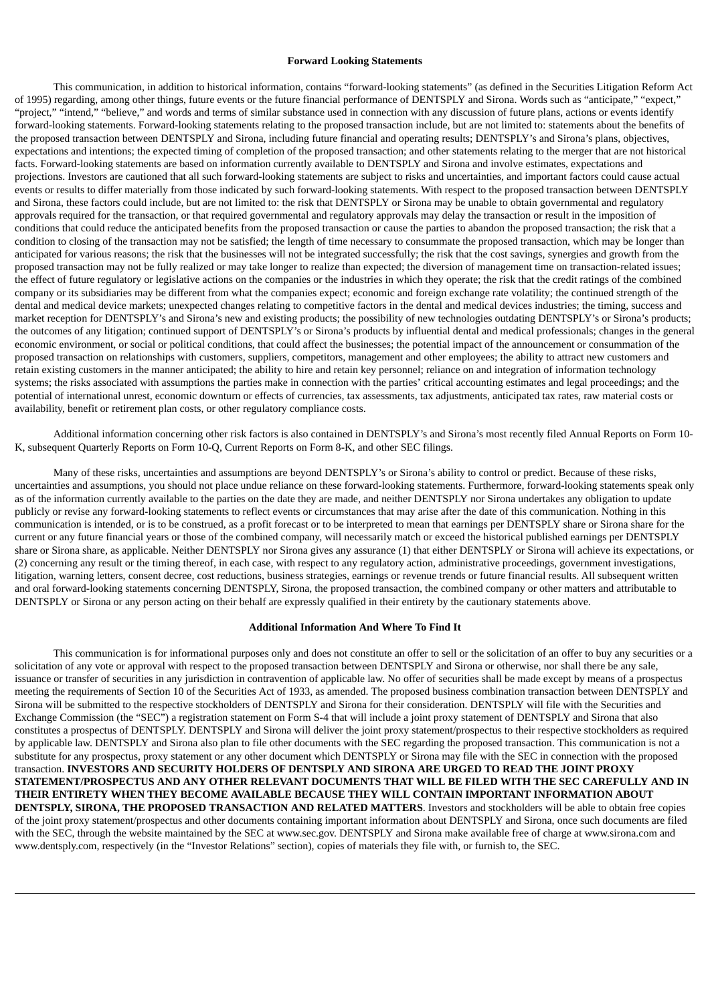#### **Forward Looking Statements**

This communication, in addition to historical information, contains "forward-looking statements" (as defined in the Securities Litigation Reform Act of 1995) regarding, among other things, future events or the future financial performance of DENTSPLY and Sirona. Words such as "anticipate," "expect," "project," "intend," "believe," and words and terms of similar substance used in connection with any discussion of future plans, actions or events identify forward-looking statements. Forward-looking statements relating to the proposed transaction include, but are not limited to: statements about the benefits of the proposed transaction between DENTSPLY and Sirona, including future financial and operating results; DENTSPLY's and Sirona's plans, objectives, expectations and intentions; the expected timing of completion of the proposed transaction; and other statements relating to the merger that are not historical facts. Forward-looking statements are based on information currently available to DENTSPLY and Sirona and involve estimates, expectations and projections. Investors are cautioned that all such forward-looking statements are subject to risks and uncertainties, and important factors could cause actual events or results to differ materially from those indicated by such forward-looking statements. With respect to the proposed transaction between DENTSPLY and Sirona, these factors could include, but are not limited to: the risk that DENTSPLY or Sirona may be unable to obtain governmental and regulatory approvals required for the transaction, or that required governmental and regulatory approvals may delay the transaction or result in the imposition of conditions that could reduce the anticipated benefits from the proposed transaction or cause the parties to abandon the proposed transaction; the risk that a condition to closing of the transaction may not be satisfied; the length of time necessary to consummate the proposed transaction, which may be longer than anticipated for various reasons; the risk that the businesses will not be integrated successfully; the risk that the cost savings, synergies and growth from the proposed transaction may not be fully realized or may take longer to realize than expected; the diversion of management time on transaction-related issues; the effect of future regulatory or legislative actions on the companies or the industries in which they operate; the risk that the credit ratings of the combined company or its subsidiaries may be different from what the companies expect; economic and foreign exchange rate volatility; the continued strength of the dental and medical device markets; unexpected changes relating to competitive factors in the dental and medical devices industries; the timing, success and market reception for DENTSPLY's and Sirona's new and existing products; the possibility of new technologies outdating DENTSPLY's or Sirona's products; the outcomes of any litigation; continued support of DENTSPLY's or Sirona's products by influential dental and medical professionals; changes in the general economic environment, or social or political conditions, that could affect the businesses; the potential impact of the announcement or consummation of the proposed transaction on relationships with customers, suppliers, competitors, management and other employees; the ability to attract new customers and retain existing customers in the manner anticipated; the ability to hire and retain key personnel; reliance on and integration of information technology systems; the risks associated with assumptions the parties make in connection with the parties' critical accounting estimates and legal proceedings; and the potential of international unrest, economic downturn or effects of currencies, tax assessments, tax adjustments, anticipated tax rates, raw material costs or availability, benefit or retirement plan costs, or other regulatory compliance costs.

Additional information concerning other risk factors is also contained in DENTSPLY's and Sirona's most recently filed Annual Reports on Form 10- K, subsequent Quarterly Reports on Form 10-Q, Current Reports on Form 8-K, and other SEC filings.

Many of these risks, uncertainties and assumptions are beyond DENTSPLY's or Sirona's ability to control or predict. Because of these risks, uncertainties and assumptions, you should not place undue reliance on these forward-looking statements. Furthermore, forward-looking statements speak only as of the information currently available to the parties on the date they are made, and neither DENTSPLY nor Sirona undertakes any obligation to update publicly or revise any forward-looking statements to reflect events or circumstances that may arise after the date of this communication. Nothing in this communication is intended, or is to be construed, as a profit forecast or to be interpreted to mean that earnings per DENTSPLY share or Sirona share for the current or any future financial years or those of the combined company, will necessarily match or exceed the historical published earnings per DENTSPLY share or Sirona share, as applicable. Neither DENTSPLY nor Sirona gives any assurance (1) that either DENTSPLY or Sirona will achieve its expectations, or (2) concerning any result or the timing thereof, in each case, with respect to any regulatory action, administrative proceedings, government investigations, litigation, warning letters, consent decree, cost reductions, business strategies, earnings or revenue trends or future financial results. All subsequent written and oral forward-looking statements concerning DENTSPLY, Sirona, the proposed transaction, the combined company or other matters and attributable to DENTSPLY or Sirona or any person acting on their behalf are expressly qualified in their entirety by the cautionary statements above.

#### **Additional Information And Where To Find It**

This communication is for informational purposes only and does not constitute an offer to sell or the solicitation of an offer to buy any securities or a solicitation of any vote or approval with respect to the proposed transaction between DENTSPLY and Sirona or otherwise, nor shall there be any sale, issuance or transfer of securities in any jurisdiction in contravention of applicable law. No offer of securities shall be made except by means of a prospectus meeting the requirements of Section 10 of the Securities Act of 1933, as amended. The proposed business combination transaction between DENTSPLY and Sirona will be submitted to the respective stockholders of DENTSPLY and Sirona for their consideration. DENTSPLY will file with the Securities and Exchange Commission (the "SEC") a registration statement on Form S-4 that will include a joint proxy statement of DENTSPLY and Sirona that also constitutes a prospectus of DENTSPLY. DENTSPLY and Sirona will deliver the joint proxy statement/prospectus to their respective stockholders as required by applicable law. DENTSPLY and Sirona also plan to file other documents with the SEC regarding the proposed transaction. This communication is not a substitute for any prospectus, proxy statement or any other document which DENTSPLY or Sirona may file with the SEC in connection with the proposed transaction. **INVESTORS AND SECURITY HOLDERS OF DENTSPLY AND SIRONA ARE URGED TO READ THE JOINT PROXY STATEMENT/PROSPECTUS AND ANY OTHER RELEVANT DOCUMENTS THAT WILL BE FILED WITH THE SEC CAREFULLY AND IN THEIR ENTIRETY WHEN THEY BECOME AVAILABLE BECAUSE THEY WILL CONTAIN IMPORTANT INFORMATION ABOUT DENTSPLY, SIRONA, THE PROPOSED TRANSACTION AND RELATED MATTERS**. Investors and stockholders will be able to obtain free copies of the joint proxy statement/prospectus and other documents containing important information about DENTSPLY and Sirona, once such documents are filed with the SEC, through the website maintained by the SEC at www.sec.gov. DENTSPLY and Sirona make available free of charge at www.sirona.com and www.dentsply.com, respectively (in the "Investor Relations" section), copies of materials they file with, or furnish to, the SEC.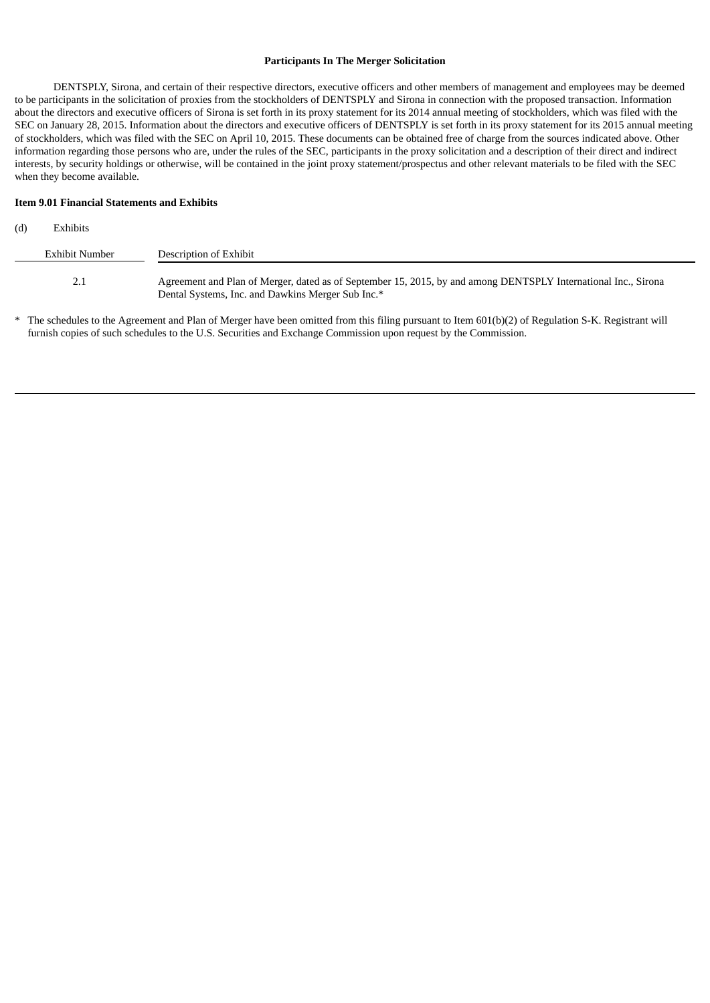### **Participants In The Merger Solicitation**

DENTSPLY, Sirona, and certain of their respective directors, executive officers and other members of management and employees may be deemed to be participants in the solicitation of proxies from the stockholders of DENTSPLY and Sirona in connection with the proposed transaction. Information about the directors and executive officers of Sirona is set forth in its proxy statement for its 2014 annual meeting of stockholders, which was filed with the SEC on January 28, 2015. Information about the directors and executive officers of DENTSPLY is set forth in its proxy statement for its 2015 annual meeting of stockholders, which was filed with the SEC on April 10, 2015. These documents can be obtained free of charge from the sources indicated above. Other information regarding those persons who are, under the rules of the SEC, participants in the proxy solicitation and a description of their direct and indirect interests, by security holdings or otherwise, will be contained in the joint proxy statement/prospectus and other relevant materials to be filed with the SEC when they become available.

## **Item 9.01 Financial Statements and Exhibits**

| (d) | Exhibits       |                                                                                                                                                                     |
|-----|----------------|---------------------------------------------------------------------------------------------------------------------------------------------------------------------|
|     | Exhibit Number | Description of Exhibit                                                                                                                                              |
|     | 2.1            | Agreement and Plan of Merger, dated as of September 15, 2015, by and among DENTSPLY International Inc., Sirona<br>Dental Systems, Inc. and Dawkins Merger Sub Inc.* |

\* The schedules to the Agreement and Plan of Merger have been omitted from this filing pursuant to Item 601(b)(2) of Regulation S-K. Registrant will furnish copies of such schedules to the U.S. Securities and Exchange Commission upon request by the Commission.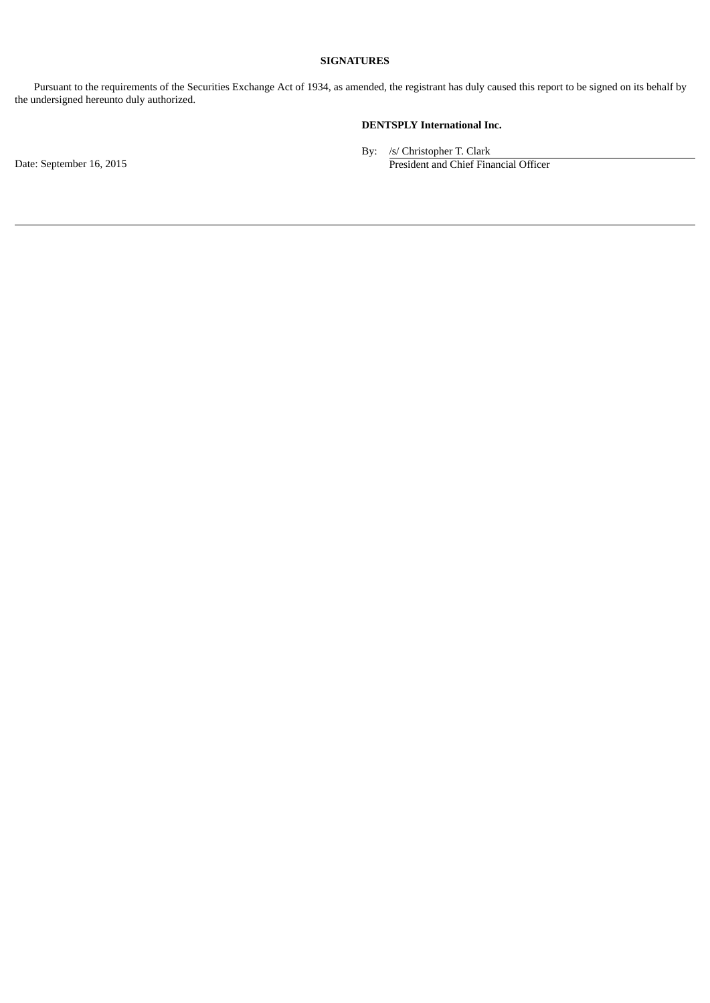# **SIGNATURES**

Pursuant to the requirements of the Securities Exchange Act of 1934, as amended, the registrant has duly caused this report to be signed on its behalf by the undersigned hereunto duly authorized.

# **DENTSPLY International Inc.**

By: /s/ Christopher T. Clark

Date: September 16, 2015 President and Chief Financial Officer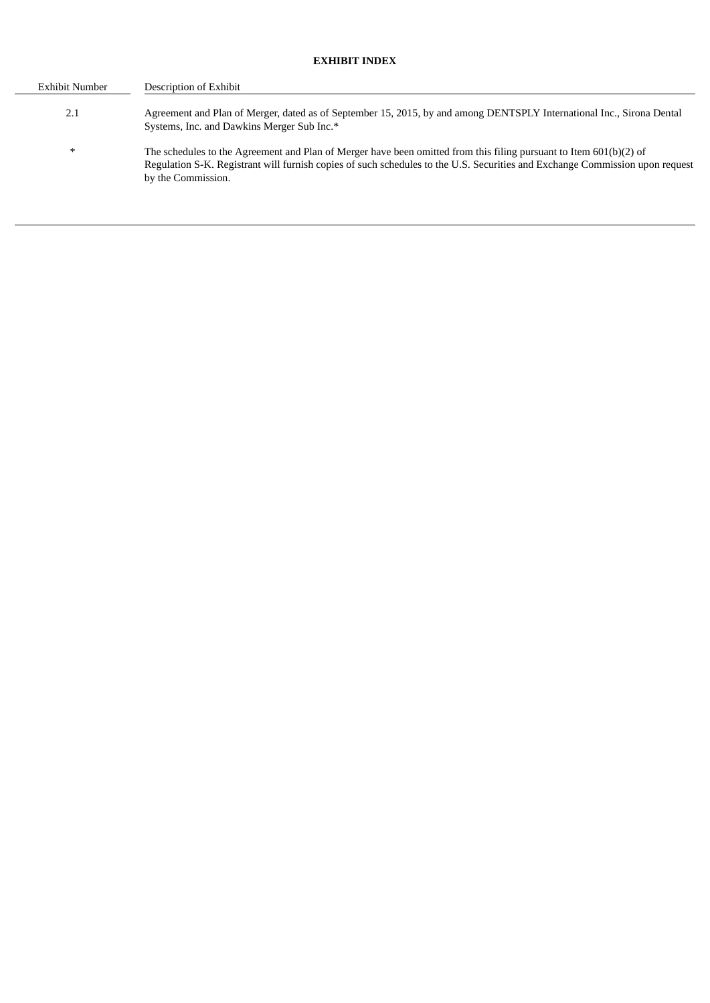# **EXHIBIT INDEX**

| Exhibit Number | Description of Exhibit                                                                                                                                                                                                                                                   |
|----------------|--------------------------------------------------------------------------------------------------------------------------------------------------------------------------------------------------------------------------------------------------------------------------|
| 2.1            | Agreement and Plan of Merger, dated as of September 15, 2015, by and among DENTSPLY International Inc., Sirona Dental<br>Systems, Inc. and Dawkins Merger Sub Inc.*                                                                                                      |
| $\ast$         | The schedules to the Agreement and Plan of Merger have been omitted from this filing pursuant to Item 601(b)(2) of<br>Regulation S-K. Registrant will furnish copies of such schedules to the U.S. Securities and Exchange Commission upon request<br>by the Commission. |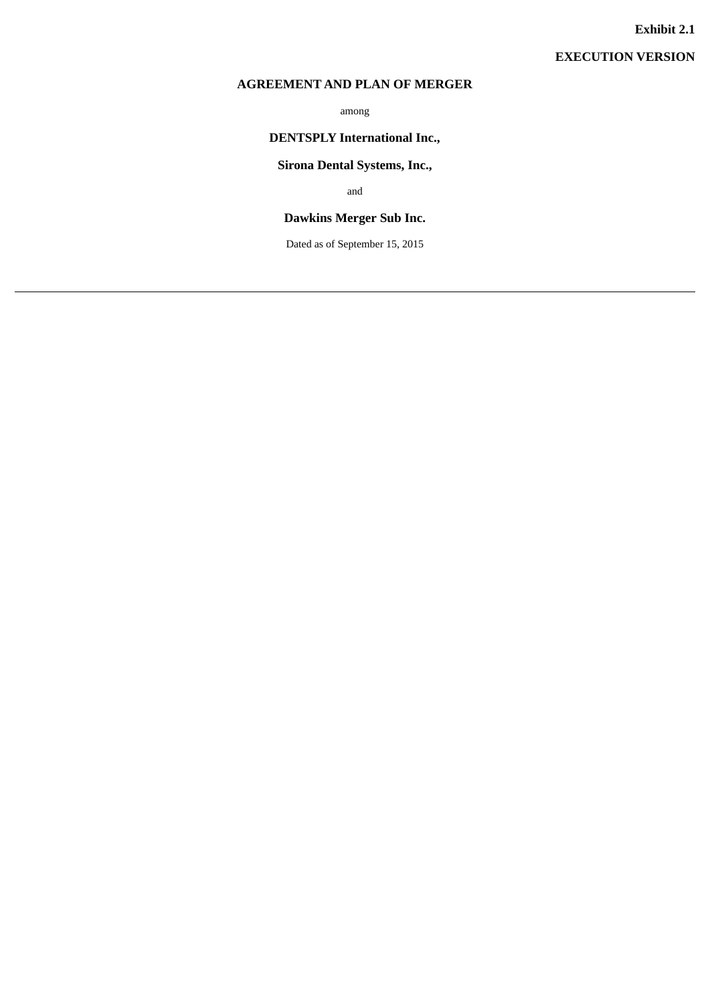**EXECUTION VERSION**

# **AGREEMENT AND PLAN OF MERGER**

among

# **DENTSPLY International Inc.,**

# **Sirona Dental Systems, Inc.,**

and

# **Dawkins Merger Sub Inc.**

Dated as of September 15, 2015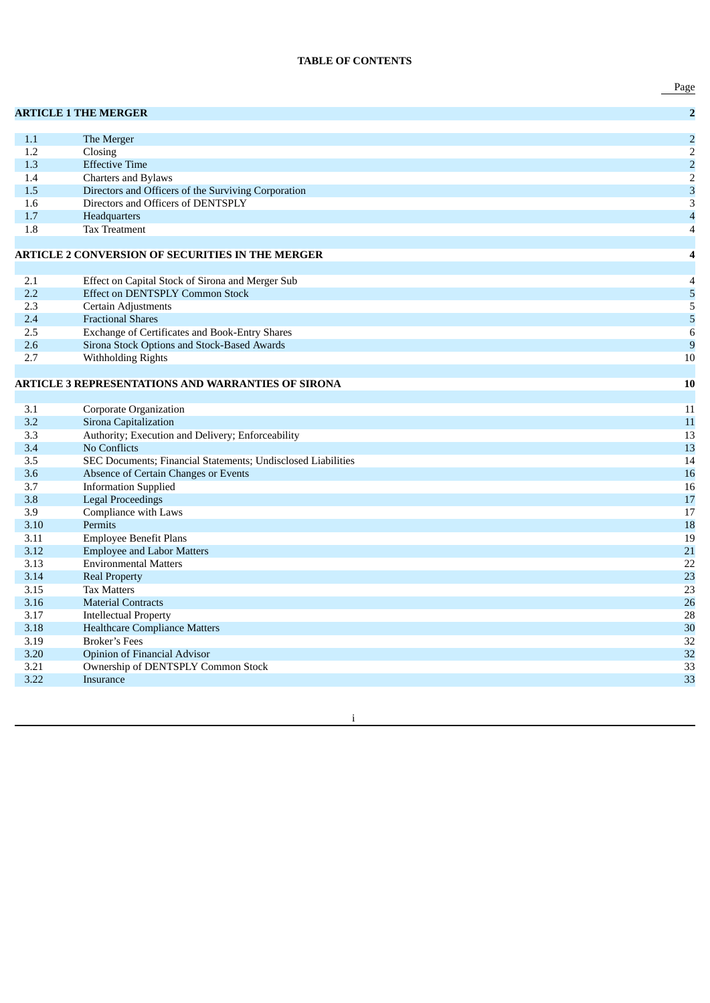# **TABLE OF CONTENTS**

|            |                                                                          | Page                    |
|------------|--------------------------------------------------------------------------|-------------------------|
|            | <b>ARTICLE 1 THE MERGER</b>                                              | $\overline{\mathbf{c}}$ |
| 1.1        | The Merger                                                               | $\overline{a}$          |
| 1.2        | Closing                                                                  | $\overline{2}$          |
| 1.3        | <b>Effective Time</b>                                                    | $\overline{a}$          |
| 1.4        | <b>Charters and Bylaws</b>                                               | $\overline{2}$          |
| 1.5        | Directors and Officers of the Surviving Corporation                      | $\overline{\mathbf{3}}$ |
| 1.6        | Directors and Officers of DENTSPLY                                       | 3                       |
| 1.7        | Headquarters                                                             | $\overline{\mathbf{4}}$ |
| 1.8        | <b>Tax Treatment</b>                                                     | $\overline{4}$          |
|            | ARTICLE 2 CONVERSION OF SECURITIES IN THE MERGER                         | 4                       |
|            |                                                                          |                         |
| 2.1        | Effect on Capital Stock of Sirona and Merger Sub                         | $\overline{4}$          |
| 2.2        | <b>Effect on DENTSPLY Common Stock</b>                                   | 5                       |
| 2.3        | Certain Adjustments                                                      | 5                       |
| 2.4        | <b>Fractional Shares</b>                                                 | 5                       |
| 2.5        | Exchange of Certificates and Book-Entry Shares                           | $\,$ 6 $\,$             |
| 2.6        | Sirona Stock Options and Stock-Based Awards                              | $\mathbf{9}$            |
| 2.7        | Withholding Rights                                                       | 10                      |
|            |                                                                          |                         |
|            | <b>ARTICLE 3 REPRESENTATIONS AND WARRANTIES OF SIRONA</b>                | <b>10</b>               |
|            |                                                                          |                         |
| 3.1        | Corporate Organization                                                   | 11                      |
| 3.2        | Sirona Capitalization                                                    | 11                      |
| 3.3<br>3.4 | Authority; Execution and Delivery; Enforceability<br><b>No Conflicts</b> | 13                      |
| 3.5        | SEC Documents; Financial Statements; Undisclosed Liabilities             | 13<br>14                |
| 3.6        | Absence of Certain Changes or Events                                     | 16                      |
| 3.7        | <b>Information Supplied</b>                                              | 16                      |
| 3.8        | <b>Legal Proceedings</b>                                                 | 17                      |
| 3.9        | Compliance with Laws                                                     | 17                      |
| 3.10       | Permits                                                                  | 18                      |
| 3.11       | <b>Employee Benefit Plans</b>                                            | 19                      |
| 3.12       | <b>Employee and Labor Matters</b>                                        | 21                      |
| 3.13       | <b>Environmental Matters</b>                                             | 22                      |
| 3.14       | <b>Real Property</b>                                                     | 23                      |
| 3.15       | <b>Tax Matters</b>                                                       | 23                      |
| 3.16       | <b>Material Contracts</b>                                                | 26                      |
| 3.17       | <b>Intellectual Property</b>                                             | 28                      |
| 3.18       | <b>Healthcare Compliance Matters</b>                                     | 30                      |
| 3.19       | <b>Broker's Fees</b>                                                     | 32                      |
| 3.20       | <b>Opinion of Financial Advisor</b>                                      | 32                      |
| 3.21       | Ownership of DENTSPLY Common Stock                                       | 33                      |
| 3.22       | <b>Insurance</b>                                                         | 33                      |

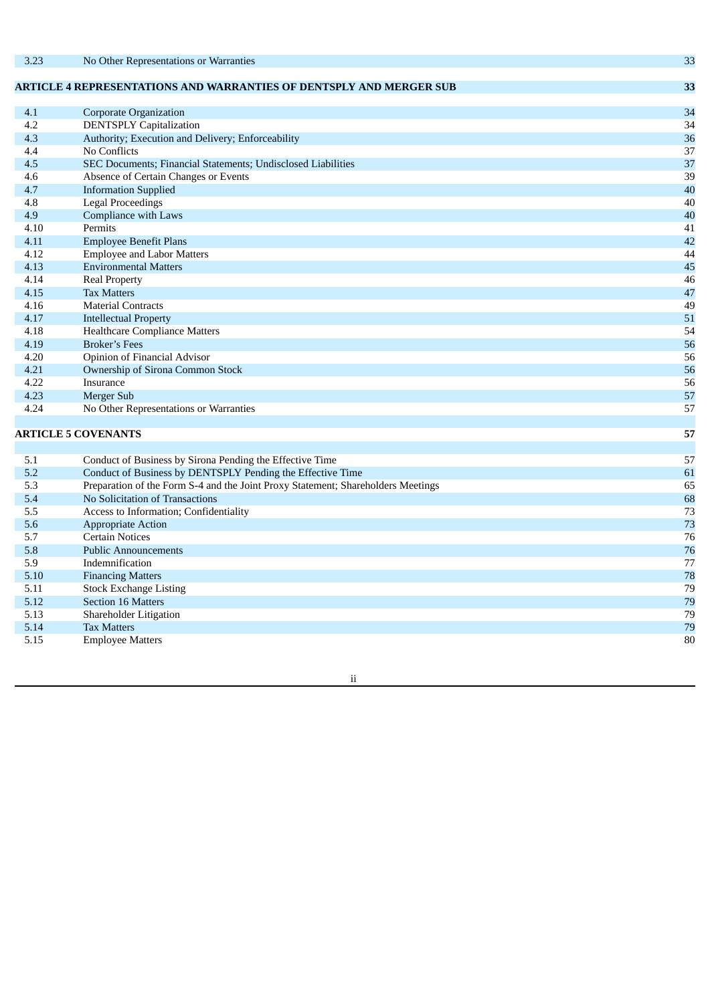| 3.23 | No Other Representations or Warranties                                           | 33 |
|------|----------------------------------------------------------------------------------|----|
|      |                                                                                  |    |
|      | ARTICLE 4 REPRESENTATIONS AND WARRANTIES OF DENTSPLY AND MERGER SUB              | 33 |
| 4.1  | <b>Corporate Organization</b>                                                    | 34 |
| 4.2  | <b>DENTSPLY Capitalization</b>                                                   | 34 |
| 4.3  | Authority; Execution and Delivery; Enforceability                                | 36 |
| 4.4  | No Conflicts                                                                     | 37 |
| 4.5  | SEC Documents; Financial Statements; Undisclosed Liabilities                     | 37 |
| 4.6  | Absence of Certain Changes or Events                                             | 39 |
| 4.7  | <b>Information Supplied</b>                                                      | 40 |
| 4.8  | <b>Legal Proceedings</b>                                                         | 40 |
| 4.9  | <b>Compliance with Laws</b>                                                      | 40 |
| 4.10 | Permits                                                                          | 41 |
| 4.11 | <b>Employee Benefit Plans</b>                                                    | 42 |
| 4.12 | <b>Employee and Labor Matters</b>                                                | 44 |
| 4.13 | <b>Environmental Matters</b>                                                     | 45 |
| 4.14 | <b>Real Property</b>                                                             | 46 |
| 4.15 | <b>Tax Matters</b>                                                               | 47 |
| 4.16 | <b>Material Contracts</b>                                                        | 49 |
| 4.17 | <b>Intellectual Property</b>                                                     | 51 |
| 4.18 | <b>Healthcare Compliance Matters</b>                                             | 54 |
| 4.19 | <b>Broker's Fees</b>                                                             | 56 |
| 4.20 | Opinion of Financial Advisor                                                     | 56 |
| 4.21 | Ownership of Sirona Common Stock                                                 | 56 |
| 4.22 | Insurance                                                                        | 56 |
| 4.23 | <b>Merger Sub</b>                                                                | 57 |
| 4.24 | No Other Representations or Warranties                                           | 57 |
|      | <b>ARTICLE 5 COVENANTS</b>                                                       | 57 |
|      |                                                                                  |    |
| 5.1  | Conduct of Business by Sirona Pending the Effective Time                         | 57 |
| 5.2  | Conduct of Business by DENTSPLY Pending the Effective Time                       | 61 |
| 5.3  | Preparation of the Form S-4 and the Joint Proxy Statement; Shareholders Meetings | 65 |
| 5.4  | No Solicitation of Transactions                                                  | 68 |
| 5.5  | Access to Information; Confidentiality                                           | 73 |
| 5.6  | <b>Appropriate Action</b>                                                        | 73 |
| 5.7  | <b>Certain Notices</b>                                                           | 76 |
| 5.8  | <b>Public Announcements</b>                                                      | 76 |
| 5.9  | Indemnification                                                                  | 77 |
| 5.10 | <b>Financing Matters</b>                                                         | 78 |
| 5.11 | <b>Stock Exchange Listing</b>                                                    | 79 |
| 5.12 | <b>Section 16 Matters</b>                                                        | 79 |
| 5.13 | Shareholder Litigation                                                           | 79 |
| 5.14 | <b>Tax Matters</b>                                                               | 79 |
| 5.15 | <b>Employee Matters</b>                                                          | 80 |

ii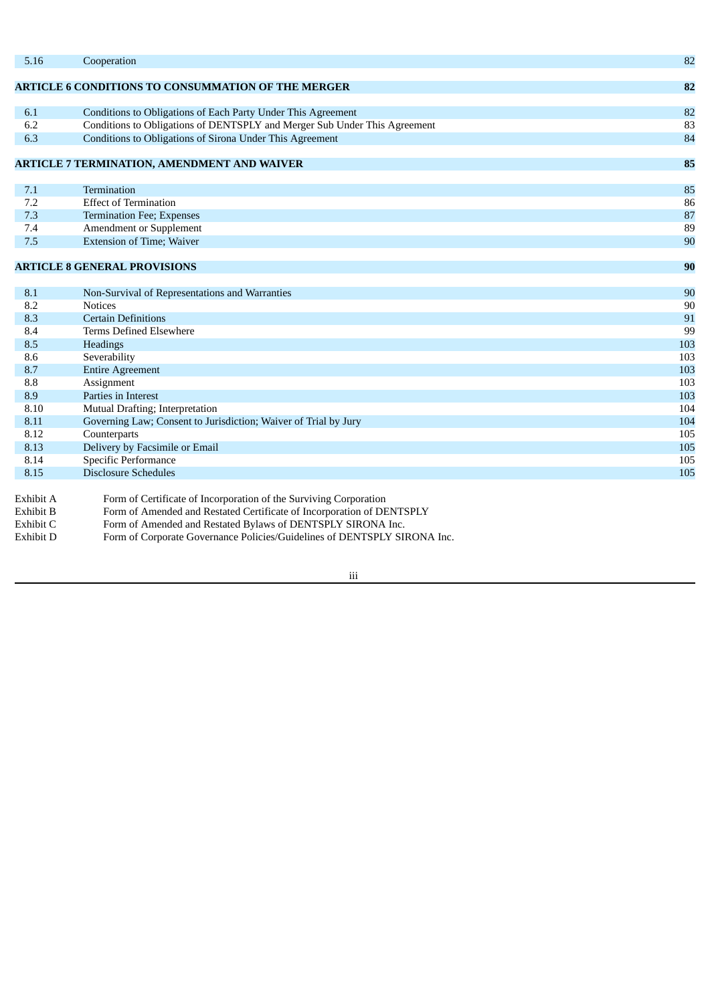| 5.16       | Cooperation                                                               | 82       |
|------------|---------------------------------------------------------------------------|----------|
|            | <b>ARTICLE 6 CONDITIONS TO CONSUMMATION OF THE MERGER</b>                 | 82       |
|            |                                                                           |          |
| 6.1        | Conditions to Obligations of Each Party Under This Agreement              | 82       |
| 6.2        | Conditions to Obligations of DENTSPLY and Merger Sub Under This Agreement | 83       |
| 6.3        | Conditions to Obligations of Sirona Under This Agreement                  | 84       |
|            |                                                                           |          |
|            | <b>ARTICLE 7 TERMINATION, AMENDMENT AND WAIVER</b>                        | 85       |
|            |                                                                           |          |
| 7.1        | Termination                                                               | 85       |
| 7.2        | <b>Effect of Termination</b>                                              | 86       |
| 7.3<br>7.4 | Termination Fee; Expenses<br>Amendment or Supplement                      | 87<br>89 |
| 7.5        | <b>Extension of Time; Waiver</b>                                          | 90       |
|            |                                                                           |          |
|            | <b>ARTICLE 8 GENERAL PROVISIONS</b>                                       | 90       |
|            |                                                                           |          |
| 8.1        | Non-Survival of Representations and Warranties                            | 90       |
| 8.2        | <b>Notices</b>                                                            | 90       |
| 8.3        | <b>Certain Definitions</b>                                                | 91       |
| 8.4        | Terms Defined Elsewhere                                                   | 99       |
| 8.5        | Headings                                                                  | 103      |
| 8.6        | Severability                                                              | 103      |
| 8.7        | <b>Entire Agreement</b>                                                   | 103      |
| 8.8        | Assignment                                                                | 103      |
| 8.9        | Parties in Interest                                                       | 103      |
| 8.10       | Mutual Drafting; Interpretation                                           | 104      |
| 8.11       | Governing Law; Consent to Jurisdiction; Waiver of Trial by Jury           | 104      |
| 8.12       | Counterparts                                                              | 105      |
| 8.13       | Delivery by Facsimile or Email                                            | 105      |
| 8.14       | Specific Performance                                                      | 105      |
| 8.15       | <b>Disclosure Schedules</b>                                               | 105      |

| Exhibit A | Form of Certificate of Incorporation of the Surviving Corporation        |
|-----------|--------------------------------------------------------------------------|
| Exhibit B | Form of Amended and Restated Certificate of Incorporation of DENTSPLY    |
| Exhibit C | Form of Amended and Restated Bylaws of DENTSPLY SIRONA Inc.              |
| Exhibit D | Form of Corporate Governance Policies/Guidelines of DENTSPLY SIRONA Inc. |
|           |                                                                          |

iii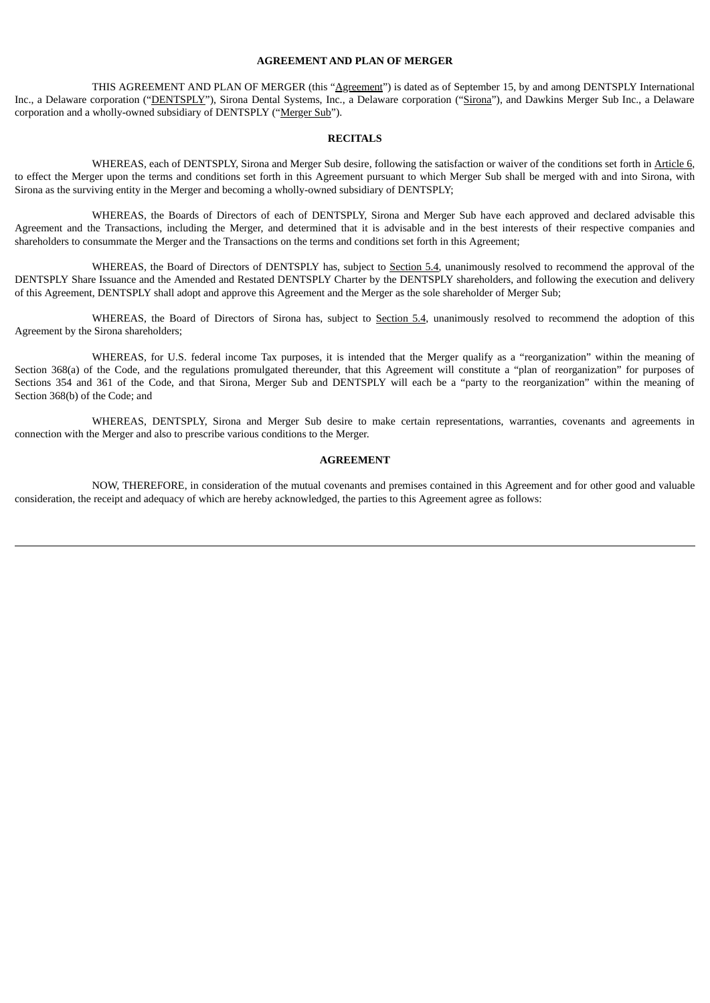# **AGREEMENT AND PLAN OF MERGER**

THIS AGREEMENT AND PLAN OF MERGER (this "Agreement") is dated as of September 15, by and among DENTSPLY International Inc., a Delaware corporation ("DENTSPLY"), Sirona Dental Systems, Inc., a Delaware corporation ("Sirona"), and Dawkins Merger Sub Inc., a Delaware corporation and a wholly-owned subsidiary of DENTSPLY ("Merger Sub").

#### **RECITALS**

WHEREAS, each of DENTSPLY, Sirona and Merger Sub desire, following the satisfaction or waiver of the conditions set forth in Article 6, to effect the Merger upon the terms and conditions set forth in this Agreement pursuant to which Merger Sub shall be merged with and into Sirona, with Sirona as the surviving entity in the Merger and becoming a wholly-owned subsidiary of DENTSPLY;

WHEREAS, the Boards of Directors of each of DENTSPLY, Sirona and Merger Sub have each approved and declared advisable this Agreement and the Transactions, including the Merger, and determined that it is advisable and in the best interests of their respective companies and shareholders to consummate the Merger and the Transactions on the terms and conditions set forth in this Agreement;

WHEREAS, the Board of Directors of DENTSPLY has, subject to Section 5.4, unanimously resolved to recommend the approval of the DENTSPLY Share Issuance and the Amended and Restated DENTSPLY Charter by the DENTSPLY shareholders, and following the execution and delivery of this Agreement, DENTSPLY shall adopt and approve this Agreement and the Merger as the sole shareholder of Merger Sub;

WHEREAS, the Board of Directors of Sirona has, subject to Section 5.4, unanimously resolved to recommend the adoption of this Agreement by the Sirona shareholders;

WHEREAS, for U.S. federal income Tax purposes, it is intended that the Merger qualify as a "reorganization" within the meaning of Section 368(a) of the Code, and the regulations promulgated thereunder, that this Agreement will constitute a "plan of reorganization" for purposes of Sections 354 and 361 of the Code, and that Sirona, Merger Sub and DENTSPLY will each be a "party to the reorganization" within the meaning of Section 368(b) of the Code; and

WHEREAS, DENTSPLY, Sirona and Merger Sub desire to make certain representations, warranties, covenants and agreements in connection with the Merger and also to prescribe various conditions to the Merger.

#### **AGREEMENT**

NOW, THEREFORE, in consideration of the mutual covenants and premises contained in this Agreement and for other good and valuable consideration, the receipt and adequacy of which are hereby acknowledged, the parties to this Agreement agree as follows: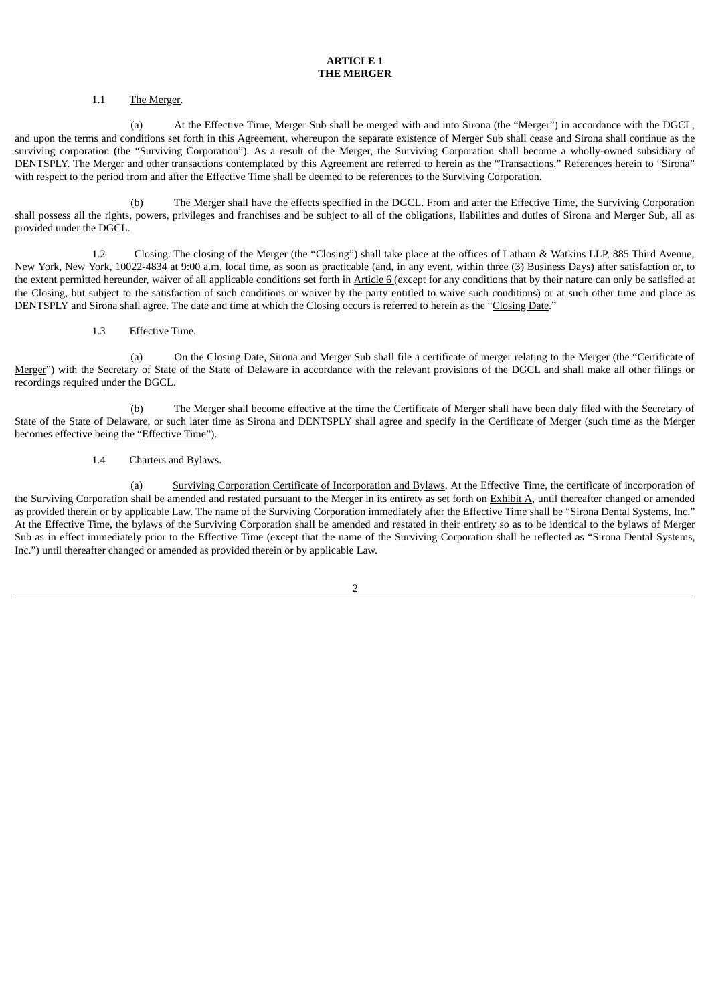## **ARTICLE 1 THE MERGER**

#### 1.1 The Merger.

(a) At the Effective Time, Merger Sub shall be merged with and into Sirona (the "Merger") in accordance with the DGCL, and upon the terms and conditions set forth in this Agreement, whereupon the separate existence of Merger Sub shall cease and Sirona shall continue as the surviving corporation (the "Surviving Corporation"). As a result of the Merger, the Surviving Corporation shall become a wholly-owned subsidiary of DENTSPLY. The Merger and other transactions contemplated by this Agreement are referred to herein as the "Transactions." References herein to "Sirona" with respect to the period from and after the Effective Time shall be deemed to be references to the Surviving Corporation.

(b) The Merger shall have the effects specified in the DGCL. From and after the Effective Time, the Surviving Corporation shall possess all the rights, powers, privileges and franchises and be subject to all of the obligations, liabilities and duties of Sirona and Merger Sub, all as provided under the DGCL.

1.2 Closing. The closing of the Merger (the "Closing") shall take place at the offices of Latham & Watkins LLP, 885 Third Avenue, New York, New York, 10022-4834 at 9:00 a.m. local time, as soon as practicable (and, in any event, within three (3) Business Days) after satisfaction or, to the extent permitted hereunder, waiver of all applicable conditions set forth in Article 6 (except for any conditions that by their nature can only be satisfied at the Closing, but subject to the satisfaction of such conditions or waiver by the party entitled to waive such conditions) or at such other time and place as DENTSPLY and Sirona shall agree. The date and time at which the Closing occurs is referred to herein as the "Closing Date."

# 1.3 Effective Time.

(a) On the Closing Date, Sirona and Merger Sub shall file a certificate of merger relating to the Merger (the "Certificate of Merger") with the Secretary of State of the State of Delaware in accordance with the relevant provisions of the DGCL and shall make all other filings or recordings required under the DGCL.

(b) The Merger shall become effective at the time the Certificate of Merger shall have been duly filed with the Secretary of State of the State of Delaware, or such later time as Sirona and DENTSPLY shall agree and specify in the Certificate of Merger (such time as the Merger becomes effective being the "Effective Time").

#### 1.4 Charters and Bylaws.

(a) Surviving Corporation Certificate of Incorporation and Bylaws. At the Effective Time, the certificate of incorporation of the Surviving Corporation shall be amended and restated pursuant to the Merger in its entirety as set forth on Exhibit A, until thereafter changed or amended as provided therein or by applicable Law. The name of the Surviving Corporation immediately after the Effective Time shall be "Sirona Dental Systems, Inc." At the Effective Time, the bylaws of the Surviving Corporation shall be amended and restated in their entirety so as to be identical to the bylaws of Merger Sub as in effect immediately prior to the Effective Time (except that the name of the Surviving Corporation shall be reflected as "Sirona Dental Systems, Inc.") until thereafter changed or amended as provided therein or by applicable Law.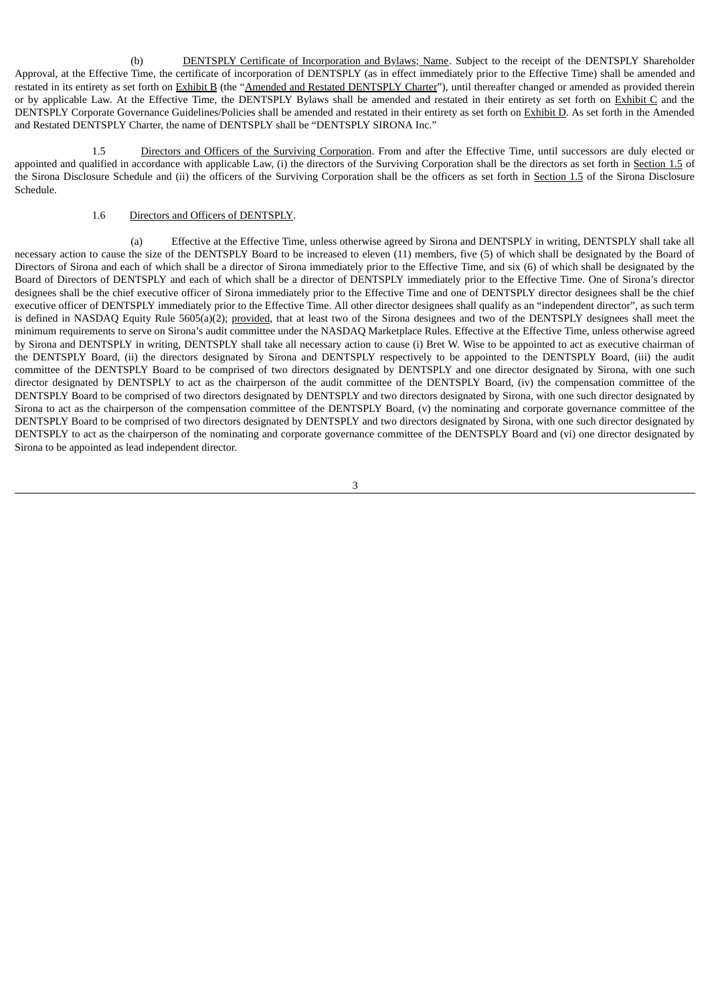(b) DENTSPLY Certificate of Incorporation and Bylaws; Name. Subject to the receipt of the DENTSPLY Shareholder Approval, at the Effective Time, the certificate of incorporation of DENTSPLY (as in effect immediately prior to the Effective Time) shall be amended and restated in its entirety as set forth on Exhibit B (the "Amended and Restated DENTSPLY Charter"), until thereafter changed or amended as provided therein or by applicable Law. At the Effective Time, the DENTSPLY Bylaws shall be amended and restated in their entirety as set forth on Exhibit C and the DENTSPLY Corporate Governance Guidelines/Policies shall be amended and restated in their entirety as set forth on Exhibit D. As set forth in the Amended and Restated DENTSPLY Charter, the name of DENTSPLY shall be "DENTSPLY SIRONA Inc."

1.5 Directors and Officers of the Surviving Corporation. From and after the Effective Time, until successors are duly elected or appointed and qualified in accordance with applicable Law, (i) the directors of the Surviving Corporation shall be the directors as set forth in Section 1.5 of the Sirona Disclosure Schedule and (ii) the officers of the Surviving Corporation shall be the officers as set forth in Section 1.5 of the Sirona Disclosure Schedule.

#### 1.6 Directors and Officers of DENTSPLY.

(a) Effective at the Effective Time, unless otherwise agreed by Sirona and DENTSPLY in writing, DENTSPLY shall take all necessary action to cause the size of the DENTSPLY Board to be increased to eleven (11) members, five (5) of which shall be designated by the Board of Directors of Sirona and each of which shall be a director of Sirona immediately prior to the Effective Time, and six (6) of which shall be designated by the Board of Directors of DENTSPLY and each of which shall be a director of DENTSPLY immediately prior to the Effective Time. One of Sirona's director designees shall be the chief executive officer of Sirona immediately prior to the Effective Time and one of DENTSPLY director designees shall be the chief executive officer of DENTSPLY immediately prior to the Effective Time. All other director designees shall qualify as an "independent director", as such term is defined in NASDAQ Equity Rule 5605(a)(2); provided, that at least two of the Sirona designees and two of the DENTSPLY designees shall meet the minimum requirements to serve on Sirona's audit committee under the NASDAQ Marketplace Rules. Effective at the Effective Time, unless otherwise agreed by Sirona and DENTSPLY in writing, DENTSPLY shall take all necessary action to cause (i) Bret W. Wise to be appointed to act as executive chairman of the DENTSPLY Board, (ii) the directors designated by Sirona and DENTSPLY respectively to be appointed to the DENTSPLY Board, (iii) the audit committee of the DENTSPLY Board to be comprised of two directors designated by DENTSPLY and one director designated by Sirona, with one such director designated by DENTSPLY to act as the chairperson of the audit committee of the DENTSPLY Board, (iv) the compensation committee of the DENTSPLY Board to be comprised of two directors designated by DENTSPLY and two directors designated by Sirona, with one such director designated by Sirona to act as the chairperson of the compensation committee of the DENTSPLY Board, (v) the nominating and corporate governance committee of the DENTSPLY Board to be comprised of two directors designated by DENTSPLY and two directors designated by Sirona, with one such director designated by DENTSPLY to act as the chairperson of the nominating and corporate governance committee of the DENTSPLY Board and (vi) one director designated by Sirona to be appointed as lead independent director.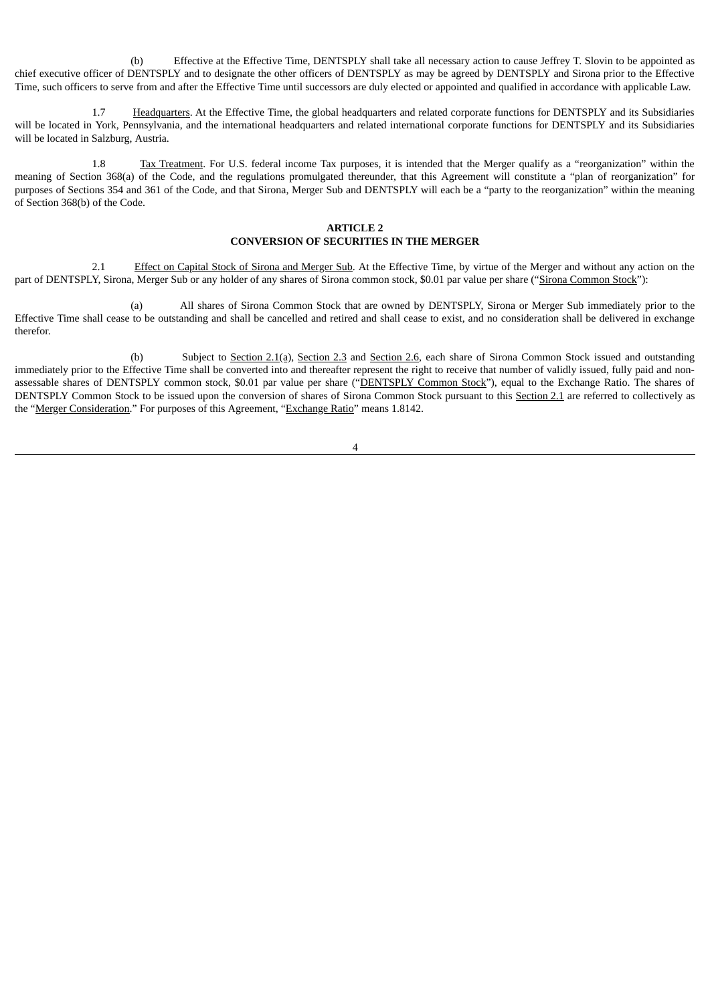(b) Effective at the Effective Time, DENTSPLY shall take all necessary action to cause Jeffrey T. Slovin to be appointed as chief executive officer of DENTSPLY and to designate the other officers of DENTSPLY as may be agreed by DENTSPLY and Sirona prior to the Effective Time, such officers to serve from and after the Effective Time until successors are duly elected or appointed and qualified in accordance with applicable Law.

1.7 Headquarters. At the Effective Time, the global headquarters and related corporate functions for DENTSPLY and its Subsidiaries will be located in York, Pennsylvania, and the international headquarters and related international corporate functions for DENTSPLY and its Subsidiaries will be located in Salzburg, Austria.

1.8 Tax Treatment. For U.S. federal income Tax purposes, it is intended that the Merger qualify as a "reorganization" within the meaning of Section 368(a) of the Code, and the regulations promulgated thereunder, that this Agreement will constitute a "plan of reorganization" for purposes of Sections 354 and 361 of the Code, and that Sirona, Merger Sub and DENTSPLY will each be a "party to the reorganization" within the meaning of Section 368(b) of the Code.

## **ARTICLE 2 CONVERSION OF SECURITIES IN THE MERGER**

2.1 Effect on Capital Stock of Sirona and Merger Sub. At the Effective Time, by virtue of the Merger and without any action on the part of DENTSPLY, Sirona, Merger Sub or any holder of any shares of Sirona common stock, \$0.01 par value per share ("Sirona Common Stock"):

(a) All shares of Sirona Common Stock that are owned by DENTSPLY, Sirona or Merger Sub immediately prior to the Effective Time shall cease to be outstanding and shall be cancelled and retired and shall cease to exist, and no consideration shall be delivered in exchange therefor.

(b) Subject to Section 2.1(a), Section 2.3 and Section 2.6, each share of Sirona Common Stock issued and outstanding immediately prior to the Effective Time shall be converted into and thereafter represent the right to receive that number of validly issued, fully paid and nonassessable shares of DENTSPLY common stock, \$0.01 par value per share ("DENTSPLY Common Stock"), equal to the Exchange Ratio. The shares of DENTSPLY Common Stock to be issued upon the conversion of shares of Sirona Common Stock pursuant to this Section 2.1 are referred to collectively as the "Merger Consideration." For purposes of this Agreement, "Exchange Ratio" means 1.8142.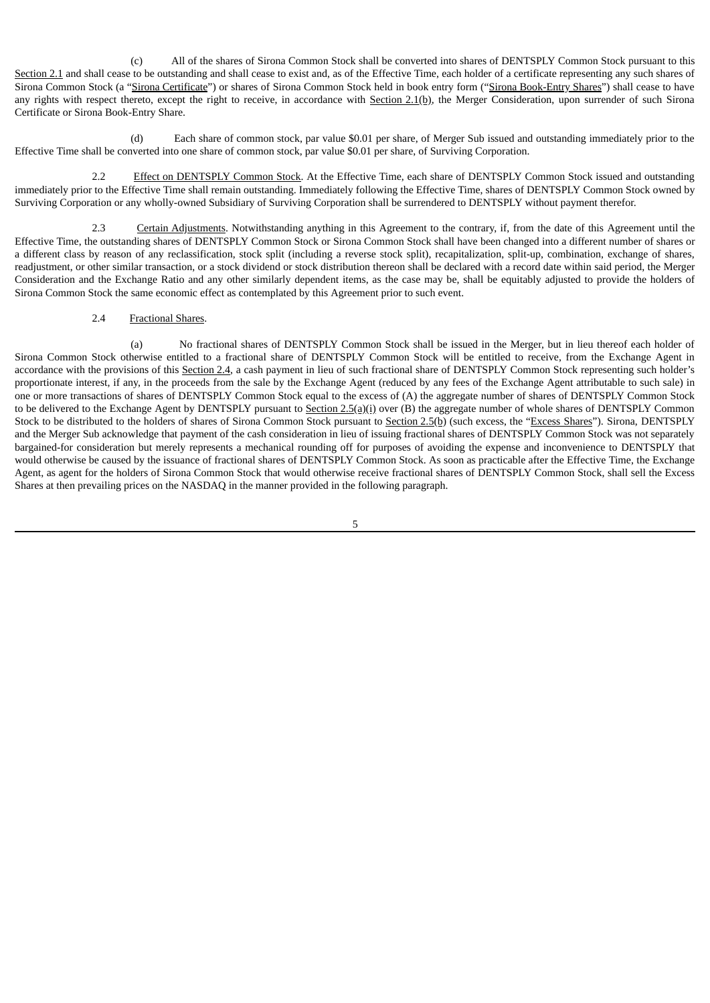(c) All of the shares of Sirona Common Stock shall be converted into shares of DENTSPLY Common Stock pursuant to this Section 2.1 and shall cease to be outstanding and shall cease to exist and, as of the Effective Time, each holder of a certificate representing any such shares of Sirona Common Stock (a "Sirona Certificate") or shares of Sirona Common Stock held in book entry form ("Sirona Book-Entry Shares") shall cease to have any rights with respect thereto, except the right to receive, in accordance with Section 2.1(b), the Merger Consideration, upon surrender of such Sirona Certificate or Sirona Book-Entry Share.

(d) Each share of common stock, par value \$0.01 per share, of Merger Sub issued and outstanding immediately prior to the Effective Time shall be converted into one share of common stock, par value \$0.01 per share, of Surviving Corporation.

2.2 Effect on DENTSPLY Common Stock. At the Effective Time, each share of DENTSPLY Common Stock issued and outstanding immediately prior to the Effective Time shall remain outstanding. Immediately following the Effective Time, shares of DENTSPLY Common Stock owned by Surviving Corporation or any wholly-owned Subsidiary of Surviving Corporation shall be surrendered to DENTSPLY without payment therefor.

2.3 Certain Adjustments. Notwithstanding anything in this Agreement to the contrary, if, from the date of this Agreement until the Effective Time, the outstanding shares of DENTSPLY Common Stock or Sirona Common Stock shall have been changed into a different number of shares or a different class by reason of any reclassification, stock split (including a reverse stock split), recapitalization, split-up, combination, exchange of shares, readjustment, or other similar transaction, or a stock dividend or stock distribution thereon shall be declared with a record date within said period, the Merger Consideration and the Exchange Ratio and any other similarly dependent items, as the case may be, shall be equitably adjusted to provide the holders of Sirona Common Stock the same economic effect as contemplated by this Agreement prior to such event.

# 2.4 Fractional Shares.

(a) No fractional shares of DENTSPLY Common Stock shall be issued in the Merger, but in lieu thereof each holder of Sirona Common Stock otherwise entitled to a fractional share of DENTSPLY Common Stock will be entitled to receive, from the Exchange Agent in accordance with the provisions of this Section 2.4, a cash payment in lieu of such fractional share of DENTSPLY Common Stock representing such holder's proportionate interest, if any, in the proceeds from the sale by the Exchange Agent (reduced by any fees of the Exchange Agent attributable to such sale) in one or more transactions of shares of DENTSPLY Common Stock equal to the excess of (A) the aggregate number of shares of DENTSPLY Common Stock to be delivered to the Exchange Agent by DENTSPLY pursuant to Section 2.5(a)(i) over (B) the aggregate number of whole shares of DENTSPLY Common Stock to be distributed to the holders of shares of Sirona Common Stock pursuant to Section 2.5(b) (such excess, the "Excess Shares"). Sirona, DENTSPLY and the Merger Sub acknowledge that payment of the cash consideration in lieu of issuing fractional shares of DENTSPLY Common Stock was not separately bargained-for consideration but merely represents a mechanical rounding off for purposes of avoiding the expense and inconvenience to DENTSPLY that would otherwise be caused by the issuance of fractional shares of DENTSPLY Common Stock. As soon as practicable after the Effective Time, the Exchange Agent, as agent for the holders of Sirona Common Stock that would otherwise receive fractional shares of DENTSPLY Common Stock, shall sell the Excess Shares at then prevailing prices on the NASDAQ in the manner provided in the following paragraph.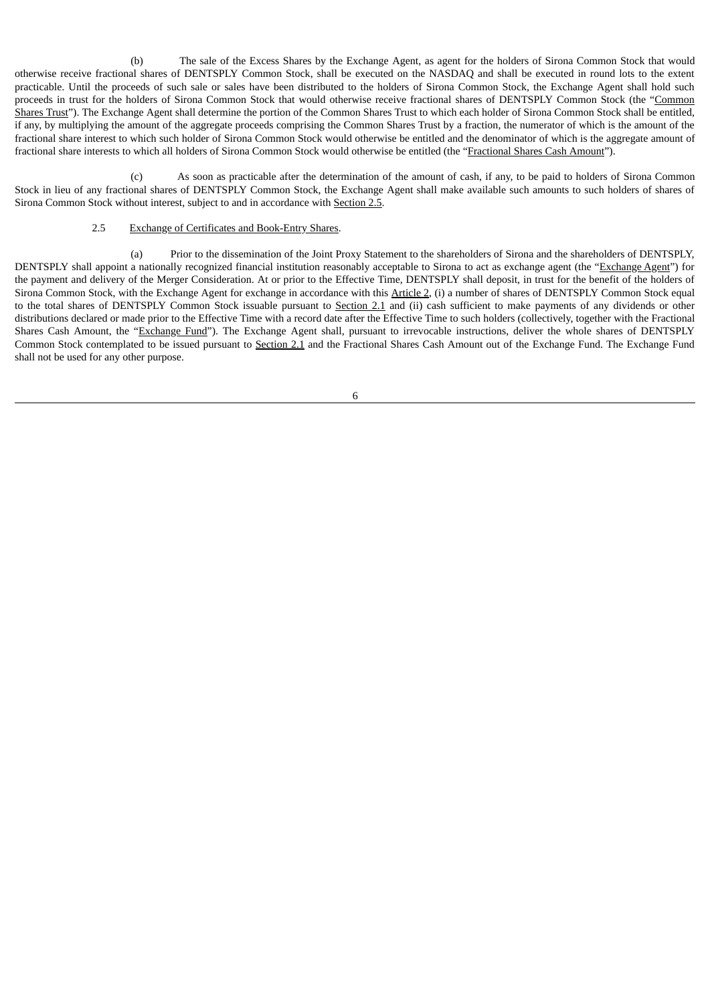(b) The sale of the Excess Shares by the Exchange Agent, as agent for the holders of Sirona Common Stock that would otherwise receive fractional shares of DENTSPLY Common Stock, shall be executed on the NASDAQ and shall be executed in round lots to the extent practicable. Until the proceeds of such sale or sales have been distributed to the holders of Sirona Common Stock, the Exchange Agent shall hold such proceeds in trust for the holders of Sirona Common Stock that would otherwise receive fractional shares of DENTSPLY Common Stock (the "Common Shares Trust"). The Exchange Agent shall determine the portion of the Common Shares Trust to which each holder of Sirona Common Stock shall be entitled, if any, by multiplying the amount of the aggregate proceeds comprising the Common Shares Trust by a fraction, the numerator of which is the amount of the fractional share interest to which such holder of Sirona Common Stock would otherwise be entitled and the denominator of which is the aggregate amount of fractional share interests to which all holders of Sirona Common Stock would otherwise be entitled (the "Fractional Shares Cash Amount").

(c) As soon as practicable after the determination of the amount of cash, if any, to be paid to holders of Sirona Common Stock in lieu of any fractional shares of DENTSPLY Common Stock, the Exchange Agent shall make available such amounts to such holders of shares of Sirona Common Stock without interest, subject to and in accordance with Section 2.5.

### 2.5 Exchange of Certificates and Book-Entry Shares.

(a) Prior to the dissemination of the Joint Proxy Statement to the shareholders of Sirona and the shareholders of DENTSPLY, DENTSPLY shall appoint a nationally recognized financial institution reasonably acceptable to Sirona to act as exchange agent (the "Exchange Agent") for the payment and delivery of the Merger Consideration. At or prior to the Effective Time, DENTSPLY shall deposit, in trust for the benefit of the holders of Sirona Common Stock, with the Exchange Agent for exchange in accordance with this Article 2, (i) a number of shares of DENTSPLY Common Stock equal to the total shares of DENTSPLY Common Stock issuable pursuant to Section 2.1 and (ii) cash sufficient to make payments of any dividends or other distributions declared or made prior to the Effective Time with a record date after the Effective Time to such holders (collectively, together with the Fractional Shares Cash Amount, the "Exchange Fund"). The Exchange Agent shall, pursuant to irrevocable instructions, deliver the whole shares of DENTSPLY Common Stock contemplated to be issued pursuant to Section 2.1 and the Fractional Shares Cash Amount out of the Exchange Fund. The Exchange Fund shall not be used for any other purpose.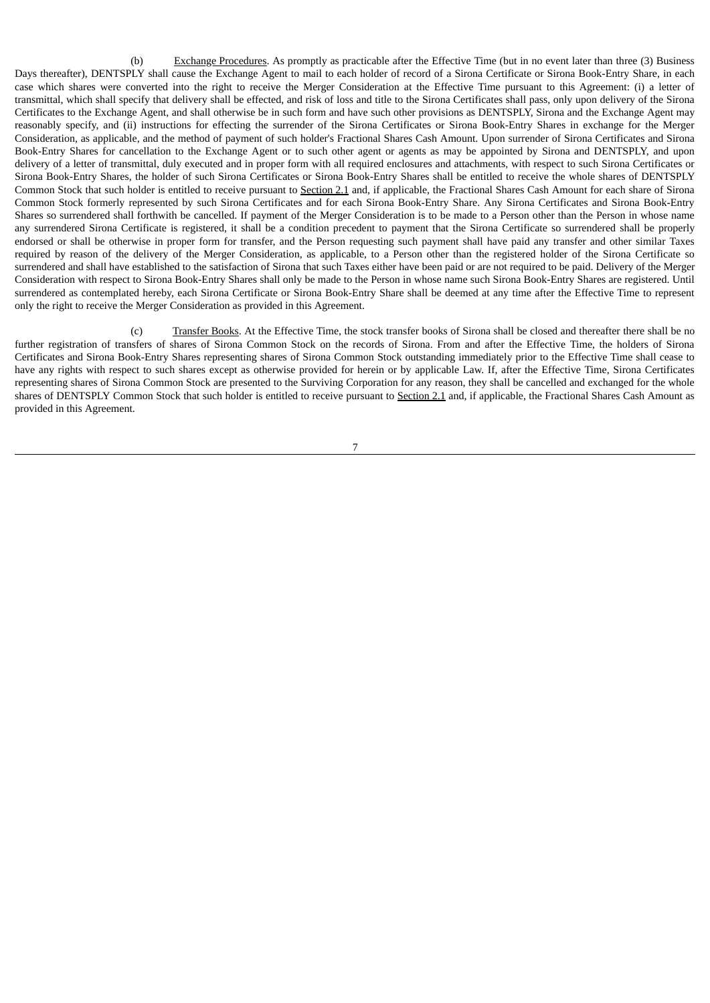(b) Exchange Procedures. As promptly as practicable after the Effective Time (but in no event later than three (3) Business Days thereafter), DENTSPLY shall cause the Exchange Agent to mail to each holder of record of a Sirona Certificate or Sirona Book-Entry Share, in each case which shares were converted into the right to receive the Merger Consideration at the Effective Time pursuant to this Agreement: (i) a letter of transmittal, which shall specify that delivery shall be effected, and risk of loss and title to the Sirona Certificates shall pass, only upon delivery of the Sirona Certificates to the Exchange Agent, and shall otherwise be in such form and have such other provisions as DENTSPLY, Sirona and the Exchange Agent may reasonably specify, and (ii) instructions for effecting the surrender of the Sirona Certificates or Sirona Book-Entry Shares in exchange for the Merger Consideration, as applicable, and the method of payment of such holder's Fractional Shares Cash Amount. Upon surrender of Sirona Certificates and Sirona Book-Entry Shares for cancellation to the Exchange Agent or to such other agent or agents as may be appointed by Sirona and DENTSPLY, and upon delivery of a letter of transmittal, duly executed and in proper form with all required enclosures and attachments, with respect to such Sirona Certificates or Sirona Book-Entry Shares, the holder of such Sirona Certificates or Sirona Book-Entry Shares shall be entitled to receive the whole shares of DENTSPLY Common Stock that such holder is entitled to receive pursuant to Section 2.1 and, if applicable, the Fractional Shares Cash Amount for each share of Sirona Common Stock formerly represented by such Sirona Certificates and for each Sirona Book-Entry Share. Any Sirona Certificates and Sirona Book-Entry Shares so surrendered shall forthwith be cancelled. If payment of the Merger Consideration is to be made to a Person other than the Person in whose name any surrendered Sirona Certificate is registered, it shall be a condition precedent to payment that the Sirona Certificate so surrendered shall be properly endorsed or shall be otherwise in proper form for transfer, and the Person requesting such payment shall have paid any transfer and other similar Taxes required by reason of the delivery of the Merger Consideration, as applicable, to a Person other than the registered holder of the Sirona Certificate so surrendered and shall have established to the satisfaction of Sirona that such Taxes either have been paid or are not required to be paid. Delivery of the Merger Consideration with respect to Sirona Book-Entry Shares shall only be made to the Person in whose name such Sirona Book-Entry Shares are registered. Until surrendered as contemplated hereby, each Sirona Certificate or Sirona Book-Entry Share shall be deemed at any time after the Effective Time to represent only the right to receive the Merger Consideration as provided in this Agreement.

(c) Transfer Books. At the Effective Time, the stock transfer books of Sirona shall be closed and thereafter there shall be no further registration of transfers of shares of Sirona Common Stock on the records of Sirona. From and after the Effective Time, the holders of Sirona Certificates and Sirona Book-Entry Shares representing shares of Sirona Common Stock outstanding immediately prior to the Effective Time shall cease to have any rights with respect to such shares except as otherwise provided for herein or by applicable Law. If, after the Effective Time, Sirona Certificates representing shares of Sirona Common Stock are presented to the Surviving Corporation for any reason, they shall be cancelled and exchanged for the whole shares of DENTSPLY Common Stock that such holder is entitled to receive pursuant to Section 2.1 and, if applicable, the Fractional Shares Cash Amount as provided in this Agreement.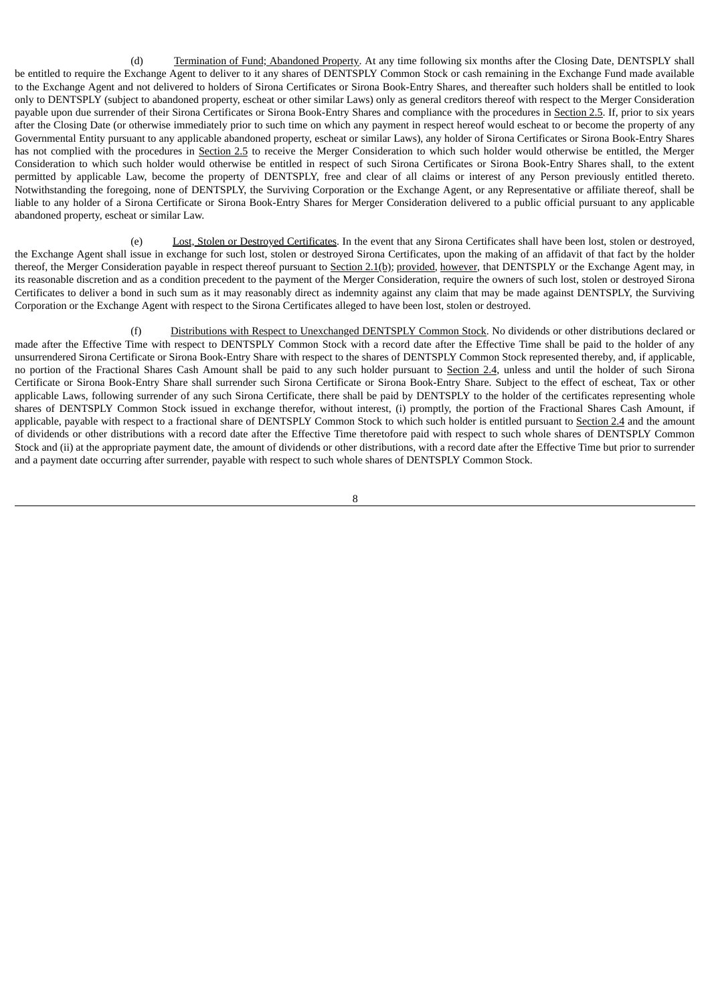(d) Termination of Fund; Abandoned Property. At any time following six months after the Closing Date, DENTSPLY shall be entitled to require the Exchange Agent to deliver to it any shares of DENTSPLY Common Stock or cash remaining in the Exchange Fund made available to the Exchange Agent and not delivered to holders of Sirona Certificates or Sirona Book-Entry Shares, and thereafter such holders shall be entitled to look only to DENTSPLY (subject to abandoned property, escheat or other similar Laws) only as general creditors thereof with respect to the Merger Consideration payable upon due surrender of their Sirona Certificates or Sirona Book-Entry Shares and compliance with the procedures in Section 2.5. If, prior to six years after the Closing Date (or otherwise immediately prior to such time on which any payment in respect hereof would escheat to or become the property of any Governmental Entity pursuant to any applicable abandoned property, escheat or similar Laws), any holder of Sirona Certificates or Sirona Book-Entry Shares has not complied with the procedures in Section 2.5 to receive the Merger Consideration to which such holder would otherwise be entitled, the Merger Consideration to which such holder would otherwise be entitled in respect of such Sirona Certificates or Sirona Book-Entry Shares shall, to the extent permitted by applicable Law, become the property of DENTSPLY, free and clear of all claims or interest of any Person previously entitled thereto. Notwithstanding the foregoing, none of DENTSPLY, the Surviving Corporation or the Exchange Agent, or any Representative or affiliate thereof, shall be liable to any holder of a Sirona Certificate or Sirona Book-Entry Shares for Merger Consideration delivered to a public official pursuant to any applicable abandoned property, escheat or similar Law.

(e) Lost, Stolen or Destroyed Certificates. In the event that any Sirona Certificates shall have been lost, stolen or destroyed, the Exchange Agent shall issue in exchange for such lost, stolen or destroyed Sirona Certificates, upon the making of an affidavit of that fact by the holder thereof, the Merger Consideration payable in respect thereof pursuant to Section 2.1(b); provided, however, that DENTSPLY or the Exchange Agent may, in its reasonable discretion and as a condition precedent to the payment of the Merger Consideration, require the owners of such lost, stolen or destroyed Sirona Certificates to deliver a bond in such sum as it may reasonably direct as indemnity against any claim that may be made against DENTSPLY, the Surviving Corporation or the Exchange Agent with respect to the Sirona Certificates alleged to have been lost, stolen or destroyed.

(f) Distributions with Respect to Unexchanged DENTSPLY Common Stock. No dividends or other distributions declared or made after the Effective Time with respect to DENTSPLY Common Stock with a record date after the Effective Time shall be paid to the holder of any unsurrendered Sirona Certificate or Sirona Book-Entry Share with respect to the shares of DENTSPLY Common Stock represented thereby, and, if applicable, no portion of the Fractional Shares Cash Amount shall be paid to any such holder pursuant to Section 2.4, unless and until the holder of such Sirona Certificate or Sirona Book-Entry Share shall surrender such Sirona Certificate or Sirona Book-Entry Share. Subject to the effect of escheat, Tax or other applicable Laws, following surrender of any such Sirona Certificate, there shall be paid by DENTSPLY to the holder of the certificates representing whole shares of DENTSPLY Common Stock issued in exchange therefor, without interest, (i) promptly, the portion of the Fractional Shares Cash Amount, if applicable, payable with respect to a fractional share of DENTSPLY Common Stock to which such holder is entitled pursuant to Section 2.4 and the amount of dividends or other distributions with a record date after the Effective Time theretofore paid with respect to such whole shares of DENTSPLY Common Stock and (ii) at the appropriate payment date, the amount of dividends or other distributions, with a record date after the Effective Time but prior to surrender and a payment date occurring after surrender, payable with respect to such whole shares of DENTSPLY Common Stock.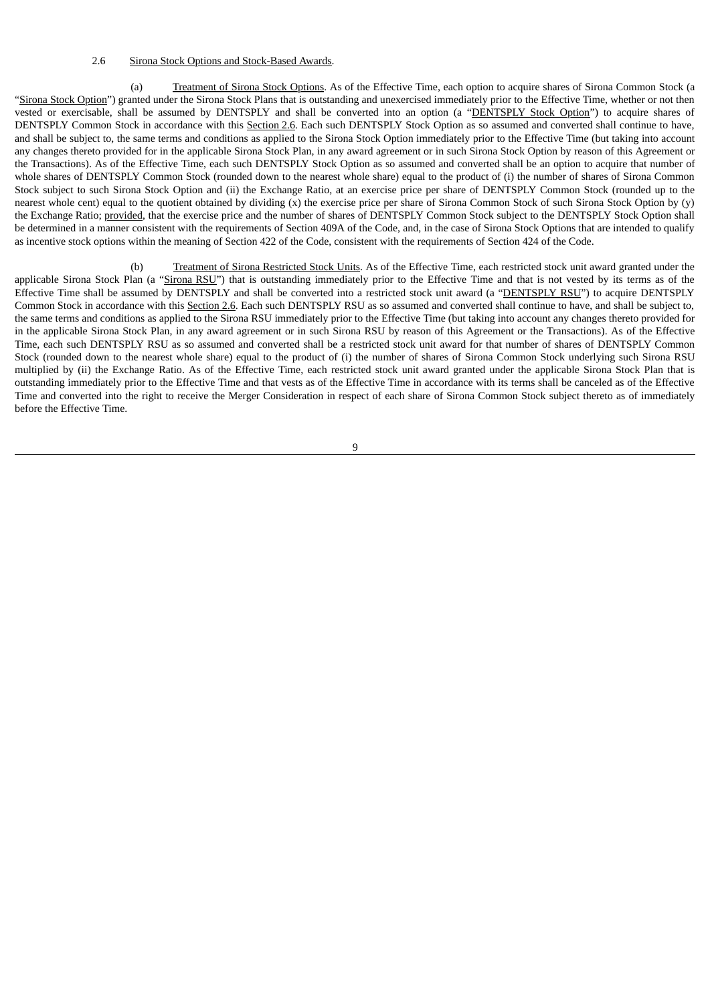### 2.6 Sirona Stock Options and Stock-Based Awards.

(a) Treatment of Sirona Stock Options. As of the Effective Time, each option to acquire shares of Sirona Common Stock (a "Sirona Stock Option") granted under the Sirona Stock Plans that is outstanding and unexercised immediately prior to the Effective Time, whether or not then vested or exercisable, shall be assumed by DENTSPLY and shall be converted into an option (a "DENTSPLY Stock Option") to acquire shares of DENTSPLY Common Stock in accordance with this Section 2.6. Each such DENTSPLY Stock Option as so assumed and converted shall continue to have, and shall be subject to, the same terms and conditions as applied to the Sirona Stock Option immediately prior to the Effective Time (but taking into account any changes thereto provided for in the applicable Sirona Stock Plan, in any award agreement or in such Sirona Stock Option by reason of this Agreement or the Transactions). As of the Effective Time, each such DENTSPLY Stock Option as so assumed and converted shall be an option to acquire that number of whole shares of DENTSPLY Common Stock (rounded down to the nearest whole share) equal to the product of (i) the number of shares of Sirona Common Stock subject to such Sirona Stock Option and (ii) the Exchange Ratio, at an exercise price per share of DENTSPLY Common Stock (rounded up to the nearest whole cent) equal to the quotient obtained by dividing (x) the exercise price per share of Sirona Common Stock of such Sirona Stock Option by (y) the Exchange Ratio; provided, that the exercise price and the number of shares of DENTSPLY Common Stock subject to the DENTSPLY Stock Option shall be determined in a manner consistent with the requirements of Section 409A of the Code, and, in the case of Sirona Stock Options that are intended to qualify as incentive stock options within the meaning of Section 422 of the Code, consistent with the requirements of Section 424 of the Code.

(b) Treatment of Sirona Restricted Stock Units. As of the Effective Time, each restricted stock unit award granted under the applicable Sirona Stock Plan (a "Sirona RSU") that is outstanding immediately prior to the Effective Time and that is not vested by its terms as of the Effective Time shall be assumed by DENTSPLY and shall be converted into a restricted stock unit award (a "DENTSPLY RSU") to acquire DENTSPLY Common Stock in accordance with this Section 2.6. Each such DENTSPLY RSU as so assumed and converted shall continue to have, and shall be subject to, the same terms and conditions as applied to the Sirona RSU immediately prior to the Effective Time (but taking into account any changes thereto provided for in the applicable Sirona Stock Plan, in any award agreement or in such Sirona RSU by reason of this Agreement or the Transactions). As of the Effective Time, each such DENTSPLY RSU as so assumed and converted shall be a restricted stock unit award for that number of shares of DENTSPLY Common Stock (rounded down to the nearest whole share) equal to the product of (i) the number of shares of Sirona Common Stock underlying such Sirona RSU multiplied by (ii) the Exchange Ratio. As of the Effective Time, each restricted stock unit award granted under the applicable Sirona Stock Plan that is outstanding immediately prior to the Effective Time and that vests as of the Effective Time in accordance with its terms shall be canceled as of the Effective Time and converted into the right to receive the Merger Consideration in respect of each share of Sirona Common Stock subject thereto as of immediately before the Effective Time.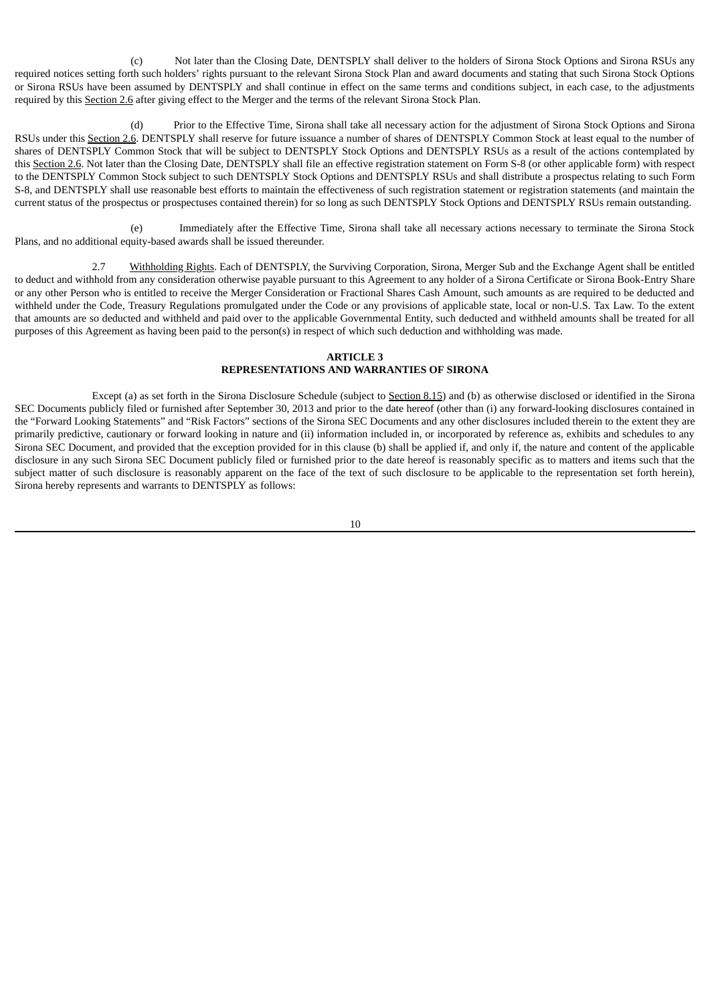(c) Not later than the Closing Date, DENTSPLY shall deliver to the holders of Sirona Stock Options and Sirona RSUs any required notices setting forth such holders' rights pursuant to the relevant Sirona Stock Plan and award documents and stating that such Sirona Stock Options or Sirona RSUs have been assumed by DENTSPLY and shall continue in effect on the same terms and conditions subject, in each case, to the adjustments required by this Section 2.6 after giving effect to the Merger and the terms of the relevant Sirona Stock Plan.

(d) Prior to the Effective Time, Sirona shall take all necessary action for the adjustment of Sirona Stock Options and Sirona RSUs under this Section 2.6. DENTSPLY shall reserve for future issuance a number of shares of DENTSPLY Common Stock at least equal to the number of shares of DENTSPLY Common Stock that will be subject to DENTSPLY Stock Options and DENTSPLY RSUs as a result of the actions contemplated by this Section 2.6. Not later than the Closing Date, DENTSPLY shall file an effective registration statement on Form S-8 (or other applicable form) with respect to the DENTSPLY Common Stock subject to such DENTSPLY Stock Options and DENTSPLY RSUs and shall distribute a prospectus relating to such Form S-8, and DENTSPLY shall use reasonable best efforts to maintain the effectiveness of such registration statement or registration statements (and maintain the current status of the prospectus or prospectuses contained therein) for so long as such DENTSPLY Stock Options and DENTSPLY RSUs remain outstanding.

(e) Immediately after the Effective Time, Sirona shall take all necessary actions necessary to terminate the Sirona Stock Plans, and no additional equity-based awards shall be issued thereunder.

2.7 Withholding Rights. Each of DENTSPLY, the Surviving Corporation, Sirona, Merger Sub and the Exchange Agent shall be entitled to deduct and withhold from any consideration otherwise payable pursuant to this Agreement to any holder of a Sirona Certificate or Sirona Book-Entry Share or any other Person who is entitled to receive the Merger Consideration or Fractional Shares Cash Amount, such amounts as are required to be deducted and withheld under the Code, Treasury Regulations promulgated under the Code or any provisions of applicable state, local or non-U.S. Tax Law. To the extent that amounts are so deducted and withheld and paid over to the applicable Governmental Entity, such deducted and withheld amounts shall be treated for all purposes of this Agreement as having been paid to the person(s) in respect of which such deduction and withholding was made.

## **ARTICLE 3 REPRESENTATIONS AND WARRANTIES OF SIRONA**

Except (a) as set forth in the Sirona Disclosure Schedule (subject to Section 8.15) and (b) as otherwise disclosed or identified in the Sirona SEC Documents publicly filed or furnished after September 30, 2013 and prior to the date hereof (other than (i) any forward-looking disclosures contained in the "Forward Looking Statements" and "Risk Factors" sections of the Sirona SEC Documents and any other disclosures included therein to the extent they are primarily predictive, cautionary or forward looking in nature and (ii) information included in, or incorporated by reference as, exhibits and schedules to any Sirona SEC Document, and provided that the exception provided for in this clause (b) shall be applied if, and only if, the nature and content of the applicable disclosure in any such Sirona SEC Document publicly filed or furnished prior to the date hereof is reasonably specific as to matters and items such that the subject matter of such disclosure is reasonably apparent on the face of the text of such disclosure to be applicable to the representation set forth herein), Sirona hereby represents and warrants to DENTSPLY as follows: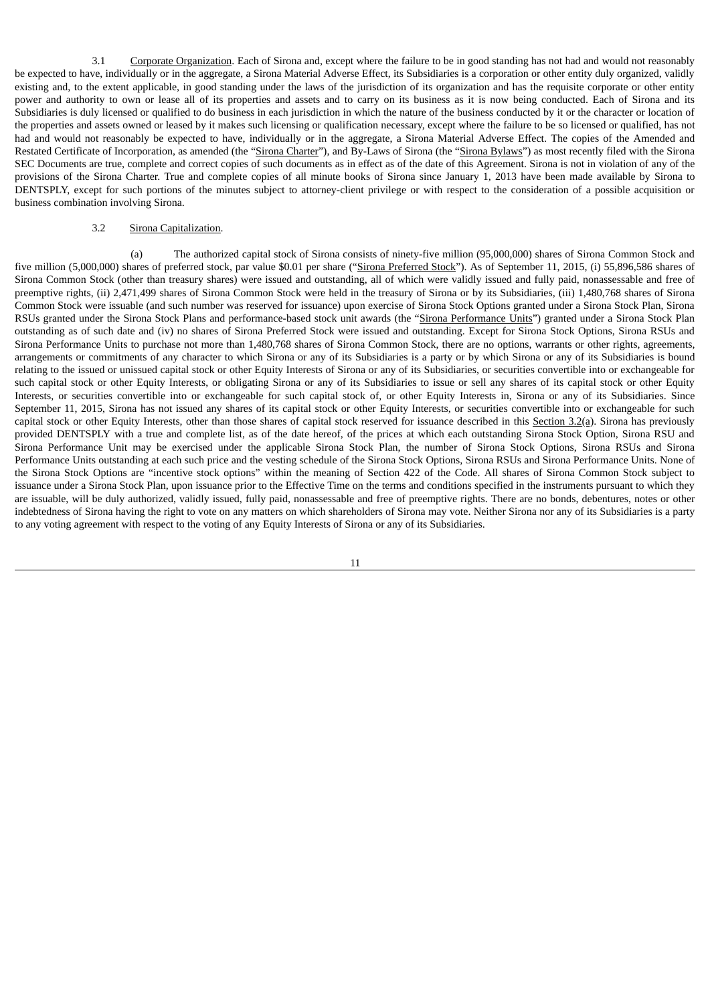3.1 Corporate Organization. Each of Sirona and, except where the failure to be in good standing has not had and would not reasonably be expected to have, individually or in the aggregate, a Sirona Material Adverse Effect, its Subsidiaries is a corporation or other entity duly organized, validly existing and, to the extent applicable, in good standing under the laws of the jurisdiction of its organization and has the requisite corporate or other entity power and authority to own or lease all of its properties and assets and to carry on its business as it is now being conducted. Each of Sirona and its Subsidiaries is duly licensed or qualified to do business in each jurisdiction in which the nature of the business conducted by it or the character or location of the properties and assets owned or leased by it makes such licensing or qualification necessary, except where the failure to be so licensed or qualified, has not had and would not reasonably be expected to have, individually or in the aggregate, a Sirona Material Adverse Effect. The copies of the Amended and Restated Certificate of Incorporation, as amended (the "Sirona Charter"), and By-Laws of Sirona (the "Sirona Bylaws") as most recently filed with the Sirona SEC Documents are true, complete and correct copies of such documents as in effect as of the date of this Agreement. Sirona is not in violation of any of the provisions of the Sirona Charter. True and complete copies of all minute books of Sirona since January 1, 2013 have been made available by Sirona to DENTSPLY, except for such portions of the minutes subject to attorney-client privilege or with respect to the consideration of a possible acquisition or business combination involving Sirona.

#### 3.2 Sirona Capitalization.

(a) The authorized capital stock of Sirona consists of ninety-five million (95,000,000) shares of Sirona Common Stock and five million (5,000,000) shares of preferred stock, par value \$0.01 per share ("Sirona Preferred Stock"). As of September 11, 2015, (i) 55,896,586 shares of Sirona Common Stock (other than treasury shares) were issued and outstanding, all of which were validly issued and fully paid, nonassessable and free of preemptive rights, (ii) 2,471,499 shares of Sirona Common Stock were held in the treasury of Sirona or by its Subsidiaries, (iii) 1,480,768 shares of Sirona Common Stock were issuable (and such number was reserved for issuance) upon exercise of Sirona Stock Options granted under a Sirona Stock Plan, Sirona RSUs granted under the Sirona Stock Plans and performance-based stock unit awards (the "Sirona Performance Units") granted under a Sirona Stock Plan outstanding as of such date and (iv) no shares of Sirona Preferred Stock were issued and outstanding. Except for Sirona Stock Options, Sirona RSUs and Sirona Performance Units to purchase not more than 1,480,768 shares of Sirona Common Stock, there are no options, warrants or other rights, agreements, arrangements or commitments of any character to which Sirona or any of its Subsidiaries is a party or by which Sirona or any of its Subsidiaries is bound relating to the issued or unissued capital stock or other Equity Interests of Sirona or any of its Subsidiaries, or securities convertible into or exchangeable for such capital stock or other Equity Interests, or obligating Sirona or any of its Subsidiaries to issue or sell any shares of its capital stock or other Equity Interests, or securities convertible into or exchangeable for such capital stock of, or other Equity Interests in, Sirona or any of its Subsidiaries. Since September 11, 2015, Sirona has not issued any shares of its capital stock or other Equity Interests, or securities convertible into or exchangeable for such capital stock or other Equity Interests, other than those shares of capital stock reserved for issuance described in this Section 3.2(a). Sirona has previously provided DENTSPLY with a true and complete list, as of the date hereof, of the prices at which each outstanding Sirona Stock Option, Sirona RSU and Sirona Performance Unit may be exercised under the applicable Sirona Stock Plan, the number of Sirona Stock Options, Sirona RSUs and Sirona Performance Units outstanding at each such price and the vesting schedule of the Sirona Stock Options, Sirona RSUs and Sirona Performance Units. None of the Sirona Stock Options are "incentive stock options" within the meaning of Section 422 of the Code. All shares of Sirona Common Stock subject to issuance under a Sirona Stock Plan, upon issuance prior to the Effective Time on the terms and conditions specified in the instruments pursuant to which they are issuable, will be duly authorized, validly issued, fully paid, nonassessable and free of preemptive rights. There are no bonds, debentures, notes or other indebtedness of Sirona having the right to vote on any matters on which shareholders of Sirona may vote. Neither Sirona nor any of its Subsidiaries is a party to any voting agreement with respect to the voting of any Equity Interests of Sirona or any of its Subsidiaries.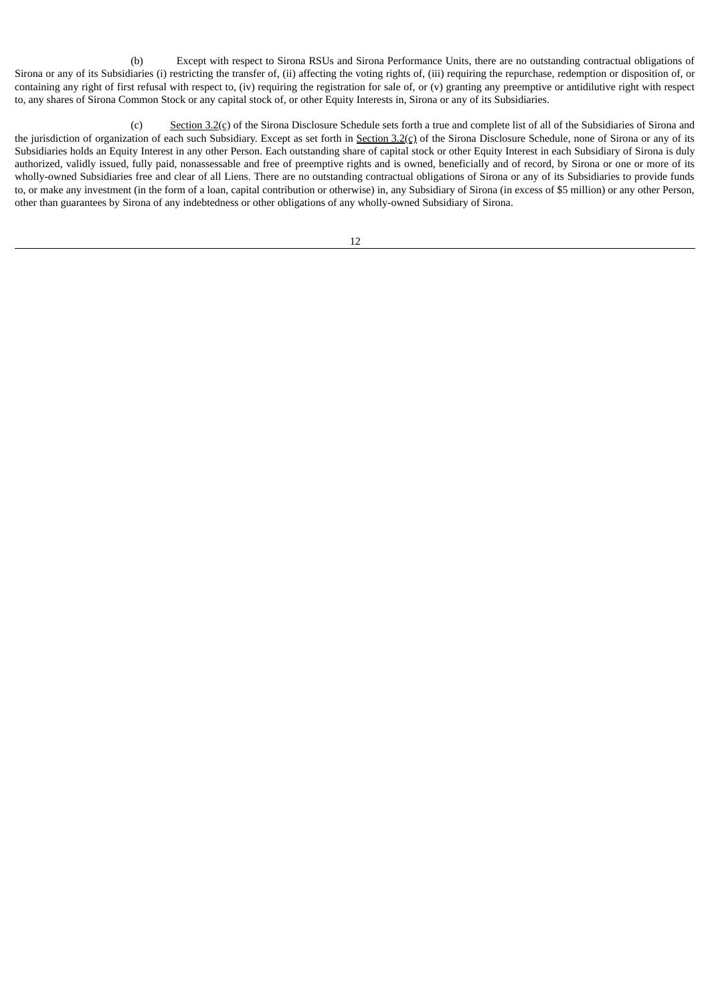(b) Except with respect to Sirona RSUs and Sirona Performance Units, there are no outstanding contractual obligations of Sirona or any of its Subsidiaries (i) restricting the transfer of, (ii) affecting the voting rights of, (iii) requiring the repurchase, redemption or disposition of, or containing any right of first refusal with respect to, (iv) requiring the registration for sale of, or (v) granting any preemptive or antidilutive right with respect to, any shares of Sirona Common Stock or any capital stock of, or other Equity Interests in, Sirona or any of its Subsidiaries.

(c) Section 3.2(c) of the Sirona Disclosure Schedule sets forth a true and complete list of all of the Subsidiaries of Sirona and the jurisdiction of organization of each such Subsidiary. Except as set forth in Section  $3.2(c)$  of the Sirona Disclosure Schedule, none of Sirona or any of its Subsidiaries holds an Equity Interest in any other Person. Each outstanding share of capital stock or other Equity Interest in each Subsidiary of Sirona is duly authorized, validly issued, fully paid, nonassessable and free of preemptive rights and is owned, beneficially and of record, by Sirona or one or more of its wholly-owned Subsidiaries free and clear of all Liens. There are no outstanding contractual obligations of Sirona or any of its Subsidiaries to provide funds to, or make any investment (in the form of a loan, capital contribution or otherwise) in, any Subsidiary of Sirona (in excess of \$5 million) or any other Person, other than guarantees by Sirona of any indebtedness or other obligations of any wholly-owned Subsidiary of Sirona.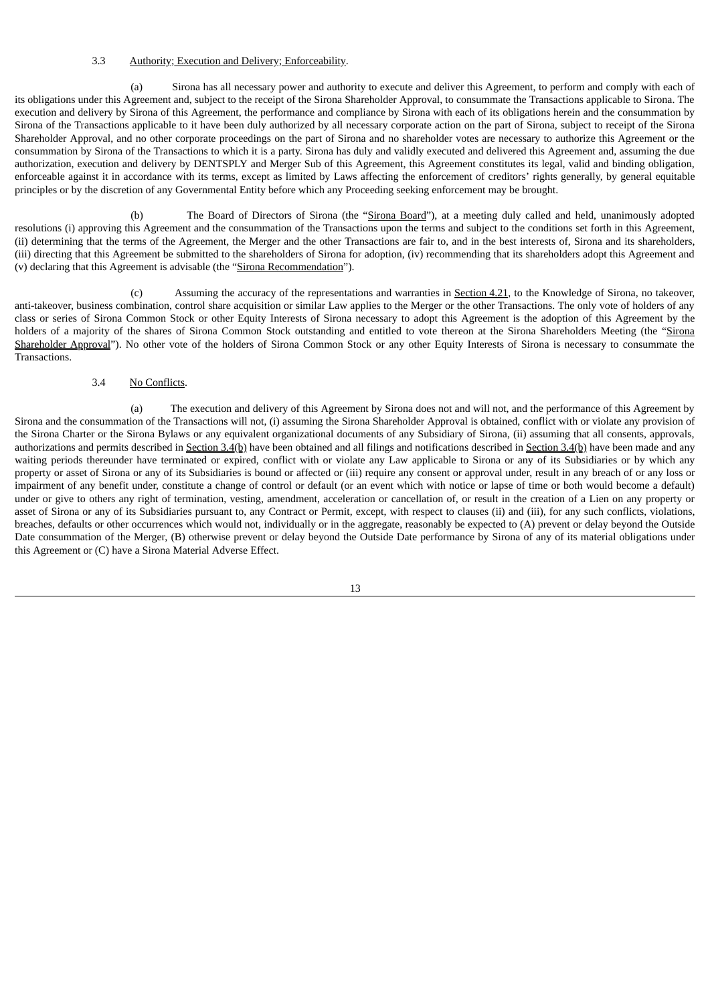#### 3.3 Authority; Execution and Delivery; Enforceability.

(a) Sirona has all necessary power and authority to execute and deliver this Agreement, to perform and comply with each of its obligations under this Agreement and, subject to the receipt of the Sirona Shareholder Approval, to consummate the Transactions applicable to Sirona. The execution and delivery by Sirona of this Agreement, the performance and compliance by Sirona with each of its obligations herein and the consummation by Sirona of the Transactions applicable to it have been duly authorized by all necessary corporate action on the part of Sirona, subject to receipt of the Sirona Shareholder Approval, and no other corporate proceedings on the part of Sirona and no shareholder votes are necessary to authorize this Agreement or the consummation by Sirona of the Transactions to which it is a party. Sirona has duly and validly executed and delivered this Agreement and, assuming the due authorization, execution and delivery by DENTSPLY and Merger Sub of this Agreement, this Agreement constitutes its legal, valid and binding obligation, enforceable against it in accordance with its terms, except as limited by Laws affecting the enforcement of creditors' rights generally, by general equitable principles or by the discretion of any Governmental Entity before which any Proceeding seeking enforcement may be brought.

(b) The Board of Directors of Sirona (the "Sirona Board"), at a meeting duly called and held, unanimously adopted resolutions (i) approving this Agreement and the consummation of the Transactions upon the terms and subject to the conditions set forth in this Agreement, (ii) determining that the terms of the Agreement, the Merger and the other Transactions are fair to, and in the best interests of, Sirona and its shareholders, (iii) directing that this Agreement be submitted to the shareholders of Sirona for adoption, (iv) recommending that its shareholders adopt this Agreement and (v) declaring that this Agreement is advisable (the "Sirona Recommendation").

(c) Assuming the accuracy of the representations and warranties in Section 4.21, to the Knowledge of Sirona, no takeover, anti-takeover, business combination, control share acquisition or similar Law applies to the Merger or the other Transactions. The only vote of holders of any class or series of Sirona Common Stock or other Equity Interests of Sirona necessary to adopt this Agreement is the adoption of this Agreement by the holders of a majority of the shares of Sirona Common Stock outstanding and entitled to vote thereon at the Sirona Shareholders Meeting (the "Sirona Shareholder Approval"). No other vote of the holders of Sirona Common Stock or any other Equity Interests of Sirona is necessary to consummate the Transactions.

## 3.4 No Conflicts.

(a) The execution and delivery of this Agreement by Sirona does not and will not, and the performance of this Agreement by Sirona and the consummation of the Transactions will not, (i) assuming the Sirona Shareholder Approval is obtained, conflict with or violate any provision of the Sirona Charter or the Sirona Bylaws or any equivalent organizational documents of any Subsidiary of Sirona, (ii) assuming that all consents, approvals, authorizations and permits described in Section 3.4(b) have been obtained and all filings and notifications described in Section 3.4(b) have been made and any waiting periods thereunder have terminated or expired, conflict with or violate any Law applicable to Sirona or any of its Subsidiaries or by which any property or asset of Sirona or any of its Subsidiaries is bound or affected or (iii) require any consent or approval under, result in any breach of or any loss or impairment of any benefit under, constitute a change of control or default (or an event which with notice or lapse of time or both would become a default) under or give to others any right of termination, vesting, amendment, acceleration or cancellation of, or result in the creation of a Lien on any property or asset of Sirona or any of its Subsidiaries pursuant to, any Contract or Permit, except, with respect to clauses (ii) and (iii), for any such conflicts, violations, breaches, defaults or other occurrences which would not, individually or in the aggregate, reasonably be expected to (A) prevent or delay beyond the Outside Date consummation of the Merger, (B) otherwise prevent or delay beyond the Outside Date performance by Sirona of any of its material obligations under this Agreement or (C) have a Sirona Material Adverse Effect.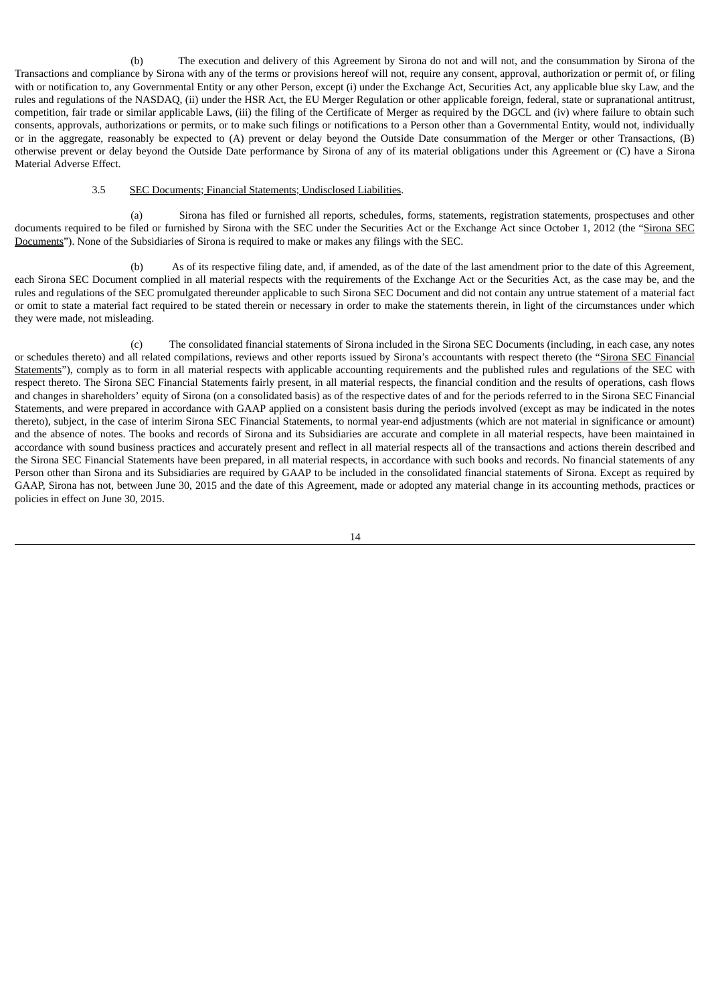(b) The execution and delivery of this Agreement by Sirona do not and will not, and the consummation by Sirona of the Transactions and compliance by Sirona with any of the terms or provisions hereof will not, require any consent, approval, authorization or permit of, or filing with or notification to, any Governmental Entity or any other Person, except (i) under the Exchange Act, Securities Act, any applicable blue sky Law, and the rules and regulations of the NASDAQ, (ii) under the HSR Act, the EU Merger Regulation or other applicable foreign, federal, state or supranational antitrust, competition, fair trade or similar applicable Laws, (iii) the filing of the Certificate of Merger as required by the DGCL and (iv) where failure to obtain such consents, approvals, authorizations or permits, or to make such filings or notifications to a Person other than a Governmental Entity, would not, individually or in the aggregate, reasonably be expected to (A) prevent or delay beyond the Outside Date consummation of the Merger or other Transactions, (B) otherwise prevent or delay beyond the Outside Date performance by Sirona of any of its material obligations under this Agreement or (C) have a Sirona Material Adverse Effect.

#### 3.5 SEC Documents; Financial Statements; Undisclosed Liabilities.

(a) Sirona has filed or furnished all reports, schedules, forms, statements, registration statements, prospectuses and other documents required to be filed or furnished by Sirona with the SEC under the Securities Act or the Exchange Act since October 1, 2012 (the "Sirona SEC Documents"). None of the Subsidiaries of Sirona is required to make or makes any filings with the SEC.

(b) As of its respective filing date, and, if amended, as of the date of the last amendment prior to the date of this Agreement, each Sirona SEC Document complied in all material respects with the requirements of the Exchange Act or the Securities Act, as the case may be, and the rules and regulations of the SEC promulgated thereunder applicable to such Sirona SEC Document and did not contain any untrue statement of a material fact or omit to state a material fact required to be stated therein or necessary in order to make the statements therein, in light of the circumstances under which they were made, not misleading.

(c) The consolidated financial statements of Sirona included in the Sirona SEC Documents (including, in each case, any notes or schedules thereto) and all related compilations, reviews and other reports issued by Sirona's accountants with respect thereto (the "Sirona SEC Financial Statements"), comply as to form in all material respects with applicable accounting requirements and the published rules and regulations of the SEC with respect thereto. The Sirona SEC Financial Statements fairly present, in all material respects, the financial condition and the results of operations, cash flows and changes in shareholders' equity of Sirona (on a consolidated basis) as of the respective dates of and for the periods referred to in the Sirona SEC Financial Statements, and were prepared in accordance with GAAP applied on a consistent basis during the periods involved (except as may be indicated in the notes thereto), subject, in the case of interim Sirona SEC Financial Statements, to normal year-end adjustments (which are not material in significance or amount) and the absence of notes. The books and records of Sirona and its Subsidiaries are accurate and complete in all material respects, have been maintained in accordance with sound business practices and accurately present and reflect in all material respects all of the transactions and actions therein described and the Sirona SEC Financial Statements have been prepared, in all material respects, in accordance with such books and records. No financial statements of any Person other than Sirona and its Subsidiaries are required by GAAP to be included in the consolidated financial statements of Sirona. Except as required by GAAP, Sirona has not, between June 30, 2015 and the date of this Agreement, made or adopted any material change in its accounting methods, practices or policies in effect on June 30, 2015.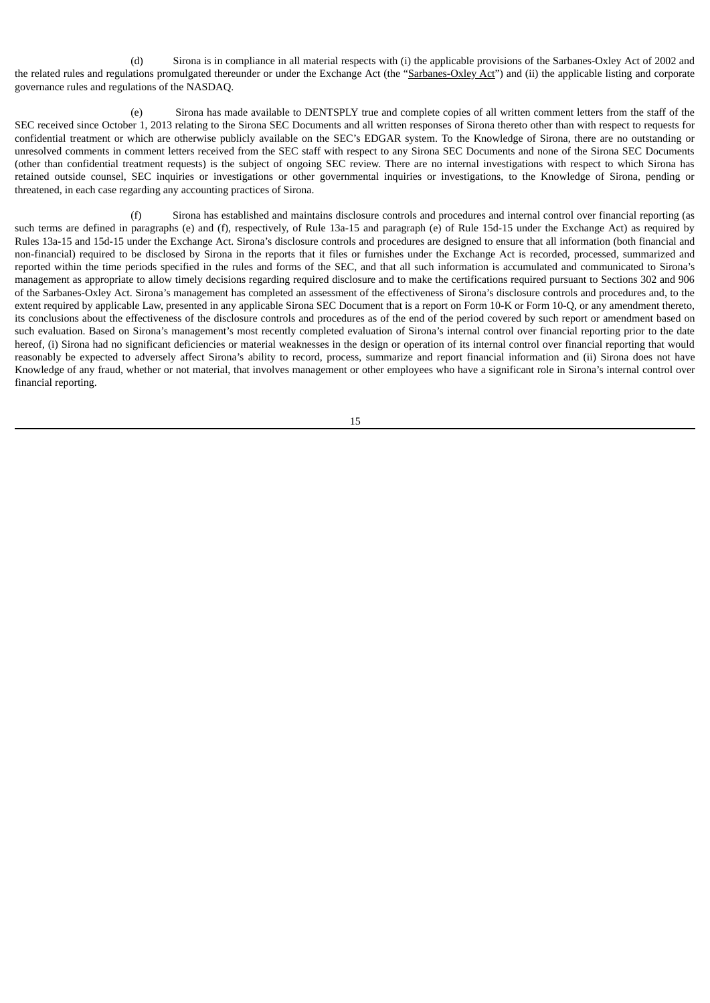(d) Sirona is in compliance in all material respects with (i) the applicable provisions of the Sarbanes-Oxley Act of 2002 and the related rules and regulations promulgated thereunder or under the Exchange Act (the "Sarbanes-Oxley Act") and (ii) the applicable listing and corporate governance rules and regulations of the NASDAQ.

(e) Sirona has made available to DENTSPLY true and complete copies of all written comment letters from the staff of the SEC received since October 1, 2013 relating to the Sirona SEC Documents and all written responses of Sirona thereto other than with respect to requests for confidential treatment or which are otherwise publicly available on the SEC's EDGAR system. To the Knowledge of Sirona, there are no outstanding or unresolved comments in comment letters received from the SEC staff with respect to any Sirona SEC Documents and none of the Sirona SEC Documents (other than confidential treatment requests) is the subject of ongoing SEC review. There are no internal investigations with respect to which Sirona has retained outside counsel, SEC inquiries or investigations or other governmental inquiries or investigations, to the Knowledge of Sirona, pending or threatened, in each case regarding any accounting practices of Sirona.

(f) Sirona has established and maintains disclosure controls and procedures and internal control over financial reporting (as such terms are defined in paragraphs (e) and (f), respectively, of Rule 13a-15 and paragraph (e) of Rule 15d-15 under the Exchange Act) as required by Rules 13a-15 and 15d-15 under the Exchange Act. Sirona's disclosure controls and procedures are designed to ensure that all information (both financial and non-financial) required to be disclosed by Sirona in the reports that it files or furnishes under the Exchange Act is recorded, processed, summarized and reported within the time periods specified in the rules and forms of the SEC, and that all such information is accumulated and communicated to Sirona's management as appropriate to allow timely decisions regarding required disclosure and to make the certifications required pursuant to Sections 302 and 906 of the Sarbanes-Oxley Act. Sirona's management has completed an assessment of the effectiveness of Sirona's disclosure controls and procedures and, to the extent required by applicable Law, presented in any applicable Sirona SEC Document that is a report on Form 10-K or Form 10-Q, or any amendment thereto, its conclusions about the effectiveness of the disclosure controls and procedures as of the end of the period covered by such report or amendment based on such evaluation. Based on Sirona's management's most recently completed evaluation of Sirona's internal control over financial reporting prior to the date hereof, (i) Sirona had no significant deficiencies or material weaknesses in the design or operation of its internal control over financial reporting that would reasonably be expected to adversely affect Sirona's ability to record, process, summarize and report financial information and (ii) Sirona does not have Knowledge of any fraud, whether or not material, that involves management or other employees who have a significant role in Sirona's internal control over financial reporting.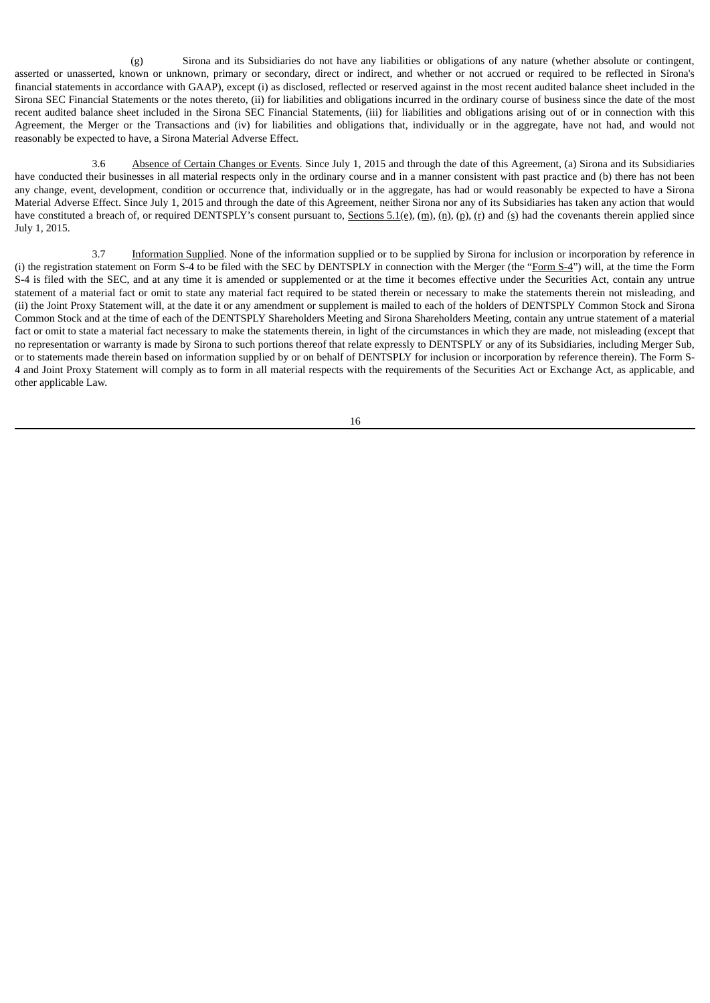(g) Sirona and its Subsidiaries do not have any liabilities or obligations of any nature (whether absolute or contingent, asserted or unasserted, known or unknown, primary or secondary, direct or indirect, and whether or not accrued or required to be reflected in Sirona's financial statements in accordance with GAAP), except (i) as disclosed, reflected or reserved against in the most recent audited balance sheet included in the Sirona SEC Financial Statements or the notes thereto, (ii) for liabilities and obligations incurred in the ordinary course of business since the date of the most recent audited balance sheet included in the Sirona SEC Financial Statements, (iii) for liabilities and obligations arising out of or in connection with this Agreement, the Merger or the Transactions and (iv) for liabilities and obligations that, individually or in the aggregate, have not had, and would not reasonably be expected to have, a Sirona Material Adverse Effect.

3.6 Absence of Certain Changes or Events. Since July 1, 2015 and through the date of this Agreement, (a) Sirona and its Subsidiaries have conducted their businesses in all material respects only in the ordinary course and in a manner consistent with past practice and (b) there has not been any change, event, development, condition or occurrence that, individually or in the aggregate, has had or would reasonably be expected to have a Sirona Material Adverse Effect. Since July 1, 2015 and through the date of this Agreement, neither Sirona nor any of its Subsidiaries has taken any action that would have constituted a breach of, or required DENTSPLY's consent pursuant to, Sections 5.1(e), (m), (n), (n), (n), (r) and (s) had the covenants therein applied since July 1, 2015.

3.7 Information Supplied. None of the information supplied or to be supplied by Sirona for inclusion or incorporation by reference in (i) the registration statement on Form S-4 to be filed with the SEC by DENTSPLY in connection with the Merger (the "Form S-4") will, at the time the Form S-4 is filed with the SEC, and at any time it is amended or supplemented or at the time it becomes effective under the Securities Act, contain any untrue statement of a material fact or omit to state any material fact required to be stated therein or necessary to make the statements therein not misleading, and (ii) the Joint Proxy Statement will, at the date it or any amendment or supplement is mailed to each of the holders of DENTSPLY Common Stock and Sirona Common Stock and at the time of each of the DENTSPLY Shareholders Meeting and Sirona Shareholders Meeting, contain any untrue statement of a material fact or omit to state a material fact necessary to make the statements therein, in light of the circumstances in which they are made, not misleading (except that no representation or warranty is made by Sirona to such portions thereof that relate expressly to DENTSPLY or any of its Subsidiaries, including Merger Sub, or to statements made therein based on information supplied by or on behalf of DENTSPLY for inclusion or incorporation by reference therein). The Form S-4 and Joint Proxy Statement will comply as to form in all material respects with the requirements of the Securities Act or Exchange Act, as applicable, and other applicable Law.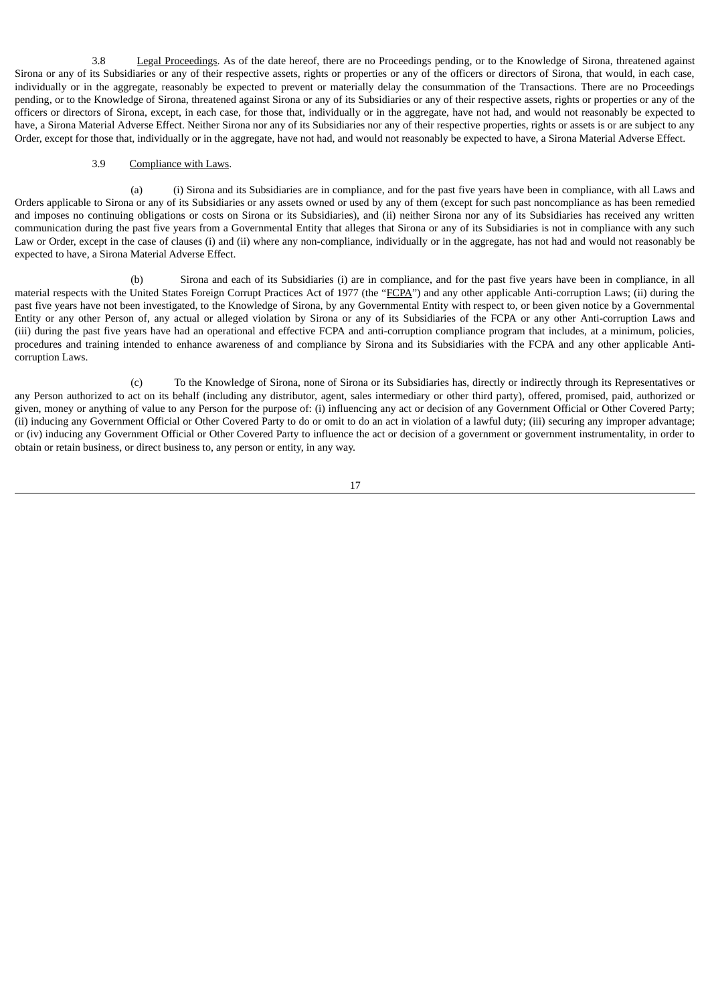3.8 Legal Proceedings. As of the date hereof, there are no Proceedings pending, or to the Knowledge of Sirona, threatened against Sirona or any of its Subsidiaries or any of their respective assets, rights or properties or any of the officers or directors of Sirona, that would, in each case, individually or in the aggregate, reasonably be expected to prevent or materially delay the consummation of the Transactions. There are no Proceedings pending, or to the Knowledge of Sirona, threatened against Sirona or any of its Subsidiaries or any of their respective assets, rights or properties or any of the officers or directors of Sirona, except, in each case, for those that, individually or in the aggregate, have not had, and would not reasonably be expected to have, a Sirona Material Adverse Effect. Neither Sirona nor any of its Subsidiaries nor any of their respective properties, rights or assets is or are subject to any Order, except for those that, individually or in the aggregate, have not had, and would not reasonably be expected to have, a Sirona Material Adverse Effect.

#### 3.9 Compliance with Laws.

(a) (i) Sirona and its Subsidiaries are in compliance, and for the past five years have been in compliance, with all Laws and Orders applicable to Sirona or any of its Subsidiaries or any assets owned or used by any of them (except for such past noncompliance as has been remedied and imposes no continuing obligations or costs on Sirona or its Subsidiaries), and (ii) neither Sirona nor any of its Subsidiaries has received any written communication during the past five years from a Governmental Entity that alleges that Sirona or any of its Subsidiaries is not in compliance with any such Law or Order, except in the case of clauses (i) and (ii) where any non-compliance, individually or in the aggregate, has not had and would not reasonably be expected to have, a Sirona Material Adverse Effect.

(b) Sirona and each of its Subsidiaries (i) are in compliance, and for the past five years have been in compliance, in all material respects with the United States Foreign Corrupt Practices Act of 1977 (the "FCPA") and any other applicable Anti-corruption Laws; (ii) during the past five years have not been investigated, to the Knowledge of Sirona, by any Governmental Entity with respect to, or been given notice by a Governmental Entity or any other Person of, any actual or alleged violation by Sirona or any of its Subsidiaries of the FCPA or any other Anti-corruption Laws and (iii) during the past five years have had an operational and effective FCPA and anti-corruption compliance program that includes, at a minimum, policies, procedures and training intended to enhance awareness of and compliance by Sirona and its Subsidiaries with the FCPA and any other applicable Anticorruption Laws.

(c) To the Knowledge of Sirona, none of Sirona or its Subsidiaries has, directly or indirectly through its Representatives or any Person authorized to act on its behalf (including any distributor, agent, sales intermediary or other third party), offered, promised, paid, authorized or given, money or anything of value to any Person for the purpose of: (i) influencing any act or decision of any Government Official or Other Covered Party; (ii) inducing any Government Official or Other Covered Party to do or omit to do an act in violation of a lawful duty; (iii) securing any improper advantage; or (iv) inducing any Government Official or Other Covered Party to influence the act or decision of a government or government instrumentality, in order to obtain or retain business, or direct business to, any person or entity, in any way.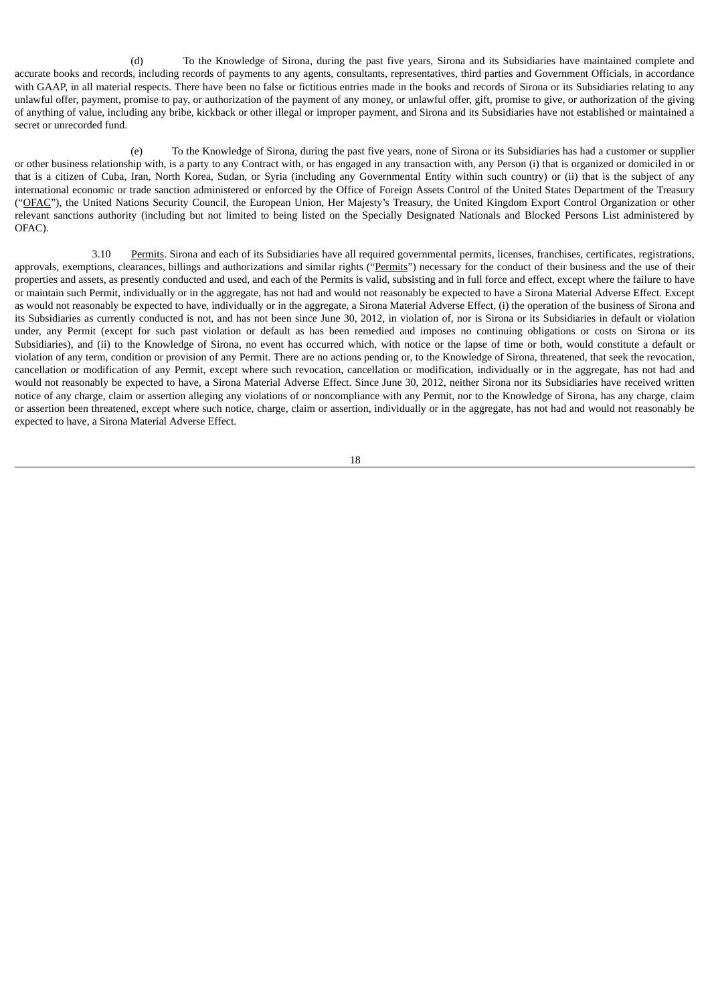(d) To the Knowledge of Sirona, during the past five years, Sirona and its Subsidiaries have maintained complete and accurate books and records, including records of payments to any agents, consultants, representatives, third parties and Government Officials, in accordance with GAAP, in all material respects. There have been no false or fictitious entries made in the books and records of Sirona or its Subsidiaries relating to any unlawful offer, payment, promise to pay, or authorization of the payment of any money, or unlawful offer, gift, promise to give, or authorization of the giving of anything of value, including any bribe, kickback or other illegal or improper payment, and Sirona and its Subsidiaries have not established or maintained a secret or unrecorded fund.

(e) To the Knowledge of Sirona, during the past five years, none of Sirona or its Subsidiaries has had a customer or supplier or other business relationship with, is a party to any Contract with, or has engaged in any transaction with, any Person (i) that is organized or domiciled in or that is a citizen of Cuba, Iran, North Korea, Sudan, or Syria (including any Governmental Entity within such country) or (ii) that is the subject of any international economic or trade sanction administered or enforced by the Office of Foreign Assets Control of the United States Department of the Treasury ("OFAC"), the United Nations Security Council, the European Union, Her Majesty's Treasury, the United Kingdom Export Control Organization or other relevant sanctions authority (including but not limited to being listed on the Specially Designated Nationals and Blocked Persons List administered by OFAC).

3.10 Permits. Sirona and each of its Subsidiaries have all required governmental permits, licenses, franchises, certificates, registrations, approvals, exemptions, clearances, billings and authorizations and similar rights ("Permits") necessary for the conduct of their business and the use of their properties and assets, as presently conducted and used, and each of the Permits is valid, subsisting and in full force and effect, except where the failure to have or maintain such Permit, individually or in the aggregate, has not had and would not reasonably be expected to have a Sirona Material Adverse Effect. Except as would not reasonably be expected to have, individually or in the aggregate, a Sirona Material Adverse Effect, (i) the operation of the business of Sirona and its Subsidiaries as currently conducted is not, and has not been since June 30, 2012, in violation of, nor is Sirona or its Subsidiaries in default or violation under, any Permit (except for such past violation or default as has been remedied and imposes no continuing obligations or costs on Sirona or its Subsidiaries), and (ii) to the Knowledge of Sirona, no event has occurred which, with notice or the lapse of time or both, would constitute a default or violation of any term, condition or provision of any Permit. There are no actions pending or, to the Knowledge of Sirona, threatened, that seek the revocation, cancellation or modification of any Permit, except where such revocation, cancellation or modification, individually or in the aggregate, has not had and would not reasonably be expected to have, a Sirona Material Adverse Effect. Since June 30, 2012, neither Sirona nor its Subsidiaries have received written notice of any charge, claim or assertion alleging any violations of or noncompliance with any Permit, nor to the Knowledge of Sirona, has any charge, claim or assertion been threatened, except where such notice, charge, claim or assertion, individually or in the aggregate, has not had and would not reasonably be expected to have, a Sirona Material Adverse Effect.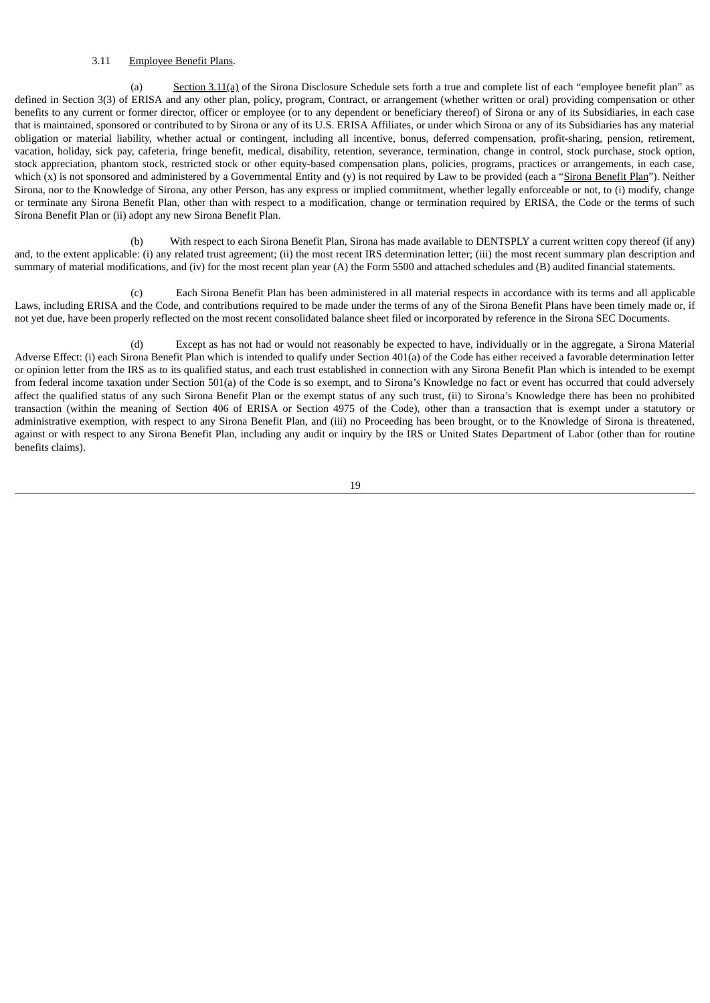#### 3.11 Employee Benefit Plans.

(a) Section 3.11(a) of the Sirona Disclosure Schedule sets forth a true and complete list of each "employee benefit plan" as defined in Section 3(3) of ERISA and any other plan, policy, program, Contract, or arrangement (whether written or oral) providing compensation or other benefits to any current or former director, officer or employee (or to any dependent or beneficiary thereof) of Sirona or any of its Subsidiaries, in each case that is maintained, sponsored or contributed to by Sirona or any of its U.S. ERISA Affiliates, or under which Sirona or any of its Subsidiaries has any material obligation or material liability, whether actual or contingent, including all incentive, bonus, deferred compensation, profit-sharing, pension, retirement, vacation, holiday, sick pay, cafeteria, fringe benefit, medical, disability, retention, severance, termination, change in control, stock purchase, stock option, stock appreciation, phantom stock, restricted stock or other equity-based compensation plans, policies, programs, practices or arrangements, in each case, which  $(x)$  is not sponsored and administered by a Governmental Entity and  $(y)$  is not required by Law to be provided (each a "Sirona Benefit Plan"). Neither Sirona, nor to the Knowledge of Sirona, any other Person, has any express or implied commitment, whether legally enforceable or not, to (i) modify, change or terminate any Sirona Benefit Plan, other than with respect to a modification, change or termination required by ERISA, the Code or the terms of such Sirona Benefit Plan or (ii) adopt any new Sirona Benefit Plan.

(b) With respect to each Sirona Benefit Plan, Sirona has made available to DENTSPLY a current written copy thereof (if any) and, to the extent applicable: (i) any related trust agreement; (ii) the most recent IRS determination letter; (iii) the most recent summary plan description and summary of material modifications, and (iv) for the most recent plan year (A) the Form 5500 and attached schedules and (B) audited financial statements.

(c) Each Sirona Benefit Plan has been administered in all material respects in accordance with its terms and all applicable Laws, including ERISA and the Code, and contributions required to be made under the terms of any of the Sirona Benefit Plans have been timely made or, if not yet due, have been properly reflected on the most recent consolidated balance sheet filed or incorporated by reference in the Sirona SEC Documents.

(d) Except as has not had or would not reasonably be expected to have, individually or in the aggregate, a Sirona Material Adverse Effect: (i) each Sirona Benefit Plan which is intended to qualify under Section 401(a) of the Code has either received a favorable determination letter or opinion letter from the IRS as to its qualified status, and each trust established in connection with any Sirona Benefit Plan which is intended to be exempt from federal income taxation under Section 501(a) of the Code is so exempt, and to Sirona's Knowledge no fact or event has occurred that could adversely affect the qualified status of any such Sirona Benefit Plan or the exempt status of any such trust, (ii) to Sirona's Knowledge there has been no prohibited transaction (within the meaning of Section 406 of ERISA or Section 4975 of the Code), other than a transaction that is exempt under a statutory or administrative exemption, with respect to any Sirona Benefit Plan, and (iii) no Proceeding has been brought, or to the Knowledge of Sirona is threatened, against or with respect to any Sirona Benefit Plan, including any audit or inquiry by the IRS or United States Department of Labor (other than for routine benefits claims).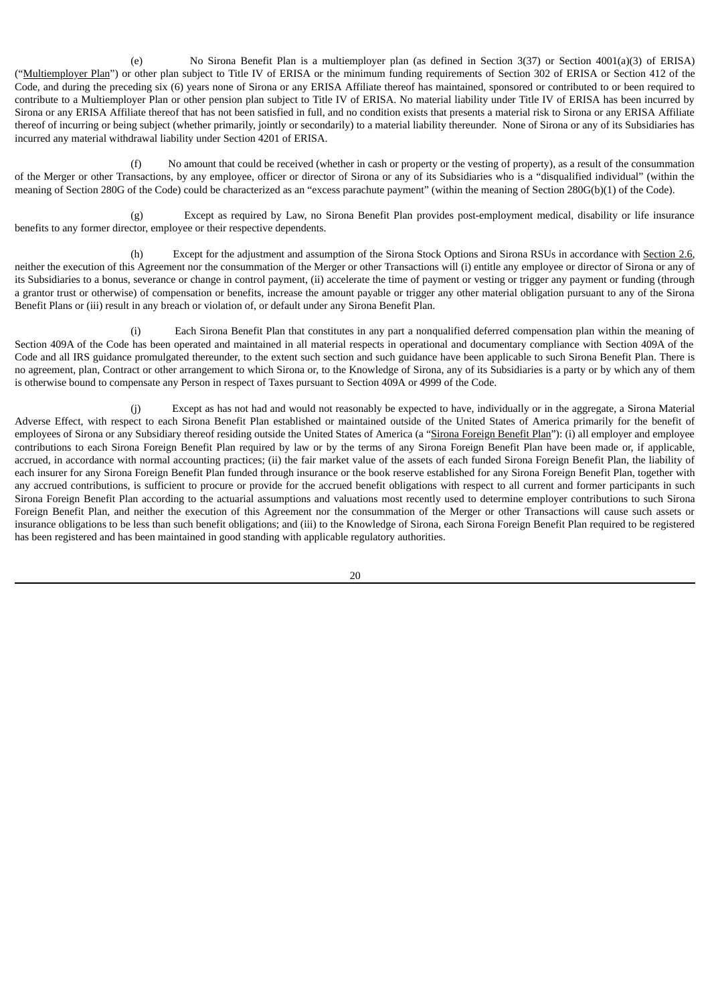(e) No Sirona Benefit Plan is a multiemployer plan (as defined in Section 3(37) or Section 4001(a)(3) of ERISA) ("Multiemployer Plan") or other plan subject to Title IV of ERISA or the minimum funding requirements of Section 302 of ERISA or Section 412 of the Code, and during the preceding six (6) years none of Sirona or any ERISA Affiliate thereof has maintained, sponsored or contributed to or been required to contribute to a Multiemployer Plan or other pension plan subject to Title IV of ERISA. No material liability under Title IV of ERISA has been incurred by Sirona or any ERISA Affiliate thereof that has not been satisfied in full, and no condition exists that presents a material risk to Sirona or any ERISA Affiliate thereof of incurring or being subject (whether primarily, jointly or secondarily) to a material liability thereunder. None of Sirona or any of its Subsidiaries has incurred any material withdrawal liability under Section 4201 of ERISA.

(f) No amount that could be received (whether in cash or property or the vesting of property), as a result of the consummation of the Merger or other Transactions, by any employee, officer or director of Sirona or any of its Subsidiaries who is a "disqualified individual" (within the meaning of Section 280G of the Code) could be characterized as an "excess parachute payment" (within the meaning of Section 280G(b)(1) of the Code).

(g) Except as required by Law, no Sirona Benefit Plan provides post-employment medical, disability or life insurance benefits to any former director, employee or their respective dependents.

(h) Except for the adjustment and assumption of the Sirona Stock Options and Sirona RSUs in accordance with Section 2.6, neither the execution of this Agreement nor the consummation of the Merger or other Transactions will (i) entitle any employee or director of Sirona or any of its Subsidiaries to a bonus, severance or change in control payment, (ii) accelerate the time of payment or vesting or trigger any payment or funding (through a grantor trust or otherwise) of compensation or benefits, increase the amount payable or trigger any other material obligation pursuant to any of the Sirona Benefit Plans or (iii) result in any breach or violation of, or default under any Sirona Benefit Plan.

(i) Each Sirona Benefit Plan that constitutes in any part a nonqualified deferred compensation plan within the meaning of Section 409A of the Code has been operated and maintained in all material respects in operational and documentary compliance with Section 409A of the Code and all IRS guidance promulgated thereunder, to the extent such section and such guidance have been applicable to such Sirona Benefit Plan. There is no agreement, plan, Contract or other arrangement to which Sirona or, to the Knowledge of Sirona, any of its Subsidiaries is a party or by which any of them is otherwise bound to compensate any Person in respect of Taxes pursuant to Section 409A or 4999 of the Code.

(j) Except as has not had and would not reasonably be expected to have, individually or in the aggregate, a Sirona Material Adverse Effect, with respect to each Sirona Benefit Plan established or maintained outside of the United States of America primarily for the benefit of employees of Sirona or any Subsidiary thereof residing outside the United States of America (a "Sirona Foreign Benefit Plan"): (i) all employer and employee contributions to each Sirona Foreign Benefit Plan required by law or by the terms of any Sirona Foreign Benefit Plan have been made or, if applicable, accrued, in accordance with normal accounting practices; (ii) the fair market value of the assets of each funded Sirona Foreign Benefit Plan, the liability of each insurer for any Sirona Foreign Benefit Plan funded through insurance or the book reserve established for any Sirona Foreign Benefit Plan, together with any accrued contributions, is sufficient to procure or provide for the accrued benefit obligations with respect to all current and former participants in such Sirona Foreign Benefit Plan according to the actuarial assumptions and valuations most recently used to determine employer contributions to such Sirona Foreign Benefit Plan, and neither the execution of this Agreement nor the consummation of the Merger or other Transactions will cause such assets or insurance obligations to be less than such benefit obligations; and (iii) to the Knowledge of Sirona, each Sirona Foreign Benefit Plan required to be registered has been registered and has been maintained in good standing with applicable regulatory authorities.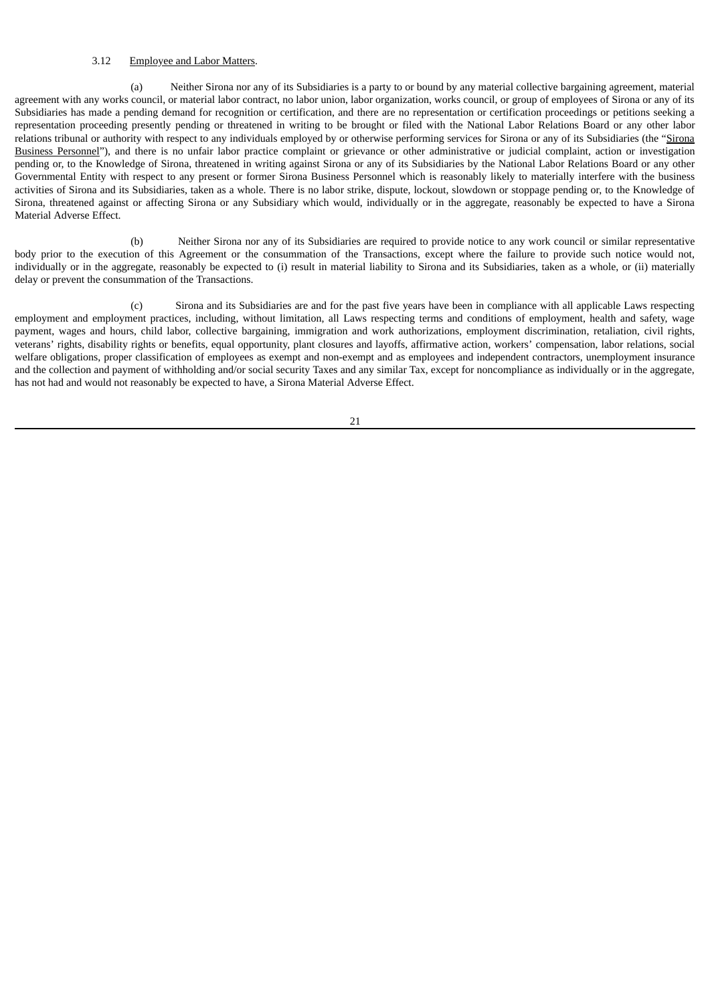#### 3.12 Employee and Labor Matters.

(a) Neither Sirona nor any of its Subsidiaries is a party to or bound by any material collective bargaining agreement, material agreement with any works council, or material labor contract, no labor union, labor organization, works council, or group of employees of Sirona or any of its Subsidiaries has made a pending demand for recognition or certification, and there are no representation or certification proceedings or petitions seeking a representation proceeding presently pending or threatened in writing to be brought or filed with the National Labor Relations Board or any other labor relations tribunal or authority with respect to any individuals employed by or otherwise performing services for Sirona or any of its Subsidiaries (the "Sirona Business Personnel"), and there is no unfair labor practice complaint or grievance or other administrative or judicial complaint, action or investigation pending or, to the Knowledge of Sirona, threatened in writing against Sirona or any of its Subsidiaries by the National Labor Relations Board or any other Governmental Entity with respect to any present or former Sirona Business Personnel which is reasonably likely to materially interfere with the business activities of Sirona and its Subsidiaries, taken as a whole. There is no labor strike, dispute, lockout, slowdown or stoppage pending or, to the Knowledge of Sirona, threatened against or affecting Sirona or any Subsidiary which would, individually or in the aggregate, reasonably be expected to have a Sirona Material Adverse Effect.

(b) Neither Sirona nor any of its Subsidiaries are required to provide notice to any work council or similar representative body prior to the execution of this Agreement or the consummation of the Transactions, except where the failure to provide such notice would not, individually or in the aggregate, reasonably be expected to (i) result in material liability to Sirona and its Subsidiaries, taken as a whole, or (ii) materially delay or prevent the consummation of the Transactions.

(c) Sirona and its Subsidiaries are and for the past five years have been in compliance with all applicable Laws respecting employment and employment practices, including, without limitation, all Laws respecting terms and conditions of employment, health and safety, wage payment, wages and hours, child labor, collective bargaining, immigration and work authorizations, employment discrimination, retaliation, civil rights, veterans' rights, disability rights or benefits, equal opportunity, plant closures and layoffs, affirmative action, workers' compensation, labor relations, social welfare obligations, proper classification of employees as exempt and non-exempt and as employees and independent contractors, unemployment insurance and the collection and payment of withholding and/or social security Taxes and any similar Tax, except for noncompliance as individually or in the aggregate, has not had and would not reasonably be expected to have, a Sirona Material Adverse Effect.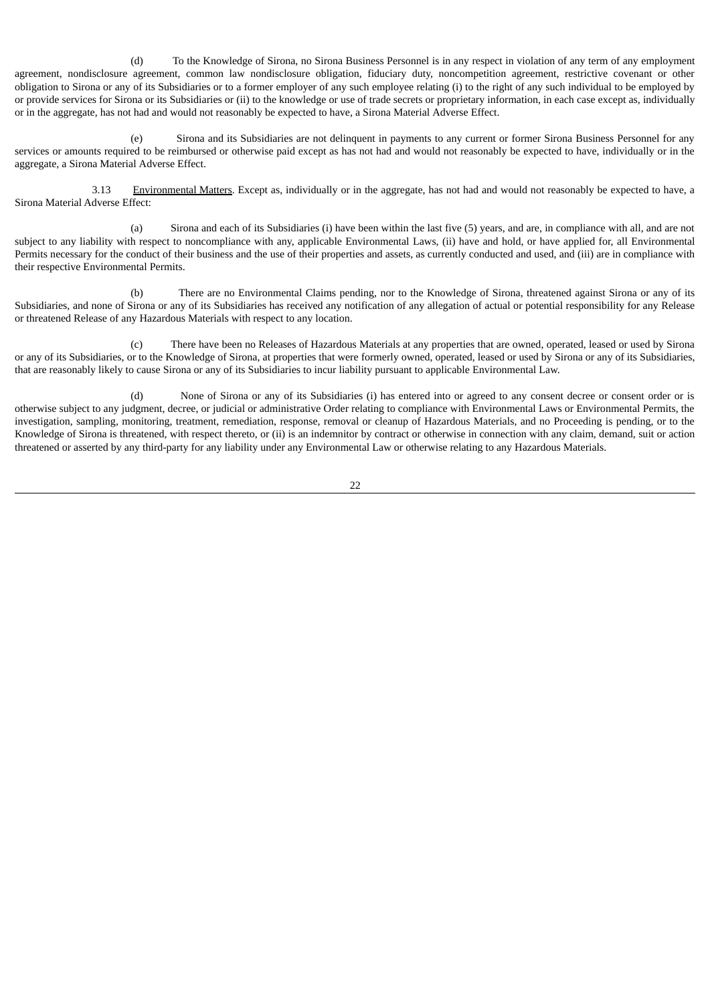(d) To the Knowledge of Sirona, no Sirona Business Personnel is in any respect in violation of any term of any employment agreement, nondisclosure agreement, common law nondisclosure obligation, fiduciary duty, noncompetition agreement, restrictive covenant or other obligation to Sirona or any of its Subsidiaries or to a former employer of any such employee relating (i) to the right of any such individual to be employed by or provide services for Sirona or its Subsidiaries or (ii) to the knowledge or use of trade secrets or proprietary information, in each case except as, individually or in the aggregate, has not had and would not reasonably be expected to have, a Sirona Material Adverse Effect.

(e) Sirona and its Subsidiaries are not delinquent in payments to any current or former Sirona Business Personnel for any services or amounts required to be reimbursed or otherwise paid except as has not had and would not reasonably be expected to have, individually or in the aggregate, a Sirona Material Adverse Effect.

3.13 Environmental Matters. Except as, individually or in the aggregate, has not had and would not reasonably be expected to have, a Sirona Material Adverse Effect:

(a) Sirona and each of its Subsidiaries (i) have been within the last five (5) years, and are, in compliance with all, and are not subject to any liability with respect to noncompliance with any, applicable Environmental Laws, (ii) have and hold, or have applied for, all Environmental Permits necessary for the conduct of their business and the use of their properties and assets, as currently conducted and used, and (iii) are in compliance with their respective Environmental Permits.

(b) There are no Environmental Claims pending, nor to the Knowledge of Sirona, threatened against Sirona or any of its Subsidiaries, and none of Sirona or any of its Subsidiaries has received any notification of any allegation of actual or potential responsibility for any Release or threatened Release of any Hazardous Materials with respect to any location.

(c) There have been no Releases of Hazardous Materials at any properties that are owned, operated, leased or used by Sirona or any of its Subsidiaries, or to the Knowledge of Sirona, at properties that were formerly owned, operated, leased or used by Sirona or any of its Subsidiaries, that are reasonably likely to cause Sirona or any of its Subsidiaries to incur liability pursuant to applicable Environmental Law.

(d) None of Sirona or any of its Subsidiaries (i) has entered into or agreed to any consent decree or consent order or is otherwise subject to any judgment, decree, or judicial or administrative Order relating to compliance with Environmental Laws or Environmental Permits, the investigation, sampling, monitoring, treatment, remediation, response, removal or cleanup of Hazardous Materials, and no Proceeding is pending, or to the Knowledge of Sirona is threatened, with respect thereto, or (ii) is an indemnitor by contract or otherwise in connection with any claim, demand, suit or action threatened or asserted by any third-party for any liability under any Environmental Law or otherwise relating to any Hazardous Materials.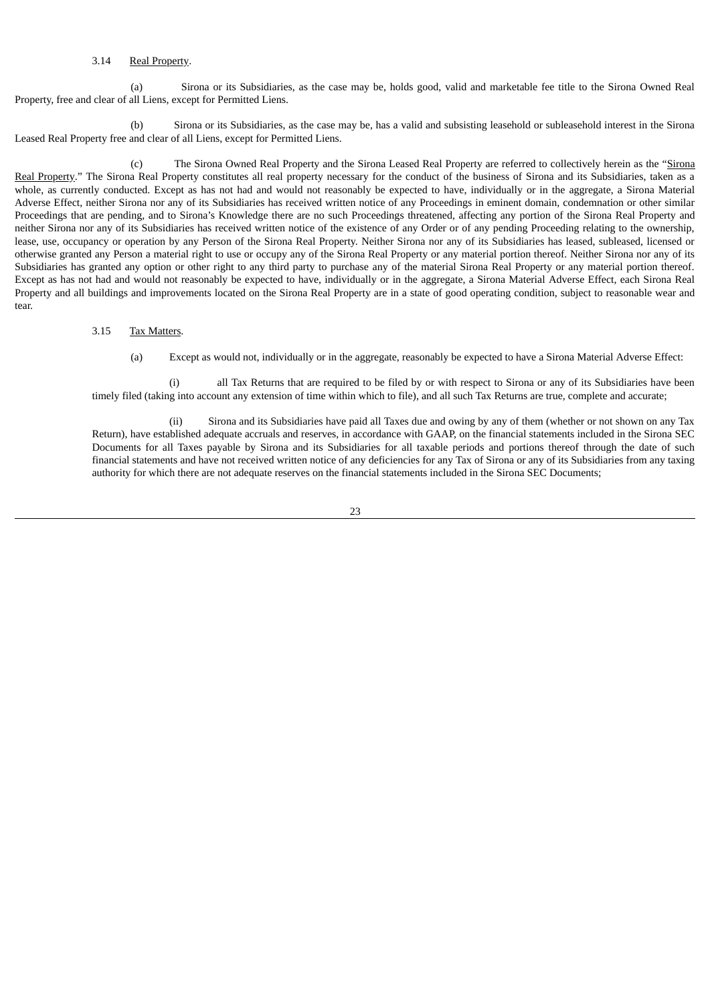#### 3.14 Real Property.

(a) Sirona or its Subsidiaries, as the case may be, holds good, valid and marketable fee title to the Sirona Owned Real Property, free and clear of all Liens, except for Permitted Liens.

(b) Sirona or its Subsidiaries, as the case may be, has a valid and subsisting leasehold or subleasehold interest in the Sirona Leased Real Property free and clear of all Liens, except for Permitted Liens.

(c) The Sirona Owned Real Property and the Sirona Leased Real Property are referred to collectively herein as the "Sirona Real Property." The Sirona Real Property constitutes all real property necessary for the conduct of the business of Sirona and its Subsidiaries, taken as a whole, as currently conducted. Except as has not had and would not reasonably be expected to have, individually or in the aggregate, a Sirona Material Adverse Effect, neither Sirona nor any of its Subsidiaries has received written notice of any Proceedings in eminent domain, condemnation or other similar Proceedings that are pending, and to Sirona's Knowledge there are no such Proceedings threatened, affecting any portion of the Sirona Real Property and neither Sirona nor any of its Subsidiaries has received written notice of the existence of any Order or of any pending Proceeding relating to the ownership, lease, use, occupancy or operation by any Person of the Sirona Real Property. Neither Sirona nor any of its Subsidiaries has leased, subleased, licensed or otherwise granted any Person a material right to use or occupy any of the Sirona Real Property or any material portion thereof. Neither Sirona nor any of its Subsidiaries has granted any option or other right to any third party to purchase any of the material Sirona Real Property or any material portion thereof. Except as has not had and would not reasonably be expected to have, individually or in the aggregate, a Sirona Material Adverse Effect, each Sirona Real Property and all buildings and improvements located on the Sirona Real Property are in a state of good operating condition, subject to reasonable wear and tear.

#### 3.15 Tax Matters.

(a) Except as would not, individually or in the aggregate, reasonably be expected to have a Sirona Material Adverse Effect:

(i) all Tax Returns that are required to be filed by or with respect to Sirona or any of its Subsidiaries have been timely filed (taking into account any extension of time within which to file), and all such Tax Returns are true, complete and accurate;

(ii) Sirona and its Subsidiaries have paid all Taxes due and owing by any of them (whether or not shown on any Tax Return), have established adequate accruals and reserves, in accordance with GAAP, on the financial statements included in the Sirona SEC Documents for all Taxes payable by Sirona and its Subsidiaries for all taxable periods and portions thereof through the date of such financial statements and have not received written notice of any deficiencies for any Tax of Sirona or any of its Subsidiaries from any taxing authority for which there are not adequate reserves on the financial statements included in the Sirona SEC Documents;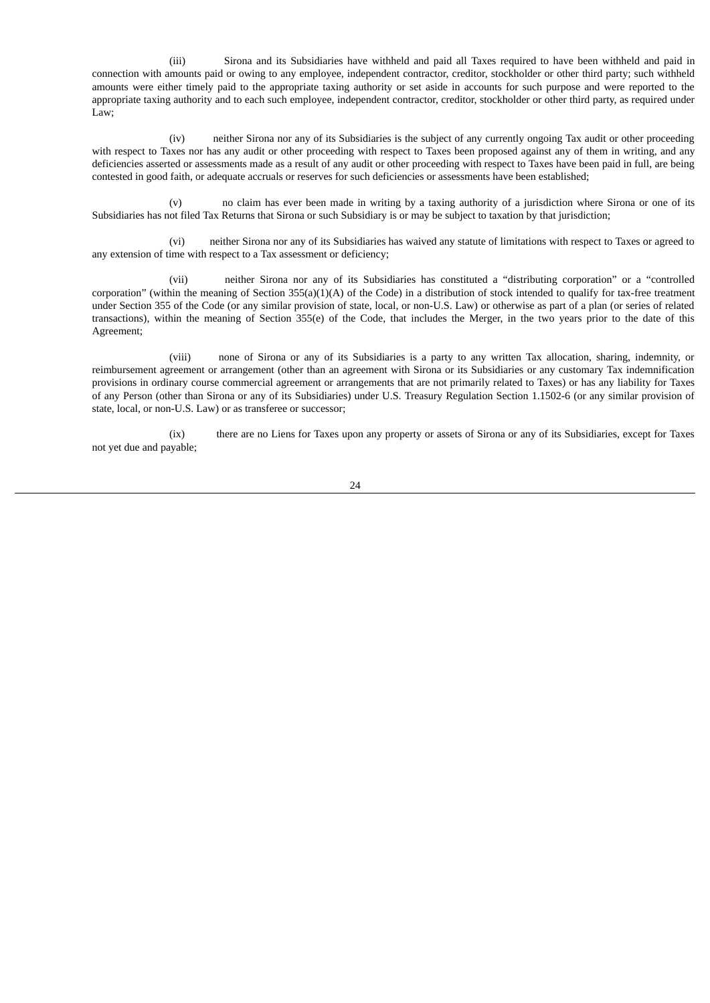(iii) Sirona and its Subsidiaries have withheld and paid all Taxes required to have been withheld and paid in connection with amounts paid or owing to any employee, independent contractor, creditor, stockholder or other third party; such withheld amounts were either timely paid to the appropriate taxing authority or set aside in accounts for such purpose and were reported to the appropriate taxing authority and to each such employee, independent contractor, creditor, stockholder or other third party, as required under Law;

(iv) neither Sirona nor any of its Subsidiaries is the subject of any currently ongoing Tax audit or other proceeding with respect to Taxes nor has any audit or other proceeding with respect to Taxes been proposed against any of them in writing, and any deficiencies asserted or assessments made as a result of any audit or other proceeding with respect to Taxes have been paid in full, are being contested in good faith, or adequate accruals or reserves for such deficiencies or assessments have been established;

(v) no claim has ever been made in writing by a taxing authority of a jurisdiction where Sirona or one of its Subsidiaries has not filed Tax Returns that Sirona or such Subsidiary is or may be subject to taxation by that jurisdiction;

(vi) neither Sirona nor any of its Subsidiaries has waived any statute of limitations with respect to Taxes or agreed to any extension of time with respect to a Tax assessment or deficiency;

(vii) neither Sirona nor any of its Subsidiaries has constituted a "distributing corporation" or a "controlled corporation" (within the meaning of Section 355(a)(1)(A) of the Code) in a distribution of stock intended to qualify for tax-free treatment under Section 355 of the Code (or any similar provision of state, local, or non-U.S. Law) or otherwise as part of a plan (or series of related transactions), within the meaning of Section 355(e) of the Code, that includes the Merger, in the two years prior to the date of this Agreement;

(viii) none of Sirona or any of its Subsidiaries is a party to any written Tax allocation, sharing, indemnity, or reimbursement agreement or arrangement (other than an agreement with Sirona or its Subsidiaries or any customary Tax indemnification provisions in ordinary course commercial agreement or arrangements that are not primarily related to Taxes) or has any liability for Taxes of any Person (other than Sirona or any of its Subsidiaries) under U.S. Treasury Regulation Section 1.1502-6 (or any similar provision of state, local, or non-U.S. Law) or as transferee or successor;

(ix) there are no Liens for Taxes upon any property or assets of Sirona or any of its Subsidiaries, except for Taxes not yet due and payable;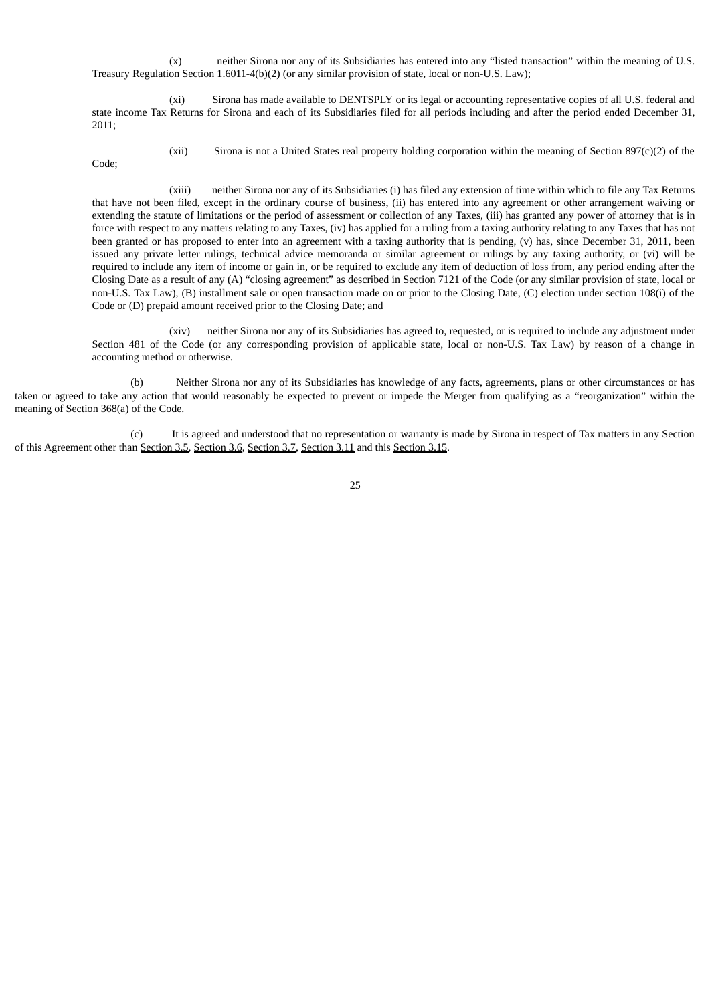(x) neither Sirona nor any of its Subsidiaries has entered into any "listed transaction" within the meaning of U.S. Treasury Regulation Section 1.6011-4(b)(2) (or any similar provision of state, local or non-U.S. Law);

(xi) Sirona has made available to DENTSPLY or its legal or accounting representative copies of all U.S. federal and state income Tax Returns for Sirona and each of its Subsidiaries filed for all periods including and after the period ended December 31, 2011;

(xii) Sirona is not a United States real property holding corporation within the meaning of Section 897(c)(2) of the

Code;

(xiii) neither Sirona nor any of its Subsidiaries (i) has filed any extension of time within which to file any Tax Returns that have not been filed, except in the ordinary course of business, (ii) has entered into any agreement or other arrangement waiving or extending the statute of limitations or the period of assessment or collection of any Taxes, (iii) has granted any power of attorney that is in force with respect to any matters relating to any Taxes, (iv) has applied for a ruling from a taxing authority relating to any Taxes that has not been granted or has proposed to enter into an agreement with a taxing authority that is pending, (v) has, since December 31, 2011, been issued any private letter rulings, technical advice memoranda or similar agreement or rulings by any taxing authority, or (vi) will be required to include any item of income or gain in, or be required to exclude any item of deduction of loss from, any period ending after the Closing Date as a result of any (A) "closing agreement" as described in Section 7121 of the Code (or any similar provision of state, local or non-U.S. Tax Law), (B) installment sale or open transaction made on or prior to the Closing Date, (C) election under section 108(i) of the Code or (D) prepaid amount received prior to the Closing Date; and

(xiv) neither Sirona nor any of its Subsidiaries has agreed to, requested, or is required to include any adjustment under Section 481 of the Code (or any corresponding provision of applicable state, local or non-U.S. Tax Law) by reason of a change in accounting method or otherwise.

(b) Neither Sirona nor any of its Subsidiaries has knowledge of any facts, agreements, plans or other circumstances or has taken or agreed to take any action that would reasonably be expected to prevent or impede the Merger from qualifying as a "reorganization" within the meaning of Section 368(a) of the Code.

(c) It is agreed and understood that no representation or warranty is made by Sirona in respect of Tax matters in any Section of this Agreement other than Section 3.5, Section 3.6, Section 3.7, Section 3.11 and this Section 3.15.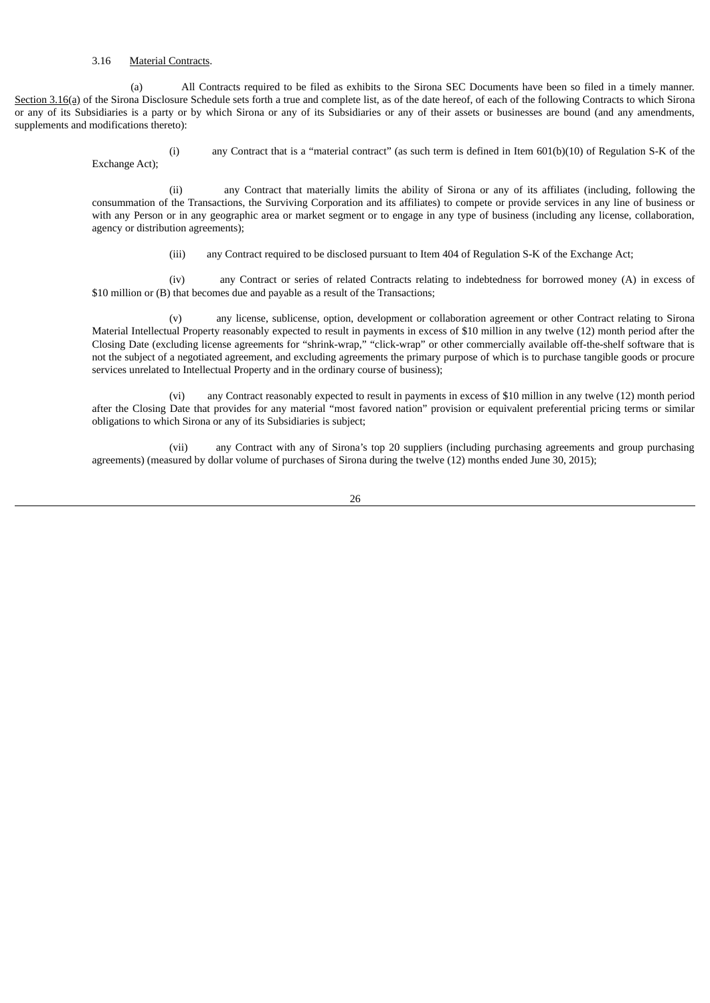#### 3.16 Material Contracts.

(a) All Contracts required to be filed as exhibits to the Sirona SEC Documents have been so filed in a timely manner. Section 3.16(a) of the Sirona Disclosure Schedule sets forth a true and complete list, as of the date hereof, of each of the following Contracts to which Sirona or any of its Subsidiaries is a party or by which Sirona or any of its Subsidiaries or any of their assets or businesses are bound (and any amendments, supplements and modifications thereto):

> (i) any Contract that is a "material contract" (as such term is defined in Item 601(b)(10) of Regulation S-K of the Exchange Act);

> (ii) any Contract that materially limits the ability of Sirona or any of its affiliates (including, following the consummation of the Transactions, the Surviving Corporation and its affiliates) to compete or provide services in any line of business or with any Person or in any geographic area or market segment or to engage in any type of business (including any license, collaboration, agency or distribution agreements);

> > (iii) any Contract required to be disclosed pursuant to Item 404 of Regulation S-K of the Exchange Act;

(iv) any Contract or series of related Contracts relating to indebtedness for borrowed money (A) in excess of \$10 million or (B) that becomes due and payable as a result of the Transactions;

(v) any license, sublicense, option, development or collaboration agreement or other Contract relating to Sirona Material Intellectual Property reasonably expected to result in payments in excess of \$10 million in any twelve (12) month period after the Closing Date (excluding license agreements for "shrink-wrap," "click-wrap" or other commercially available off-the-shelf software that is not the subject of a negotiated agreement, and excluding agreements the primary purpose of which is to purchase tangible goods or procure services unrelated to Intellectual Property and in the ordinary course of business);

(vi) any Contract reasonably expected to result in payments in excess of \$10 million in any twelve (12) month period after the Closing Date that provides for any material "most favored nation" provision or equivalent preferential pricing terms or similar obligations to which Sirona or any of its Subsidiaries is subject;

(vii) any Contract with any of Sirona's top 20 suppliers (including purchasing agreements and group purchasing agreements) (measured by dollar volume of purchases of Sirona during the twelve (12) months ended June 30, 2015);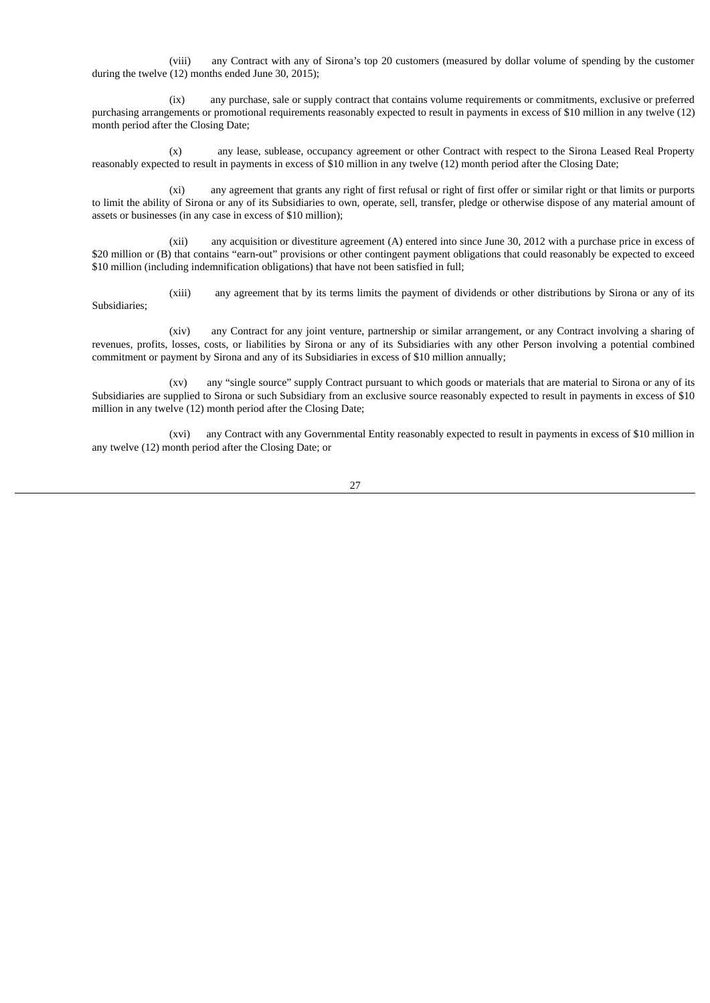(viii) any Contract with any of Sirona's top 20 customers (measured by dollar volume of spending by the customer during the twelve (12) months ended June 30, 2015);

(ix) any purchase, sale or supply contract that contains volume requirements or commitments, exclusive or preferred purchasing arrangements or promotional requirements reasonably expected to result in payments in excess of \$10 million in any twelve (12) month period after the Closing Date;

(x) any lease, sublease, occupancy agreement or other Contract with respect to the Sirona Leased Real Property reasonably expected to result in payments in excess of \$10 million in any twelve (12) month period after the Closing Date;

(xi) any agreement that grants any right of first refusal or right of first offer or similar right or that limits or purports to limit the ability of Sirona or any of its Subsidiaries to own, operate, sell, transfer, pledge or otherwise dispose of any material amount of assets or businesses (in any case in excess of \$10 million);

(xii) any acquisition or divestiture agreement (A) entered into since June 30, 2012 with a purchase price in excess of \$20 million or (B) that contains "earn-out" provisions or other contingent payment obligations that could reasonably be expected to exceed \$10 million (including indemnification obligations) that have not been satisfied in full;

(xiii) any agreement that by its terms limits the payment of dividends or other distributions by Sirona or any of its Subsidiaries;

(xiv) any Contract for any joint venture, partnership or similar arrangement, or any Contract involving a sharing of revenues, profits, losses, costs, or liabilities by Sirona or any of its Subsidiaries with any other Person involving a potential combined commitment or payment by Sirona and any of its Subsidiaries in excess of \$10 million annually;

(xv) any "single source" supply Contract pursuant to which goods or materials that are material to Sirona or any of its Subsidiaries are supplied to Sirona or such Subsidiary from an exclusive source reasonably expected to result in payments in excess of \$10 million in any twelve (12) month period after the Closing Date;

(xvi) any Contract with any Governmental Entity reasonably expected to result in payments in excess of \$10 million in any twelve (12) month period after the Closing Date; or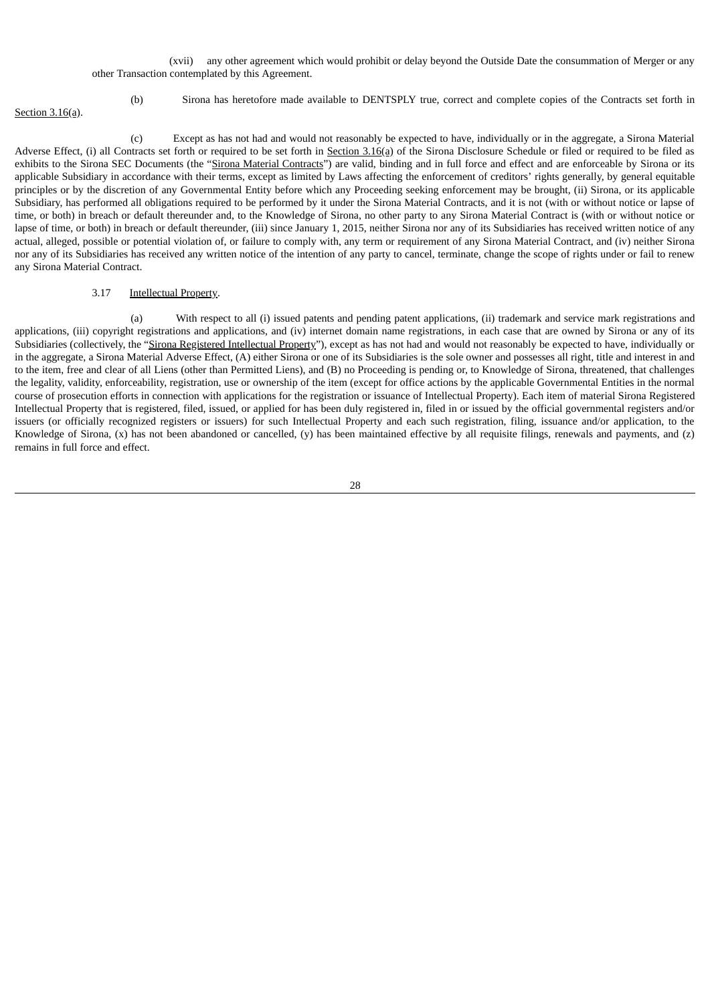# (xvii) any other agreement which would prohibit or delay beyond the Outside Date the consummation of Merger or any other Transaction contemplated by this Agreement.

Section 3.16(a).

(b) Sirona has heretofore made available to DENTSPLY true, correct and complete copies of the Contracts set forth in

(c) Except as has not had and would not reasonably be expected to have, individually or in the aggregate, a Sirona Material Adverse Effect, (i) all Contracts set forth or required to be set forth in Section 3.16(a) of the Sirona Disclosure Schedule or filed or required to be filed as exhibits to the Sirona SEC Documents (the "Sirona Material Contracts") are valid, binding and in full force and effect and are enforceable by Sirona or its applicable Subsidiary in accordance with their terms, except as limited by Laws affecting the enforcement of creditors' rights generally, by general equitable principles or by the discretion of any Governmental Entity before which any Proceeding seeking enforcement may be brought, (ii) Sirona, or its applicable Subsidiary, has performed all obligations required to be performed by it under the Sirona Material Contracts, and it is not (with or without notice or lapse of time, or both) in breach or default thereunder and, to the Knowledge of Sirona, no other party to any Sirona Material Contract is (with or without notice or lapse of time, or both) in breach or default thereunder, (iii) since January 1, 2015, neither Sirona nor any of its Subsidiaries has received written notice of any actual, alleged, possible or potential violation of, or failure to comply with, any term or requirement of any Sirona Material Contract, and (iv) neither Sirona nor any of its Subsidiaries has received any written notice of the intention of any party to cancel, terminate, change the scope of rights under or fail to renew any Sirona Material Contract.

### 3.17 Intellectual Property.

(a) With respect to all (i) issued patents and pending patent applications, (ii) trademark and service mark registrations and applications, (iii) copyright registrations and applications, and (iv) internet domain name registrations, in each case that are owned by Sirona or any of its Subsidiaries (collectively, the "Sirona Registered Intellectual Property"), except as has not had and would not reasonably be expected to have, individually or in the aggregate, a Sirona Material Adverse Effect, (A) either Sirona or one of its Subsidiaries is the sole owner and possesses all right, title and interest in and to the item, free and clear of all Liens (other than Permitted Liens), and (B) no Proceeding is pending or, to Knowledge of Sirona, threatened, that challenges the legality, validity, enforceability, registration, use or ownership of the item (except for office actions by the applicable Governmental Entities in the normal course of prosecution efforts in connection with applications for the registration or issuance of Intellectual Property). Each item of material Sirona Registered Intellectual Property that is registered, filed, issued, or applied for has been duly registered in, filed in or issued by the official governmental registers and/or issuers (or officially recognized registers or issuers) for such Intellectual Property and each such registration, filing, issuance and/or application, to the Knowledge of Sirona, (x) has not been abandoned or cancelled, (y) has been maintained effective by all requisite filings, renewals and payments, and (z) remains in full force and effect.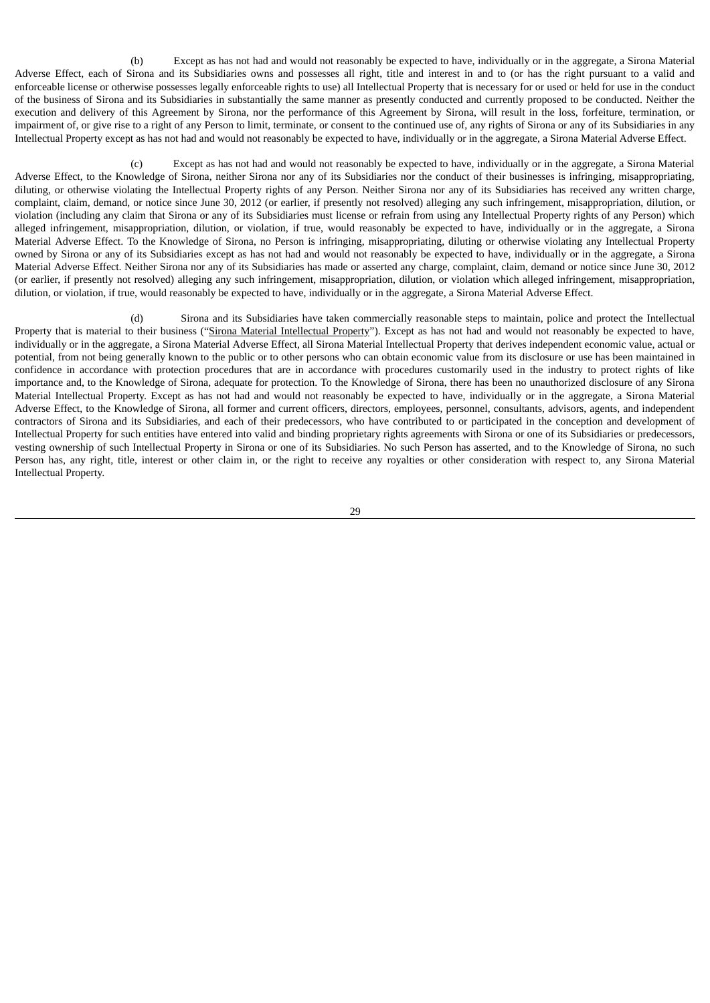(b) Except as has not had and would not reasonably be expected to have, individually or in the aggregate, a Sirona Material Adverse Effect, each of Sirona and its Subsidiaries owns and possesses all right, title and interest in and to (or has the right pursuant to a valid and enforceable license or otherwise possesses legally enforceable rights to use) all Intellectual Property that is necessary for or used or held for use in the conduct of the business of Sirona and its Subsidiaries in substantially the same manner as presently conducted and currently proposed to be conducted. Neither the execution and delivery of this Agreement by Sirona, nor the performance of this Agreement by Sirona, will result in the loss, forfeiture, termination, or impairment of, or give rise to a right of any Person to limit, terminate, or consent to the continued use of, any rights of Sirona or any of its Subsidiaries in any Intellectual Property except as has not had and would not reasonably be expected to have, individually or in the aggregate, a Sirona Material Adverse Effect.

(c) Except as has not had and would not reasonably be expected to have, individually or in the aggregate, a Sirona Material Adverse Effect, to the Knowledge of Sirona, neither Sirona nor any of its Subsidiaries nor the conduct of their businesses is infringing, misappropriating, diluting, or otherwise violating the Intellectual Property rights of any Person. Neither Sirona nor any of its Subsidiaries has received any written charge, complaint, claim, demand, or notice since June 30, 2012 (or earlier, if presently not resolved) alleging any such infringement, misappropriation, dilution, or violation (including any claim that Sirona or any of its Subsidiaries must license or refrain from using any Intellectual Property rights of any Person) which alleged infringement, misappropriation, dilution, or violation, if true, would reasonably be expected to have, individually or in the aggregate, a Sirona Material Adverse Effect. To the Knowledge of Sirona, no Person is infringing, misappropriating, diluting or otherwise violating any Intellectual Property owned by Sirona or any of its Subsidiaries except as has not had and would not reasonably be expected to have, individually or in the aggregate, a Sirona Material Adverse Effect. Neither Sirona nor any of its Subsidiaries has made or asserted any charge, complaint, claim, demand or notice since June 30, 2012 (or earlier, if presently not resolved) alleging any such infringement, misappropriation, dilution, or violation which alleged infringement, misappropriation, dilution, or violation, if true, would reasonably be expected to have, individually or in the aggregate, a Sirona Material Adverse Effect.

(d) Sirona and its Subsidiaries have taken commercially reasonable steps to maintain, police and protect the Intellectual Property that is material to their business ("Sirona Material Intellectual Property"). Except as has not had and would not reasonably be expected to have, individually or in the aggregate, a Sirona Material Adverse Effect, all Sirona Material Intellectual Property that derives independent economic value, actual or potential, from not being generally known to the public or to other persons who can obtain economic value from its disclosure or use has been maintained in confidence in accordance with protection procedures that are in accordance with procedures customarily used in the industry to protect rights of like importance and, to the Knowledge of Sirona, adequate for protection. To the Knowledge of Sirona, there has been no unauthorized disclosure of any Sirona Material Intellectual Property. Except as has not had and would not reasonably be expected to have, individually or in the aggregate, a Sirona Material Adverse Effect, to the Knowledge of Sirona, all former and current officers, directors, employees, personnel, consultants, advisors, agents, and independent contractors of Sirona and its Subsidiaries, and each of their predecessors, who have contributed to or participated in the conception and development of Intellectual Property for such entities have entered into valid and binding proprietary rights agreements with Sirona or one of its Subsidiaries or predecessors, vesting ownership of such Intellectual Property in Sirona or one of its Subsidiaries. No such Person has asserted, and to the Knowledge of Sirona, no such Person has, any right, title, interest or other claim in, or the right to receive any royalties or other consideration with respect to, any Sirona Material Intellectual Property.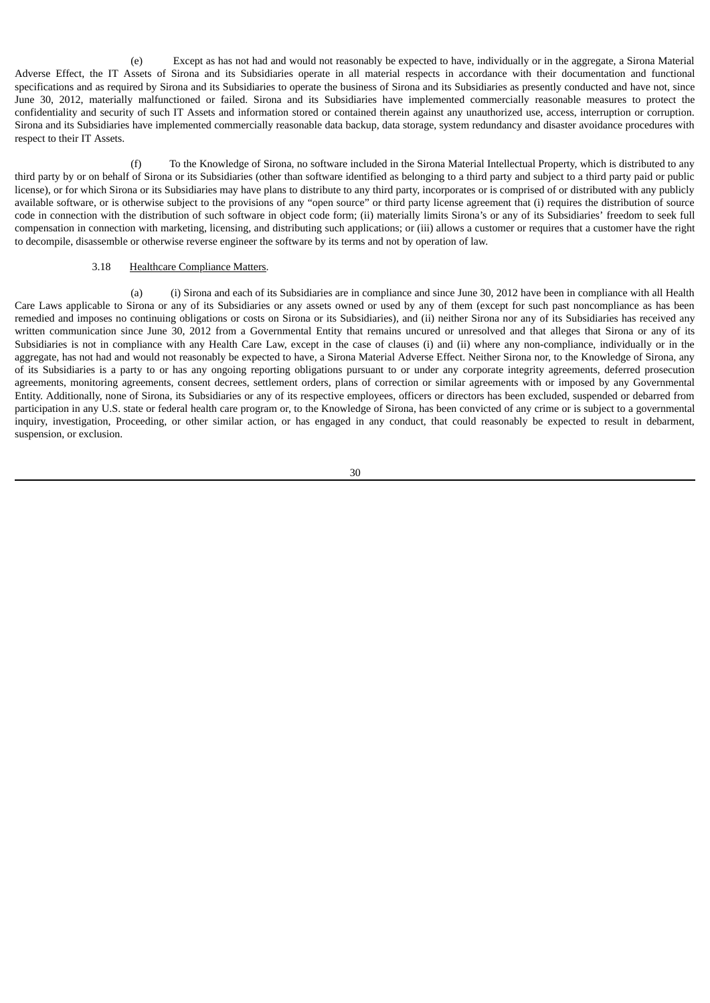(e) Except as has not had and would not reasonably be expected to have, individually or in the aggregate, a Sirona Material Adverse Effect, the IT Assets of Sirona and its Subsidiaries operate in all material respects in accordance with their documentation and functional specifications and as required by Sirona and its Subsidiaries to operate the business of Sirona and its Subsidiaries as presently conducted and have not, since June 30, 2012, materially malfunctioned or failed. Sirona and its Subsidiaries have implemented commercially reasonable measures to protect the confidentiality and security of such IT Assets and information stored or contained therein against any unauthorized use, access, interruption or corruption. Sirona and its Subsidiaries have implemented commercially reasonable data backup, data storage, system redundancy and disaster avoidance procedures with respect to their IT Assets.

(f) To the Knowledge of Sirona, no software included in the Sirona Material Intellectual Property, which is distributed to any third party by or on behalf of Sirona or its Subsidiaries (other than software identified as belonging to a third party and subject to a third party paid or public license), or for which Sirona or its Subsidiaries may have plans to distribute to any third party, incorporates or is comprised of or distributed with any publicly available software, or is otherwise subject to the provisions of any "open source" or third party license agreement that (i) requires the distribution of source code in connection with the distribution of such software in object code form; (ii) materially limits Sirona's or any of its Subsidiaries' freedom to seek full compensation in connection with marketing, licensing, and distributing such applications; or (iii) allows a customer or requires that a customer have the right to decompile, disassemble or otherwise reverse engineer the software by its terms and not by operation of law.

#### 3.18 Healthcare Compliance Matters.

(a) (i) Sirona and each of its Subsidiaries are in compliance and since June 30, 2012 have been in compliance with all Health Care Laws applicable to Sirona or any of its Subsidiaries or any assets owned or used by any of them (except for such past noncompliance as has been remedied and imposes no continuing obligations or costs on Sirona or its Subsidiaries), and (ii) neither Sirona nor any of its Subsidiaries has received any written communication since June 30, 2012 from a Governmental Entity that remains uncured or unresolved and that alleges that Sirona or any of its Subsidiaries is not in compliance with any Health Care Law, except in the case of clauses (i) and (ii) where any non-compliance, individually or in the aggregate, has not had and would not reasonably be expected to have, a Sirona Material Adverse Effect. Neither Sirona nor, to the Knowledge of Sirona, any of its Subsidiaries is a party to or has any ongoing reporting obligations pursuant to or under any corporate integrity agreements, deferred prosecution agreements, monitoring agreements, consent decrees, settlement orders, plans of correction or similar agreements with or imposed by any Governmental Entity. Additionally, none of Sirona, its Subsidiaries or any of its respective employees, officers or directors has been excluded, suspended or debarred from participation in any U.S. state or federal health care program or, to the Knowledge of Sirona, has been convicted of any crime or is subject to a governmental inquiry, investigation, Proceeding, or other similar action, or has engaged in any conduct, that could reasonably be expected to result in debarment, suspension, or exclusion.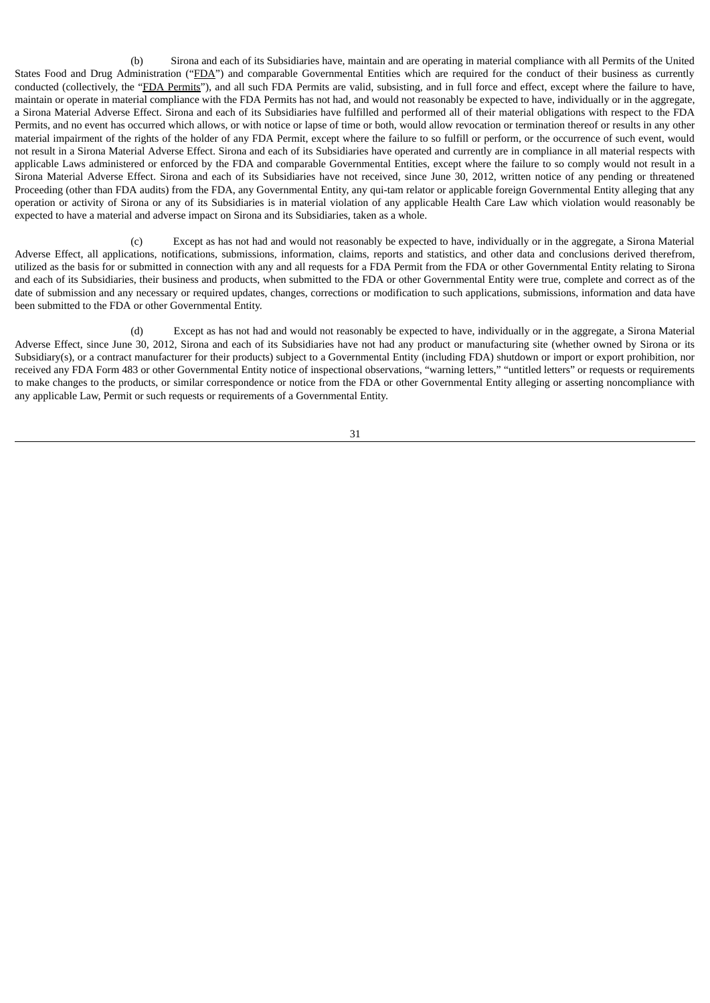(b) Sirona and each of its Subsidiaries have, maintain and are operating in material compliance with all Permits of the United States Food and Drug Administration ("FDA") and comparable Governmental Entities which are required for the conduct of their business as currently conducted (collectively, the "FDA Permits"), and all such FDA Permits are valid, subsisting, and in full force and effect, except where the failure to have, maintain or operate in material compliance with the FDA Permits has not had, and would not reasonably be expected to have, individually or in the aggregate, a Sirona Material Adverse Effect. Sirona and each of its Subsidiaries have fulfilled and performed all of their material obligations with respect to the FDA Permits, and no event has occurred which allows, or with notice or lapse of time or both, would allow revocation or termination thereof or results in any other material impairment of the rights of the holder of any FDA Permit, except where the failure to so fulfill or perform, or the occurrence of such event, would not result in a Sirona Material Adverse Effect. Sirona and each of its Subsidiaries have operated and currently are in compliance in all material respects with applicable Laws administered or enforced by the FDA and comparable Governmental Entities, except where the failure to so comply would not result in a Sirona Material Adverse Effect. Sirona and each of its Subsidiaries have not received, since June 30, 2012, written notice of any pending or threatened Proceeding (other than FDA audits) from the FDA, any Governmental Entity, any qui-tam relator or applicable foreign Governmental Entity alleging that any operation or activity of Sirona or any of its Subsidiaries is in material violation of any applicable Health Care Law which violation would reasonably be expected to have a material and adverse impact on Sirona and its Subsidiaries, taken as a whole.

(c) Except as has not had and would not reasonably be expected to have, individually or in the aggregate, a Sirona Material Adverse Effect, all applications, notifications, submissions, information, claims, reports and statistics, and other data and conclusions derived therefrom, utilized as the basis for or submitted in connection with any and all requests for a FDA Permit from the FDA or other Governmental Entity relating to Sirona and each of its Subsidiaries, their business and products, when submitted to the FDA or other Governmental Entity were true, complete and correct as of the date of submission and any necessary or required updates, changes, corrections or modification to such applications, submissions, information and data have been submitted to the FDA or other Governmental Entity.

(d) Except as has not had and would not reasonably be expected to have, individually or in the aggregate, a Sirona Material Adverse Effect, since June 30, 2012, Sirona and each of its Subsidiaries have not had any product or manufacturing site (whether owned by Sirona or its Subsidiary(s), or a contract manufacturer for their products) subject to a Governmental Entity (including FDA) shutdown or import or export prohibition, nor received any FDA Form 483 or other Governmental Entity notice of inspectional observations, "warning letters," "untitled letters" or requests or requirements to make changes to the products, or similar correspondence or notice from the FDA or other Governmental Entity alleging or asserting noncompliance with any applicable Law, Permit or such requests or requirements of a Governmental Entity.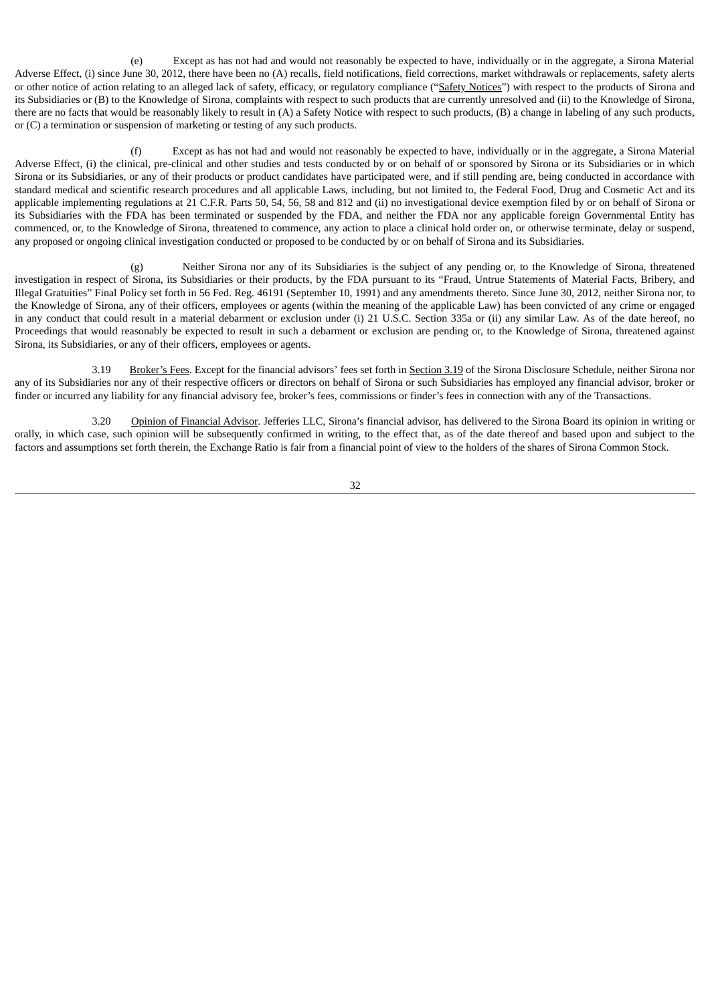(e) Except as has not had and would not reasonably be expected to have, individually or in the aggregate, a Sirona Material Adverse Effect, (i) since June 30, 2012, there have been no (A) recalls, field notifications, field corrections, market withdrawals or replacements, safety alerts or other notice of action relating to an alleged lack of safety, efficacy, or regulatory compliance ("Safety Notices") with respect to the products of Sirona and its Subsidiaries or (B) to the Knowledge of Sirona, complaints with respect to such products that are currently unresolved and (ii) to the Knowledge of Sirona, there are no facts that would be reasonably likely to result in (A) a Safety Notice with respect to such products, (B) a change in labeling of any such products, or (C) a termination or suspension of marketing or testing of any such products.

(f) Except as has not had and would not reasonably be expected to have, individually or in the aggregate, a Sirona Material Adverse Effect, (i) the clinical, pre-clinical and other studies and tests conducted by or on behalf of or sponsored by Sirona or its Subsidiaries or in which Sirona or its Subsidiaries, or any of their products or product candidates have participated were, and if still pending are, being conducted in accordance with standard medical and scientific research procedures and all applicable Laws, including, but not limited to, the Federal Food, Drug and Cosmetic Act and its applicable implementing regulations at 21 C.F.R. Parts 50, 54, 56, 58 and 812 and (ii) no investigational device exemption filed by or on behalf of Sirona or its Subsidiaries with the FDA has been terminated or suspended by the FDA, and neither the FDA nor any applicable foreign Governmental Entity has commenced, or, to the Knowledge of Sirona, threatened to commence, any action to place a clinical hold order on, or otherwise terminate, delay or suspend, any proposed or ongoing clinical investigation conducted or proposed to be conducted by or on behalf of Sirona and its Subsidiaries.

(g) Neither Sirona nor any of its Subsidiaries is the subject of any pending or, to the Knowledge of Sirona, threatened investigation in respect of Sirona, its Subsidiaries or their products, by the FDA pursuant to its "Fraud, Untrue Statements of Material Facts, Bribery, and Illegal Gratuities" Final Policy set forth in 56 Fed. Reg. 46191 (September 10, 1991) and any amendments thereto. Since June 30, 2012, neither Sirona nor, to the Knowledge of Sirona, any of their officers, employees or agents (within the meaning of the applicable Law) has been convicted of any crime or engaged in any conduct that could result in a material debarment or exclusion under (i) 21 U.S.C. Section 335a or (ii) any similar Law. As of the date hereof, no Proceedings that would reasonably be expected to result in such a debarment or exclusion are pending or, to the Knowledge of Sirona, threatened against Sirona, its Subsidiaries, or any of their officers, employees or agents.

3.19 Broker's Fees. Except for the financial advisors' fees set forth in Section 3.19 of the Sirona Disclosure Schedule, neither Sirona nor any of its Subsidiaries nor any of their respective officers or directors on behalf of Sirona or such Subsidiaries has employed any financial advisor, broker or finder or incurred any liability for any financial advisory fee, broker's fees, commissions or finder's fees in connection with any of the Transactions.

3.20 Opinion of Financial Advisor. Jefferies LLC, Sirona's financial advisor, has delivered to the Sirona Board its opinion in writing or orally, in which case, such opinion will be subsequently confirmed in writing, to the effect that, as of the date thereof and based upon and subject to the factors and assumptions set forth therein, the Exchange Ratio is fair from a financial point of view to the holders of the shares of Sirona Common Stock.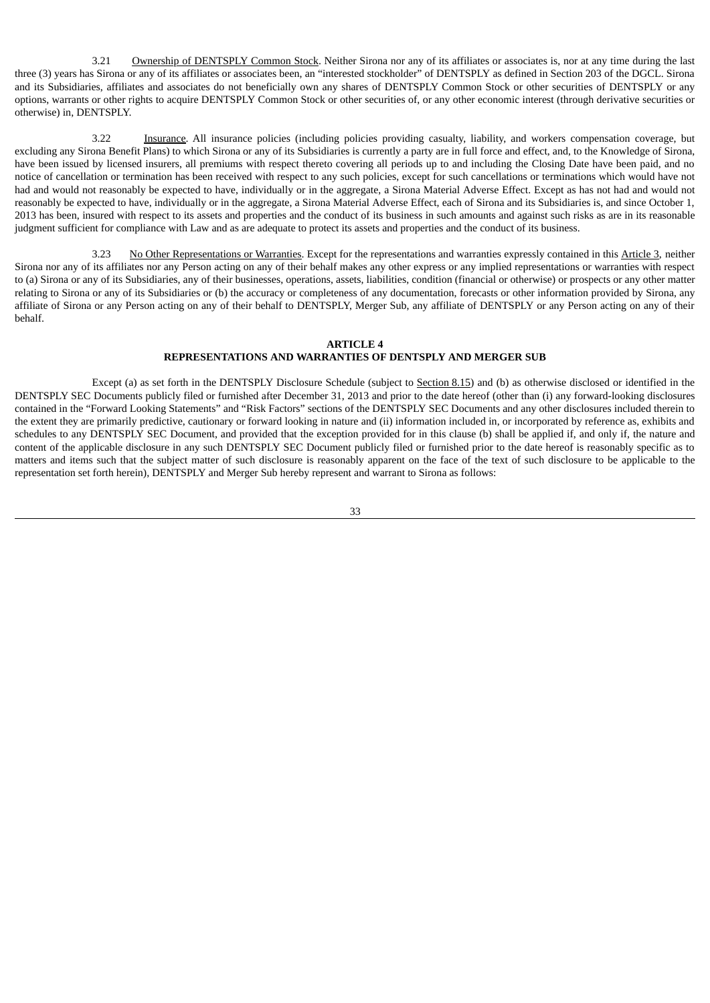3.21 Ownership of DENTSPLY Common Stock. Neither Sirona nor any of its affiliates or associates is, nor at any time during the last three (3) years has Sirona or any of its affiliates or associates been, an "interested stockholder" of DENTSPLY as defined in Section 203 of the DGCL. Sirona and its Subsidiaries, affiliates and associates do not beneficially own any shares of DENTSPLY Common Stock or other securities of DENTSPLY or any options, warrants or other rights to acquire DENTSPLY Common Stock or other securities of, or any other economic interest (through derivative securities or otherwise) in, DENTSPLY.

3.22 Insurance. All insurance policies (including policies providing casualty, liability, and workers compensation coverage, but excluding any Sirona Benefit Plans) to which Sirona or any of its Subsidiaries is currently a party are in full force and effect, and, to the Knowledge of Sirona, have been issued by licensed insurers, all premiums with respect thereto covering all periods up to and including the Closing Date have been paid, and no notice of cancellation or termination has been received with respect to any such policies, except for such cancellations or terminations which would have not had and would not reasonably be expected to have, individually or in the aggregate, a Sirona Material Adverse Effect. Except as has not had and would not reasonably be expected to have, individually or in the aggregate, a Sirona Material Adverse Effect, each of Sirona and its Subsidiaries is, and since October 1, 2013 has been, insured with respect to its assets and properties and the conduct of its business in such amounts and against such risks as are in its reasonable judgment sufficient for compliance with Law and as are adequate to protect its assets and properties and the conduct of its business.

3.23 No Other Representations or Warranties. Except for the representations and warranties expressly contained in this Article 3, neither Sirona nor any of its affiliates nor any Person acting on any of their behalf makes any other express or any implied representations or warranties with respect to (a) Sirona or any of its Subsidiaries, any of their businesses, operations, assets, liabilities, condition (financial or otherwise) or prospects or any other matter relating to Sirona or any of its Subsidiaries or (b) the accuracy or completeness of any documentation, forecasts or other information provided by Sirona, any affiliate of Sirona or any Person acting on any of their behalf to DENTSPLY, Merger Sub, any affiliate of DENTSPLY or any Person acting on any of their behalf.

## **ARTICLE 4**

## **REPRESENTATIONS AND WARRANTIES OF DENTSPLY AND MERGER SUB**

Except (a) as set forth in the DENTSPLY Disclosure Schedule (subject to Section 8.15) and (b) as otherwise disclosed or identified in the DENTSPLY SEC Documents publicly filed or furnished after December 31, 2013 and prior to the date hereof (other than (i) any forward-looking disclosures contained in the "Forward Looking Statements" and "Risk Factors" sections of the DENTSPLY SEC Documents and any other disclosures included therein to the extent they are primarily predictive, cautionary or forward looking in nature and (ii) information included in, or incorporated by reference as, exhibits and schedules to any DENTSPLY SEC Document, and provided that the exception provided for in this clause (b) shall be applied if, and only if, the nature and content of the applicable disclosure in any such DENTSPLY SEC Document publicly filed or furnished prior to the date hereof is reasonably specific as to matters and items such that the subject matter of such disclosure is reasonably apparent on the face of the text of such disclosure to be applicable to the representation set forth herein), DENTSPLY and Merger Sub hereby represent and warrant to Sirona as follows: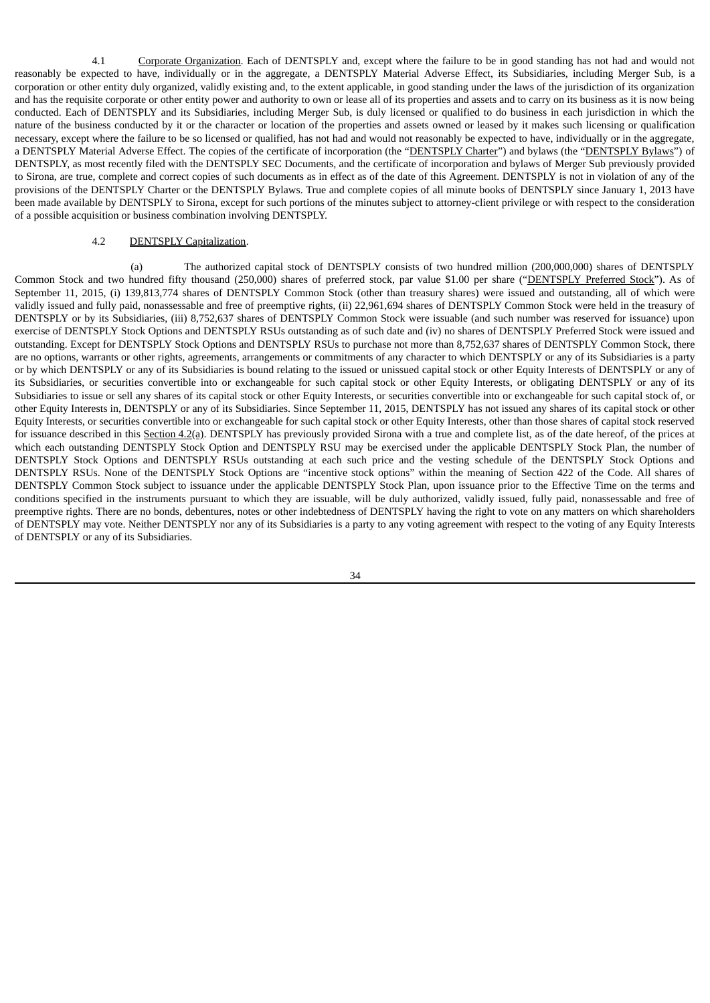4.1 Corporate Organization. Each of DENTSPLY and, except where the failure to be in good standing has not had and would not reasonably be expected to have, individually or in the aggregate, a DENTSPLY Material Adverse Effect, its Subsidiaries, including Merger Sub, is a corporation or other entity duly organized, validly existing and, to the extent applicable, in good standing under the laws of the jurisdiction of its organization and has the requisite corporate or other entity power and authority to own or lease all of its properties and assets and to carry on its business as it is now being conducted. Each of DENTSPLY and its Subsidiaries, including Merger Sub, is duly licensed or qualified to do business in each jurisdiction in which the nature of the business conducted by it or the character or location of the properties and assets owned or leased by it makes such licensing or qualification necessary, except where the failure to be so licensed or qualified, has not had and would not reasonably be expected to have, individually or in the aggregate, a DENTSPLY Material Adverse Effect. The copies of the certificate of incorporation (the "DENTSPLY Charter") and bylaws (the "DENTSPLY Bylaws") of DENTSPLY, as most recently filed with the DENTSPLY SEC Documents, and the certificate of incorporation and bylaws of Merger Sub previously provided to Sirona, are true, complete and correct copies of such documents as in effect as of the date of this Agreement. DENTSPLY is not in violation of any of the provisions of the DENTSPLY Charter or the DENTSPLY Bylaws. True and complete copies of all minute books of DENTSPLY since January 1, 2013 have been made available by DENTSPLY to Sirona, except for such portions of the minutes subject to attorney-client privilege or with respect to the consideration of a possible acquisition or business combination involving DENTSPLY.

### 4.2 DENTSPLY Capitalization.

(a) The authorized capital stock of DENTSPLY consists of two hundred million (200,000,000) shares of DENTSPLY Common Stock and two hundred fifty thousand (250,000) shares of preferred stock, par value \$1.00 per share ("DENTSPLY Preferred Stock"). As of September 11, 2015, (i) 139,813,774 shares of DENTSPLY Common Stock (other than treasury shares) were issued and outstanding, all of which were validly issued and fully paid, nonassessable and free of preemptive rights, (ii) 22,961,694 shares of DENTSPLY Common Stock were held in the treasury of DENTSPLY or by its Subsidiaries, (iii) 8,752,637 shares of DENTSPLY Common Stock were issuable (and such number was reserved for issuance) upon exercise of DENTSPLY Stock Options and DENTSPLY RSUs outstanding as of such date and (iv) no shares of DENTSPLY Preferred Stock were issued and outstanding. Except for DENTSPLY Stock Options and DENTSPLY RSUs to purchase not more than 8,752,637 shares of DENTSPLY Common Stock, there are no options, warrants or other rights, agreements, arrangements or commitments of any character to which DENTSPLY or any of its Subsidiaries is a party or by which DENTSPLY or any of its Subsidiaries is bound relating to the issued or unissued capital stock or other Equity Interests of DENTSPLY or any of its Subsidiaries, or securities convertible into or exchangeable for such capital stock or other Equity Interests, or obligating DENTSPLY or any of its Subsidiaries to issue or sell any shares of its capital stock or other Equity Interests, or securities convertible into or exchangeable for such capital stock of, or other Equity Interests in, DENTSPLY or any of its Subsidiaries. Since September 11, 2015, DENTSPLY has not issued any shares of its capital stock or other Equity Interests, or securities convertible into or exchangeable for such capital stock or other Equity Interests, other than those shares of capital stock reserved for issuance described in this Section 4.2(a). DENTSPLY has previously provided Sirona with a true and complete list, as of the date hereof, of the prices at which each outstanding DENTSPLY Stock Option and DENTSPLY RSU may be exercised under the applicable DENTSPLY Stock Plan, the number of DENTSPLY Stock Options and DENTSPLY RSUs outstanding at each such price and the vesting schedule of the DENTSPLY Stock Options and DENTSPLY RSUs. None of the DENTSPLY Stock Options are "incentive stock options" within the meaning of Section 422 of the Code. All shares of DENTSPLY Common Stock subject to issuance under the applicable DENTSPLY Stock Plan, upon issuance prior to the Effective Time on the terms and conditions specified in the instruments pursuant to which they are issuable, will be duly authorized, validly issued, fully paid, nonassessable and free of preemptive rights. There are no bonds, debentures, notes or other indebtedness of DENTSPLY having the right to vote on any matters on which shareholders of DENTSPLY may vote. Neither DENTSPLY nor any of its Subsidiaries is a party to any voting agreement with respect to the voting of any Equity Interests of DENTSPLY or any of its Subsidiaries.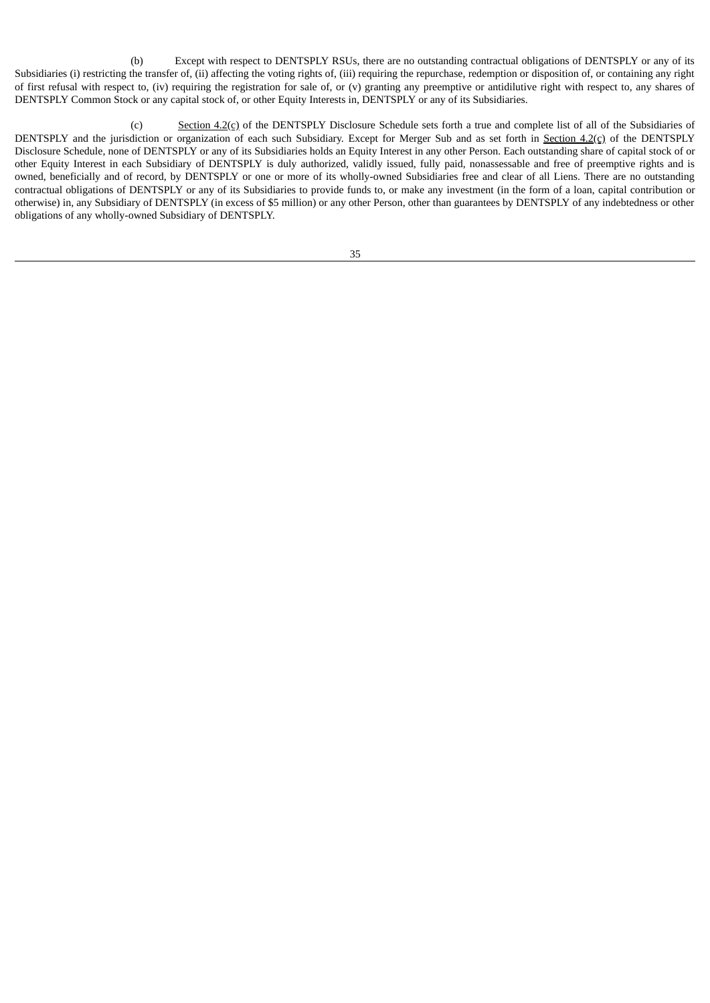(b) Except with respect to DENTSPLY RSUs, there are no outstanding contractual obligations of DENTSPLY or any of its Subsidiaries (i) restricting the transfer of, (ii) affecting the voting rights of, (iii) requiring the repurchase, redemption or disposition of, or containing any right of first refusal with respect to, (iv) requiring the registration for sale of, or (v) granting any preemptive or antidilutive right with respect to, any shares of DENTSPLY Common Stock or any capital stock of, or other Equity Interests in, DENTSPLY or any of its Subsidiaries.

(c) Section 4.2(c) of the DENTSPLY Disclosure Schedule sets forth a true and complete list of all of the Subsidiaries of DENTSPLY and the jurisdiction or organization of each such Subsidiary. Except for Merger Sub and as set forth in Section 4.2(c) of the DENTSPLY Disclosure Schedule, none of DENTSPLY or any of its Subsidiaries holds an Equity Interest in any other Person. Each outstanding share of capital stock of or other Equity Interest in each Subsidiary of DENTSPLY is duly authorized, validly issued, fully paid, nonassessable and free of preemptive rights and is owned, beneficially and of record, by DENTSPLY or one or more of its wholly-owned Subsidiaries free and clear of all Liens. There are no outstanding contractual obligations of DENTSPLY or any of its Subsidiaries to provide funds to, or make any investment (in the form of a loan, capital contribution or otherwise) in, any Subsidiary of DENTSPLY (in excess of \$5 million) or any other Person, other than guarantees by DENTSPLY of any indebtedness or other obligations of any wholly-owned Subsidiary of DENTSPLY.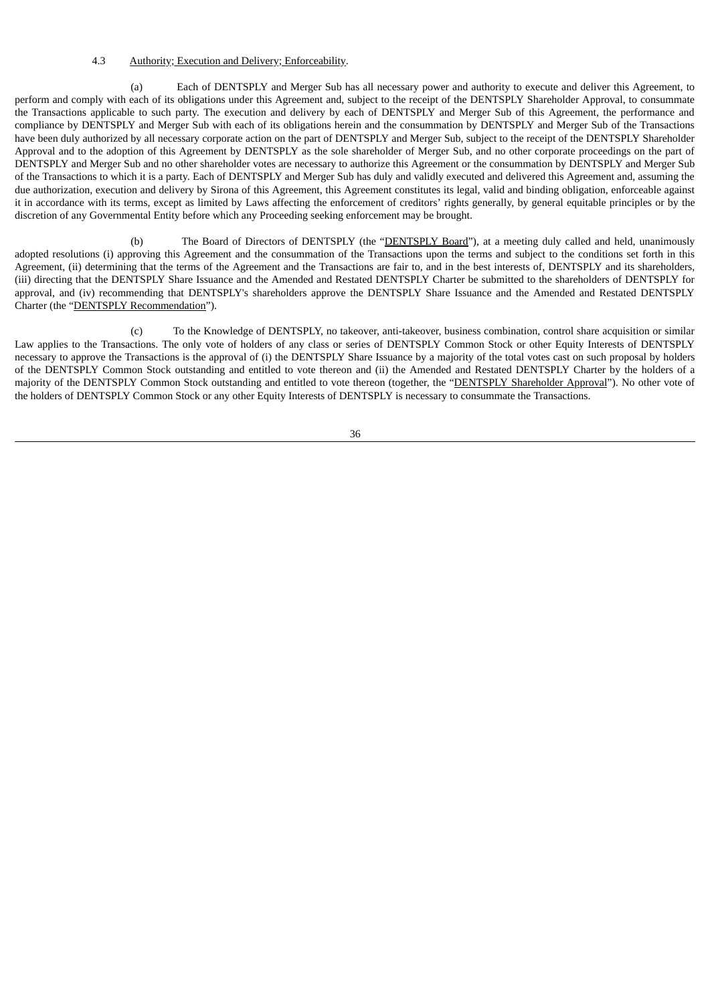## 4.3 Authority; Execution and Delivery; Enforceability.

(a) Each of DENTSPLY and Merger Sub has all necessary power and authority to execute and deliver this Agreement, to perform and comply with each of its obligations under this Agreement and, subject to the receipt of the DENTSPLY Shareholder Approval, to consummate the Transactions applicable to such party. The execution and delivery by each of DENTSPLY and Merger Sub of this Agreement, the performance and compliance by DENTSPLY and Merger Sub with each of its obligations herein and the consummation by DENTSPLY and Merger Sub of the Transactions have been duly authorized by all necessary corporate action on the part of DENTSPLY and Merger Sub, subject to the receipt of the DENTSPLY Shareholder Approval and to the adoption of this Agreement by DENTSPLY as the sole shareholder of Merger Sub, and no other corporate proceedings on the part of DENTSPLY and Merger Sub and no other shareholder votes are necessary to authorize this Agreement or the consummation by DENTSPLY and Merger Sub of the Transactions to which it is a party. Each of DENTSPLY and Merger Sub has duly and validly executed and delivered this Agreement and, assuming the due authorization, execution and delivery by Sirona of this Agreement, this Agreement constitutes its legal, valid and binding obligation, enforceable against it in accordance with its terms, except as limited by Laws affecting the enforcement of creditors' rights generally, by general equitable principles or by the discretion of any Governmental Entity before which any Proceeding seeking enforcement may be brought.

(b) The Board of Directors of DENTSPLY (the "DENTSPLY Board"), at a meeting duly called and held, unanimously adopted resolutions (i) approving this Agreement and the consummation of the Transactions upon the terms and subject to the conditions set forth in this Agreement, (ii) determining that the terms of the Agreement and the Transactions are fair to, and in the best interests of, DENTSPLY and its shareholders, (iii) directing that the DENTSPLY Share Issuance and the Amended and Restated DENTSPLY Charter be submitted to the shareholders of DENTSPLY for approval, and (iv) recommending that DENTSPLY's shareholders approve the DENTSPLY Share Issuance and the Amended and Restated DENTSPLY Charter (the "DENTSPLY Recommendation").

(c) To the Knowledge of DENTSPLY, no takeover, anti-takeover, business combination, control share acquisition or similar Law applies to the Transactions. The only vote of holders of any class or series of DENTSPLY Common Stock or other Equity Interests of DENTSPLY necessary to approve the Transactions is the approval of (i) the DENTSPLY Share Issuance by a majority of the total votes cast on such proposal by holders of the DENTSPLY Common Stock outstanding and entitled to vote thereon and (ii) the Amended and Restated DENTSPLY Charter by the holders of a majority of the DENTSPLY Common Stock outstanding and entitled to vote thereon (together, the "DENTSPLY Shareholder Approval"). No other vote of the holders of DENTSPLY Common Stock or any other Equity Interests of DENTSPLY is necessary to consummate the Transactions.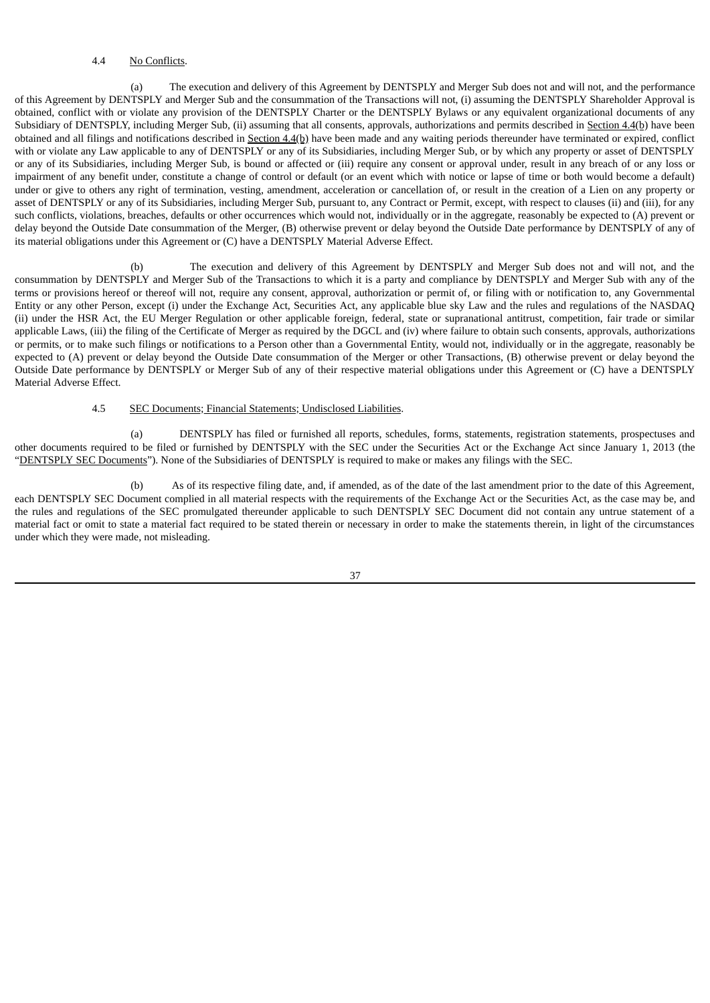## 4.4 No Conflicts.

(a) The execution and delivery of this Agreement by DENTSPLY and Merger Sub does not and will not, and the performance of this Agreement by DENTSPLY and Merger Sub and the consummation of the Transactions will not, (i) assuming the DENTSPLY Shareholder Approval is obtained, conflict with or violate any provision of the DENTSPLY Charter or the DENTSPLY Bylaws or any equivalent organizational documents of any Subsidiary of DENTSPLY, including Merger Sub, (ii) assuming that all consents, approvals, authorizations and permits described in Section 4.4(b) have been obtained and all filings and notifications described in Section 4.4(b) have been made and any waiting periods thereunder have terminated or expired, conflict with or violate any Law applicable to any of DENTSPLY or any of its Subsidiaries, including Merger Sub, or by which any property or asset of DENTSPLY or any of its Subsidiaries, including Merger Sub, is bound or affected or (iii) require any consent or approval under, result in any breach of or any loss or impairment of any benefit under, constitute a change of control or default (or an event which with notice or lapse of time or both would become a default) under or give to others any right of termination, vesting, amendment, acceleration or cancellation of, or result in the creation of a Lien on any property or asset of DENTSPLY or any of its Subsidiaries, including Merger Sub, pursuant to, any Contract or Permit, except, with respect to clauses (ii) and (iii), for any such conflicts, violations, breaches, defaults or other occurrences which would not, individually or in the aggregate, reasonably be expected to (A) prevent or delay beyond the Outside Date consummation of the Merger, (B) otherwise prevent or delay beyond the Outside Date performance by DENTSPLY of any of its material obligations under this Agreement or (C) have a DENTSPLY Material Adverse Effect.

(b) The execution and delivery of this Agreement by DENTSPLY and Merger Sub does not and will not, and the consummation by DENTSPLY and Merger Sub of the Transactions to which it is a party and compliance by DENTSPLY and Merger Sub with any of the terms or provisions hereof or thereof will not, require any consent, approval, authorization or permit of, or filing with or notification to, any Governmental Entity or any other Person, except (i) under the Exchange Act, Securities Act, any applicable blue sky Law and the rules and regulations of the NASDAQ (ii) under the HSR Act, the EU Merger Regulation or other applicable foreign, federal, state or supranational antitrust, competition, fair trade or similar applicable Laws, (iii) the filing of the Certificate of Merger as required by the DGCL and (iv) where failure to obtain such consents, approvals, authorizations or permits, or to make such filings or notifications to a Person other than a Governmental Entity, would not, individually or in the aggregate, reasonably be expected to (A) prevent or delay beyond the Outside Date consummation of the Merger or other Transactions, (B) otherwise prevent or delay beyond the Outside Date performance by DENTSPLY or Merger Sub of any of their respective material obligations under this Agreement or (C) have a DENTSPLY Material Adverse Effect.

#### 4.5 SEC Documents; Financial Statements; Undisclosed Liabilities.

(a) DENTSPLY has filed or furnished all reports, schedules, forms, statements, registration statements, prospectuses and other documents required to be filed or furnished by DENTSPLY with the SEC under the Securities Act or the Exchange Act since January 1, 2013 (the "DENTSPLY SEC Documents"). None of the Subsidiaries of DENTSPLY is required to make or makes any filings with the SEC.

(b) As of its respective filing date, and, if amended, as of the date of the last amendment prior to the date of this Agreement, each DENTSPLY SEC Document complied in all material respects with the requirements of the Exchange Act or the Securities Act, as the case may be, and the rules and regulations of the SEC promulgated thereunder applicable to such DENTSPLY SEC Document did not contain any untrue statement of a material fact or omit to state a material fact required to be stated therein or necessary in order to make the statements therein, in light of the circumstances under which they were made, not misleading.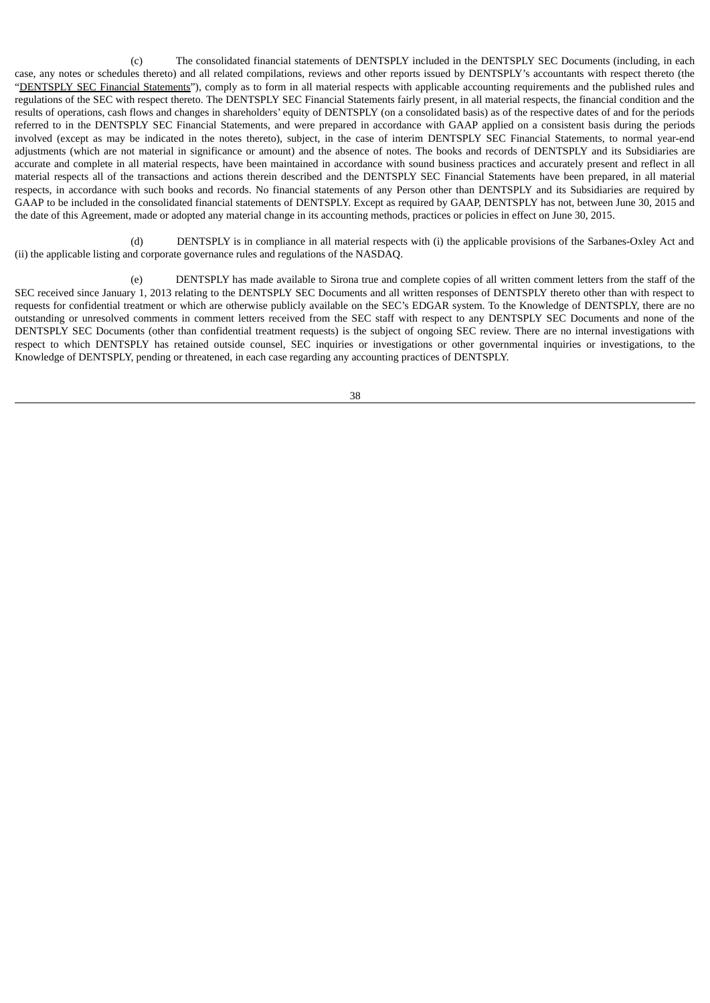(c) The consolidated financial statements of DENTSPLY included in the DENTSPLY SEC Documents (including, in each case, any notes or schedules thereto) and all related compilations, reviews and other reports issued by DENTSPLY's accountants with respect thereto (the "DENTSPLY SEC Financial Statements"), comply as to form in all material respects with applicable accounting requirements and the published rules and regulations of the SEC with respect thereto. The DENTSPLY SEC Financial Statements fairly present, in all material respects, the financial condition and the results of operations, cash flows and changes in shareholders' equity of DENTSPLY (on a consolidated basis) as of the respective dates of and for the periods referred to in the DENTSPLY SEC Financial Statements, and were prepared in accordance with GAAP applied on a consistent basis during the periods involved (except as may be indicated in the notes thereto), subject, in the case of interim DENTSPLY SEC Financial Statements, to normal year-end adjustments (which are not material in significance or amount) and the absence of notes. The books and records of DENTSPLY and its Subsidiaries are accurate and complete in all material respects, have been maintained in accordance with sound business practices and accurately present and reflect in all material respects all of the transactions and actions therein described and the DENTSPLY SEC Financial Statements have been prepared, in all material respects, in accordance with such books and records. No financial statements of any Person other than DENTSPLY and its Subsidiaries are required by GAAP to be included in the consolidated financial statements of DENTSPLY. Except as required by GAAP, DENTSPLY has not, between June 30, 2015 and the date of this Agreement, made or adopted any material change in its accounting methods, practices or policies in effect on June 30, 2015.

(d) DENTSPLY is in compliance in all material respects with (i) the applicable provisions of the Sarbanes-Oxley Act and (ii) the applicable listing and corporate governance rules and regulations of the NASDAQ.

(e) DENTSPLY has made available to Sirona true and complete copies of all written comment letters from the staff of the SEC received since January 1, 2013 relating to the DENTSPLY SEC Documents and all written responses of DENTSPLY thereto other than with respect to requests for confidential treatment or which are otherwise publicly available on the SEC's EDGAR system. To the Knowledge of DENTSPLY, there are no outstanding or unresolved comments in comment letters received from the SEC staff with respect to any DENTSPLY SEC Documents and none of the DENTSPLY SEC Documents (other than confidential treatment requests) is the subject of ongoing SEC review. There are no internal investigations with respect to which DENTSPLY has retained outside counsel, SEC inquiries or investigations or other governmental inquiries or investigations, to the Knowledge of DENTSPLY, pending or threatened, in each case regarding any accounting practices of DENTSPLY.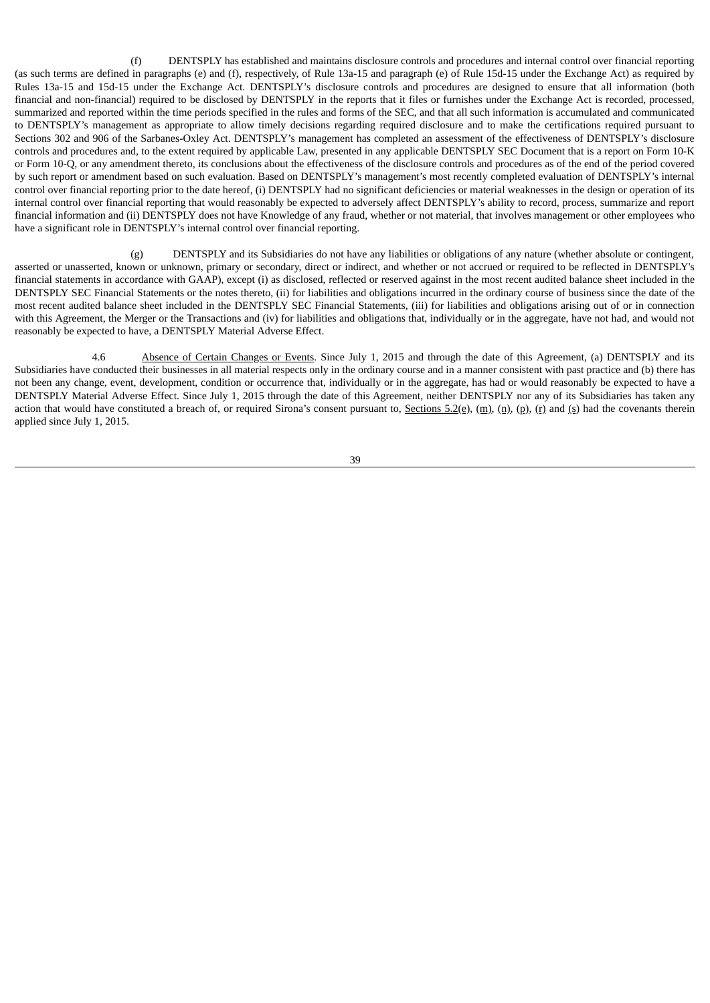(f) DENTSPLY has established and maintains disclosure controls and procedures and internal control over financial reporting (as such terms are defined in paragraphs (e) and (f), respectively, of Rule 13a-15 and paragraph (e) of Rule 15d-15 under the Exchange Act) as required by Rules 13a-15 and 15d-15 under the Exchange Act. DENTSPLY's disclosure controls and procedures are designed to ensure that all information (both financial and non-financial) required to be disclosed by DENTSPLY in the reports that it files or furnishes under the Exchange Act is recorded, processed, summarized and reported within the time periods specified in the rules and forms of the SEC, and that all such information is accumulated and communicated to DENTSPLY's management as appropriate to allow timely decisions regarding required disclosure and to make the certifications required pursuant to Sections 302 and 906 of the Sarbanes-Oxley Act. DENTSPLY's management has completed an assessment of the effectiveness of DENTSPLY's disclosure controls and procedures and, to the extent required by applicable Law, presented in any applicable DENTSPLY SEC Document that is a report on Form 10-K or Form 10-Q, or any amendment thereto, its conclusions about the effectiveness of the disclosure controls and procedures as of the end of the period covered by such report or amendment based on such evaluation. Based on DENTSPLY's management's most recently completed evaluation of DENTSPLY's internal control over financial reporting prior to the date hereof, (i) DENTSPLY had no significant deficiencies or material weaknesses in the design or operation of its internal control over financial reporting that would reasonably be expected to adversely affect DENTSPLY's ability to record, process, summarize and report financial information and (ii) DENTSPLY does not have Knowledge of any fraud, whether or not material, that involves management or other employees who have a significant role in DENTSPLY's internal control over financial reporting.

(g) DENTSPLY and its Subsidiaries do not have any liabilities or obligations of any nature (whether absolute or contingent, asserted or unasserted, known or unknown, primary or secondary, direct or indirect, and whether or not accrued or required to be reflected in DENTSPLY's financial statements in accordance with GAAP), except (i) as disclosed, reflected or reserved against in the most recent audited balance sheet included in the DENTSPLY SEC Financial Statements or the notes thereto, (ii) for liabilities and obligations incurred in the ordinary course of business since the date of the most recent audited balance sheet included in the DENTSPLY SEC Financial Statements, (iii) for liabilities and obligations arising out of or in connection with this Agreement, the Merger or the Transactions and (iv) for liabilities and obligations that, individually or in the aggregate, have not had, and would not reasonably be expected to have, a DENTSPLY Material Adverse Effect.

4.6 Absence of Certain Changes or Events. Since July 1, 2015 and through the date of this Agreement, (a) DENTSPLY and its Subsidiaries have conducted their businesses in all material respects only in the ordinary course and in a manner consistent with past practice and (b) there has not been any change, event, development, condition or occurrence that, individually or in the aggregate, has had or would reasonably be expected to have a DENTSPLY Material Adverse Effect. Since July 1, 2015 through the date of this Agreement, neither DENTSPLY nor any of its Subsidiaries has taken any action that would have constituted a breach of, or required Sirona's consent pursuant to,  $S_{\text{ections}}(S_1)$ ,  $S_{\text{ections}}(S_2)$ ,  $S_{\text{eons}}(S_1)$ ,  $S_{\text{eons}}(S_2)$  had the covenants therein applied since July 1, 2015.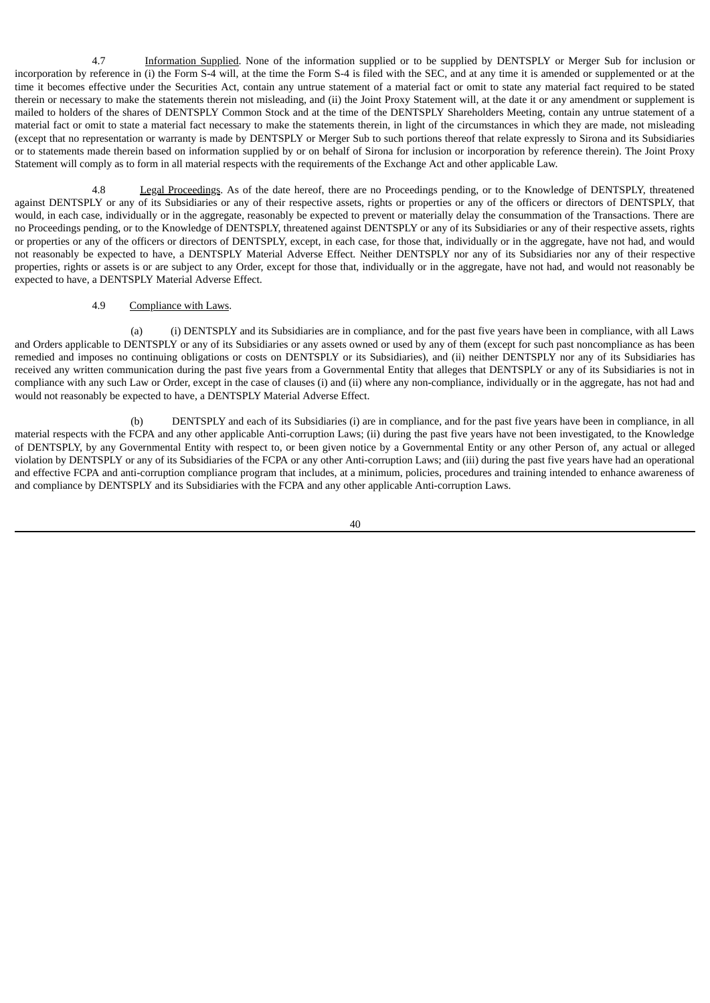4.7 Information Supplied. None of the information supplied or to be supplied by DENTSPLY or Merger Sub for inclusion or incorporation by reference in (i) the Form S-4 will, at the time the Form S-4 is filed with the SEC, and at any time it is amended or supplemented or at the time it becomes effective under the Securities Act, contain any untrue statement of a material fact or omit to state any material fact required to be stated therein or necessary to make the statements therein not misleading, and (ii) the Joint Proxy Statement will, at the date it or any amendment or supplement is mailed to holders of the shares of DENTSPLY Common Stock and at the time of the DENTSPLY Shareholders Meeting, contain any untrue statement of a material fact or omit to state a material fact necessary to make the statements therein, in light of the circumstances in which they are made, not misleading (except that no representation or warranty is made by DENTSPLY or Merger Sub to such portions thereof that relate expressly to Sirona and its Subsidiaries or to statements made therein based on information supplied by or on behalf of Sirona for inclusion or incorporation by reference therein). The Joint Proxy Statement will comply as to form in all material respects with the requirements of the Exchange Act and other applicable Law.

4.8 Legal Proceedings. As of the date hereof, there are no Proceedings pending, or to the Knowledge of DENTSPLY, threatened against DENTSPLY or any of its Subsidiaries or any of their respective assets, rights or properties or any of the officers or directors of DENTSPLY, that would, in each case, individually or in the aggregate, reasonably be expected to prevent or materially delay the consummation of the Transactions. There are no Proceedings pending, or to the Knowledge of DENTSPLY, threatened against DENTSPLY or any of its Subsidiaries or any of their respective assets, rights or properties or any of the officers or directors of DENTSPLY, except, in each case, for those that, individually or in the aggregate, have not had, and would not reasonably be expected to have, a DENTSPLY Material Adverse Effect. Neither DENTSPLY nor any of its Subsidiaries nor any of their respective properties, rights or assets is or are subject to any Order, except for those that, individually or in the aggregate, have not had, and would not reasonably be expected to have, a DENTSPLY Material Adverse Effect.

## 4.9 Compliance with Laws.

(a) (i) DENTSPLY and its Subsidiaries are in compliance, and for the past five years have been in compliance, with all Laws and Orders applicable to DENTSPLY or any of its Subsidiaries or any assets owned or used by any of them (except for such past noncompliance as has been remedied and imposes no continuing obligations or costs on DENTSPLY or its Subsidiaries), and (ii) neither DENTSPLY nor any of its Subsidiaries has received any written communication during the past five years from a Governmental Entity that alleges that DENTSPLY or any of its Subsidiaries is not in compliance with any such Law or Order, except in the case of clauses (i) and (ii) where any non-compliance, individually or in the aggregate, has not had and would not reasonably be expected to have, a DENTSPLY Material Adverse Effect.

(b) DENTSPLY and each of its Subsidiaries (i) are in compliance, and for the past five years have been in compliance, in all material respects with the FCPA and any other applicable Anti-corruption Laws; (ii) during the past five years have not been investigated, to the Knowledge of DENTSPLY, by any Governmental Entity with respect to, or been given notice by a Governmental Entity or any other Person of, any actual or alleged violation by DENTSPLY or any of its Subsidiaries of the FCPA or any other Anti-corruption Laws; and (iii) during the past five years have had an operational and effective FCPA and anti-corruption compliance program that includes, at a minimum, policies, procedures and training intended to enhance awareness of and compliance by DENTSPLY and its Subsidiaries with the FCPA and any other applicable Anti-corruption Laws.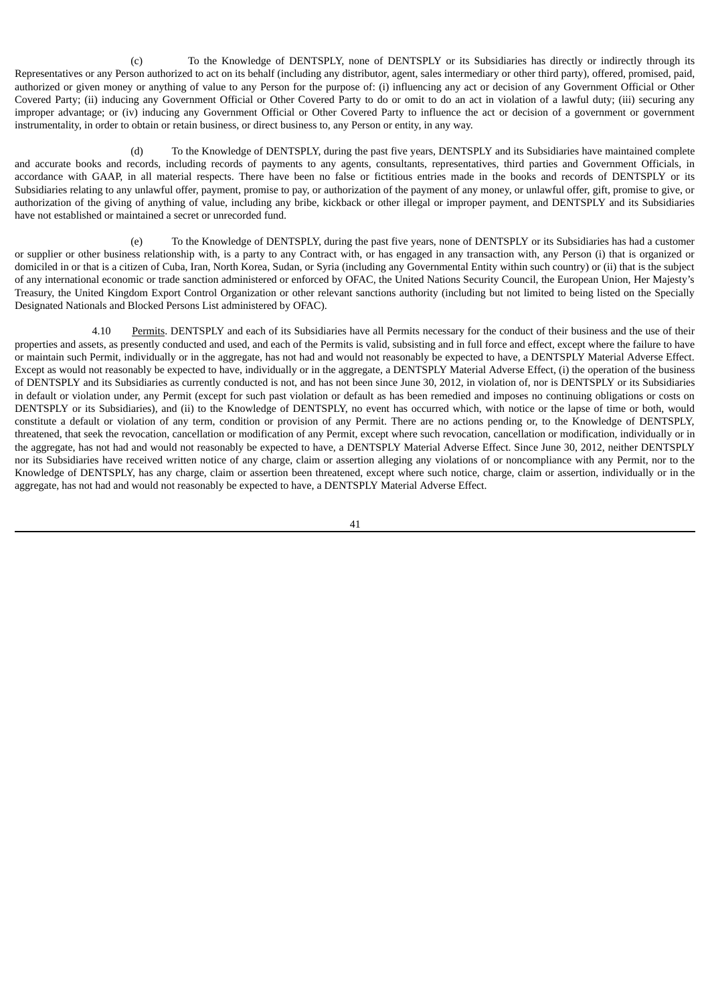(c) To the Knowledge of DENTSPLY, none of DENTSPLY or its Subsidiaries has directly or indirectly through its Representatives or any Person authorized to act on its behalf (including any distributor, agent, sales intermediary or other third party), offered, promised, paid, authorized or given money or anything of value to any Person for the purpose of: (i) influencing any act or decision of any Government Official or Other Covered Party; (ii) inducing any Government Official or Other Covered Party to do or omit to do an act in violation of a lawful duty; (iii) securing any improper advantage; or (iv) inducing any Government Official or Other Covered Party to influence the act or decision of a government or government instrumentality, in order to obtain or retain business, or direct business to, any Person or entity, in any way.

(d) To the Knowledge of DENTSPLY, during the past five years, DENTSPLY and its Subsidiaries have maintained complete and accurate books and records, including records of payments to any agents, consultants, representatives, third parties and Government Officials, in accordance with GAAP, in all material respects. There have been no false or fictitious entries made in the books and records of DENTSPLY or its Subsidiaries relating to any unlawful offer, payment, promise to pay, or authorization of the payment of any money, or unlawful offer, gift, promise to give, or authorization of the giving of anything of value, including any bribe, kickback or other illegal or improper payment, and DENTSPLY and its Subsidiaries have not established or maintained a secret or unrecorded fund.

(e) To the Knowledge of DENTSPLY, during the past five years, none of DENTSPLY or its Subsidiaries has had a customer or supplier or other business relationship with, is a party to any Contract with, or has engaged in any transaction with, any Person (i) that is organized or domiciled in or that is a citizen of Cuba, Iran, North Korea, Sudan, or Syria (including any Governmental Entity within such country) or (ii) that is the subject of any international economic or trade sanction administered or enforced by OFAC, the United Nations Security Council, the European Union, Her Majesty's Treasury, the United Kingdom Export Control Organization or other relevant sanctions authority (including but not limited to being listed on the Specially Designated Nationals and Blocked Persons List administered by OFAC).

4.10 Permits. DENTSPLY and each of its Subsidiaries have all Permits necessary for the conduct of their business and the use of their properties and assets, as presently conducted and used, and each of the Permits is valid, subsisting and in full force and effect, except where the failure to have or maintain such Permit, individually or in the aggregate, has not had and would not reasonably be expected to have, a DENTSPLY Material Adverse Effect. Except as would not reasonably be expected to have, individually or in the aggregate, a DENTSPLY Material Adverse Effect, (i) the operation of the business of DENTSPLY and its Subsidiaries as currently conducted is not, and has not been since June 30, 2012, in violation of, nor is DENTSPLY or its Subsidiaries in default or violation under, any Permit (except for such past violation or default as has been remedied and imposes no continuing obligations or costs on DENTSPLY or its Subsidiaries), and (ii) to the Knowledge of DENTSPLY, no event has occurred which, with notice or the lapse of time or both, would constitute a default or violation of any term, condition or provision of any Permit. There are no actions pending or, to the Knowledge of DENTSPLY, threatened, that seek the revocation, cancellation or modification of any Permit, except where such revocation, cancellation or modification, individually or in the aggregate, has not had and would not reasonably be expected to have, a DENTSPLY Material Adverse Effect. Since June 30, 2012, neither DENTSPLY nor its Subsidiaries have received written notice of any charge, claim or assertion alleging any violations of or noncompliance with any Permit, nor to the Knowledge of DENTSPLY, has any charge, claim or assertion been threatened, except where such notice, charge, claim or assertion, individually or in the aggregate, has not had and would not reasonably be expected to have, a DENTSPLY Material Adverse Effect.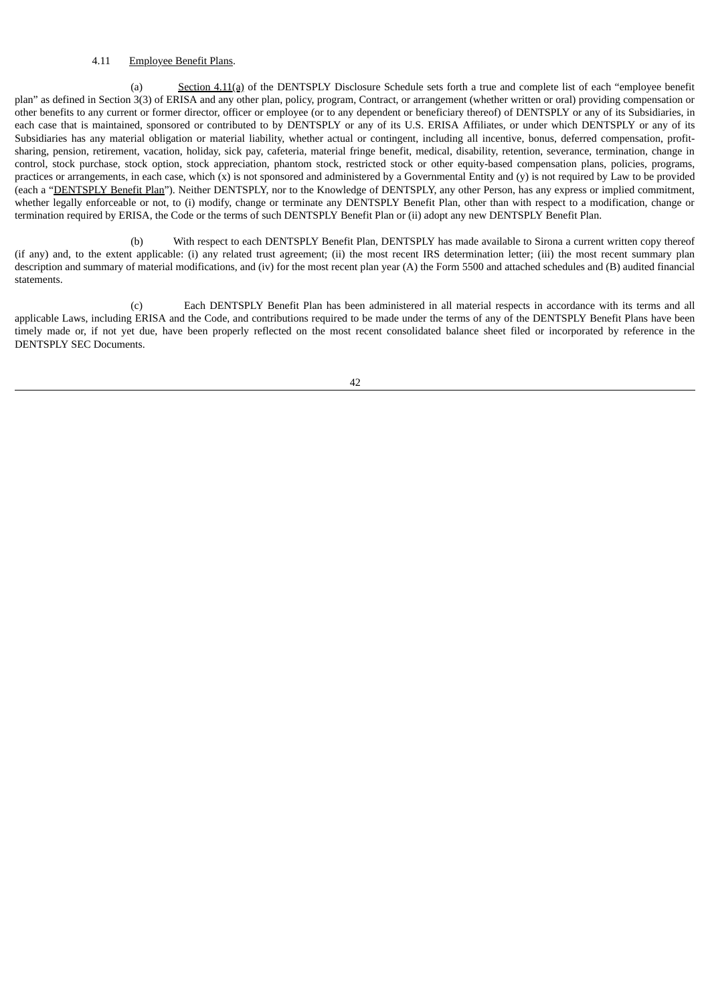## 4.11 Employee Benefit Plans.

(a) Section 4.11(a) of the DENTSPLY Disclosure Schedule sets forth a true and complete list of each "employee benefit plan" as defined in Section 3(3) of ERISA and any other plan, policy, program, Contract, or arrangement (whether written or oral) providing compensation or other benefits to any current or former director, officer or employee (or to any dependent or beneficiary thereof) of DENTSPLY or any of its Subsidiaries, in each case that is maintained, sponsored or contributed to by DENTSPLY or any of its U.S. ERISA Affiliates, or under which DENTSPLY or any of its Subsidiaries has any material obligation or material liability, whether actual or contingent, including all incentive, bonus, deferred compensation, profitsharing, pension, retirement, vacation, holiday, sick pay, cafeteria, material fringe benefit, medical, disability, retention, severance, termination, change in control, stock purchase, stock option, stock appreciation, phantom stock, restricted stock or other equity-based compensation plans, policies, programs, practices or arrangements, in each case, which (x) is not sponsored and administered by a Governmental Entity and (y) is not required by Law to be provided (each a "DENTSPLY Benefit Plan"). Neither DENTSPLY, nor to the Knowledge of DENTSPLY, any other Person, has any express or implied commitment, whether legally enforceable or not, to (i) modify, change or terminate any DENTSPLY Benefit Plan, other than with respect to a modification, change or termination required by ERISA, the Code or the terms of such DENTSPLY Benefit Plan or (ii) adopt any new DENTSPLY Benefit Plan.

(b) With respect to each DENTSPLY Benefit Plan, DENTSPLY has made available to Sirona a current written copy thereof (if any) and, to the extent applicable: (i) any related trust agreement; (ii) the most recent IRS determination letter; (iii) the most recent summary plan description and summary of material modifications, and (iv) for the most recent plan year (A) the Form 5500 and attached schedules and (B) audited financial statements.

(c) Each DENTSPLY Benefit Plan has been administered in all material respects in accordance with its terms and all applicable Laws, including ERISA and the Code, and contributions required to be made under the terms of any of the DENTSPLY Benefit Plans have been timely made or, if not yet due, have been properly reflected on the most recent consolidated balance sheet filed or incorporated by reference in the DENTSPLY SEC Documents.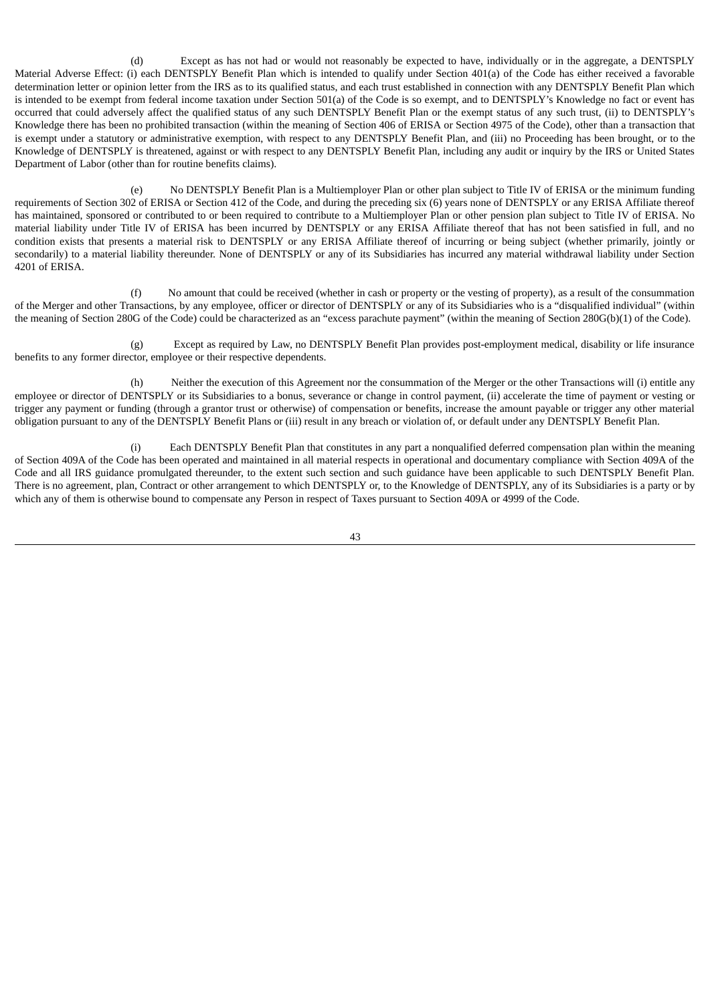(d) Except as has not had or would not reasonably be expected to have, individually or in the aggregate, a DENTSPLY Material Adverse Effect: (i) each DENTSPLY Benefit Plan which is intended to qualify under Section 401(a) of the Code has either received a favorable determination letter or opinion letter from the IRS as to its qualified status, and each trust established in connection with any DENTSPLY Benefit Plan which is intended to be exempt from federal income taxation under Section 501(a) of the Code is so exempt, and to DENTSPLY's Knowledge no fact or event has occurred that could adversely affect the qualified status of any such DENTSPLY Benefit Plan or the exempt status of any such trust, (ii) to DENTSPLY's Knowledge there has been no prohibited transaction (within the meaning of Section 406 of ERISA or Section 4975 of the Code), other than a transaction that is exempt under a statutory or administrative exemption, with respect to any DENTSPLY Benefit Plan, and (iii) no Proceeding has been brought, or to the Knowledge of DENTSPLY is threatened, against or with respect to any DENTSPLY Benefit Plan, including any audit or inquiry by the IRS or United States Department of Labor (other than for routine benefits claims).

(e) No DENTSPLY Benefit Plan is a Multiemployer Plan or other plan subject to Title IV of ERISA or the minimum funding requirements of Section 302 of ERISA or Section 412 of the Code, and during the preceding six (6) years none of DENTSPLY or any ERISA Affiliate thereof has maintained, sponsored or contributed to or been required to contribute to a Multiemployer Plan or other pension plan subject to Title IV of ERISA. No material liability under Title IV of ERISA has been incurred by DENTSPLY or any ERISA Affiliate thereof that has not been satisfied in full, and no condition exists that presents a material risk to DENTSPLY or any ERISA Affiliate thereof of incurring or being subject (whether primarily, jointly or secondarily) to a material liability thereunder. None of DENTSPLY or any of its Subsidiaries has incurred any material withdrawal liability under Section 4201 of ERISA.

(f) No amount that could be received (whether in cash or property or the vesting of property), as a result of the consummation of the Merger and other Transactions, by any employee, officer or director of DENTSPLY or any of its Subsidiaries who is a "disqualified individual" (within the meaning of Section 280G of the Code) could be characterized as an "excess parachute payment" (within the meaning of Section 280G(b)(1) of the Code).

(g) Except as required by Law, no DENTSPLY Benefit Plan provides post-employment medical, disability or life insurance benefits to any former director, employee or their respective dependents.

(h) Neither the execution of this Agreement nor the consummation of the Merger or the other Transactions will (i) entitle any employee or director of DENTSPLY or its Subsidiaries to a bonus, severance or change in control payment, (ii) accelerate the time of payment or vesting or trigger any payment or funding (through a grantor trust or otherwise) of compensation or benefits, increase the amount payable or trigger any other material obligation pursuant to any of the DENTSPLY Benefit Plans or (iii) result in any breach or violation of, or default under any DENTSPLY Benefit Plan.

(i) Each DENTSPLY Benefit Plan that constitutes in any part a nonqualified deferred compensation plan within the meaning of Section 409A of the Code has been operated and maintained in all material respects in operational and documentary compliance with Section 409A of the Code and all IRS guidance promulgated thereunder, to the extent such section and such guidance have been applicable to such DENTSPLY Benefit Plan. There is no agreement, plan, Contract or other arrangement to which DENTSPLY or, to the Knowledge of DENTSPLY, any of its Subsidiaries is a party or by which any of them is otherwise bound to compensate any Person in respect of Taxes pursuant to Section 409A or 4999 of the Code.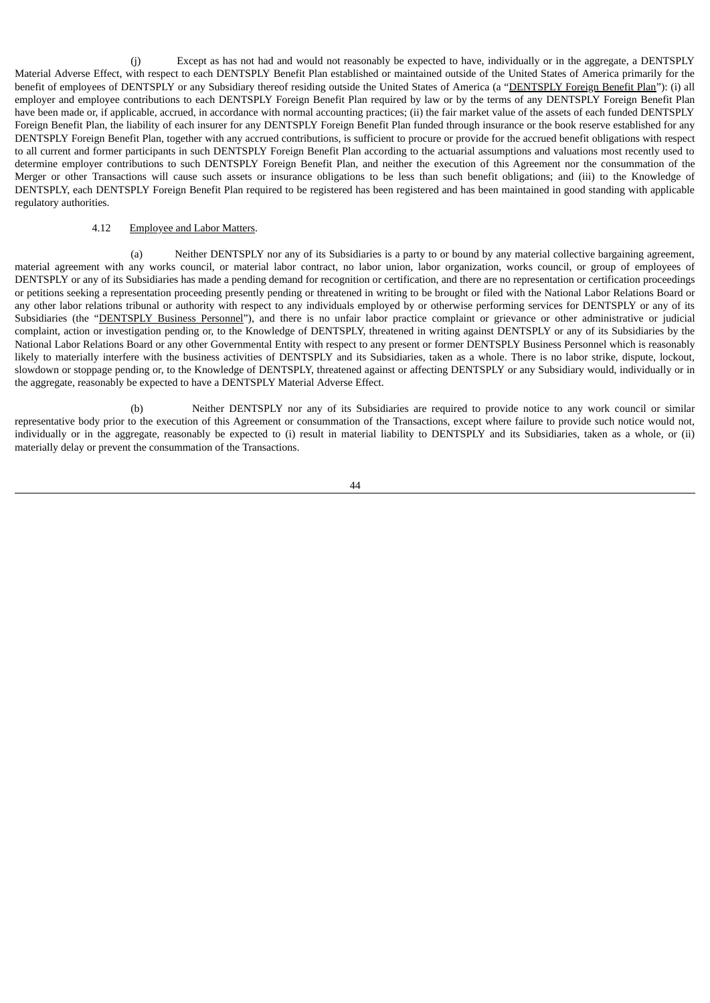(j) Except as has not had and would not reasonably be expected to have, individually or in the aggregate, a DENTSPLY Material Adverse Effect, with respect to each DENTSPLY Benefit Plan established or maintained outside of the United States of America primarily for the benefit of employees of DENTSPLY or any Subsidiary thereof residing outside the United States of America (a "DENTSPLY Foreign Benefit Plan"): (i) all employer and employee contributions to each DENTSPLY Foreign Benefit Plan required by law or by the terms of any DENTSPLY Foreign Benefit Plan have been made or, if applicable, accrued, in accordance with normal accounting practices; (ii) the fair market value of the assets of each funded DENTSPLY Foreign Benefit Plan, the liability of each insurer for any DENTSPLY Foreign Benefit Plan funded through insurance or the book reserve established for any DENTSPLY Foreign Benefit Plan, together with any accrued contributions, is sufficient to procure or provide for the accrued benefit obligations with respect to all current and former participants in such DENTSPLY Foreign Benefit Plan according to the actuarial assumptions and valuations most recently used to determine employer contributions to such DENTSPLY Foreign Benefit Plan, and neither the execution of this Agreement nor the consummation of the Merger or other Transactions will cause such assets or insurance obligations to be less than such benefit obligations; and (iii) to the Knowledge of DENTSPLY, each DENTSPLY Foreign Benefit Plan required to be registered has been registered and has been maintained in good standing with applicable regulatory authorities.

#### 4.12 Employee and Labor Matters.

(a) Neither DENTSPLY nor any of its Subsidiaries is a party to or bound by any material collective bargaining agreement, material agreement with any works council, or material labor contract, no labor union, labor organization, works council, or group of employees of DENTSPLY or any of its Subsidiaries has made a pending demand for recognition or certification, and there are no representation or certification proceedings or petitions seeking a representation proceeding presently pending or threatened in writing to be brought or filed with the National Labor Relations Board or any other labor relations tribunal or authority with respect to any individuals employed by or otherwise performing services for DENTSPLY or any of its Subsidiaries (the "DENTSPLY Business Personnel"), and there is no unfair labor practice complaint or grievance or other administrative or judicial complaint, action or investigation pending or, to the Knowledge of DENTSPLY, threatened in writing against DENTSPLY or any of its Subsidiaries by the National Labor Relations Board or any other Governmental Entity with respect to any present or former DENTSPLY Business Personnel which is reasonably likely to materially interfere with the business activities of DENTSPLY and its Subsidiaries, taken as a whole. There is no labor strike, dispute, lockout, slowdown or stoppage pending or, to the Knowledge of DENTSPLY, threatened against or affecting DENTSPLY or any Subsidiary would, individually or in the aggregate, reasonably be expected to have a DENTSPLY Material Adverse Effect.

(b) Neither DENTSPLY nor any of its Subsidiaries are required to provide notice to any work council or similar representative body prior to the execution of this Agreement or consummation of the Transactions, except where failure to provide such notice would not, individually or in the aggregate, reasonably be expected to (i) result in material liability to DENTSPLY and its Subsidiaries, taken as a whole, or (ii) materially delay or prevent the consummation of the Transactions.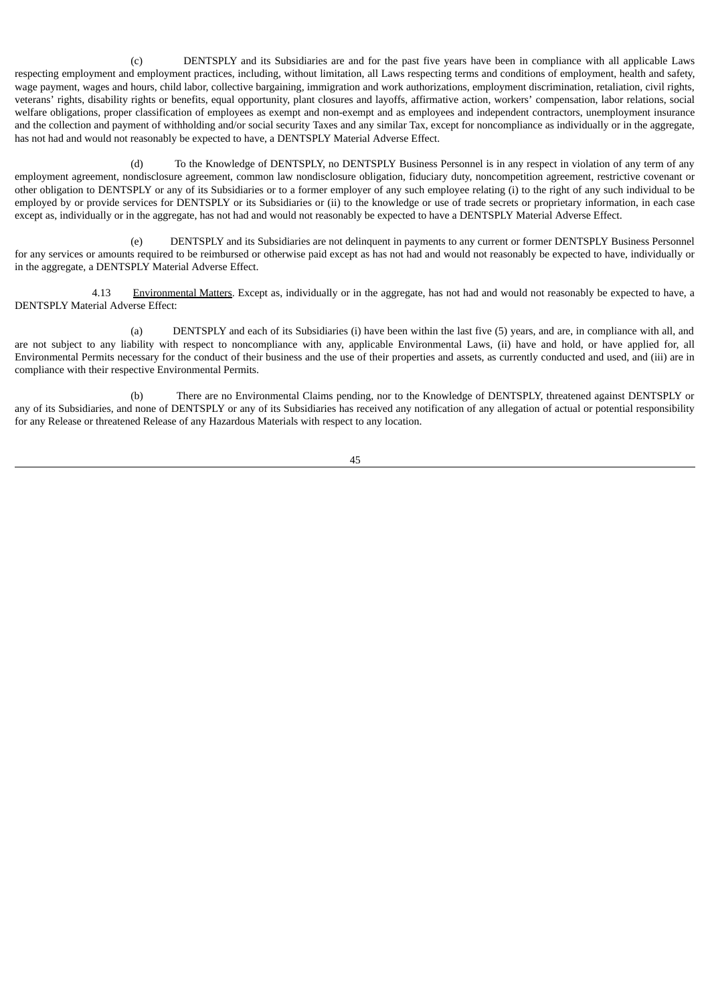(c) DENTSPLY and its Subsidiaries are and for the past five years have been in compliance with all applicable Laws respecting employment and employment practices, including, without limitation, all Laws respecting terms and conditions of employment, health and safety, wage payment, wages and hours, child labor, collective bargaining, immigration and work authorizations, employment discrimination, retaliation, civil rights, veterans' rights, disability rights or benefits, equal opportunity, plant closures and layoffs, affirmative action, workers' compensation, labor relations, social welfare obligations, proper classification of employees as exempt and non-exempt and as employees and independent contractors, unemployment insurance and the collection and payment of withholding and/or social security Taxes and any similar Tax, except for noncompliance as individually or in the aggregate, has not had and would not reasonably be expected to have, a DENTSPLY Material Adverse Effect.

(d) To the Knowledge of DENTSPLY, no DENTSPLY Business Personnel is in any respect in violation of any term of any employment agreement, nondisclosure agreement, common law nondisclosure obligation, fiduciary duty, noncompetition agreement, restrictive covenant or other obligation to DENTSPLY or any of its Subsidiaries or to a former employer of any such employee relating (i) to the right of any such individual to be employed by or provide services for DENTSPLY or its Subsidiaries or (ii) to the knowledge or use of trade secrets or proprietary information, in each case except as, individually or in the aggregate, has not had and would not reasonably be expected to have a DENTSPLY Material Adverse Effect.

(e) DENTSPLY and its Subsidiaries are not delinquent in payments to any current or former DENTSPLY Business Personnel for any services or amounts required to be reimbursed or otherwise paid except as has not had and would not reasonably be expected to have, individually or in the aggregate, a DENTSPLY Material Adverse Effect.

4.13 Environmental Matters. Except as, individually or in the aggregate, has not had and would not reasonably be expected to have, a DENTSPLY Material Adverse Effect:

(a) DENTSPLY and each of its Subsidiaries (i) have been within the last five (5) years, and are, in compliance with all, and are not subject to any liability with respect to noncompliance with any, applicable Environmental Laws, (ii) have and hold, or have applied for, all Environmental Permits necessary for the conduct of their business and the use of their properties and assets, as currently conducted and used, and (iii) are in compliance with their respective Environmental Permits.

(b) There are no Environmental Claims pending, nor to the Knowledge of DENTSPLY, threatened against DENTSPLY or any of its Subsidiaries, and none of DENTSPLY or any of its Subsidiaries has received any notification of any allegation of actual or potential responsibility for any Release or threatened Release of any Hazardous Materials with respect to any location.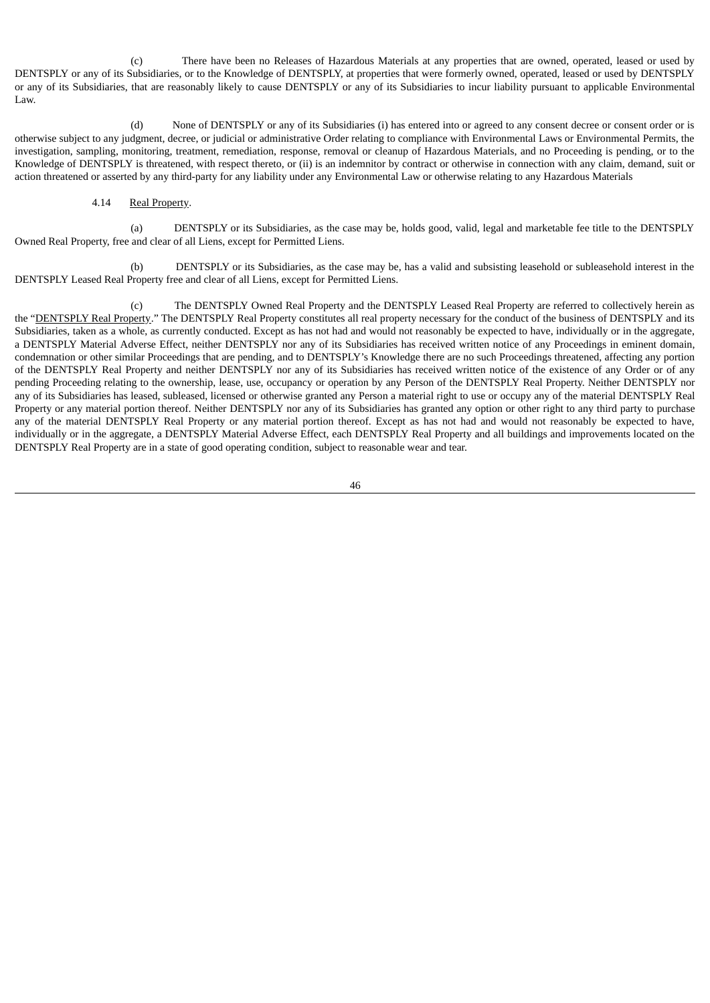(c) There have been no Releases of Hazardous Materials at any properties that are owned, operated, leased or used by DENTSPLY or any of its Subsidiaries, or to the Knowledge of DENTSPLY, at properties that were formerly owned, operated, leased or used by DENTSPLY or any of its Subsidiaries, that are reasonably likely to cause DENTSPLY or any of its Subsidiaries to incur liability pursuant to applicable Environmental Law.

(d) None of DENTSPLY or any of its Subsidiaries (i) has entered into or agreed to any consent decree or consent order or is otherwise subject to any judgment, decree, or judicial or administrative Order relating to compliance with Environmental Laws or Environmental Permits, the investigation, sampling, monitoring, treatment, remediation, response, removal or cleanup of Hazardous Materials, and no Proceeding is pending, or to the Knowledge of DENTSPLY is threatened, with respect thereto, or (ii) is an indemnitor by contract or otherwise in connection with any claim, demand, suit or action threatened or asserted by any third-party for any liability under any Environmental Law or otherwise relating to any Hazardous Materials

## 4.14 Real Property.

(a) DENTSPLY or its Subsidiaries, as the case may be, holds good, valid, legal and marketable fee title to the DENTSPLY Owned Real Property, free and clear of all Liens, except for Permitted Liens.

(b) DENTSPLY or its Subsidiaries, as the case may be, has a valid and subsisting leasehold or subleasehold interest in the DENTSPLY Leased Real Property free and clear of all Liens, except for Permitted Liens.

(c) The DENTSPLY Owned Real Property and the DENTSPLY Leased Real Property are referred to collectively herein as the "DENTSPLY Real Property." The DENTSPLY Real Property constitutes all real property necessary for the conduct of the business of DENTSPLY and its Subsidiaries, taken as a whole, as currently conducted. Except as has not had and would not reasonably be expected to have, individually or in the aggregate, a DENTSPLY Material Adverse Effect, neither DENTSPLY nor any of its Subsidiaries has received written notice of any Proceedings in eminent domain, condemnation or other similar Proceedings that are pending, and to DENTSPLY's Knowledge there are no such Proceedings threatened, affecting any portion of the DENTSPLY Real Property and neither DENTSPLY nor any of its Subsidiaries has received written notice of the existence of any Order or of any pending Proceeding relating to the ownership, lease, use, occupancy or operation by any Person of the DENTSPLY Real Property. Neither DENTSPLY nor any of its Subsidiaries has leased, subleased, licensed or otherwise granted any Person a material right to use or occupy any of the material DENTSPLY Real Property or any material portion thereof. Neither DENTSPLY nor any of its Subsidiaries has granted any option or other right to any third party to purchase any of the material DENTSPLY Real Property or any material portion thereof. Except as has not had and would not reasonably be expected to have, individually or in the aggregate, a DENTSPLY Material Adverse Effect, each DENTSPLY Real Property and all buildings and improvements located on the DENTSPLY Real Property are in a state of good operating condition, subject to reasonable wear and tear.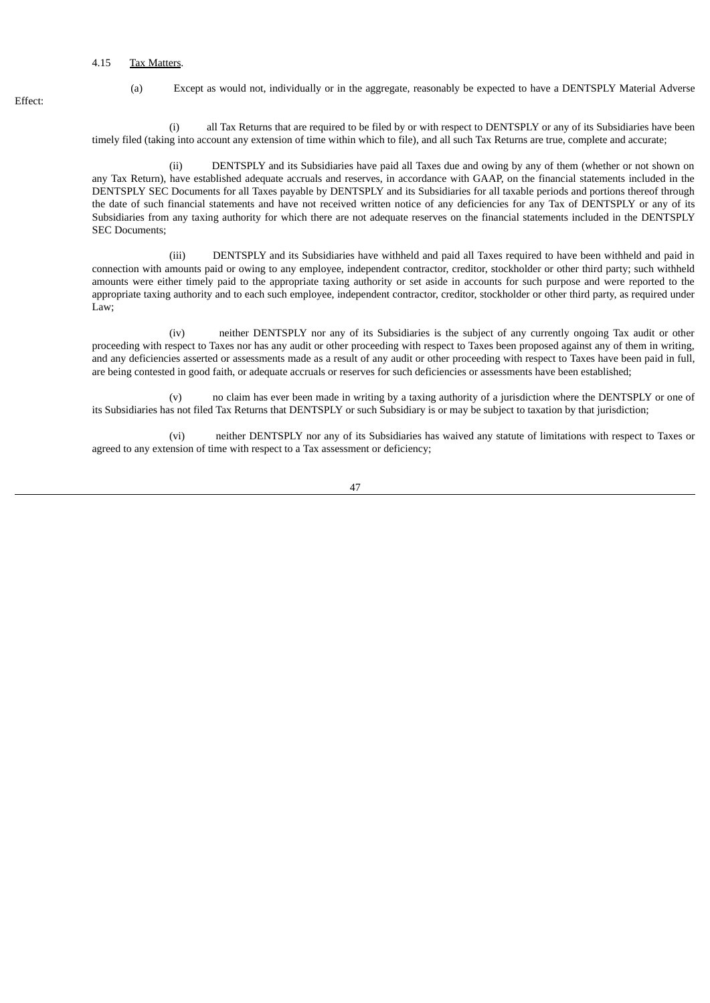#### 4.15 Tax Matters.

Effect:

(a) Except as would not, individually or in the aggregate, reasonably be expected to have a DENTSPLY Material Adverse

(i) all Tax Returns that are required to be filed by or with respect to DENTSPLY or any of its Subsidiaries have been timely filed (taking into account any extension of time within which to file), and all such Tax Returns are true, complete and accurate;

(ii) DENTSPLY and its Subsidiaries have paid all Taxes due and owing by any of them (whether or not shown on any Tax Return), have established adequate accruals and reserves, in accordance with GAAP, on the financial statements included in the DENTSPLY SEC Documents for all Taxes payable by DENTSPLY and its Subsidiaries for all taxable periods and portions thereof through the date of such financial statements and have not received written notice of any deficiencies for any Tax of DENTSPLY or any of its Subsidiaries from any taxing authority for which there are not adequate reserves on the financial statements included in the DENTSPLY SEC Documents;

(iii) DENTSPLY and its Subsidiaries have withheld and paid all Taxes required to have been withheld and paid in connection with amounts paid or owing to any employee, independent contractor, creditor, stockholder or other third party; such withheld amounts were either timely paid to the appropriate taxing authority or set aside in accounts for such purpose and were reported to the appropriate taxing authority and to each such employee, independent contractor, creditor, stockholder or other third party, as required under Law;

(iv) neither DENTSPLY nor any of its Subsidiaries is the subject of any currently ongoing Tax audit or other proceeding with respect to Taxes nor has any audit or other proceeding with respect to Taxes been proposed against any of them in writing, and any deficiencies asserted or assessments made as a result of any audit or other proceeding with respect to Taxes have been paid in full, are being contested in good faith, or adequate accruals or reserves for such deficiencies or assessments have been established;

(v) no claim has ever been made in writing by a taxing authority of a jurisdiction where the DENTSPLY or one of its Subsidiaries has not filed Tax Returns that DENTSPLY or such Subsidiary is or may be subject to taxation by that jurisdiction;

(vi) neither DENTSPLY nor any of its Subsidiaries has waived any statute of limitations with respect to Taxes or agreed to any extension of time with respect to a Tax assessment or deficiency;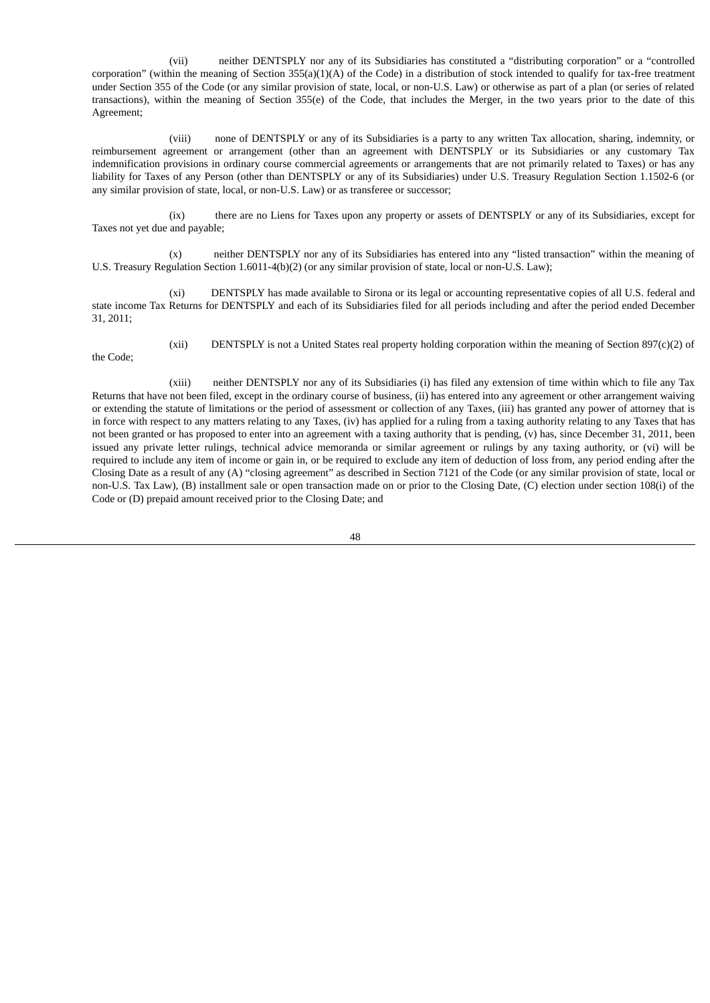(vii) neither DENTSPLY nor any of its Subsidiaries has constituted a "distributing corporation" or a "controlled corporation" (within the meaning of Section 355(a)(1)(A) of the Code) in a distribution of stock intended to qualify for tax-free treatment under Section 355 of the Code (or any similar provision of state, local, or non-U.S. Law) or otherwise as part of a plan (or series of related transactions), within the meaning of Section 355(e) of the Code, that includes the Merger, in the two years prior to the date of this Agreement;

(viii) none of DENTSPLY or any of its Subsidiaries is a party to any written Tax allocation, sharing, indemnity, or reimbursement agreement or arrangement (other than an agreement with DENTSPLY or its Subsidiaries or any customary Tax indemnification provisions in ordinary course commercial agreements or arrangements that are not primarily related to Taxes) or has any liability for Taxes of any Person (other than DENTSPLY or any of its Subsidiaries) under U.S. Treasury Regulation Section 1.1502-6 (or any similar provision of state, local, or non-U.S. Law) or as transferee or successor;

(ix) there are no Liens for Taxes upon any property or assets of DENTSPLY or any of its Subsidiaries, except for Taxes not yet due and payable;

(x) neither DENTSPLY nor any of its Subsidiaries has entered into any "listed transaction" within the meaning of U.S. Treasury Regulation Section 1.6011-4(b)(2) (or any similar provision of state, local or non-U.S. Law);

(xi) DENTSPLY has made available to Sirona or its legal or accounting representative copies of all U.S. federal and state income Tax Returns for DENTSPLY and each of its Subsidiaries filed for all periods including and after the period ended December 31, 2011;

the Code;

(xii) DENTSPLY is not a United States real property holding corporation within the meaning of Section 897(c)(2) of

(xiii) neither DENTSPLY nor any of its Subsidiaries (i) has filed any extension of time within which to file any Tax Returns that have not been filed, except in the ordinary course of business, (ii) has entered into any agreement or other arrangement waiving or extending the statute of limitations or the period of assessment or collection of any Taxes, (iii) has granted any power of attorney that is in force with respect to any matters relating to any Taxes, (iv) has applied for a ruling from a taxing authority relating to any Taxes that has not been granted or has proposed to enter into an agreement with a taxing authority that is pending, (v) has, since December 31, 2011, been issued any private letter rulings, technical advice memoranda or similar agreement or rulings by any taxing authority, or (vi) will be required to include any item of income or gain in, or be required to exclude any item of deduction of loss from, any period ending after the Closing Date as a result of any (A) "closing agreement" as described in Section 7121 of the Code (or any similar provision of state, local or non-U.S. Tax Law), (B) installment sale or open transaction made on or prior to the Closing Date, (C) election under section 108(i) of the Code or (D) prepaid amount received prior to the Closing Date; and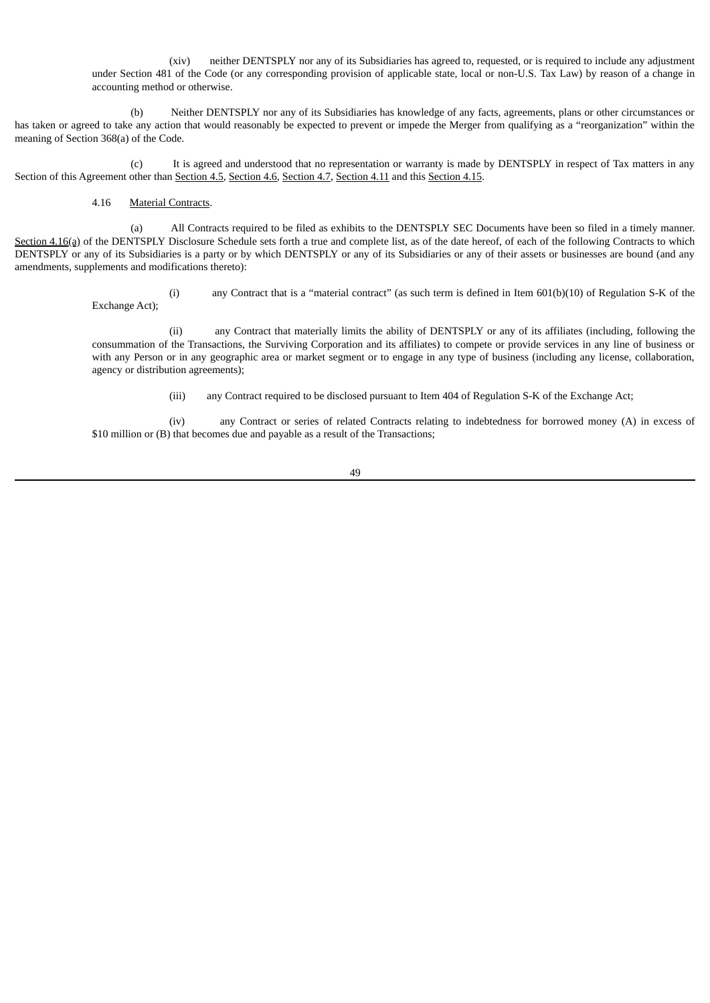(xiv) neither DENTSPLY nor any of its Subsidiaries has agreed to, requested, or is required to include any adjustment under Section 481 of the Code (or any corresponding provision of applicable state, local or non-U.S. Tax Law) by reason of a change in accounting method or otherwise.

(b) Neither DENTSPLY nor any of its Subsidiaries has knowledge of any facts, agreements, plans or other circumstances or has taken or agreed to take any action that would reasonably be expected to prevent or impede the Merger from qualifying as a "reorganization" within the meaning of Section 368(a) of the Code.

(c) It is agreed and understood that no representation or warranty is made by DENTSPLY in respect of Tax matters in any Section of this Agreement other than Section 4.5, Section 4.6, Section 4.7, Section 4.11 and this Section 4.15.

## 4.16 Material Contracts.

(a) All Contracts required to be filed as exhibits to the DENTSPLY SEC Documents have been so filed in a timely manner. Section 4.16(a) of the DENTSPLY Disclosure Schedule sets forth a true and complete list, as of the date hereof, of each of the following Contracts to which DENTSPLY or any of its Subsidiaries is a party or by which DENTSPLY or any of its Subsidiaries or any of their assets or businesses are bound (and any amendments, supplements and modifications thereto):

> (i) any Contract that is a "material contract" (as such term is defined in Item 601(b)(10) of Regulation S-K of the Exchange Act);

> (ii) any Contract that materially limits the ability of DENTSPLY or any of its affiliates (including, following the consummation of the Transactions, the Surviving Corporation and its affiliates) to compete or provide services in any line of business or with any Person or in any geographic area or market segment or to engage in any type of business (including any license, collaboration, agency or distribution agreements);

> > (iii) any Contract required to be disclosed pursuant to Item 404 of Regulation S-K of the Exchange Act;

(iv) any Contract or series of related Contracts relating to indebtedness for borrowed money (A) in excess of \$10 million or (B) that becomes due and payable as a result of the Transactions;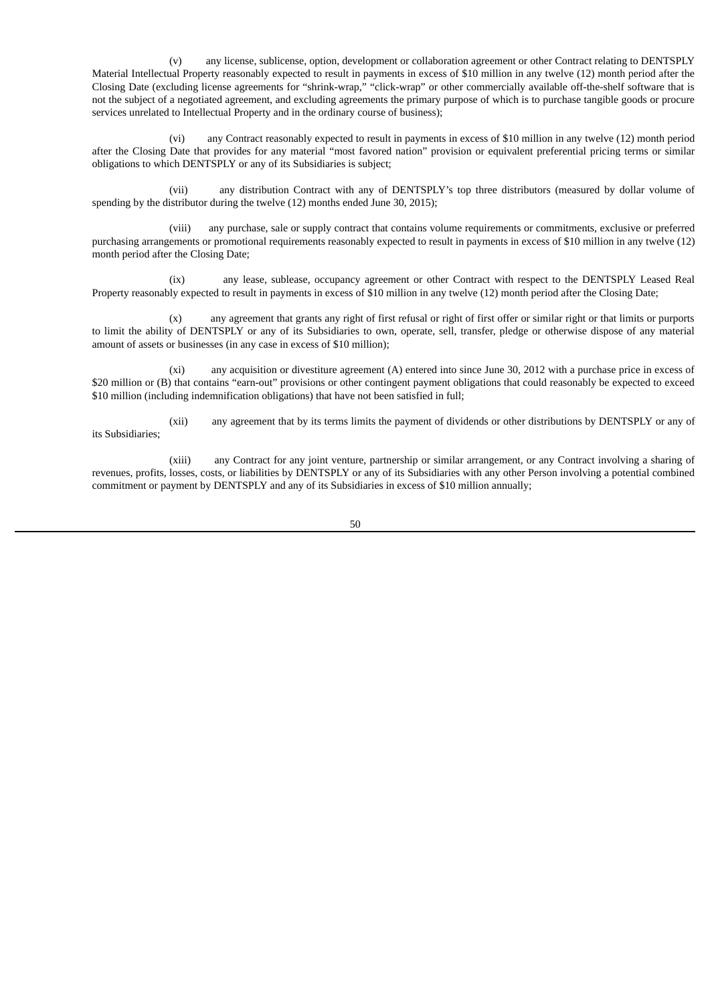(v) any license, sublicense, option, development or collaboration agreement or other Contract relating to DENTSPLY Material Intellectual Property reasonably expected to result in payments in excess of \$10 million in any twelve (12) month period after the Closing Date (excluding license agreements for "shrink-wrap," "click-wrap" or other commercially available off-the-shelf software that is not the subject of a negotiated agreement, and excluding agreements the primary purpose of which is to purchase tangible goods or procure services unrelated to Intellectual Property and in the ordinary course of business);

(vi) any Contract reasonably expected to result in payments in excess of \$10 million in any twelve (12) month period after the Closing Date that provides for any material "most favored nation" provision or equivalent preferential pricing terms or similar obligations to which DENTSPLY or any of its Subsidiaries is subject;

(vii) any distribution Contract with any of DENTSPLY's top three distributors (measured by dollar volume of spending by the distributor during the twelve (12) months ended June 30, 2015);

(viii) any purchase, sale or supply contract that contains volume requirements or commitments, exclusive or preferred purchasing arrangements or promotional requirements reasonably expected to result in payments in excess of \$10 million in any twelve (12) month period after the Closing Date;

(ix) any lease, sublease, occupancy agreement or other Contract with respect to the DENTSPLY Leased Real Property reasonably expected to result in payments in excess of \$10 million in any twelve (12) month period after the Closing Date;

(x) any agreement that grants any right of first refusal or right of first offer or similar right or that limits or purports to limit the ability of DENTSPLY or any of its Subsidiaries to own, operate, sell, transfer, pledge or otherwise dispose of any material amount of assets or businesses (in any case in excess of \$10 million);

(xi) any acquisition or divestiture agreement (A) entered into since June 30, 2012 with a purchase price in excess of \$20 million or (B) that contains "earn-out" provisions or other contingent payment obligations that could reasonably be expected to exceed \$10 million (including indemnification obligations) that have not been satisfied in full;

(xii) any agreement that by its terms limits the payment of dividends or other distributions by DENTSPLY or any of its Subsidiaries;

(xiii) any Contract for any joint venture, partnership or similar arrangement, or any Contract involving a sharing of revenues, profits, losses, costs, or liabilities by DENTSPLY or any of its Subsidiaries with any other Person involving a potential combined commitment or payment by DENTSPLY and any of its Subsidiaries in excess of \$10 million annually;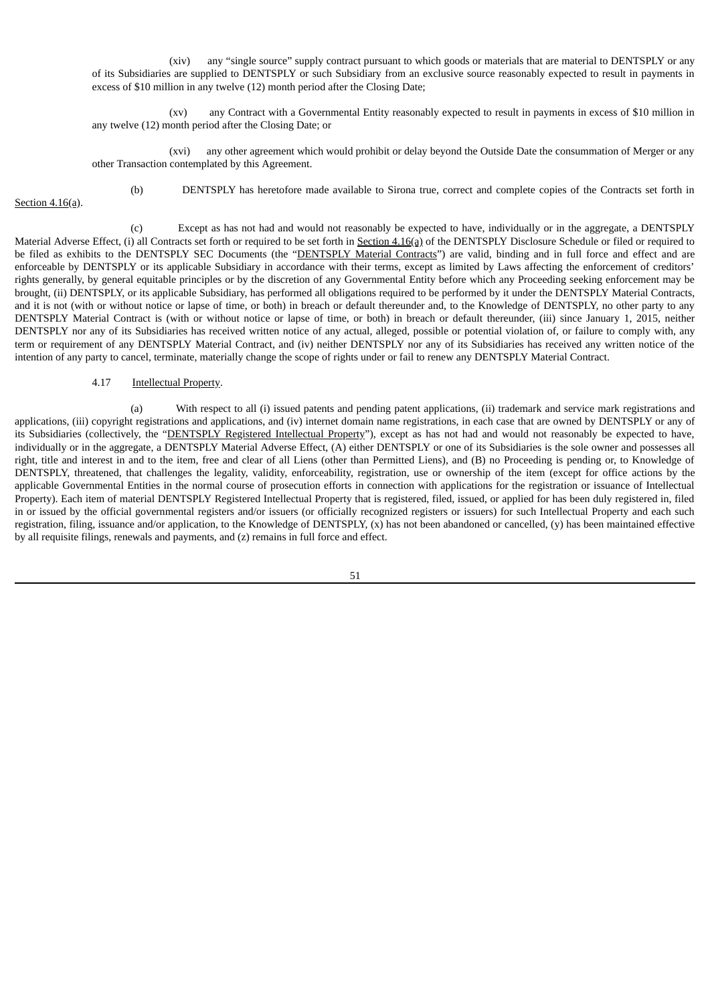(xiv) any "single source" supply contract pursuant to which goods or materials that are material to DENTSPLY or any of its Subsidiaries are supplied to DENTSPLY or such Subsidiary from an exclusive source reasonably expected to result in payments in excess of \$10 million in any twelve (12) month period after the Closing Date;

(xv) any Contract with a Governmental Entity reasonably expected to result in payments in excess of \$10 million in any twelve (12) month period after the Closing Date; or

(xvi) any other agreement which would prohibit or delay beyond the Outside Date the consummation of Merger or any other Transaction contemplated by this Agreement.

Section 4.16(a).

(b) DENTSPLY has heretofore made available to Sirona true, correct and complete copies of the Contracts set forth in

(c) Except as has not had and would not reasonably be expected to have, individually or in the aggregate, a DENTSPLY Material Adverse Effect, (i) all Contracts set forth or required to be set forth in Section 4.16(a) of the DENTSPLY Disclosure Schedule or filed or required to be filed as exhibits to the DENTSPLY SEC Documents (the "DENTSPLY Material Contracts") are valid, binding and in full force and effect and are enforceable by DENTSPLY or its applicable Subsidiary in accordance with their terms, except as limited by Laws affecting the enforcement of creditors' rights generally, by general equitable principles or by the discretion of any Governmental Entity before which any Proceeding seeking enforcement may be brought, (ii) DENTSPLY, or its applicable Subsidiary, has performed all obligations required to be performed by it under the DENTSPLY Material Contracts, and it is not (with or without notice or lapse of time, or both) in breach or default thereunder and, to the Knowledge of DENTSPLY, no other party to any DENTSPLY Material Contract is (with or without notice or lapse of time, or both) in breach or default thereunder, (iii) since January 1, 2015, neither DENTSPLY nor any of its Subsidiaries has received written notice of any actual, alleged, possible or potential violation of, or failure to comply with, any term or requirement of any DENTSPLY Material Contract, and (iv) neither DENTSPLY nor any of its Subsidiaries has received any written notice of the intention of any party to cancel, terminate, materially change the scope of rights under or fail to renew any DENTSPLY Material Contract.

4.17 Intellectual Property.

(a) With respect to all (i) issued patents and pending patent applications, (ii) trademark and service mark registrations and applications, (iii) copyright registrations and applications, and (iv) internet domain name registrations, in each case that are owned by DENTSPLY or any of its Subsidiaries (collectively, the "DENTSPLY Registered Intellectual Property"), except as has not had and would not reasonably be expected to have, individually or in the aggregate, a DENTSPLY Material Adverse Effect, (A) either DENTSPLY or one of its Subsidiaries is the sole owner and possesses all right, title and interest in and to the item, free and clear of all Liens (other than Permitted Liens), and (B) no Proceeding is pending or, to Knowledge of DENTSPLY, threatened, that challenges the legality, validity, enforceability, registration, use or ownership of the item (except for office actions by the applicable Governmental Entities in the normal course of prosecution efforts in connection with applications for the registration or issuance of Intellectual Property). Each item of material DENTSPLY Registered Intellectual Property that is registered, filed, issued, or applied for has been duly registered in, filed in or issued by the official governmental registers and/or issuers (or officially recognized registers or issuers) for such Intellectual Property and each such registration, filing, issuance and/or application, to the Knowledge of DENTSPLY, (x) has not been abandoned or cancelled, (y) has been maintained effective by all requisite filings, renewals and payments, and (z) remains in full force and effect.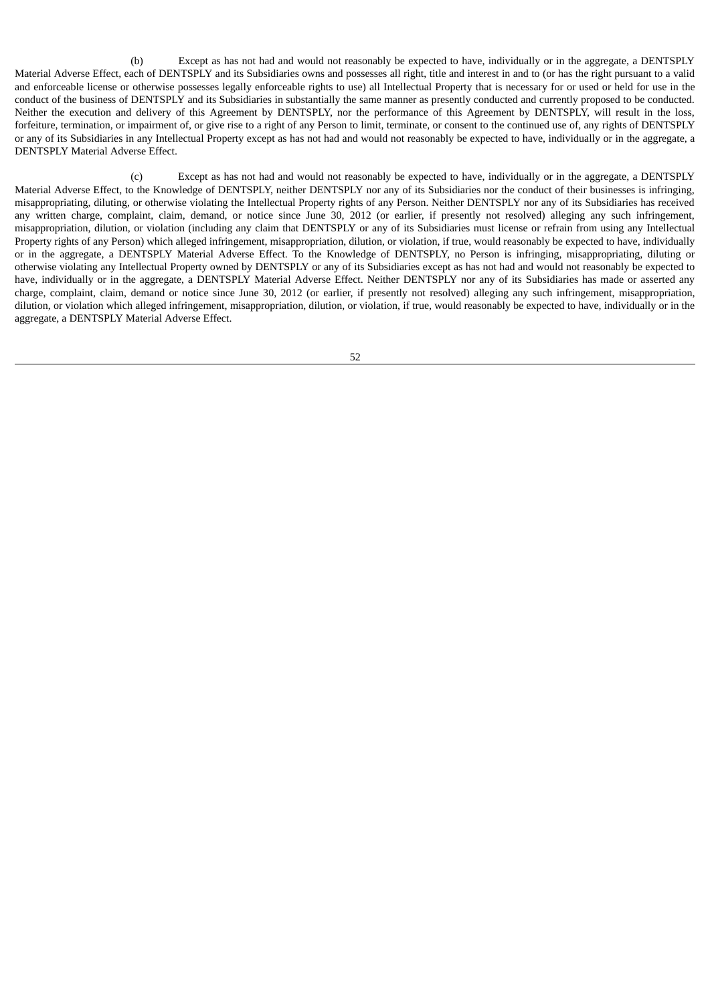(b) Except as has not had and would not reasonably be expected to have, individually or in the aggregate, a DENTSPLY Material Adverse Effect, each of DENTSPLY and its Subsidiaries owns and possesses all right, title and interest in and to (or has the right pursuant to a valid and enforceable license or otherwise possesses legally enforceable rights to use) all Intellectual Property that is necessary for or used or held for use in the conduct of the business of DENTSPLY and its Subsidiaries in substantially the same manner as presently conducted and currently proposed to be conducted. Neither the execution and delivery of this Agreement by DENTSPLY, nor the performance of this Agreement by DENTSPLY, will result in the loss, forfeiture, termination, or impairment of, or give rise to a right of any Person to limit, terminate, or consent to the continued use of, any rights of DENTSPLY or any of its Subsidiaries in any Intellectual Property except as has not had and would not reasonably be expected to have, individually or in the aggregate, a DENTSPLY Material Adverse Effect.

(c) Except as has not had and would not reasonably be expected to have, individually or in the aggregate, a DENTSPLY Material Adverse Effect, to the Knowledge of DENTSPLY, neither DENTSPLY nor any of its Subsidiaries nor the conduct of their businesses is infringing, misappropriating, diluting, or otherwise violating the Intellectual Property rights of any Person. Neither DENTSPLY nor any of its Subsidiaries has received any written charge, complaint, claim, demand, or notice since June 30, 2012 (or earlier, if presently not resolved) alleging any such infringement, misappropriation, dilution, or violation (including any claim that DENTSPLY or any of its Subsidiaries must license or refrain from using any Intellectual Property rights of any Person) which alleged infringement, misappropriation, dilution, or violation, if true, would reasonably be expected to have, individually or in the aggregate, a DENTSPLY Material Adverse Effect. To the Knowledge of DENTSPLY, no Person is infringing, misappropriating, diluting or otherwise violating any Intellectual Property owned by DENTSPLY or any of its Subsidiaries except as has not had and would not reasonably be expected to have, individually or in the aggregate, a DENTSPLY Material Adverse Effect. Neither DENTSPLY nor any of its Subsidiaries has made or asserted any charge, complaint, claim, demand or notice since June 30, 2012 (or earlier, if presently not resolved) alleging any such infringement, misappropriation, dilution, or violation which alleged infringement, misappropriation, dilution, or violation, if true, would reasonably be expected to have, individually or in the aggregate, a DENTSPLY Material Adverse Effect.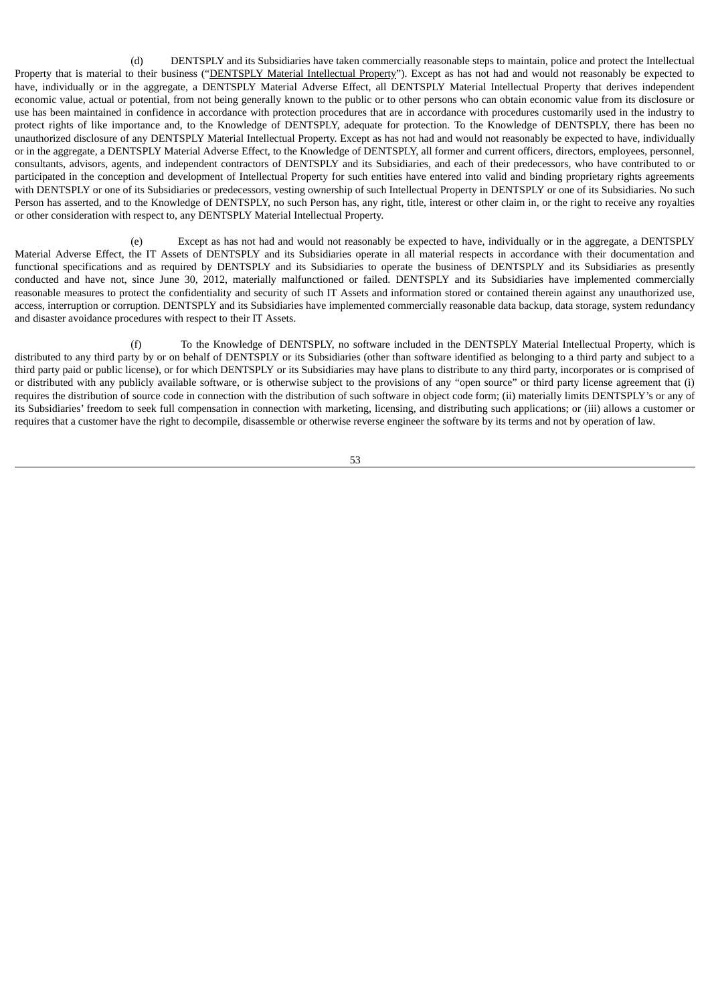(d) DENTSPLY and its Subsidiaries have taken commercially reasonable steps to maintain, police and protect the Intellectual Property that is material to their business ("DENTSPLY Material Intellectual Property"). Except as has not had and would not reasonably be expected to have, individually or in the aggregate, a DENTSPLY Material Adverse Effect, all DENTSPLY Material Intellectual Property that derives independent economic value, actual or potential, from not being generally known to the public or to other persons who can obtain economic value from its disclosure or use has been maintained in confidence in accordance with protection procedures that are in accordance with procedures customarily used in the industry to protect rights of like importance and, to the Knowledge of DENTSPLY, adequate for protection. To the Knowledge of DENTSPLY, there has been no unauthorized disclosure of any DENTSPLY Material Intellectual Property. Except as has not had and would not reasonably be expected to have, individually or in the aggregate, a DENTSPLY Material Adverse Effect, to the Knowledge of DENTSPLY, all former and current officers, directors, employees, personnel, consultants, advisors, agents, and independent contractors of DENTSPLY and its Subsidiaries, and each of their predecessors, who have contributed to or participated in the conception and development of Intellectual Property for such entities have entered into valid and binding proprietary rights agreements with DENTSPLY or one of its Subsidiaries or predecessors, vesting ownership of such Intellectual Property in DENTSPLY or one of its Subsidiaries. No such Person has asserted, and to the Knowledge of DENTSPLY, no such Person has, any right, title, interest or other claim in, or the right to receive any royalties or other consideration with respect to, any DENTSPLY Material Intellectual Property.

(e) Except as has not had and would not reasonably be expected to have, individually or in the aggregate, a DENTSPLY Material Adverse Effect, the IT Assets of DENTSPLY and its Subsidiaries operate in all material respects in accordance with their documentation and functional specifications and as required by DENTSPLY and its Subsidiaries to operate the business of DENTSPLY and its Subsidiaries as presently conducted and have not, since June 30, 2012, materially malfunctioned or failed. DENTSPLY and its Subsidiaries have implemented commercially reasonable measures to protect the confidentiality and security of such IT Assets and information stored or contained therein against any unauthorized use, access, interruption or corruption. DENTSPLY and its Subsidiaries have implemented commercially reasonable data backup, data storage, system redundancy and disaster avoidance procedures with respect to their IT Assets.

(f) To the Knowledge of DENTSPLY, no software included in the DENTSPLY Material Intellectual Property, which is distributed to any third party by or on behalf of DENTSPLY or its Subsidiaries (other than software identified as belonging to a third party and subject to a third party paid or public license), or for which DENTSPLY or its Subsidiaries may have plans to distribute to any third party, incorporates or is comprised of or distributed with any publicly available software, or is otherwise subject to the provisions of any "open source" or third party license agreement that (i) requires the distribution of source code in connection with the distribution of such software in object code form; (ii) materially limits DENTSPLY's or any of its Subsidiaries' freedom to seek full compensation in connection with marketing, licensing, and distributing such applications; or (iii) allows a customer or requires that a customer have the right to decompile, disassemble or otherwise reverse engineer the software by its terms and not by operation of law.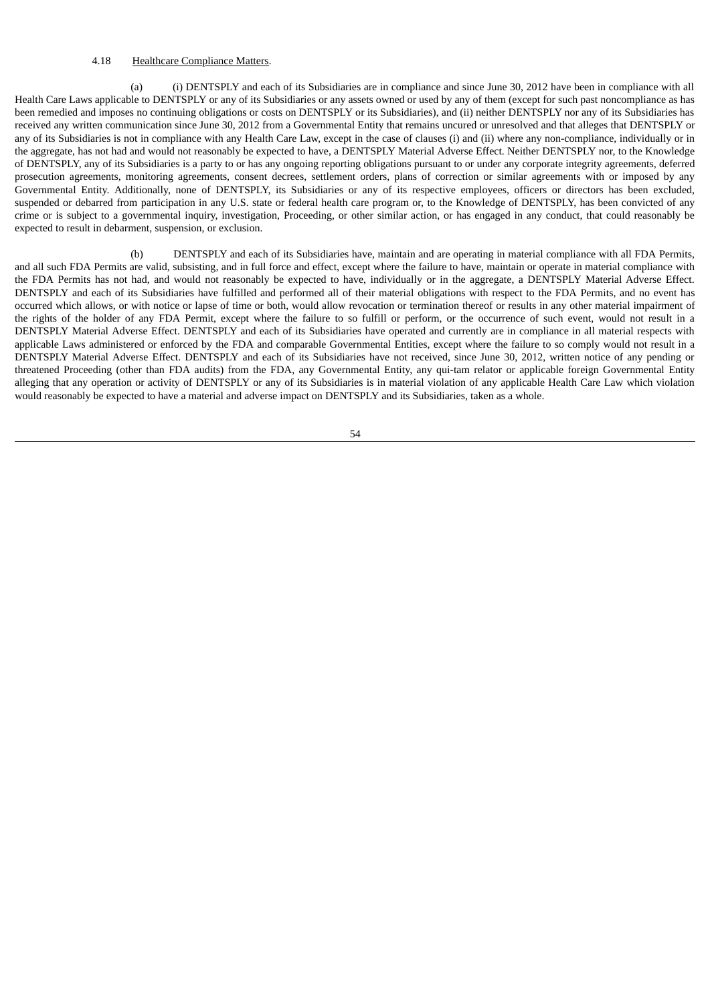### 4.18 Healthcare Compliance Matters.

(a) (i) DENTSPLY and each of its Subsidiaries are in compliance and since June 30, 2012 have been in compliance with all Health Care Laws applicable to DENTSPLY or any of its Subsidiaries or any assets owned or used by any of them (except for such past noncompliance as has been remedied and imposes no continuing obligations or costs on DENTSPLY or its Subsidiaries), and (ii) neither DENTSPLY nor any of its Subsidiaries has received any written communication since June 30, 2012 from a Governmental Entity that remains uncured or unresolved and that alleges that DENTSPLY or any of its Subsidiaries is not in compliance with any Health Care Law, except in the case of clauses (i) and (ii) where any non-compliance, individually or in the aggregate, has not had and would not reasonably be expected to have, a DENTSPLY Material Adverse Effect. Neither DENTSPLY nor, to the Knowledge of DENTSPLY, any of its Subsidiaries is a party to or has any ongoing reporting obligations pursuant to or under any corporate integrity agreements, deferred prosecution agreements, monitoring agreements, consent decrees, settlement orders, plans of correction or similar agreements with or imposed by any Governmental Entity. Additionally, none of DENTSPLY, its Subsidiaries or any of its respective employees, officers or directors has been excluded, suspended or debarred from participation in any U.S. state or federal health care program or, to the Knowledge of DENTSPLY, has been convicted of any crime or is subject to a governmental inquiry, investigation, Proceeding, or other similar action, or has engaged in any conduct, that could reasonably be expected to result in debarment, suspension, or exclusion.

(b) DENTSPLY and each of its Subsidiaries have, maintain and are operating in material compliance with all FDA Permits, and all such FDA Permits are valid, subsisting, and in full force and effect, except where the failure to have, maintain or operate in material compliance with the FDA Permits has not had, and would not reasonably be expected to have, individually or in the aggregate, a DENTSPLY Material Adverse Effect. DENTSPLY and each of its Subsidiaries have fulfilled and performed all of their material obligations with respect to the FDA Permits, and no event has occurred which allows, or with notice or lapse of time or both, would allow revocation or termination thereof or results in any other material impairment of the rights of the holder of any FDA Permit, except where the failure to so fulfill or perform, or the occurrence of such event, would not result in a DENTSPLY Material Adverse Effect. DENTSPLY and each of its Subsidiaries have operated and currently are in compliance in all material respects with applicable Laws administered or enforced by the FDA and comparable Governmental Entities, except where the failure to so comply would not result in a DENTSPLY Material Adverse Effect. DENTSPLY and each of its Subsidiaries have not received, since June 30, 2012, written notice of any pending or threatened Proceeding (other than FDA audits) from the FDA, any Governmental Entity, any qui-tam relator or applicable foreign Governmental Entity alleging that any operation or activity of DENTSPLY or any of its Subsidiaries is in material violation of any applicable Health Care Law which violation would reasonably be expected to have a material and adverse impact on DENTSPLY and its Subsidiaries, taken as a whole.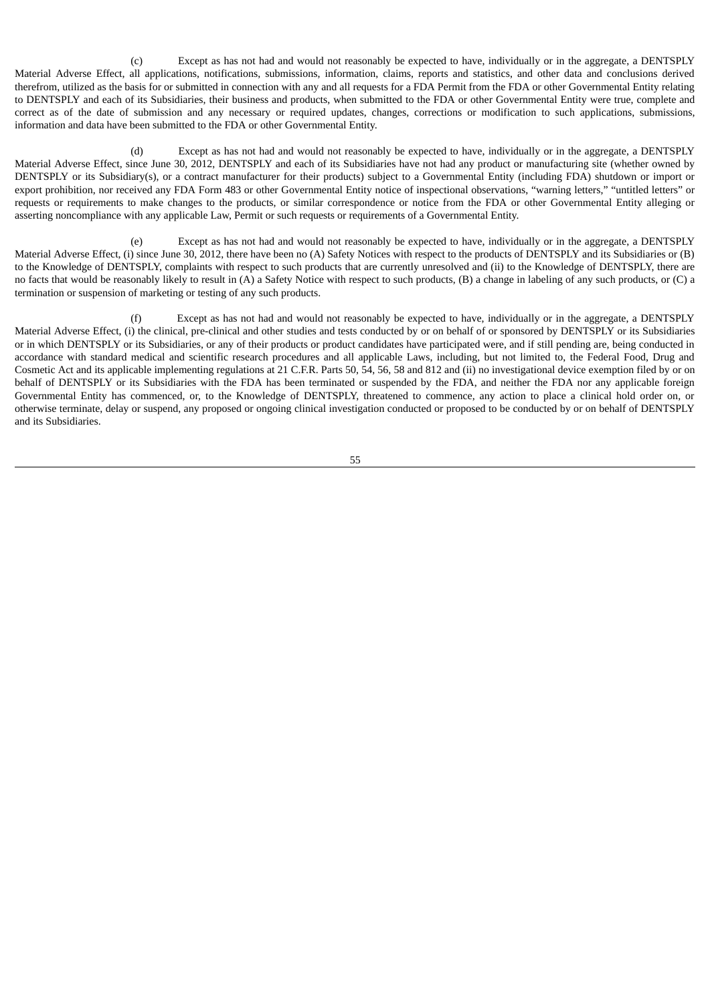(c) Except as has not had and would not reasonably be expected to have, individually or in the aggregate, a DENTSPLY Material Adverse Effect, all applications, notifications, submissions, information, claims, reports and statistics, and other data and conclusions derived therefrom, utilized as the basis for or submitted in connection with any and all requests for a FDA Permit from the FDA or other Governmental Entity relating to DENTSPLY and each of its Subsidiaries, their business and products, when submitted to the FDA or other Governmental Entity were true, complete and correct as of the date of submission and any necessary or required updates, changes, corrections or modification to such applications, submissions, information and data have been submitted to the FDA or other Governmental Entity.

(d) Except as has not had and would not reasonably be expected to have, individually or in the aggregate, a DENTSPLY Material Adverse Effect, since June 30, 2012, DENTSPLY and each of its Subsidiaries have not had any product or manufacturing site (whether owned by DENTSPLY or its Subsidiary(s), or a contract manufacturer for their products) subject to a Governmental Entity (including FDA) shutdown or import or export prohibition, nor received any FDA Form 483 or other Governmental Entity notice of inspectional observations, "warning letters," "untitled letters" or requests or requirements to make changes to the products, or similar correspondence or notice from the FDA or other Governmental Entity alleging or asserting noncompliance with any applicable Law, Permit or such requests or requirements of a Governmental Entity.

(e) Except as has not had and would not reasonably be expected to have, individually or in the aggregate, a DENTSPLY Material Adverse Effect, (i) since June 30, 2012, there have been no (A) Safety Notices with respect to the products of DENTSPLY and its Subsidiaries or (B) to the Knowledge of DENTSPLY, complaints with respect to such products that are currently unresolved and (ii) to the Knowledge of DENTSPLY, there are no facts that would be reasonably likely to result in (A) a Safety Notice with respect to such products, (B) a change in labeling of any such products, or (C) a termination or suspension of marketing or testing of any such products.

(f) Except as has not had and would not reasonably be expected to have, individually or in the aggregate, a DENTSPLY Material Adverse Effect, (i) the clinical, pre-clinical and other studies and tests conducted by or on behalf of or sponsored by DENTSPLY or its Subsidiaries or in which DENTSPLY or its Subsidiaries, or any of their products or product candidates have participated were, and if still pending are, being conducted in accordance with standard medical and scientific research procedures and all applicable Laws, including, but not limited to, the Federal Food, Drug and Cosmetic Act and its applicable implementing regulations at 21 C.F.R. Parts 50, 54, 56, 58 and 812 and (ii) no investigational device exemption filed by or on behalf of DENTSPLY or its Subsidiaries with the FDA has been terminated or suspended by the FDA, and neither the FDA nor any applicable foreign Governmental Entity has commenced, or, to the Knowledge of DENTSPLY, threatened to commence, any action to place a clinical hold order on, or otherwise terminate, delay or suspend, any proposed or ongoing clinical investigation conducted or proposed to be conducted by or on behalf of DENTSPLY and its Subsidiaries.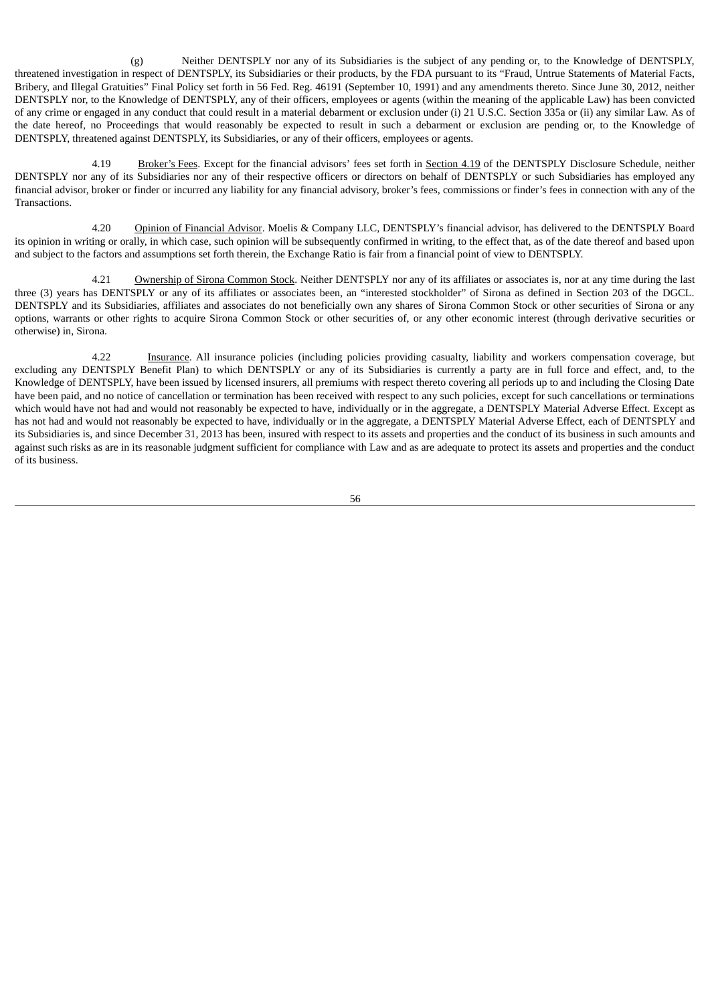(g) Neither DENTSPLY nor any of its Subsidiaries is the subject of any pending or, to the Knowledge of DENTSPLY, threatened investigation in respect of DENTSPLY, its Subsidiaries or their products, by the FDA pursuant to its "Fraud, Untrue Statements of Material Facts, Bribery, and Illegal Gratuities" Final Policy set forth in 56 Fed. Reg. 46191 (September 10, 1991) and any amendments thereto. Since June 30, 2012, neither DENTSPLY nor, to the Knowledge of DENTSPLY, any of their officers, employees or agents (within the meaning of the applicable Law) has been convicted of any crime or engaged in any conduct that could result in a material debarment or exclusion under (i) 21 U.S.C. Section 335a or (ii) any similar Law. As of the date hereof, no Proceedings that would reasonably be expected to result in such a debarment or exclusion are pending or, to the Knowledge of DENTSPLY, threatened against DENTSPLY, its Subsidiaries, or any of their officers, employees or agents.

4.19 Broker's Fees. Except for the financial advisors' fees set forth in Section 4.19 of the DENTSPLY Disclosure Schedule, neither DENTSPLY nor any of its Subsidiaries nor any of their respective officers or directors on behalf of DENTSPLY or such Subsidiaries has employed any financial advisor, broker or finder or incurred any liability for any financial advisory, broker's fees, commissions or finder's fees in connection with any of the Transactions.

4.20 Opinion of Financial Advisor. Moelis & Company LLC, DENTSPLY's financial advisor, has delivered to the DENTSPLY Board its opinion in writing or orally, in which case, such opinion will be subsequently confirmed in writing, to the effect that, as of the date thereof and based upon and subject to the factors and assumptions set forth therein, the Exchange Ratio is fair from a financial point of view to DENTSPLY.

4.21 Ownership of Sirona Common Stock. Neither DENTSPLY nor any of its affiliates or associates is, nor at any time during the last three (3) years has DENTSPLY or any of its affiliates or associates been, an "interested stockholder" of Sirona as defined in Section 203 of the DGCL. DENTSPLY and its Subsidiaries, affiliates and associates do not beneficially own any shares of Sirona Common Stock or other securities of Sirona or any options, warrants or other rights to acquire Sirona Common Stock or other securities of, or any other economic interest (through derivative securities or otherwise) in, Sirona.

4.22 Insurance. All insurance policies (including policies providing casualty, liability and workers compensation coverage, but excluding any DENTSPLY Benefit Plan) to which DENTSPLY or any of its Subsidiaries is currently a party are in full force and effect, and, to the Knowledge of DENTSPLY, have been issued by licensed insurers, all premiums with respect thereto covering all periods up to and including the Closing Date have been paid, and no notice of cancellation or termination has been received with respect to any such policies, except for such cancellations or terminations which would have not had and would not reasonably be expected to have, individually or in the aggregate, a DENTSPLY Material Adverse Effect. Except as has not had and would not reasonably be expected to have, individually or in the aggregate, a DENTSPLY Material Adverse Effect, each of DENTSPLY and its Subsidiaries is, and since December 31, 2013 has been, insured with respect to its assets and properties and the conduct of its business in such amounts and against such risks as are in its reasonable judgment sufficient for compliance with Law and as are adequate to protect its assets and properties and the conduct of its business.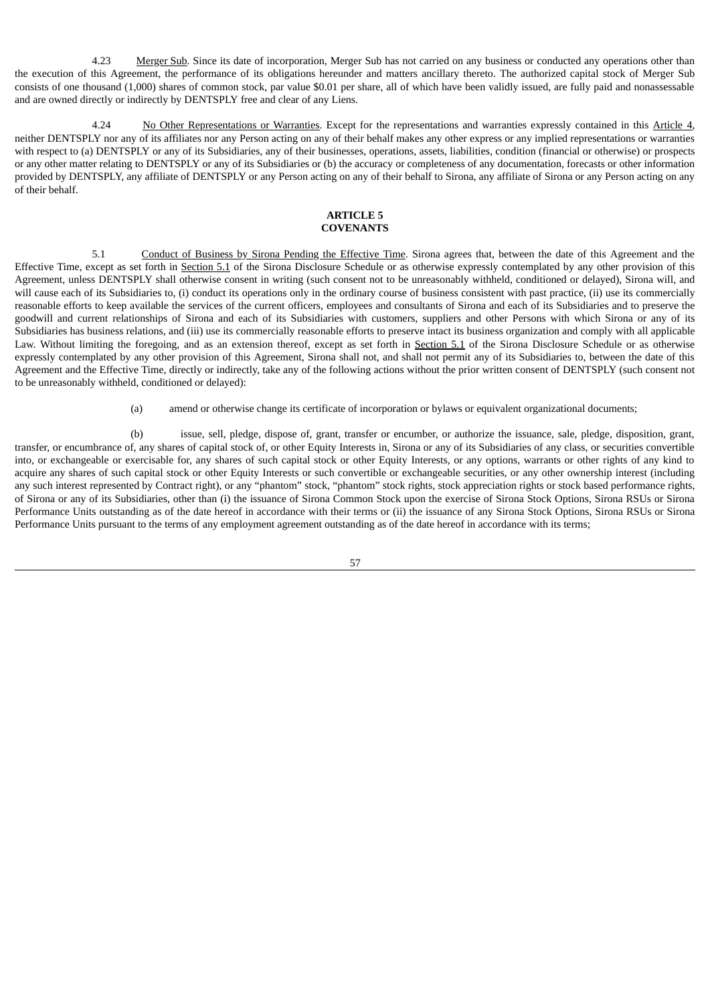4.23 Merger Sub. Since its date of incorporation, Merger Sub has not carried on any business or conducted any operations other than the execution of this Agreement, the performance of its obligations hereunder and matters ancillary thereto. The authorized capital stock of Merger Sub consists of one thousand (1,000) shares of common stock, par value \$0.01 per share, all of which have been validly issued, are fully paid and nonassessable and are owned directly or indirectly by DENTSPLY free and clear of any Liens.

4.24 No Other Representations or Warranties. Except for the representations and warranties expressly contained in this Article 4, neither DENTSPLY nor any of its affiliates nor any Person acting on any of their behalf makes any other express or any implied representations or warranties with respect to (a) DENTSPLY or any of its Subsidiaries, any of their businesses, operations, assets, liabilities, condition (financial or otherwise) or prospects or any other matter relating to DENTSPLY or any of its Subsidiaries or (b) the accuracy or completeness of any documentation, forecasts or other information provided by DENTSPLY, any affiliate of DENTSPLY or any Person acting on any of their behalf to Sirona, any affiliate of Sirona or any Person acting on any of their behalf.

# **ARTICLE 5 COVENANTS**

5.1 Conduct of Business by Sirona Pending the Effective Time. Sirona agrees that, between the date of this Agreement and the Effective Time, except as set forth in Section 5.1 of the Sirona Disclosure Schedule or as otherwise expressly contemplated by any other provision of this Agreement, unless DENTSPLY shall otherwise consent in writing (such consent not to be unreasonably withheld, conditioned or delayed), Sirona will, and will cause each of its Subsidiaries to, (i) conduct its operations only in the ordinary course of business consistent with past practice, (ii) use its commercially reasonable efforts to keep available the services of the current officers, employees and consultants of Sirona and each of its Subsidiaries and to preserve the goodwill and current relationships of Sirona and each of its Subsidiaries with customers, suppliers and other Persons with which Sirona or any of its Subsidiaries has business relations, and (iii) use its commercially reasonable efforts to preserve intact its business organization and comply with all applicable Law. Without limiting the foregoing, and as an extension thereof, except as set forth in Section 5.1 of the Sirona Disclosure Schedule or as otherwise expressly contemplated by any other provision of this Agreement, Sirona shall not, and shall not permit any of its Subsidiaries to, between the date of this Agreement and the Effective Time, directly or indirectly, take any of the following actions without the prior written consent of DENTSPLY (such consent not to be unreasonably withheld, conditioned or delayed):

(a) amend or otherwise change its certificate of incorporation or bylaws or equivalent organizational documents;

(b) issue, sell, pledge, dispose of, grant, transfer or encumber, or authorize the issuance, sale, pledge, disposition, grant, transfer, or encumbrance of, any shares of capital stock of, or other Equity Interests in, Sirona or any of its Subsidiaries of any class, or securities convertible into, or exchangeable or exercisable for, any shares of such capital stock or other Equity Interests, or any options, warrants or other rights of any kind to acquire any shares of such capital stock or other Equity Interests or such convertible or exchangeable securities, or any other ownership interest (including any such interest represented by Contract right), or any "phantom" stock, "phantom" stock rights, stock appreciation rights or stock based performance rights, of Sirona or any of its Subsidiaries, other than (i) the issuance of Sirona Common Stock upon the exercise of Sirona Stock Options, Sirona RSUs or Sirona Performance Units outstanding as of the date hereof in accordance with their terms or (ii) the issuance of any Sirona Stock Options, Sirona RSUs or Sirona Performance Units pursuant to the terms of any employment agreement outstanding as of the date hereof in accordance with its terms;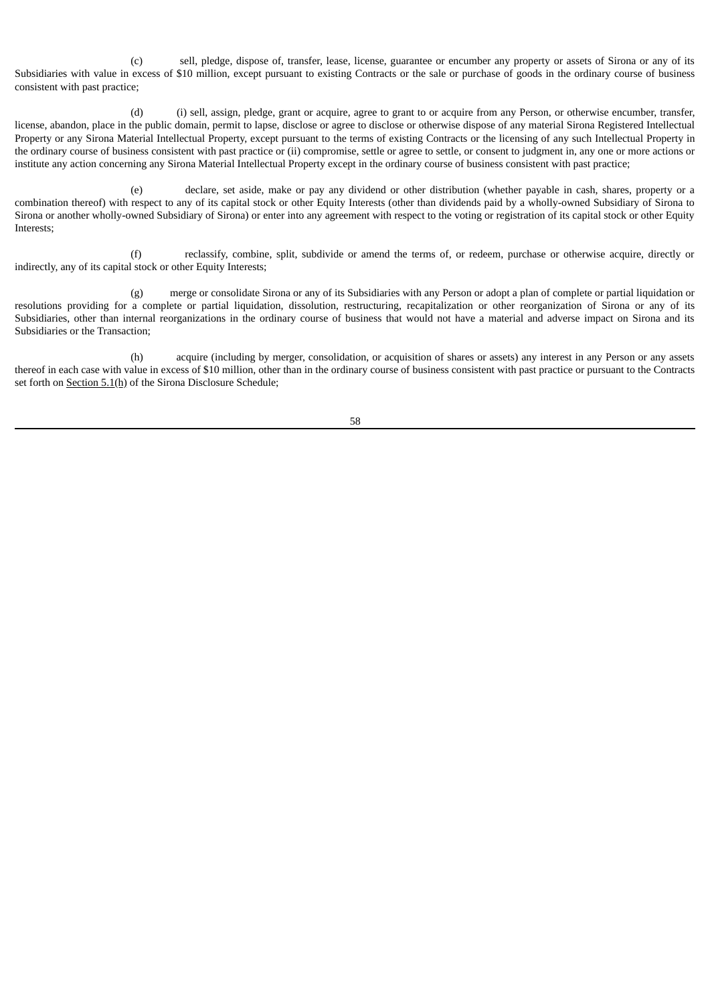(c) sell, pledge, dispose of, transfer, lease, license, guarantee or encumber any property or assets of Sirona or any of its Subsidiaries with value in excess of \$10 million, except pursuant to existing Contracts or the sale or purchase of goods in the ordinary course of business consistent with past practice;

(d) (i) sell, assign, pledge, grant or acquire, agree to grant to or acquire from any Person, or otherwise encumber, transfer, license, abandon, place in the public domain, permit to lapse, disclose or agree to disclose or otherwise dispose of any material Sirona Registered Intellectual Property or any Sirona Material Intellectual Property, except pursuant to the terms of existing Contracts or the licensing of any such Intellectual Property in the ordinary course of business consistent with past practice or (ii) compromise, settle or agree to settle, or consent to judgment in, any one or more actions or institute any action concerning any Sirona Material Intellectual Property except in the ordinary course of business consistent with past practice;

(e) declare, set aside, make or pay any dividend or other distribution (whether payable in cash, shares, property or a combination thereof) with respect to any of its capital stock or other Equity Interests (other than dividends paid by a wholly-owned Subsidiary of Sirona to Sirona or another wholly-owned Subsidiary of Sirona) or enter into any agreement with respect to the voting or registration of its capital stock or other Equity Interests;

(f) reclassify, combine, split, subdivide or amend the terms of, or redeem, purchase or otherwise acquire, directly or indirectly, any of its capital stock or other Equity Interests;

(g) merge or consolidate Sirona or any of its Subsidiaries with any Person or adopt a plan of complete or partial liquidation or resolutions providing for a complete or partial liquidation, dissolution, restructuring, recapitalization or other reorganization of Sirona or any of its Subsidiaries, other than internal reorganizations in the ordinary course of business that would not have a material and adverse impact on Sirona and its Subsidiaries or the Transaction;

(h) acquire (including by merger, consolidation, or acquisition of shares or assets) any interest in any Person or any assets thereof in each case with value in excess of \$10 million, other than in the ordinary course of business consistent with past practice or pursuant to the Contracts set forth on Section 5.1(h) of the Sirona Disclosure Schedule;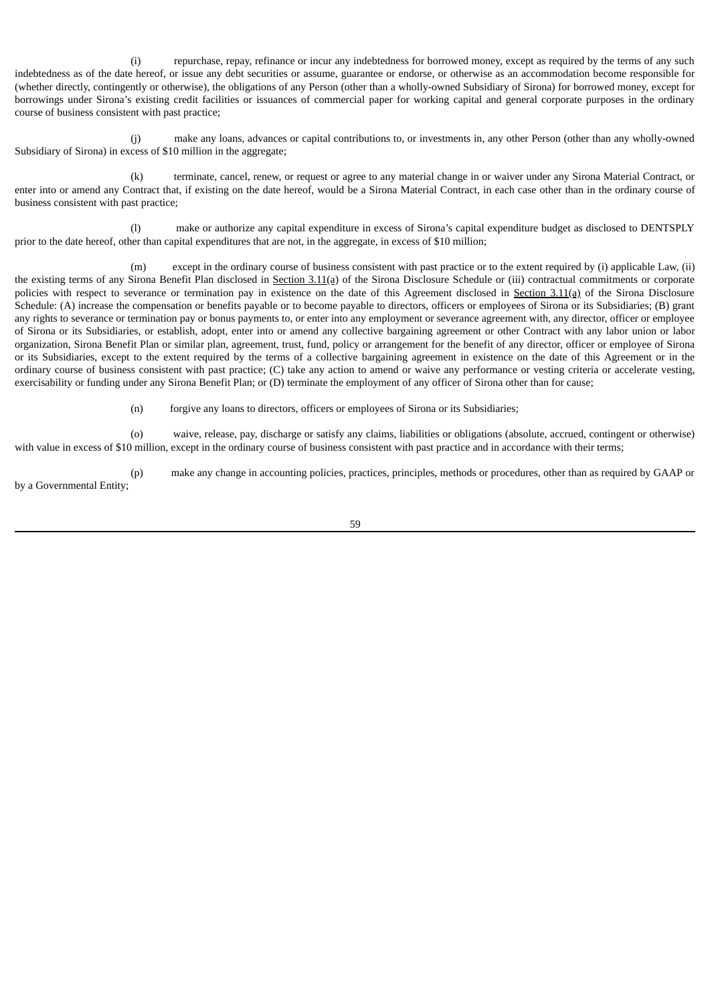(i) repurchase, repay, refinance or incur any indebtedness for borrowed money, except as required by the terms of any such indebtedness as of the date hereof, or issue any debt securities or assume, guarantee or endorse, or otherwise as an accommodation become responsible for (whether directly, contingently or otherwise), the obligations of any Person (other than a wholly-owned Subsidiary of Sirona) for borrowed money, except for borrowings under Sirona's existing credit facilities or issuances of commercial paper for working capital and general corporate purposes in the ordinary course of business consistent with past practice;

(j) make any loans, advances or capital contributions to, or investments in, any other Person (other than any wholly-owned Subsidiary of Sirona) in excess of \$10 million in the aggregate;

(k) terminate, cancel, renew, or request or agree to any material change in or waiver under any Sirona Material Contract, or enter into or amend any Contract that, if existing on the date hereof, would be a Sirona Material Contract, in each case other than in the ordinary course of business consistent with past practice;

(l) make or authorize any capital expenditure in excess of Sirona's capital expenditure budget as disclosed to DENTSPLY prior to the date hereof, other than capital expenditures that are not, in the aggregate, in excess of \$10 million;

(m) except in the ordinary course of business consistent with past practice or to the extent required by (i) applicable Law, (ii) the existing terms of any Sirona Benefit Plan disclosed in Section 3.11(a) of the Sirona Disclosure Schedule or (iii) contractual commitments or corporate policies with respect to severance or termination pay in existence on the date of this Agreement disclosed in Section 3.11(a) of the Sirona Disclosure Schedule: (A) increase the compensation or benefits payable or to become payable to directors, officers or employees of Sirona or its Subsidiaries; (B) grant any rights to severance or termination pay or bonus payments to, or enter into any employment or severance agreement with, any director, officer or employee of Sirona or its Subsidiaries, or establish, adopt, enter into or amend any collective bargaining agreement or other Contract with any labor union or labor organization, Sirona Benefit Plan or similar plan, agreement, trust, fund, policy or arrangement for the benefit of any director, officer or employee of Sirona or its Subsidiaries, except to the extent required by the terms of a collective bargaining agreement in existence on the date of this Agreement or in the ordinary course of business consistent with past practice; (C) take any action to amend or waive any performance or vesting criteria or accelerate vesting, exercisability or funding under any Sirona Benefit Plan; or (D) terminate the employment of any officer of Sirona other than for cause;

(n) forgive any loans to directors, officers or employees of Sirona or its Subsidiaries;

(o) waive, release, pay, discharge or satisfy any claims, liabilities or obligations (absolute, accrued, contingent or otherwise) with value in excess of \$10 million, except in the ordinary course of business consistent with past practice and in accordance with their terms;

(p) make any change in accounting policies, practices, principles, methods or procedures, other than as required by GAAP or by a Governmental Entity;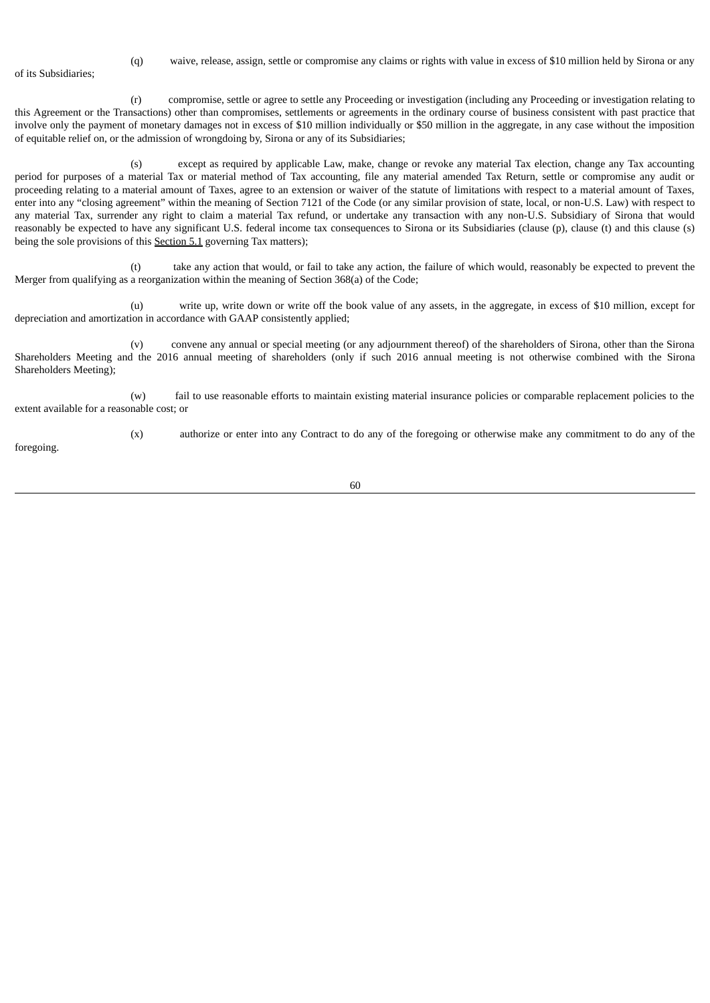of its Subsidiaries;

(q) waive, release, assign, settle or compromise any claims or rights with value in excess of \$10 million held by Sirona or any

(r) compromise, settle or agree to settle any Proceeding or investigation (including any Proceeding or investigation relating to this Agreement or the Transactions) other than compromises, settlements or agreements in the ordinary course of business consistent with past practice that involve only the payment of monetary damages not in excess of \$10 million individually or \$50 million in the aggregate, in any case without the imposition of equitable relief on, or the admission of wrongdoing by, Sirona or any of its Subsidiaries;

(s) except as required by applicable Law, make, change or revoke any material Tax election, change any Tax accounting period for purposes of a material Tax or material method of Tax accounting, file any material amended Tax Return, settle or compromise any audit or proceeding relating to a material amount of Taxes, agree to an extension or waiver of the statute of limitations with respect to a material amount of Taxes, enter into any "closing agreement" within the meaning of Section 7121 of the Code (or any similar provision of state, local, or non-U.S. Law) with respect to any material Tax, surrender any right to claim a material Tax refund, or undertake any transaction with any non-U.S. Subsidiary of Sirona that would reasonably be expected to have any significant U.S. federal income tax consequences to Sirona or its Subsidiaries (clause (p), clause (t) and this clause (s) being the sole provisions of this Section 5.1 governing Tax matters);

(t) take any action that would, or fail to take any action, the failure of which would, reasonably be expected to prevent the Merger from qualifying as a reorganization within the meaning of Section 368(a) of the Code;

(u) write up, write down or write off the book value of any assets, in the aggregate, in excess of \$10 million, except for depreciation and amortization in accordance with GAAP consistently applied;

(v) convene any annual or special meeting (or any adjournment thereof) of the shareholders of Sirona, other than the Sirona Shareholders Meeting and the 2016 annual meeting of shareholders (only if such 2016 annual meeting is not otherwise combined with the Sirona Shareholders Meeting);

(w) fail to use reasonable efforts to maintain existing material insurance policies or comparable replacement policies to the extent available for a reasonable cost; or

foregoing.

(x) authorize or enter into any Contract to do any of the foregoing or otherwise make any commitment to do any of the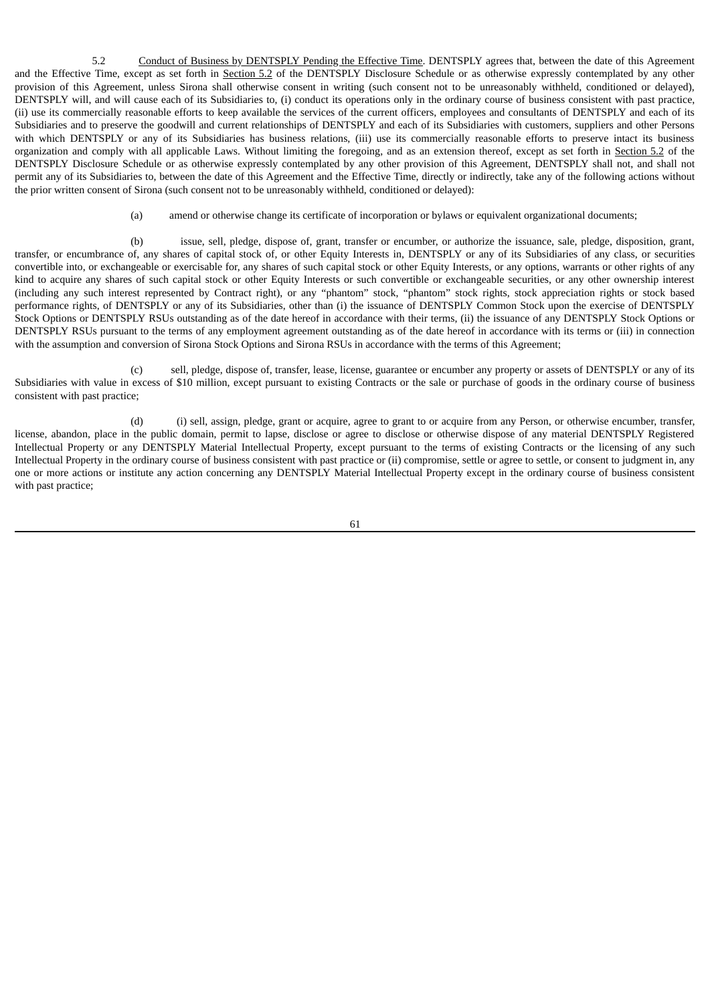5.2 Conduct of Business by DENTSPLY Pending the Effective Time. DENTSPLY agrees that, between the date of this Agreement and the Effective Time, except as set forth in Section 5.2 of the DENTSPLY Disclosure Schedule or as otherwise expressly contemplated by any other provision of this Agreement, unless Sirona shall otherwise consent in writing (such consent not to be unreasonably withheld, conditioned or delayed), DENTSPLY will, and will cause each of its Subsidiaries to, (i) conduct its operations only in the ordinary course of business consistent with past practice, (ii) use its commercially reasonable efforts to keep available the services of the current officers, employees and consultants of DENTSPLY and each of its Subsidiaries and to preserve the goodwill and current relationships of DENTSPLY and each of its Subsidiaries with customers, suppliers and other Persons with which DENTSPLY or any of its Subsidiaries has business relations, (iii) use its commercially reasonable efforts to preserve intact its business organization and comply with all applicable Laws. Without limiting the foregoing, and as an extension thereof, except as set forth in Section 5.2 of the DENTSPLY Disclosure Schedule or as otherwise expressly contemplated by any other provision of this Agreement, DENTSPLY shall not, and shall not permit any of its Subsidiaries to, between the date of this Agreement and the Effective Time, directly or indirectly, take any of the following actions without the prior written consent of Sirona (such consent not to be unreasonably withheld, conditioned or delayed):

(a) amend or otherwise change its certificate of incorporation or bylaws or equivalent organizational documents;

(b) issue, sell, pledge, dispose of, grant, transfer or encumber, or authorize the issuance, sale, pledge, disposition, grant, transfer, or encumbrance of, any shares of capital stock of, or other Equity Interests in, DENTSPLY or any of its Subsidiaries of any class, or securities convertible into, or exchangeable or exercisable for, any shares of such capital stock or other Equity Interests, or any options, warrants or other rights of any kind to acquire any shares of such capital stock or other Equity Interests or such convertible or exchangeable securities, or any other ownership interest (including any such interest represented by Contract right), or any "phantom" stock, "phantom" stock rights, stock appreciation rights or stock based performance rights, of DENTSPLY or any of its Subsidiaries, other than (i) the issuance of DENTSPLY Common Stock upon the exercise of DENTSPLY Stock Options or DENTSPLY RSUs outstanding as of the date hereof in accordance with their terms, (ii) the issuance of any DENTSPLY Stock Options or DENTSPLY RSUs pursuant to the terms of any employment agreement outstanding as of the date hereof in accordance with its terms or (iii) in connection with the assumption and conversion of Sirona Stock Options and Sirona RSUs in accordance with the terms of this Agreement;

(c) sell, pledge, dispose of, transfer, lease, license, guarantee or encumber any property or assets of DENTSPLY or any of its Subsidiaries with value in excess of \$10 million, except pursuant to existing Contracts or the sale or purchase of goods in the ordinary course of business consistent with past practice;

(d) (i) sell, assign, pledge, grant or acquire, agree to grant to or acquire from any Person, or otherwise encumber, transfer, license, abandon, place in the public domain, permit to lapse, disclose or agree to disclose or otherwise dispose of any material DENTSPLY Registered Intellectual Property or any DENTSPLY Material Intellectual Property, except pursuant to the terms of existing Contracts or the licensing of any such Intellectual Property in the ordinary course of business consistent with past practice or (ii) compromise, settle or agree to settle, or consent to judgment in, any one or more actions or institute any action concerning any DENTSPLY Material Intellectual Property except in the ordinary course of business consistent with past practice;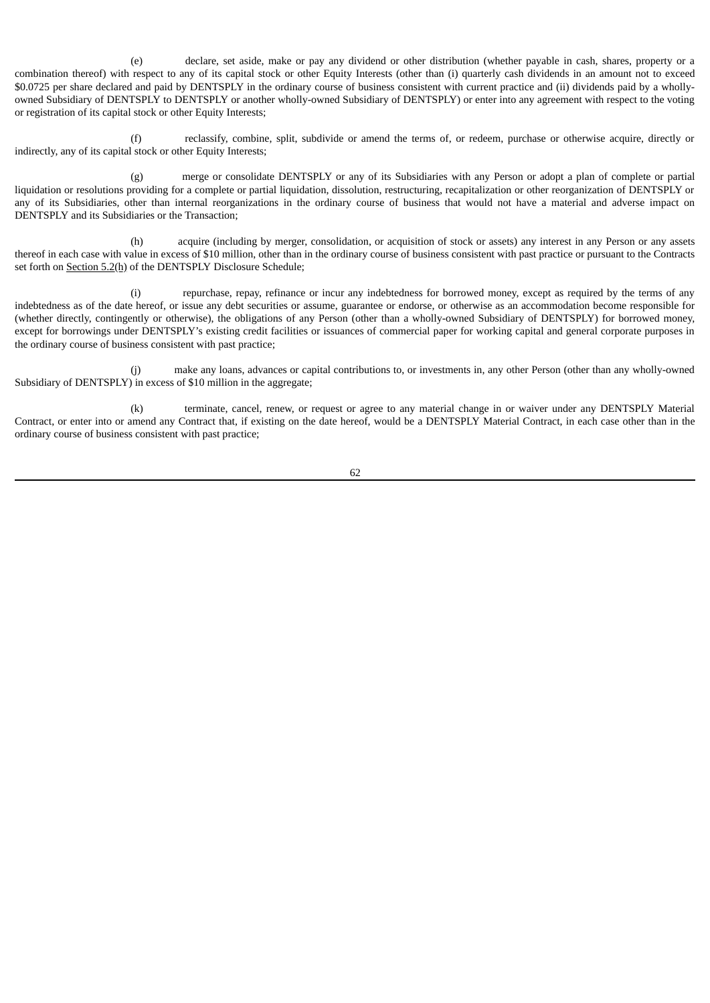(e) declare, set aside, make or pay any dividend or other distribution (whether payable in cash, shares, property or a combination thereof) with respect to any of its capital stock or other Equity Interests (other than (i) quarterly cash dividends in an amount not to exceed \$0.0725 per share declared and paid by DENTSPLY in the ordinary course of business consistent with current practice and (ii) dividends paid by a whollyowned Subsidiary of DENTSPLY to DENTSPLY or another wholly-owned Subsidiary of DENTSPLY) or enter into any agreement with respect to the voting or registration of its capital stock or other Equity Interests;

(f) reclassify, combine, split, subdivide or amend the terms of, or redeem, purchase or otherwise acquire, directly or indirectly, any of its capital stock or other Equity Interests;

(g) merge or consolidate DENTSPLY or any of its Subsidiaries with any Person or adopt a plan of complete or partial liquidation or resolutions providing for a complete or partial liquidation, dissolution, restructuring, recapitalization or other reorganization of DENTSPLY or any of its Subsidiaries, other than internal reorganizations in the ordinary course of business that would not have a material and adverse impact on DENTSPLY and its Subsidiaries or the Transaction;

(h) acquire (including by merger, consolidation, or acquisition of stock or assets) any interest in any Person or any assets thereof in each case with value in excess of \$10 million, other than in the ordinary course of business consistent with past practice or pursuant to the Contracts set forth on Section 5.2(h) of the DENTSPLY Disclosure Schedule;

(i) repurchase, repay, refinance or incur any indebtedness for borrowed money, except as required by the terms of any indebtedness as of the date hereof, or issue any debt securities or assume, guarantee or endorse, or otherwise as an accommodation become responsible for (whether directly, contingently or otherwise), the obligations of any Person (other than a wholly-owned Subsidiary of DENTSPLY) for borrowed money, except for borrowings under DENTSPLY's existing credit facilities or issuances of commercial paper for working capital and general corporate purposes in the ordinary course of business consistent with past practice;

(j) make any loans, advances or capital contributions to, or investments in, any other Person (other than any wholly-owned Subsidiary of DENTSPLY) in excess of \$10 million in the aggregate;

(k) terminate, cancel, renew, or request or agree to any material change in or waiver under any DENTSPLY Material Contract, or enter into or amend any Contract that, if existing on the date hereof, would be a DENTSPLY Material Contract, in each case other than in the ordinary course of business consistent with past practice;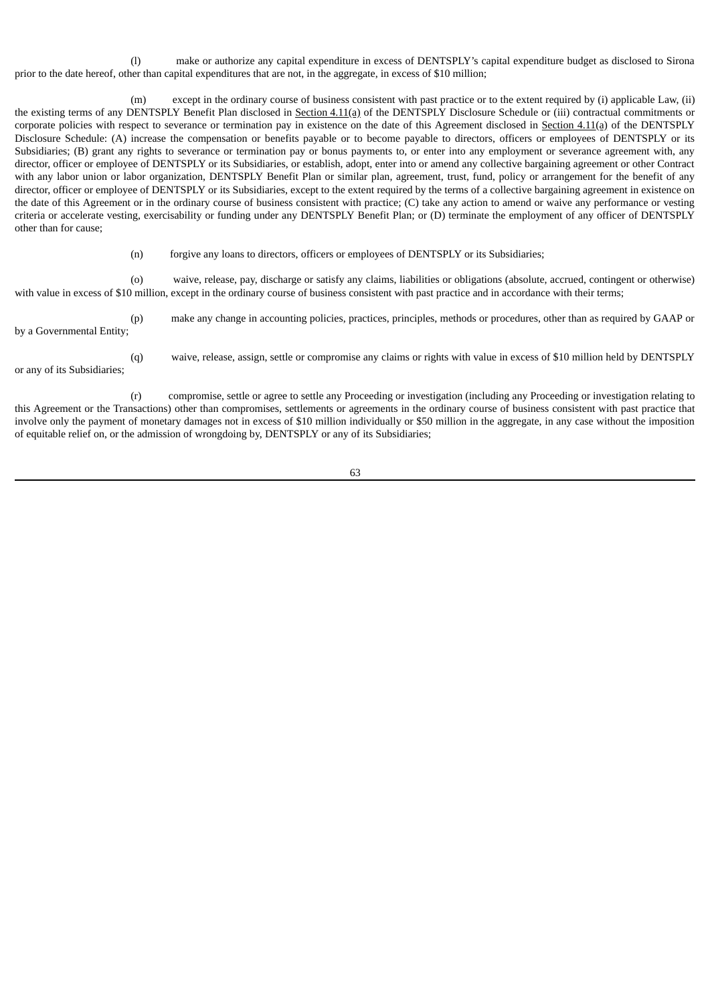(l) make or authorize any capital expenditure in excess of DENTSPLY's capital expenditure budget as disclosed to Sirona prior to the date hereof, other than capital expenditures that are not, in the aggregate, in excess of \$10 million;

(m) except in the ordinary course of business consistent with past practice or to the extent required by (i) applicable Law, (ii) the existing terms of any DENTSPLY Benefit Plan disclosed in Section 4.11(a) of the DENTSPLY Disclosure Schedule or (iii) contractual commitments or corporate policies with respect to severance or termination pay in existence on the date of this Agreement disclosed in Section 4.11(a) of the DENTSPLY Disclosure Schedule: (A) increase the compensation or benefits payable or to become payable to directors, officers or employees of DENTSPLY or its Subsidiaries; (B) grant any rights to severance or termination pay or bonus payments to, or enter into any employment or severance agreement with, any director, officer or employee of DENTSPLY or its Subsidiaries, or establish, adopt, enter into or amend any collective bargaining agreement or other Contract with any labor union or labor organization, DENTSPLY Benefit Plan or similar plan, agreement, trust, fund, policy or arrangement for the benefit of any director, officer or employee of DENTSPLY or its Subsidiaries, except to the extent required by the terms of a collective bargaining agreement in existence on the date of this Agreement or in the ordinary course of business consistent with practice; (C) take any action to amend or waive any performance or vesting criteria or accelerate vesting, exercisability or funding under any DENTSPLY Benefit Plan; or (D) terminate the employment of any officer of DENTSPLY other than for cause;

(n) forgive any loans to directors, officers or employees of DENTSPLY or its Subsidiaries;

(o) waive, release, pay, discharge or satisfy any claims, liabilities or obligations (absolute, accrued, contingent or otherwise) with value in excess of \$10 million, except in the ordinary course of business consistent with past practice and in accordance with their terms;

(p) make any change in accounting policies, practices, principles, methods or procedures, other than as required by GAAP or by a Governmental Entity;

or any of its Subsidiaries;

(q) waive, release, assign, settle or compromise any claims or rights with value in excess of \$10 million held by DENTSPLY

(r) compromise, settle or agree to settle any Proceeding or investigation (including any Proceeding or investigation relating to this Agreement or the Transactions) other than compromises, settlements or agreements in the ordinary course of business consistent with past practice that involve only the payment of monetary damages not in excess of \$10 million individually or \$50 million in the aggregate, in any case without the imposition of equitable relief on, or the admission of wrongdoing by, DENTSPLY or any of its Subsidiaries;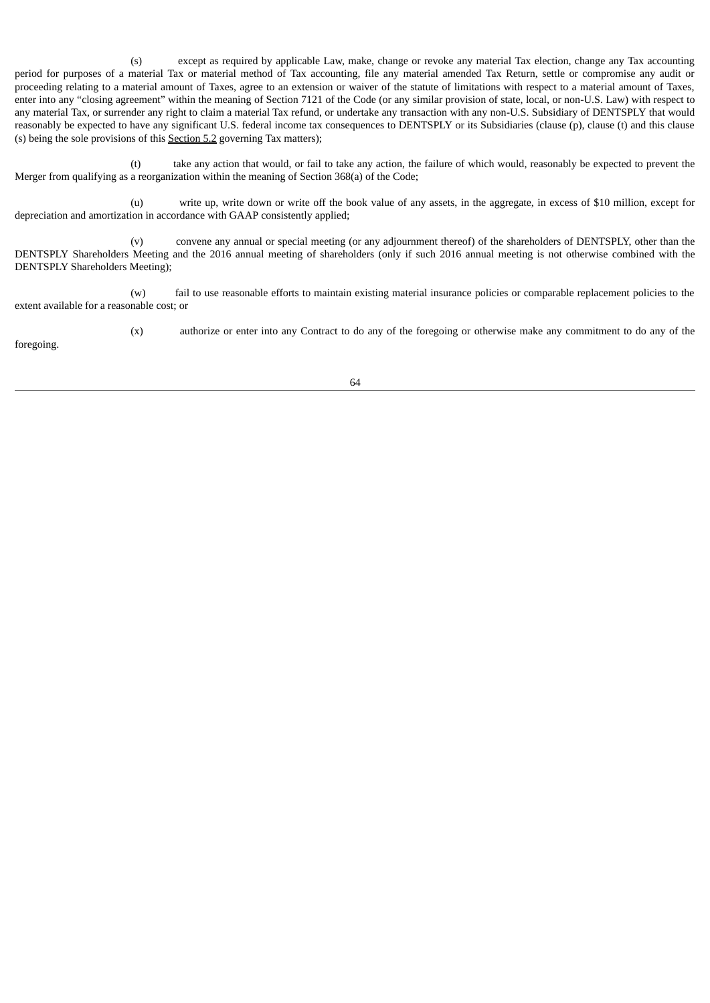(s) except as required by applicable Law, make, change or revoke any material Tax election, change any Tax accounting period for purposes of a material Tax or material method of Tax accounting, file any material amended Tax Return, settle or compromise any audit or proceeding relating to a material amount of Taxes, agree to an extension or waiver of the statute of limitations with respect to a material amount of Taxes, enter into any "closing agreement" within the meaning of Section 7121 of the Code (or any similar provision of state, local, or non-U.S. Law) with respect to any material Tax, or surrender any right to claim a material Tax refund, or undertake any transaction with any non-U.S. Subsidiary of DENTSPLY that would reasonably be expected to have any significant U.S. federal income tax consequences to DENTSPLY or its Subsidiaries (clause (p), clause (t) and this clause (s) being the sole provisions of this Section 5.2 governing Tax matters);

(t) take any action that would, or fail to take any action, the failure of which would, reasonably be expected to prevent the Merger from qualifying as a reorganization within the meaning of Section 368(a) of the Code;

(u) write up, write down or write off the book value of any assets, in the aggregate, in excess of \$10 million, except for depreciation and amortization in accordance with GAAP consistently applied;

(v) convene any annual or special meeting (or any adjournment thereof) of the shareholders of DENTSPLY, other than the DENTSPLY Shareholders Meeting and the 2016 annual meeting of shareholders (only if such 2016 annual meeting is not otherwise combined with the DENTSPLY Shareholders Meeting);

(w) fail to use reasonable efforts to maintain existing material insurance policies or comparable replacement policies to the extent available for a reasonable cost; or

(x) authorize or enter into any Contract to do any of the foregoing or otherwise make any commitment to do any of the foregoing.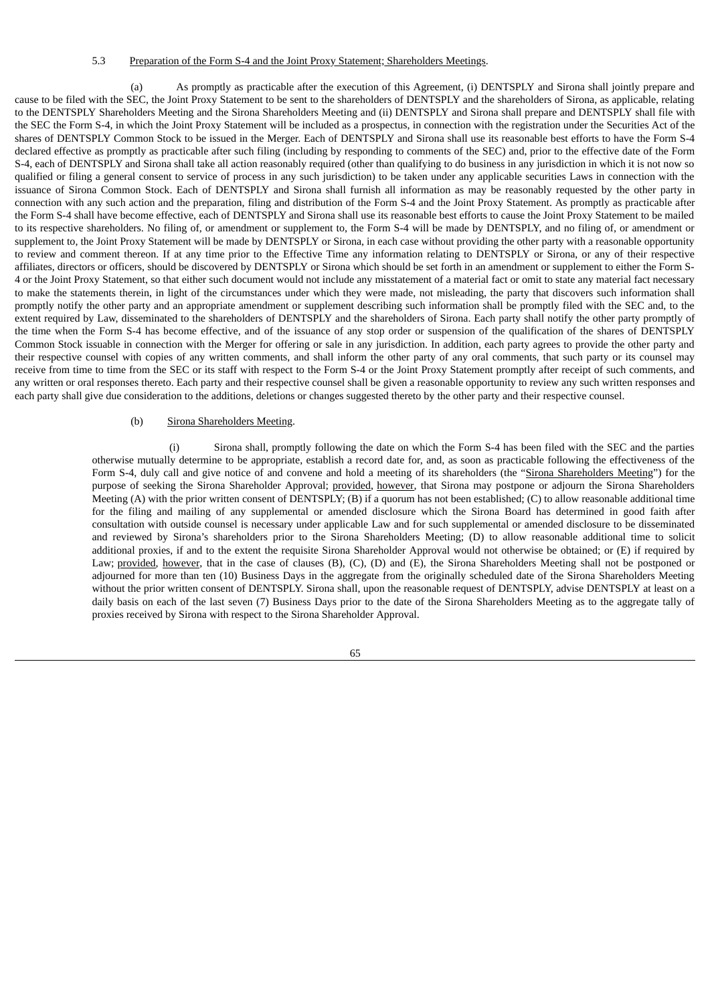### 5.3 Preparation of the Form S-4 and the Joint Proxy Statement; Shareholders Meetings.

(a) As promptly as practicable after the execution of this Agreement, (i) DENTSPLY and Sirona shall jointly prepare and cause to be filed with the SEC, the Joint Proxy Statement to be sent to the shareholders of DENTSPLY and the shareholders of Sirona, as applicable, relating to the DENTSPLY Shareholders Meeting and the Sirona Shareholders Meeting and (ii) DENTSPLY and Sirona shall prepare and DENTSPLY shall file with the SEC the Form S-4, in which the Joint Proxy Statement will be included as a prospectus, in connection with the registration under the Securities Act of the shares of DENTSPLY Common Stock to be issued in the Merger. Each of DENTSPLY and Sirona shall use its reasonable best efforts to have the Form S-4 declared effective as promptly as practicable after such filing (including by responding to comments of the SEC) and, prior to the effective date of the Form S-4, each of DENTSPLY and Sirona shall take all action reasonably required (other than qualifying to do business in any jurisdiction in which it is not now so qualified or filing a general consent to service of process in any such jurisdiction) to be taken under any applicable securities Laws in connection with the issuance of Sirona Common Stock. Each of DENTSPLY and Sirona shall furnish all information as may be reasonably requested by the other party in connection with any such action and the preparation, filing and distribution of the Form S-4 and the Joint Proxy Statement. As promptly as practicable after the Form S-4 shall have become effective, each of DENTSPLY and Sirona shall use its reasonable best efforts to cause the Joint Proxy Statement to be mailed to its respective shareholders. No filing of, or amendment or supplement to, the Form S-4 will be made by DENTSPLY, and no filing of, or amendment or supplement to, the Joint Proxy Statement will be made by DENTSPLY or Sirona, in each case without providing the other party with a reasonable opportunity to review and comment thereon. If at any time prior to the Effective Time any information relating to DENTSPLY or Sirona, or any of their respective affiliates, directors or officers, should be discovered by DENTSPLY or Sirona which should be set forth in an amendment or supplement to either the Form S-4 or the Joint Proxy Statement, so that either such document would not include any misstatement of a material fact or omit to state any material fact necessary to make the statements therein, in light of the circumstances under which they were made, not misleading, the party that discovers such information shall promptly notify the other party and an appropriate amendment or supplement describing such information shall be promptly filed with the SEC and, to the extent required by Law, disseminated to the shareholders of DENTSPLY and the shareholders of Sirona. Each party shall notify the other party promptly of the time when the Form S-4 has become effective, and of the issuance of any stop order or suspension of the qualification of the shares of DENTSPLY Common Stock issuable in connection with the Merger for offering or sale in any jurisdiction. In addition, each party agrees to provide the other party and their respective counsel with copies of any written comments, and shall inform the other party of any oral comments, that such party or its counsel may receive from time to time from the SEC or its staff with respect to the Form S-4 or the Joint Proxy Statement promptly after receipt of such comments, and any written or oral responses thereto. Each party and their respective counsel shall be given a reasonable opportunity to review any such written responses and each party shall give due consideration to the additions, deletions or changes suggested thereto by the other party and their respective counsel.

#### (b) Sirona Shareholders Meeting.

(i) Sirona shall, promptly following the date on which the Form S-4 has been filed with the SEC and the parties otherwise mutually determine to be appropriate, establish a record date for, and, as soon as practicable following the effectiveness of the Form S-4, duly call and give notice of and convene and hold a meeting of its shareholders (the "Sirona Shareholders Meeting") for the purpose of seeking the Sirona Shareholder Approval; provided, however, that Sirona may postpone or adjourn the Sirona Shareholders Meeting (A) with the prior written consent of DENTSPLY; (B) if a quorum has not been established; (C) to allow reasonable additional time for the filing and mailing of any supplemental or amended disclosure which the Sirona Board has determined in good faith after consultation with outside counsel is necessary under applicable Law and for such supplemental or amended disclosure to be disseminated and reviewed by Sirona's shareholders prior to the Sirona Shareholders Meeting; (D) to allow reasonable additional time to solicit additional proxies, if and to the extent the requisite Sirona Shareholder Approval would not otherwise be obtained; or (E) if required by Law; provided, however, that in the case of clauses (B), (C), (D) and (E), the Sirona Shareholders Meeting shall not be postponed or adjourned for more than ten (10) Business Days in the aggregate from the originally scheduled date of the Sirona Shareholders Meeting without the prior written consent of DENTSPLY. Sirona shall, upon the reasonable request of DENTSPLY, advise DENTSPLY at least on a daily basis on each of the last seven (7) Business Days prior to the date of the Sirona Shareholders Meeting as to the aggregate tally of proxies received by Sirona with respect to the Sirona Shareholder Approval.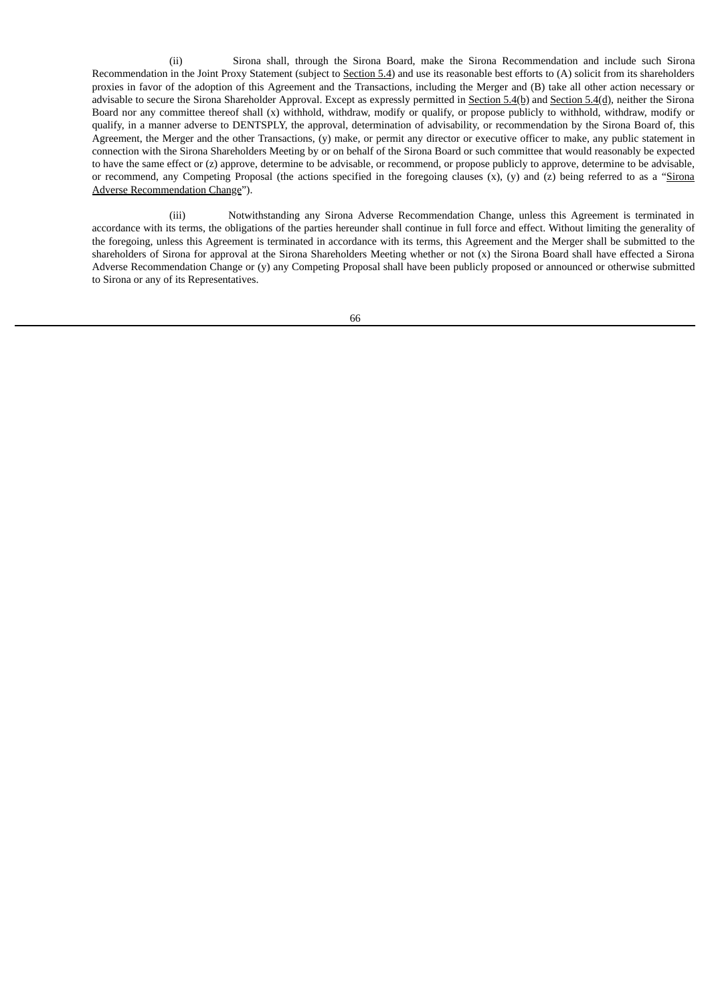(ii) Sirona shall, through the Sirona Board, make the Sirona Recommendation and include such Sirona Recommendation in the Joint Proxy Statement (subject to Section 5.4) and use its reasonable best efforts to (A) solicit from its shareholders proxies in favor of the adoption of this Agreement and the Transactions, including the Merger and (B) take all other action necessary or advisable to secure the Sirona Shareholder Approval. Except as expressly permitted in Section 5.4(b) and Section 5.4(d), neither the Sirona Board nor any committee thereof shall (x) withhold, withdraw, modify or qualify, or propose publicly to withhold, withdraw, modify or qualify, in a manner adverse to DENTSPLY, the approval, determination of advisability, or recommendation by the Sirona Board of, this Agreement, the Merger and the other Transactions, (y) make, or permit any director or executive officer to make, any public statement in connection with the Sirona Shareholders Meeting by or on behalf of the Sirona Board or such committee that would reasonably be expected to have the same effect or (z) approve, determine to be advisable, or recommend, or propose publicly to approve, determine to be advisable, or recommend, any Competing Proposal (the actions specified in the foregoing clauses  $(x)$ ,  $(y)$  and  $(z)$  being referred to as a "Sirona Adverse Recommendation Change").

(iii) Notwithstanding any Sirona Adverse Recommendation Change, unless this Agreement is terminated in accordance with its terms, the obligations of the parties hereunder shall continue in full force and effect. Without limiting the generality of the foregoing, unless this Agreement is terminated in accordance with its terms, this Agreement and the Merger shall be submitted to the shareholders of Sirona for approval at the Sirona Shareholders Meeting whether or not (x) the Sirona Board shall have effected a Sirona Adverse Recommendation Change or (y) any Competing Proposal shall have been publicly proposed or announced or otherwise submitted to Sirona or any of its Representatives.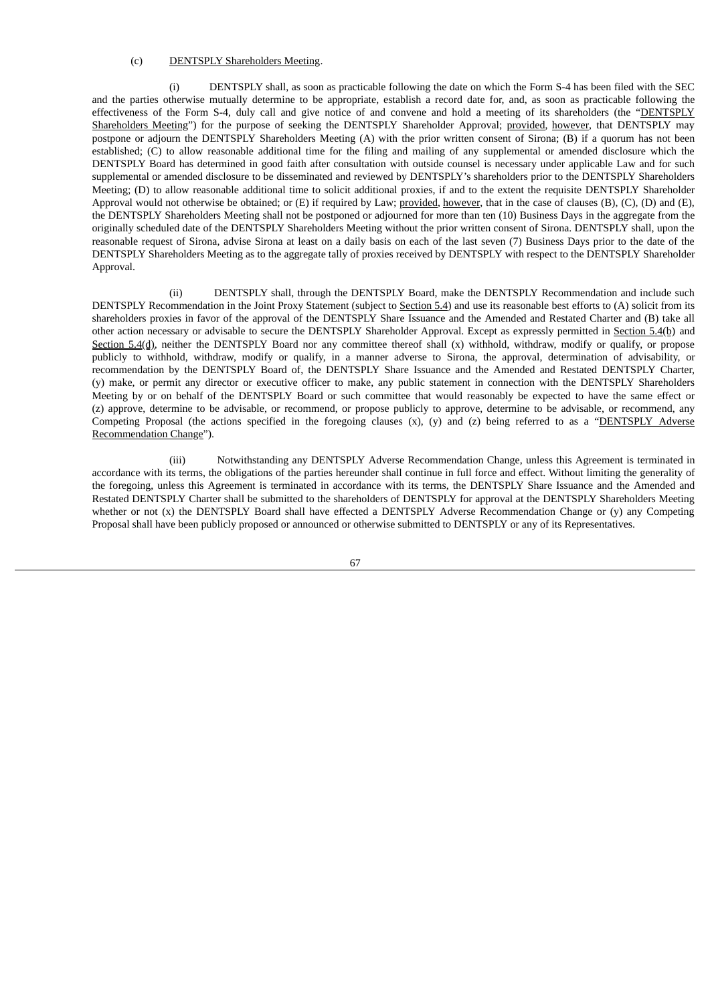### (c) DENTSPLY Shareholders Meeting.

(i) DENTSPLY shall, as soon as practicable following the date on which the Form S-4 has been filed with the SEC and the parties otherwise mutually determine to be appropriate, establish a record date for, and, as soon as practicable following the effectiveness of the Form S-4, duly call and give notice of and convene and hold a meeting of its shareholders (the "DENTSPLY Shareholders Meeting") for the purpose of seeking the DENTSPLY Shareholder Approval; provided, however, that DENTSPLY may postpone or adjourn the DENTSPLY Shareholders Meeting (A) with the prior written consent of Sirona; (B) if a quorum has not been established; (C) to allow reasonable additional time for the filing and mailing of any supplemental or amended disclosure which the DENTSPLY Board has determined in good faith after consultation with outside counsel is necessary under applicable Law and for such supplemental or amended disclosure to be disseminated and reviewed by DENTSPLY's shareholders prior to the DENTSPLY Shareholders Meeting; (D) to allow reasonable additional time to solicit additional proxies, if and to the extent the requisite DENTSPLY Shareholder Approval would not otherwise be obtained; or (E) if required by Law; provided, however, that in the case of clauses (B), (C), (D) and (E), the DENTSPLY Shareholders Meeting shall not be postponed or adjourned for more than ten (10) Business Days in the aggregate from the originally scheduled date of the DENTSPLY Shareholders Meeting without the prior written consent of Sirona. DENTSPLY shall, upon the reasonable request of Sirona, advise Sirona at least on a daily basis on each of the last seven (7) Business Days prior to the date of the DENTSPLY Shareholders Meeting as to the aggregate tally of proxies received by DENTSPLY with respect to the DENTSPLY Shareholder Approval.

(ii) DENTSPLY shall, through the DENTSPLY Board, make the DENTSPLY Recommendation and include such DENTSPLY Recommendation in the Joint Proxy Statement (subject to Section 5.4) and use its reasonable best efforts to (A) solicit from its shareholders proxies in favor of the approval of the DENTSPLY Share Issuance and the Amended and Restated Charter and (B) take all other action necessary or advisable to secure the DENTSPLY Shareholder Approval. Except as expressly permitted in Section 5.4(b) and Section 5.4(d), neither the DENTSPLY Board nor any committee thereof shall (x) withhold, withdraw, modify or qualify, or propose publicly to withhold, withdraw, modify or qualify, in a manner adverse to Sirona, the approval, determination of advisability, or recommendation by the DENTSPLY Board of, the DENTSPLY Share Issuance and the Amended and Restated DENTSPLY Charter, (y) make, or permit any director or executive officer to make, any public statement in connection with the DENTSPLY Shareholders Meeting by or on behalf of the DENTSPLY Board or such committee that would reasonably be expected to have the same effect or (z) approve, determine to be advisable, or recommend, or propose publicly to approve, determine to be advisable, or recommend, any Competing Proposal (the actions specified in the foregoing clauses  $(x)$ ,  $(y)$  and  $(z)$  being referred to as a "DENTSPLY Adverse Recommendation Change").

(iii) Notwithstanding any DENTSPLY Adverse Recommendation Change, unless this Agreement is terminated in accordance with its terms, the obligations of the parties hereunder shall continue in full force and effect. Without limiting the generality of the foregoing, unless this Agreement is terminated in accordance with its terms, the DENTSPLY Share Issuance and the Amended and Restated DENTSPLY Charter shall be submitted to the shareholders of DENTSPLY for approval at the DENTSPLY Shareholders Meeting whether or not (x) the DENTSPLY Board shall have effected a DENTSPLY Adverse Recommendation Change or (y) any Competing Proposal shall have been publicly proposed or announced or otherwise submitted to DENTSPLY or any of its Representatives.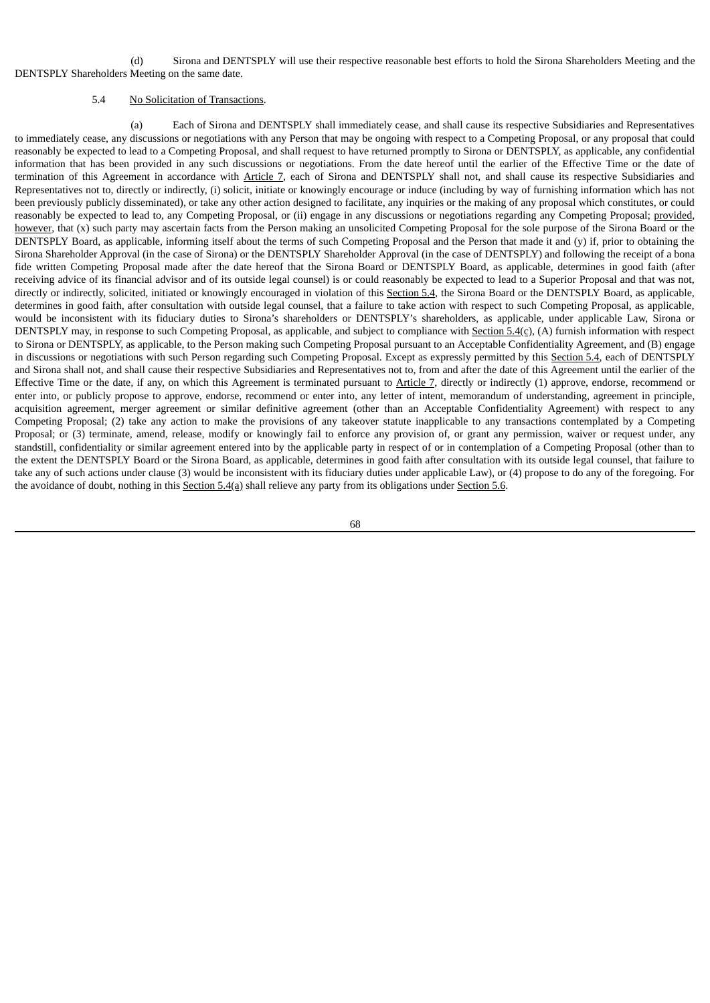(d) Sirona and DENTSPLY will use their respective reasonable best efforts to hold the Sirona Shareholders Meeting and the DENTSPLY Shareholders Meeting on the same date.

#### 5.4 No Solicitation of Transactions.

(a) Each of Sirona and DENTSPLY shall immediately cease, and shall cause its respective Subsidiaries and Representatives to immediately cease, any discussions or negotiations with any Person that may be ongoing with respect to a Competing Proposal, or any proposal that could reasonably be expected to lead to a Competing Proposal, and shall request to have returned promptly to Sirona or DENTSPLY, as applicable, any confidential information that has been provided in any such discussions or negotiations. From the date hereof until the earlier of the Effective Time or the date of termination of this Agreement in accordance with Article 7, each of Sirona and DENTSPLY shall not, and shall cause its respective Subsidiaries and Representatives not to, directly or indirectly, (i) solicit, initiate or knowingly encourage or induce (including by way of furnishing information which has not been previously publicly disseminated), or take any other action designed to facilitate, any inquiries or the making of any proposal which constitutes, or could reasonably be expected to lead to, any Competing Proposal, or (ii) engage in any discussions or negotiations regarding any Competing Proposal; provided, however, that (x) such party may ascertain facts from the Person making an unsolicited Competing Proposal for the sole purpose of the Sirona Board or the DENTSPLY Board, as applicable, informing itself about the terms of such Competing Proposal and the Person that made it and (y) if, prior to obtaining the Sirona Shareholder Approval (in the case of Sirona) or the DENTSPLY Shareholder Approval (in the case of DENTSPLY) and following the receipt of a bona fide written Competing Proposal made after the date hereof that the Sirona Board or DENTSPLY Board, as applicable, determines in good faith (after receiving advice of its financial advisor and of its outside legal counsel) is or could reasonably be expected to lead to a Superior Proposal and that was not, directly or indirectly, solicited, initiated or knowingly encouraged in violation of this Section 5.4, the Sirona Board or the DENTSPLY Board, as applicable, determines in good faith, after consultation with outside legal counsel, that a failure to take action with respect to such Competing Proposal, as applicable, would be inconsistent with its fiduciary duties to Sirona's shareholders or DENTSPLY's shareholders, as applicable, under applicable Law, Sirona or DENTSPLY may, in response to such Competing Proposal, as applicable, and subject to compliance with Section 5.4(c), (A) furnish information with respect to Sirona or DENTSPLY, as applicable, to the Person making such Competing Proposal pursuant to an Acceptable Confidentiality Agreement, and (B) engage in discussions or negotiations with such Person regarding such Competing Proposal. Except as expressly permitted by this Section 5.4, each of DENTSPLY and Sirona shall not, and shall cause their respective Subsidiaries and Representatives not to, from and after the date of this Agreement until the earlier of the Effective Time or the date, if any, on which this Agreement is terminated pursuant to Article 7, directly or indirectly (1) approve, endorse, recommend or enter into, or publicly propose to approve, endorse, recommend or enter into, any letter of intent, memorandum of understanding, agreement in principle, acquisition agreement, merger agreement or similar definitive agreement (other than an Acceptable Confidentiality Agreement) with respect to any Competing Proposal; (2) take any action to make the provisions of any takeover statute inapplicable to any transactions contemplated by a Competing Proposal; or (3) terminate, amend, release, modify or knowingly fail to enforce any provision of, or grant any permission, waiver or request under, any standstill, confidentiality or similar agreement entered into by the applicable party in respect of or in contemplation of a Competing Proposal (other than to the extent the DENTSPLY Board or the Sirona Board, as applicable, determines in good faith after consultation with its outside legal counsel, that failure to take any of such actions under clause (3) would be inconsistent with its fiduciary duties under applicable Law), or (4) propose to do any of the foregoing. For the avoidance of doubt, nothing in this Section 5.4(a) shall relieve any party from its obligations under Section 5.6.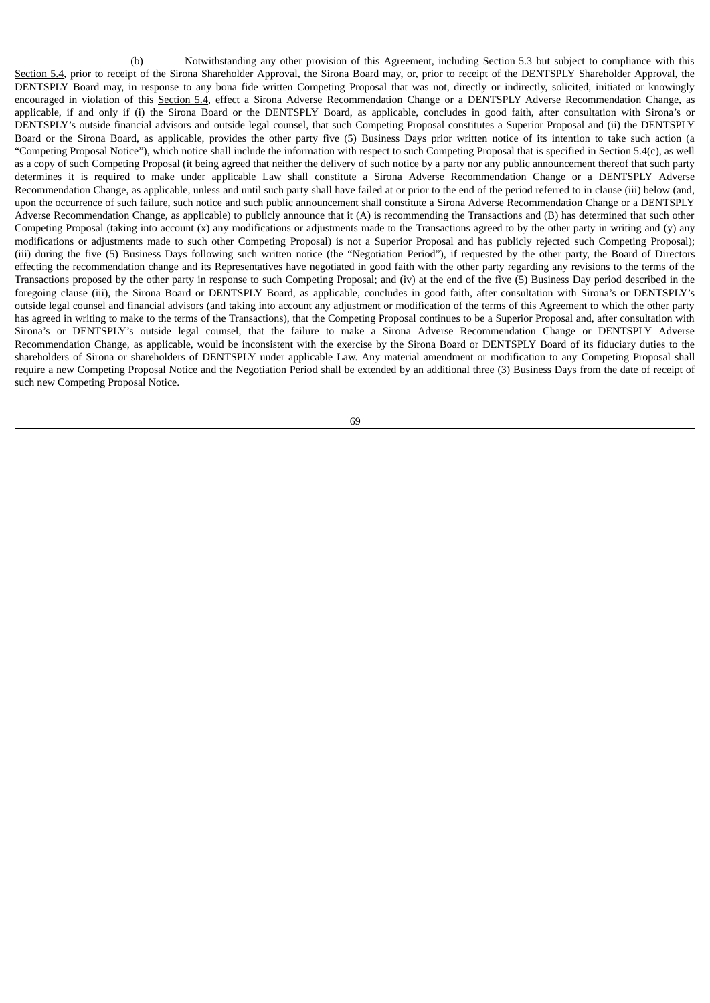(b) Notwithstanding any other provision of this Agreement, including Section 5.3 but subject to compliance with this Section 5.4, prior to receipt of the Sirona Shareholder Approval, the Sirona Board may, or, prior to receipt of the DENTSPLY Shareholder Approval, the DENTSPLY Board may, in response to any bona fide written Competing Proposal that was not, directly or indirectly, solicited, initiated or knowingly encouraged in violation of this Section 5.4, effect a Sirona Adverse Recommendation Change or a DENTSPLY Adverse Recommendation Change, as applicable, if and only if (i) the Sirona Board or the DENTSPLY Board, as applicable, concludes in good faith, after consultation with Sirona's or DENTSPLY's outside financial advisors and outside legal counsel, that such Competing Proposal constitutes a Superior Proposal and (ii) the DENTSPLY Board or the Sirona Board, as applicable, provides the other party five (5) Business Days prior written notice of its intention to take such action (a "Competing Proposal Notice"), which notice shall include the information with respect to such Competing Proposal that is specified in Section 5.4(c), as well as a copy of such Competing Proposal (it being agreed that neither the delivery of such notice by a party nor any public announcement thereof that such party determines it is required to make under applicable Law shall constitute a Sirona Adverse Recommendation Change or a DENTSPLY Adverse Recommendation Change, as applicable, unless and until such party shall have failed at or prior to the end of the period referred to in clause (iii) below (and, upon the occurrence of such failure, such notice and such public announcement shall constitute a Sirona Adverse Recommendation Change or a DENTSPLY Adverse Recommendation Change, as applicable) to publicly announce that it (A) is recommending the Transactions and (B) has determined that such other Competing Proposal (taking into account (x) any modifications or adjustments made to the Transactions agreed to by the other party in writing and (y) any modifications or adjustments made to such other Competing Proposal) is not a Superior Proposal and has publicly rejected such Competing Proposal); (iii) during the five (5) Business Days following such written notice (the "Negotiation Period"), if requested by the other party, the Board of Directors effecting the recommendation change and its Representatives have negotiated in good faith with the other party regarding any revisions to the terms of the Transactions proposed by the other party in response to such Competing Proposal; and (iv) at the end of the five (5) Business Day period described in the foregoing clause (iii), the Sirona Board or DENTSPLY Board, as applicable, concludes in good faith, after consultation with Sirona's or DENTSPLY's outside legal counsel and financial advisors (and taking into account any adjustment or modification of the terms of this Agreement to which the other party has agreed in writing to make to the terms of the Transactions), that the Competing Proposal continues to be a Superior Proposal and, after consultation with Sirona's or DENTSPLY's outside legal counsel, that the failure to make a Sirona Adverse Recommendation Change or DENTSPLY Adverse Recommendation Change, as applicable, would be inconsistent with the exercise by the Sirona Board or DENTSPLY Board of its fiduciary duties to the shareholders of Sirona or shareholders of DENTSPLY under applicable Law. Any material amendment or modification to any Competing Proposal shall require a new Competing Proposal Notice and the Negotiation Period shall be extended by an additional three (3) Business Days from the date of receipt of such new Competing Proposal Notice.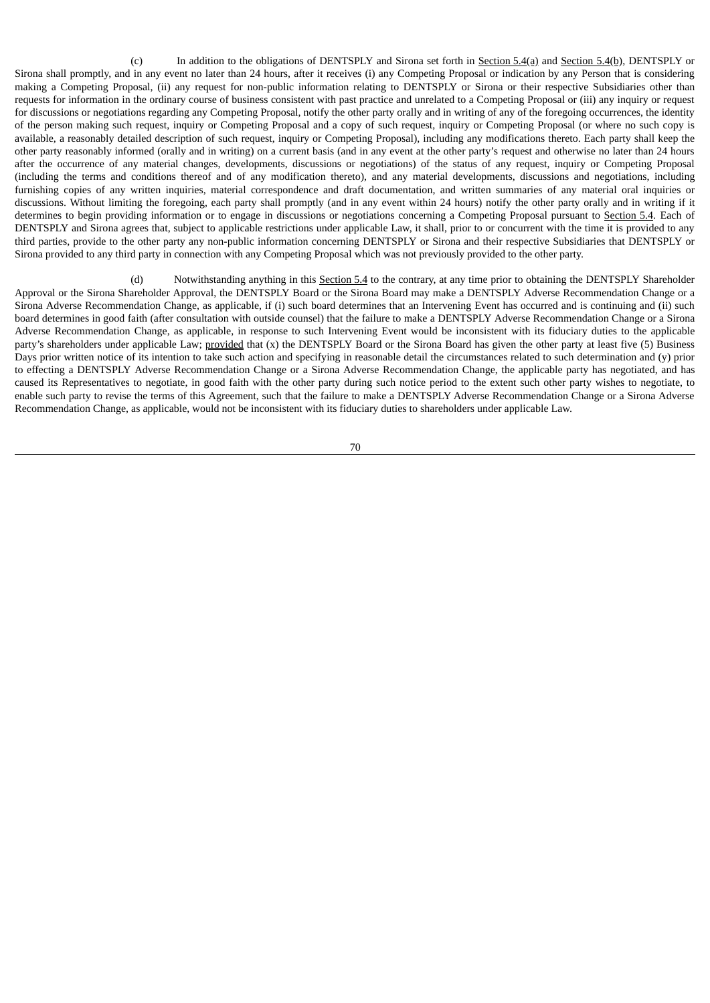(c) In addition to the obligations of DENTSPLY and Sirona set forth in Section 5.4(a) and Section 5.4(b), DENTSPLY or Sirona shall promptly, and in any event no later than 24 hours, after it receives (i) any Competing Proposal or indication by any Person that is considering making a Competing Proposal, (ii) any request for non-public information relating to DENTSPLY or Sirona or their respective Subsidiaries other than requests for information in the ordinary course of business consistent with past practice and unrelated to a Competing Proposal or (iii) any inquiry or request for discussions or negotiations regarding any Competing Proposal, notify the other party orally and in writing of any of the foregoing occurrences, the identity of the person making such request, inquiry or Competing Proposal and a copy of such request, inquiry or Competing Proposal (or where no such copy is available, a reasonably detailed description of such request, inquiry or Competing Proposal), including any modifications thereto. Each party shall keep the other party reasonably informed (orally and in writing) on a current basis (and in any event at the other party's request and otherwise no later than 24 hours after the occurrence of any material changes, developments, discussions or negotiations) of the status of any request, inquiry or Competing Proposal (including the terms and conditions thereof and of any modification thereto), and any material developments, discussions and negotiations, including furnishing copies of any written inquiries, material correspondence and draft documentation, and written summaries of any material oral inquiries or discussions. Without limiting the foregoing, each party shall promptly (and in any event within 24 hours) notify the other party orally and in writing if it determines to begin providing information or to engage in discussions or negotiations concerning a Competing Proposal pursuant to Section 5.4. Each of DENTSPLY and Sirona agrees that, subject to applicable restrictions under applicable Law, it shall, prior to or concurrent with the time it is provided to any third parties, provide to the other party any non-public information concerning DENTSPLY or Sirona and their respective Subsidiaries that DENTSPLY or Sirona provided to any third party in connection with any Competing Proposal which was not previously provided to the other party.

(d) Notwithstanding anything in this Section 5.4 to the contrary, at any time prior to obtaining the DENTSPLY Shareholder Approval or the Sirona Shareholder Approval, the DENTSPLY Board or the Sirona Board may make a DENTSPLY Adverse Recommendation Change or a Sirona Adverse Recommendation Change, as applicable, if (i) such board determines that an Intervening Event has occurred and is continuing and (ii) such board determines in good faith (after consultation with outside counsel) that the failure to make a DENTSPLY Adverse Recommendation Change or a Sirona Adverse Recommendation Change, as applicable, in response to such Intervening Event would be inconsistent with its fiduciary duties to the applicable party's shareholders under applicable Law; provided that (x) the DENTSPLY Board or the Sirona Board has given the other party at least five (5) Business Days prior written notice of its intention to take such action and specifying in reasonable detail the circumstances related to such determination and (y) prior to effecting a DENTSPLY Adverse Recommendation Change or a Sirona Adverse Recommendation Change, the applicable party has negotiated, and has caused its Representatives to negotiate, in good faith with the other party during such notice period to the extent such other party wishes to negotiate, to enable such party to revise the terms of this Agreement, such that the failure to make a DENTSPLY Adverse Recommendation Change or a Sirona Adverse Recommendation Change, as applicable, would not be inconsistent with its fiduciary duties to shareholders under applicable Law.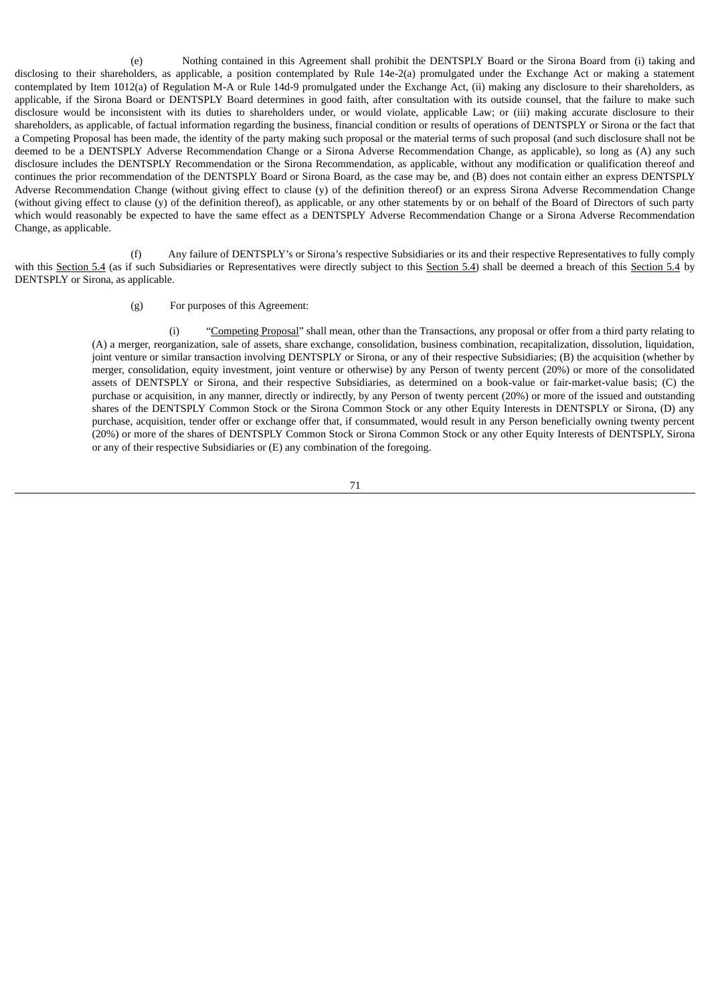(e) Nothing contained in this Agreement shall prohibit the DENTSPLY Board or the Sirona Board from (i) taking and disclosing to their shareholders, as applicable, a position contemplated by Rule 14e-2(a) promulgated under the Exchange Act or making a statement contemplated by Item 1012(a) of Regulation M-A or Rule 14d-9 promulgated under the Exchange Act, (ii) making any disclosure to their shareholders, as applicable, if the Sirona Board or DENTSPLY Board determines in good faith, after consultation with its outside counsel, that the failure to make such disclosure would be inconsistent with its duties to shareholders under, or would violate, applicable Law; or (iii) making accurate disclosure to their shareholders, as applicable, of factual information regarding the business, financial condition or results of operations of DENTSPLY or Sirona or the fact that a Competing Proposal has been made, the identity of the party making such proposal or the material terms of such proposal (and such disclosure shall not be deemed to be a DENTSPLY Adverse Recommendation Change or a Sirona Adverse Recommendation Change, as applicable), so long as (A) any such disclosure includes the DENTSPLY Recommendation or the Sirona Recommendation, as applicable, without any modification or qualification thereof and continues the prior recommendation of the DENTSPLY Board or Sirona Board, as the case may be, and (B) does not contain either an express DENTSPLY Adverse Recommendation Change (without giving effect to clause (y) of the definition thereof) or an express Sirona Adverse Recommendation Change (without giving effect to clause (y) of the definition thereof), as applicable, or any other statements by or on behalf of the Board of Directors of such party which would reasonably be expected to have the same effect as a DENTSPLY Adverse Recommendation Change or a Sirona Adverse Recommendation Change, as applicable.

(f) Any failure of DENTSPLY's or Sirona's respective Subsidiaries or its and their respective Representatives to fully comply with this Section 5.4 (as if such Subsidiaries or Representatives were directly subject to this Section 5.4) shall be deemed a breach of this Section 5.4 by DENTSPLY or Sirona, as applicable.

### (g) For purposes of this Agreement:

(i) "Competing Proposal" shall mean, other than the Transactions, any proposal or offer from a third party relating to (A) a merger, reorganization, sale of assets, share exchange, consolidation, business combination, recapitalization, dissolution, liquidation, joint venture or similar transaction involving DENTSPLY or Sirona, or any of their respective Subsidiaries; (B) the acquisition (whether by merger, consolidation, equity investment, joint venture or otherwise) by any Person of twenty percent (20%) or more of the consolidated assets of DENTSPLY or Sirona, and their respective Subsidiaries, as determined on a book-value or fair-market-value basis; (C) the purchase or acquisition, in any manner, directly or indirectly, by any Person of twenty percent (20%) or more of the issued and outstanding shares of the DENTSPLY Common Stock or the Sirona Common Stock or any other Equity Interests in DENTSPLY or Sirona, (D) any purchase, acquisition, tender offer or exchange offer that, if consummated, would result in any Person beneficially owning twenty percent (20%) or more of the shares of DENTSPLY Common Stock or Sirona Common Stock or any other Equity Interests of DENTSPLY, Sirona or any of their respective Subsidiaries or (E) any combination of the foregoing.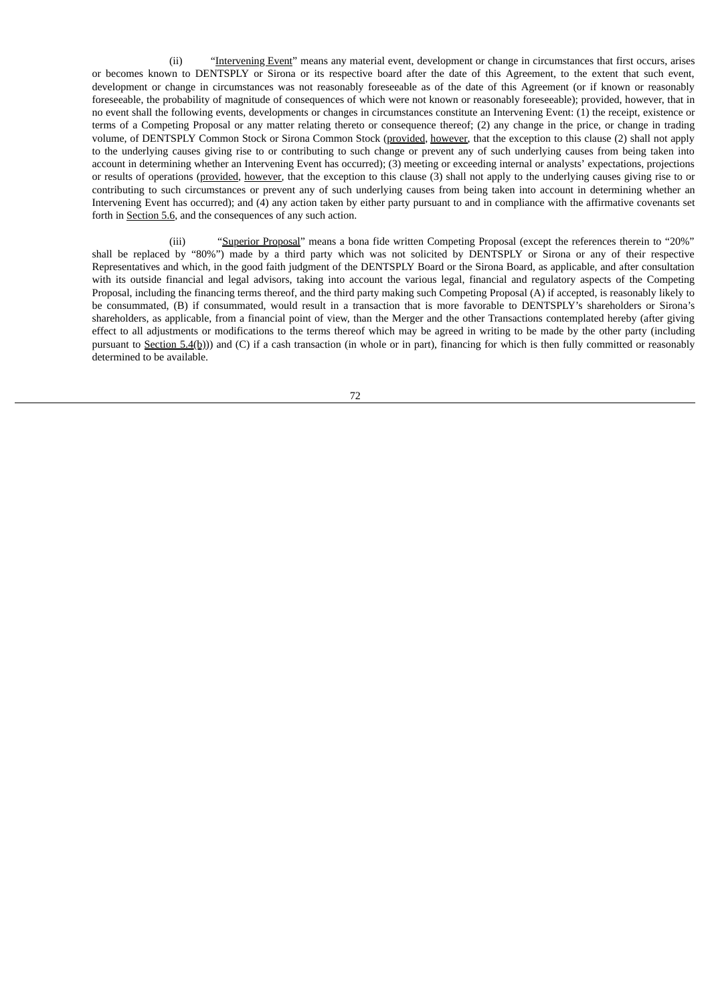(ii) "Intervening Event" means any material event, development or change in circumstances that first occurs, arises or becomes known to DENTSPLY or Sirona or its respective board after the date of this Agreement, to the extent that such event, development or change in circumstances was not reasonably foreseeable as of the date of this Agreement (or if known or reasonably foreseeable, the probability of magnitude of consequences of which were not known or reasonably foreseeable); provided, however, that in no event shall the following events, developments or changes in circumstances constitute an Intervening Event: (1) the receipt, existence or terms of a Competing Proposal or any matter relating thereto or consequence thereof; (2) any change in the price, or change in trading volume, of DENTSPLY Common Stock or Sirona Common Stock (provided, however, that the exception to this clause (2) shall not apply to the underlying causes giving rise to or contributing to such change or prevent any of such underlying causes from being taken into account in determining whether an Intervening Event has occurred); (3) meeting or exceeding internal or analysts' expectations, projections or results of operations (provided, however, that the exception to this clause (3) shall not apply to the underlying causes giving rise to or contributing to such circumstances or prevent any of such underlying causes from being taken into account in determining whether an Intervening Event has occurred); and (4) any action taken by either party pursuant to and in compliance with the affirmative covenants set forth in Section 5.6, and the consequences of any such action.

(iii) "Superior Proposal" means a bona fide written Competing Proposal (except the references therein to "20%" shall be replaced by "80%") made by a third party which was not solicited by DENTSPLY or Sirona or any of their respective Representatives and which, in the good faith judgment of the DENTSPLY Board or the Sirona Board, as applicable, and after consultation with its outside financial and legal advisors, taking into account the various legal, financial and regulatory aspects of the Competing Proposal, including the financing terms thereof, and the third party making such Competing Proposal (A) if accepted, is reasonably likely to be consummated, (B) if consummated, would result in a transaction that is more favorable to DENTSPLY's shareholders or Sirona's shareholders, as applicable, from a financial point of view, than the Merger and the other Transactions contemplated hereby (after giving effect to all adjustments or modifications to the terms thereof which may be agreed in writing to be made by the other party (including pursuant to Section 5.4(b))) and (C) if a cash transaction (in whole or in part), financing for which is then fully committed or reasonably determined to be available.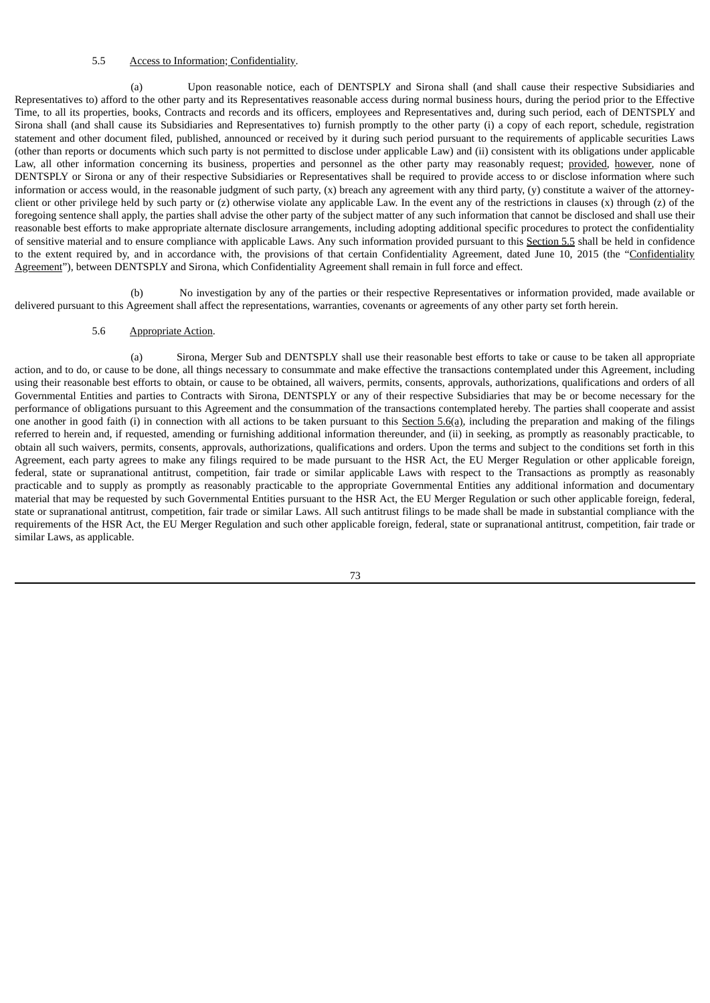### 5.5 Access to Information; Confidentiality.

(a) Upon reasonable notice, each of DENTSPLY and Sirona shall (and shall cause their respective Subsidiaries and Representatives to) afford to the other party and its Representatives reasonable access during normal business hours, during the period prior to the Effective Time, to all its properties, books, Contracts and records and its officers, employees and Representatives and, during such period, each of DENTSPLY and Sirona shall (and shall cause its Subsidiaries and Representatives to) furnish promptly to the other party (i) a copy of each report, schedule, registration statement and other document filed, published, announced or received by it during such period pursuant to the requirements of applicable securities Laws (other than reports or documents which such party is not permitted to disclose under applicable Law) and (ii) consistent with its obligations under applicable Law, all other information concerning its business, properties and personnel as the other party may reasonably request; provided, however, none of DENTSPLY or Sirona or any of their respective Subsidiaries or Representatives shall be required to provide access to or disclose information where such information or access would, in the reasonable judgment of such party,  $(x)$  breach any agreement with any third party,  $(y)$  constitute a waiver of the attorneyclient or other privilege held by such party or  $(z)$  otherwise violate any applicable Law. In the event any of the restrictions in clauses  $(x)$  through  $(z)$  of the foregoing sentence shall apply, the parties shall advise the other party of the subject matter of any such information that cannot be disclosed and shall use their reasonable best efforts to make appropriate alternate disclosure arrangements, including adopting additional specific procedures to protect the confidentiality of sensitive material and to ensure compliance with applicable Laws. Any such information provided pursuant to this Section 5.5 shall be held in confidence to the extent required by, and in accordance with, the provisions of that certain Confidentiality Agreement, dated June 10, 2015 (the "Confidentiality Agreement"), between DENTSPLY and Sirona, which Confidentiality Agreement shall remain in full force and effect.

(b) No investigation by any of the parties or their respective Representatives or information provided, made available or delivered pursuant to this Agreement shall affect the representations, warranties, covenants or agreements of any other party set forth herein.

# 5.6 Appropriate Action.

(a) Sirona, Merger Sub and DENTSPLY shall use their reasonable best efforts to take or cause to be taken all appropriate action, and to do, or cause to be done, all things necessary to consummate and make effective the transactions contemplated under this Agreement, including using their reasonable best efforts to obtain, or cause to be obtained, all waivers, permits, consents, approvals, authorizations, qualifications and orders of all Governmental Entities and parties to Contracts with Sirona, DENTSPLY or any of their respective Subsidiaries that may be or become necessary for the performance of obligations pursuant to this Agreement and the consummation of the transactions contemplated hereby. The parties shall cooperate and assist one another in good faith (i) in connection with all actions to be taken pursuant to this Section  $5.6(q)$ , including the preparation and making of the filings referred to herein and, if requested, amending or furnishing additional information thereunder, and (ii) in seeking, as promptly as reasonably practicable, to obtain all such waivers, permits, consents, approvals, authorizations, qualifications and orders. Upon the terms and subject to the conditions set forth in this Agreement, each party agrees to make any filings required to be made pursuant to the HSR Act, the EU Merger Regulation or other applicable foreign, federal, state or supranational antitrust, competition, fair trade or similar applicable Laws with respect to the Transactions as promptly as reasonably practicable and to supply as promptly as reasonably practicable to the appropriate Governmental Entities any additional information and documentary material that may be requested by such Governmental Entities pursuant to the HSR Act, the EU Merger Regulation or such other applicable foreign, federal, state or supranational antitrust, competition, fair trade or similar Laws. All such antitrust filings to be made shall be made in substantial compliance with the requirements of the HSR Act, the EU Merger Regulation and such other applicable foreign, federal, state or supranational antitrust, competition, fair trade or similar Laws, as applicable.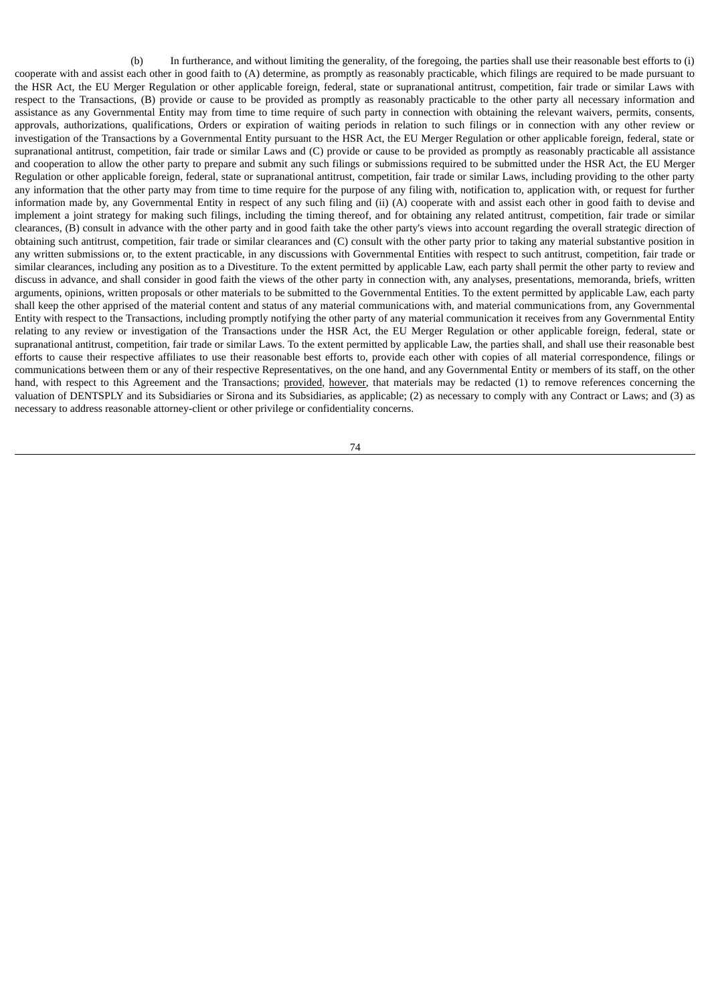(b) In furtherance, and without limiting the generality, of the foregoing, the parties shall use their reasonable best efforts to (i) cooperate with and assist each other in good faith to (A) determine, as promptly as reasonably practicable, which filings are required to be made pursuant to the HSR Act, the EU Merger Regulation or other applicable foreign, federal, state or supranational antitrust, competition, fair trade or similar Laws with respect to the Transactions, (B) provide or cause to be provided as promptly as reasonably practicable to the other party all necessary information and assistance as any Governmental Entity may from time to time require of such party in connection with obtaining the relevant waivers, permits, consents, approvals, authorizations, qualifications, Orders or expiration of waiting periods in relation to such filings or in connection with any other review or investigation of the Transactions by a Governmental Entity pursuant to the HSR Act, the EU Merger Regulation or other applicable foreign, federal, state or supranational antitrust, competition, fair trade or similar Laws and (C) provide or cause to be provided as promptly as reasonably practicable all assistance and cooperation to allow the other party to prepare and submit any such filings or submissions required to be submitted under the HSR Act, the EU Merger Regulation or other applicable foreign, federal, state or supranational antitrust, competition, fair trade or similar Laws, including providing to the other party any information that the other party may from time to time require for the purpose of any filing with, notification to, application with, or request for further information made by, any Governmental Entity in respect of any such filing and (ii) (A) cooperate with and assist each other in good faith to devise and implement a joint strategy for making such filings, including the timing thereof, and for obtaining any related antitrust, competition, fair trade or similar clearances, (B) consult in advance with the other party and in good faith take the other party's views into account regarding the overall strategic direction of obtaining such antitrust, competition, fair trade or similar clearances and (C) consult with the other party prior to taking any material substantive position in any written submissions or, to the extent practicable, in any discussions with Governmental Entities with respect to such antitrust, competition, fair trade or similar clearances, including any position as to a Divestiture. To the extent permitted by applicable Law, each party shall permit the other party to review and discuss in advance, and shall consider in good faith the views of the other party in connection with, any analyses, presentations, memoranda, briefs, written arguments, opinions, written proposals or other materials to be submitted to the Governmental Entities. To the extent permitted by applicable Law, each party shall keep the other apprised of the material content and status of any material communications with, and material communications from, any Governmental Entity with respect to the Transactions, including promptly notifying the other party of any material communication it receives from any Governmental Entity relating to any review or investigation of the Transactions under the HSR Act, the EU Merger Regulation or other applicable foreign, federal, state or supranational antitrust, competition, fair trade or similar Laws. To the extent permitted by applicable Law, the parties shall, and shall use their reasonable best efforts to cause their respective affiliates to use their reasonable best efforts to, provide each other with copies of all material correspondence, filings or communications between them or any of their respective Representatives, on the one hand, and any Governmental Entity or members of its staff, on the other hand, with respect to this Agreement and the Transactions; provided, however, that materials may be redacted (1) to remove references concerning the valuation of DENTSPLY and its Subsidiaries or Sirona and its Subsidiaries, as applicable; (2) as necessary to comply with any Contract or Laws; and (3) as necessary to address reasonable attorney-client or other privilege or confidentiality concerns.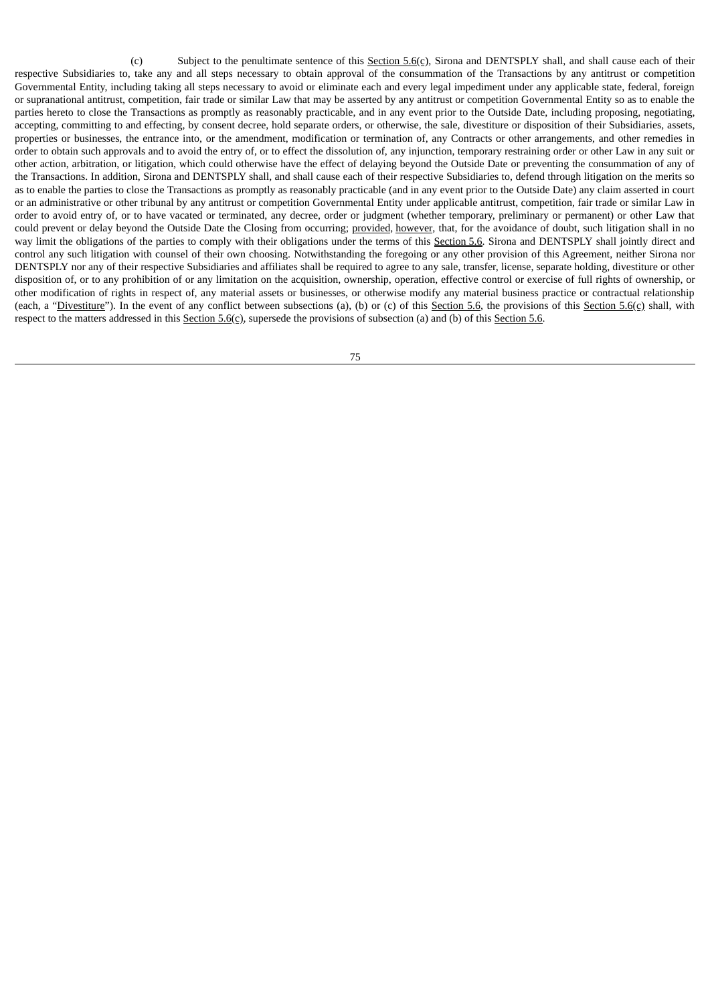(c) Subject to the penultimate sentence of this Section 5.6(c), Sirona and DENTSPLY shall, and shall cause each of their respective Subsidiaries to, take any and all steps necessary to obtain approval of the consummation of the Transactions by any antitrust or competition Governmental Entity, including taking all steps necessary to avoid or eliminate each and every legal impediment under any applicable state, federal, foreign or supranational antitrust, competition, fair trade or similar Law that may be asserted by any antitrust or competition Governmental Entity so as to enable the parties hereto to close the Transactions as promptly as reasonably practicable, and in any event prior to the Outside Date, including proposing, negotiating, accepting, committing to and effecting, by consent decree, hold separate orders, or otherwise, the sale, divestiture or disposition of their Subsidiaries, assets, properties or businesses, the entrance into, or the amendment, modification or termination of, any Contracts or other arrangements, and other remedies in order to obtain such approvals and to avoid the entry of, or to effect the dissolution of, any injunction, temporary restraining order or other Law in any suit or other action, arbitration, or litigation, which could otherwise have the effect of delaying beyond the Outside Date or preventing the consummation of any of the Transactions. In addition, Sirona and DENTSPLY shall, and shall cause each of their respective Subsidiaries to, defend through litigation on the merits so as to enable the parties to close the Transactions as promptly as reasonably practicable (and in any event prior to the Outside Date) any claim asserted in court or an administrative or other tribunal by any antitrust or competition Governmental Entity under applicable antitrust, competition, fair trade or similar Law in order to avoid entry of, or to have vacated or terminated, any decree, order or judgment (whether temporary, preliminary or permanent) or other Law that could prevent or delay beyond the Outside Date the Closing from occurring; provided, however, that, for the avoidance of doubt, such litigation shall in no way limit the obligations of the parties to comply with their obligations under the terms of this Section 5.6. Sirona and DENTSPLY shall jointly direct and control any such litigation with counsel of their own choosing. Notwithstanding the foregoing or any other provision of this Agreement, neither Sirona nor DENTSPLY nor any of their respective Subsidiaries and affiliates shall be required to agree to any sale, transfer, license, separate holding, divestiture or other disposition of, or to any prohibition of or any limitation on the acquisition, ownership, operation, effective control or exercise of full rights of ownership, or other modification of rights in respect of, any material assets or businesses, or otherwise modify any material business practice or contractual relationship (each, a "Divestiture"). In the event of any conflict between subsections (a), (b) or (c) of this Section 5.6, the provisions of this Section 5.6(c) shall, with respect to the matters addressed in this Section 5.6(c), supersede the provisions of subsection (a) and (b) of this Section 5.6.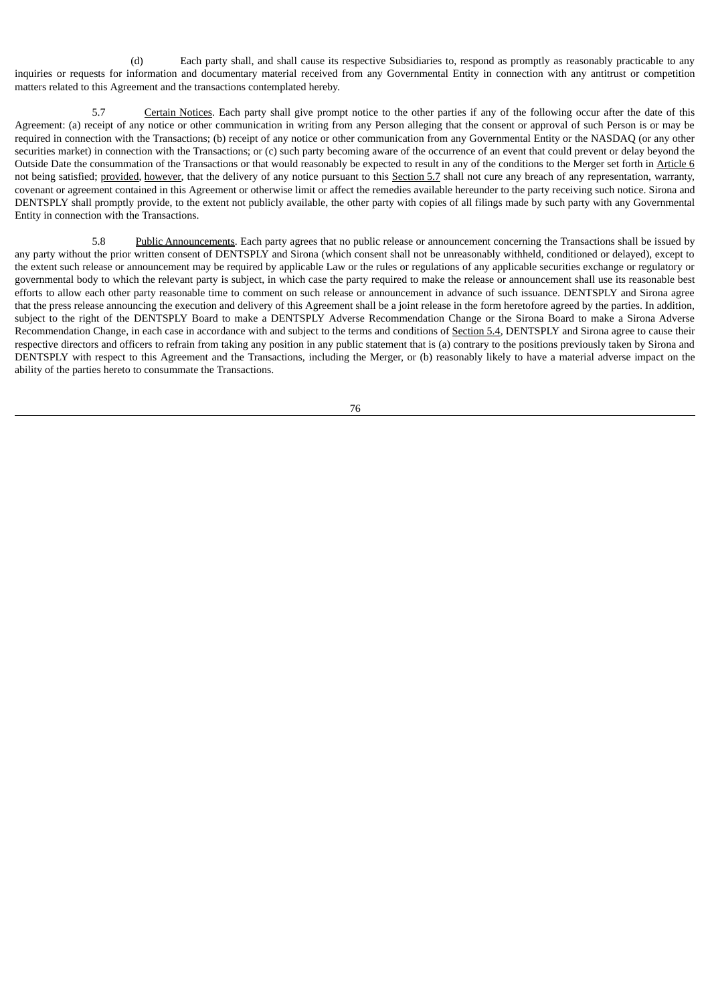(d) Each party shall, and shall cause its respective Subsidiaries to, respond as promptly as reasonably practicable to any inquiries or requests for information and documentary material received from any Governmental Entity in connection with any antitrust or competition matters related to this Agreement and the transactions contemplated hereby.

5.7 Certain Notices. Each party shall give prompt notice to the other parties if any of the following occur after the date of this Agreement: (a) receipt of any notice or other communication in writing from any Person alleging that the consent or approval of such Person is or may be required in connection with the Transactions; (b) receipt of any notice or other communication from any Governmental Entity or the NASDAQ (or any other securities market) in connection with the Transactions; or (c) such party becoming aware of the occurrence of an event that could prevent or delay beyond the Outside Date the consummation of the Transactions or that would reasonably be expected to result in any of the conditions to the Merger set forth in Article 6 not being satisfied; provided, however, that the delivery of any notice pursuant to this Section 5.7 shall not cure any breach of any representation, warranty, covenant or agreement contained in this Agreement or otherwise limit or affect the remedies available hereunder to the party receiving such notice. Sirona and DENTSPLY shall promptly provide, to the extent not publicly available, the other party with copies of all filings made by such party with any Governmental Entity in connection with the Transactions.

5.8 Public Announcements. Each party agrees that no public release or announcement concerning the Transactions shall be issued by any party without the prior written consent of DENTSPLY and Sirona (which consent shall not be unreasonably withheld, conditioned or delayed), except to the extent such release or announcement may be required by applicable Law or the rules or regulations of any applicable securities exchange or regulatory or governmental body to which the relevant party is subject, in which case the party required to make the release or announcement shall use its reasonable best efforts to allow each other party reasonable time to comment on such release or announcement in advance of such issuance. DENTSPLY and Sirona agree that the press release announcing the execution and delivery of this Agreement shall be a joint release in the form heretofore agreed by the parties. In addition, subject to the right of the DENTSPLY Board to make a DENTSPLY Adverse Recommendation Change or the Sirona Board to make a Sirona Adverse Recommendation Change, in each case in accordance with and subject to the terms and conditions of Section 5.4, DENTSPLY and Sirona agree to cause their respective directors and officers to refrain from taking any position in any public statement that is (a) contrary to the positions previously taken by Sirona and DENTSPLY with respect to this Agreement and the Transactions, including the Merger, or (b) reasonably likely to have a material adverse impact on the ability of the parties hereto to consummate the Transactions.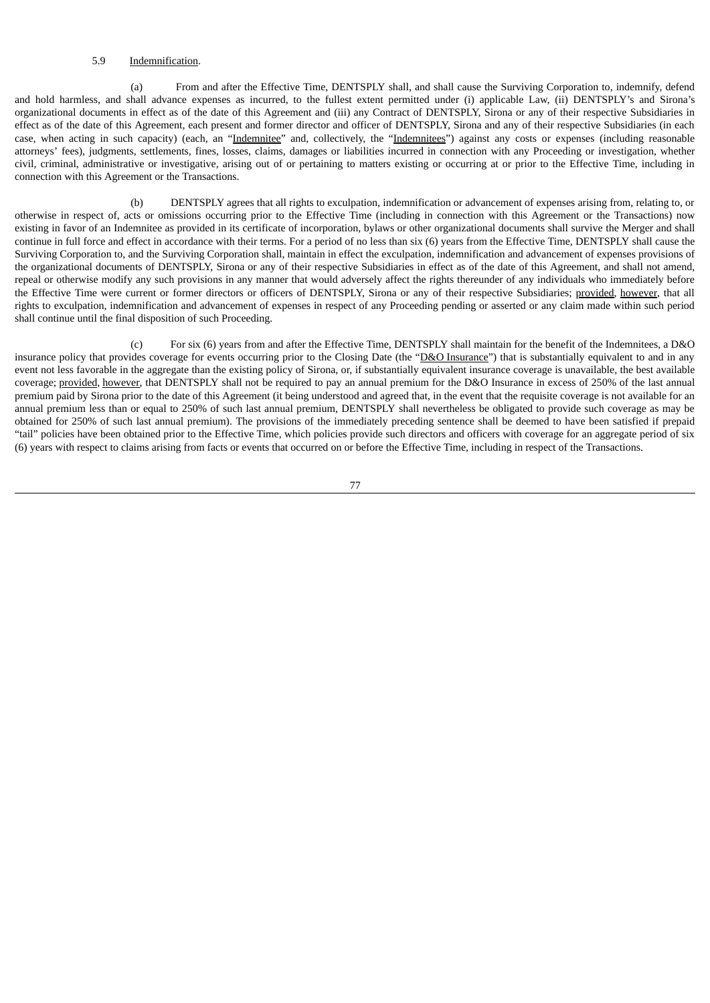# 5.9 Indemnification.

(a) From and after the Effective Time, DENTSPLY shall, and shall cause the Surviving Corporation to, indemnify, defend and hold harmless, and shall advance expenses as incurred, to the fullest extent permitted under (i) applicable Law, (ii) DENTSPLY's and Sirona's organizational documents in effect as of the date of this Agreement and (iii) any Contract of DENTSPLY, Sirona or any of their respective Subsidiaries in effect as of the date of this Agreement, each present and former director and officer of DENTSPLY, Sirona and any of their respective Subsidiaries (in each case, when acting in such capacity) (each, an "Indemnitee" and, collectively, the "Indemnitees") against any costs or expenses (including reasonable attorneys' fees), judgments, settlements, fines, losses, claims, damages or liabilities incurred in connection with any Proceeding or investigation, whether civil, criminal, administrative or investigative, arising out of or pertaining to matters existing or occurring at or prior to the Effective Time, including in connection with this Agreement or the Transactions.

(b) DENTSPLY agrees that all rights to exculpation, indemnification or advancement of expenses arising from, relating to, or otherwise in respect of, acts or omissions occurring prior to the Effective Time (including in connection with this Agreement or the Transactions) now existing in favor of an Indemnitee as provided in its certificate of incorporation, bylaws or other organizational documents shall survive the Merger and shall continue in full force and effect in accordance with their terms. For a period of no less than six (6) years from the Effective Time, DENTSPLY shall cause the Surviving Corporation to, and the Surviving Corporation shall, maintain in effect the exculpation, indemnification and advancement of expenses provisions of the organizational documents of DENTSPLY, Sirona or any of their respective Subsidiaries in effect as of the date of this Agreement, and shall not amend, repeal or otherwise modify any such provisions in any manner that would adversely affect the rights thereunder of any individuals who immediately before the Effective Time were current or former directors or officers of DENTSPLY, Sirona or any of their respective Subsidiaries; provided, however, that all rights to exculpation, indemnification and advancement of expenses in respect of any Proceeding pending or asserted or any claim made within such period shall continue until the final disposition of such Proceeding.

(c) For six (6) years from and after the Effective Time, DENTSPLY shall maintain for the benefit of the Indemnitees, a D&O insurance policy that provides coverage for events occurring prior to the Closing Date (the "D&O Insurance") that is substantially equivalent to and in any event not less favorable in the aggregate than the existing policy of Sirona, or, if substantially equivalent insurance coverage is unavailable, the best available coverage; provided, however, that DENTSPLY shall not be required to pay an annual premium for the D&O Insurance in excess of 250% of the last annual premium paid by Sirona prior to the date of this Agreement (it being understood and agreed that, in the event that the requisite coverage is not available for an annual premium less than or equal to 250% of such last annual premium, DENTSPLY shall nevertheless be obligated to provide such coverage as may be obtained for 250% of such last annual premium). The provisions of the immediately preceding sentence shall be deemed to have been satisfied if prepaid "tail" policies have been obtained prior to the Effective Time, which policies provide such directors and officers with coverage for an aggregate period of six (6) years with respect to claims arising from facts or events that occurred on or before the Effective Time, including in respect of the Transactions.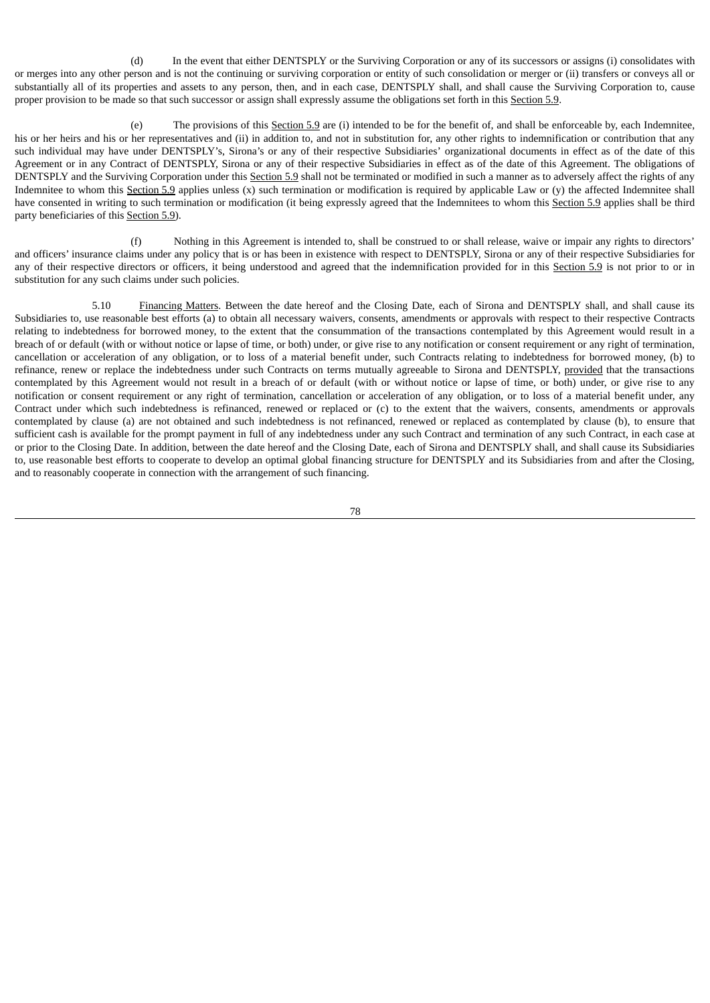(d) In the event that either DENTSPLY or the Surviving Corporation or any of its successors or assigns (i) consolidates with or merges into any other person and is not the continuing or surviving corporation or entity of such consolidation or merger or (ii) transfers or conveys all or substantially all of its properties and assets to any person, then, and in each case, DENTSPLY shall, and shall cause the Surviving Corporation to, cause proper provision to be made so that such successor or assign shall expressly assume the obligations set forth in this Section 5.9.

(e) The provisions of this Section 5.9 are (i) intended to be for the benefit of, and shall be enforceable by, each Indemnitee, his or her heirs and his or her representatives and (ii) in addition to, and not in substitution for, any other rights to indemnification or contribution that any such individual may have under DENTSPLY's, Sirona's or any of their respective Subsidiaries' organizational documents in effect as of the date of this Agreement or in any Contract of DENTSPLY, Sirona or any of their respective Subsidiaries in effect as of the date of this Agreement. The obligations of DENTSPLY and the Surviving Corporation under this Section 5.9 shall not be terminated or modified in such a manner as to adversely affect the rights of any Indemnitee to whom this Section 5.9 applies unless (x) such termination or modification is required by applicable Law or (y) the affected Indemnitee shall have consented in writing to such termination or modification (it being expressly agreed that the Indemnitees to whom this Section 5.9 applies shall be third party beneficiaries of this Section 5.9).

(f) Nothing in this Agreement is intended to, shall be construed to or shall release, waive or impair any rights to directors' and officers' insurance claims under any policy that is or has been in existence with respect to DENTSPLY, Sirona or any of their respective Subsidiaries for any of their respective directors or officers, it being understood and agreed that the indemnification provided for in this Section 5.9 is not prior to or in substitution for any such claims under such policies.

5.10 Financing Matters. Between the date hereof and the Closing Date, each of Sirona and DENTSPLY shall, and shall cause its Subsidiaries to, use reasonable best efforts (a) to obtain all necessary waivers, consents, amendments or approvals with respect to their respective Contracts relating to indebtedness for borrowed money, to the extent that the consummation of the transactions contemplated by this Agreement would result in a breach of or default (with or without notice or lapse of time, or both) under, or give rise to any notification or consent requirement or any right of termination, cancellation or acceleration of any obligation, or to loss of a material benefit under, such Contracts relating to indebtedness for borrowed money, (b) to refinance, renew or replace the indebtedness under such Contracts on terms mutually agreeable to Sirona and DENTSPLY, provided that the transactions contemplated by this Agreement would not result in a breach of or default (with or without notice or lapse of time, or both) under, or give rise to any notification or consent requirement or any right of termination, cancellation or acceleration of any obligation, or to loss of a material benefit under, any Contract under which such indebtedness is refinanced, renewed or replaced or (c) to the extent that the waivers, consents, amendments or approvals contemplated by clause (a) are not obtained and such indebtedness is not refinanced, renewed or replaced as contemplated by clause (b), to ensure that sufficient cash is available for the prompt payment in full of any indebtedness under any such Contract and termination of any such Contract, in each case at or prior to the Closing Date. In addition, between the date hereof and the Closing Date, each of Sirona and DENTSPLY shall, and shall cause its Subsidiaries to, use reasonable best efforts to cooperate to develop an optimal global financing structure for DENTSPLY and its Subsidiaries from and after the Closing, and to reasonably cooperate in connection with the arrangement of such financing.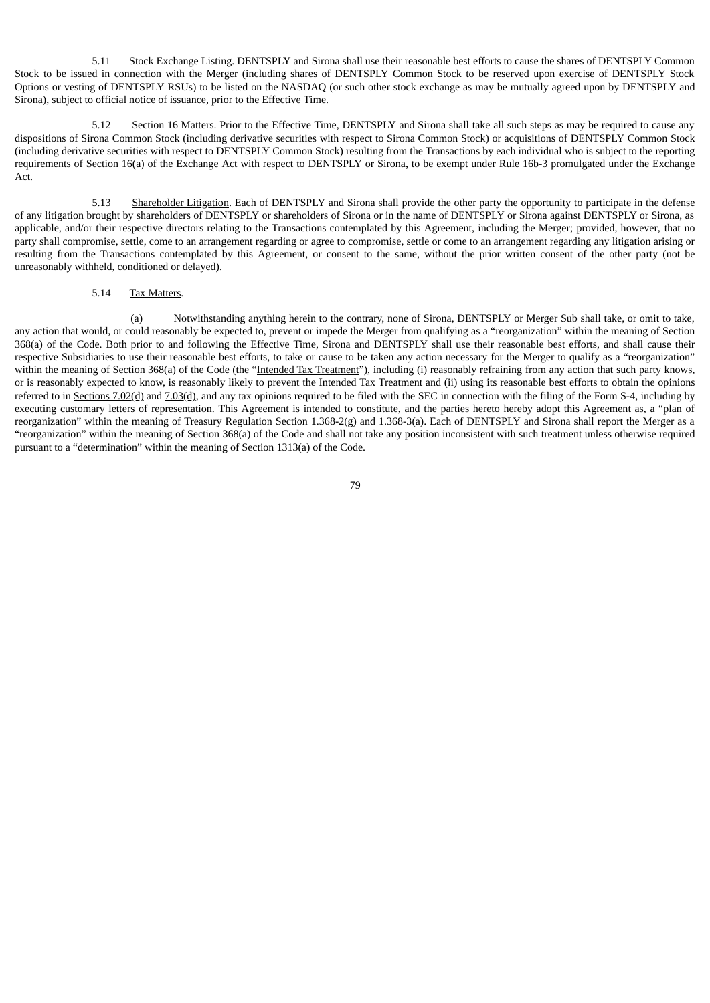5.11 Stock Exchange Listing. DENTSPLY and Sirona shall use their reasonable best efforts to cause the shares of DENTSPLY Common Stock to be issued in connection with the Merger (including shares of DENTSPLY Common Stock to be reserved upon exercise of DENTSPLY Stock Options or vesting of DENTSPLY RSUs) to be listed on the NASDAQ (or such other stock exchange as may be mutually agreed upon by DENTSPLY and Sirona), subject to official notice of issuance, prior to the Effective Time.

5.12 Section 16 Matters. Prior to the Effective Time, DENTSPLY and Sirona shall take all such steps as may be required to cause any dispositions of Sirona Common Stock (including derivative securities with respect to Sirona Common Stock) or acquisitions of DENTSPLY Common Stock (including derivative securities with respect to DENTSPLY Common Stock) resulting from the Transactions by each individual who is subject to the reporting requirements of Section 16(a) of the Exchange Act with respect to DENTSPLY or Sirona, to be exempt under Rule 16b-3 promulgated under the Exchange Act.

5.13 Shareholder Litigation. Each of DENTSPLY and Sirona shall provide the other party the opportunity to participate in the defense of any litigation brought by shareholders of DENTSPLY or shareholders of Sirona or in the name of DENTSPLY or Sirona against DENTSPLY or Sirona, as applicable, and/or their respective directors relating to the Transactions contemplated by this Agreement, including the Merger; provided, however, that no party shall compromise, settle, come to an arrangement regarding or agree to compromise, settle or come to an arrangement regarding any litigation arising or resulting from the Transactions contemplated by this Agreement, or consent to the same, without the prior written consent of the other party (not be unreasonably withheld, conditioned or delayed).

#### 5.14 Tax Matters.

(a) Notwithstanding anything herein to the contrary, none of Sirona, DENTSPLY or Merger Sub shall take, or omit to take, any action that would, or could reasonably be expected to, prevent or impede the Merger from qualifying as a "reorganization" within the meaning of Section 368(a) of the Code. Both prior to and following the Effective Time, Sirona and DENTSPLY shall use their reasonable best efforts, and shall cause their respective Subsidiaries to use their reasonable best efforts, to take or cause to be taken any action necessary for the Merger to qualify as a "reorganization" within the meaning of Section 368(a) of the Code (the "Intended Tax Treatment"), including (i) reasonably refraining from any action that such party knows, or is reasonably expected to know, is reasonably likely to prevent the Intended Tax Treatment and (ii) using its reasonable best efforts to obtain the opinions referred to in Sections 7.02(d) and 7.03(d), and any tax opinions required to be filed with the SEC in connection with the filing of the Form S-4, including by executing customary letters of representation. This Agreement is intended to constitute, and the parties hereto hereby adopt this Agreement as, a "plan of reorganization" within the meaning of Treasury Regulation Section 1.368-2(g) and 1.368-3(a). Each of DENTSPLY and Sirona shall report the Merger as a "reorganization" within the meaning of Section 368(a) of the Code and shall not take any position inconsistent with such treatment unless otherwise required pursuant to a "determination" within the meaning of Section 1313(a) of the Code.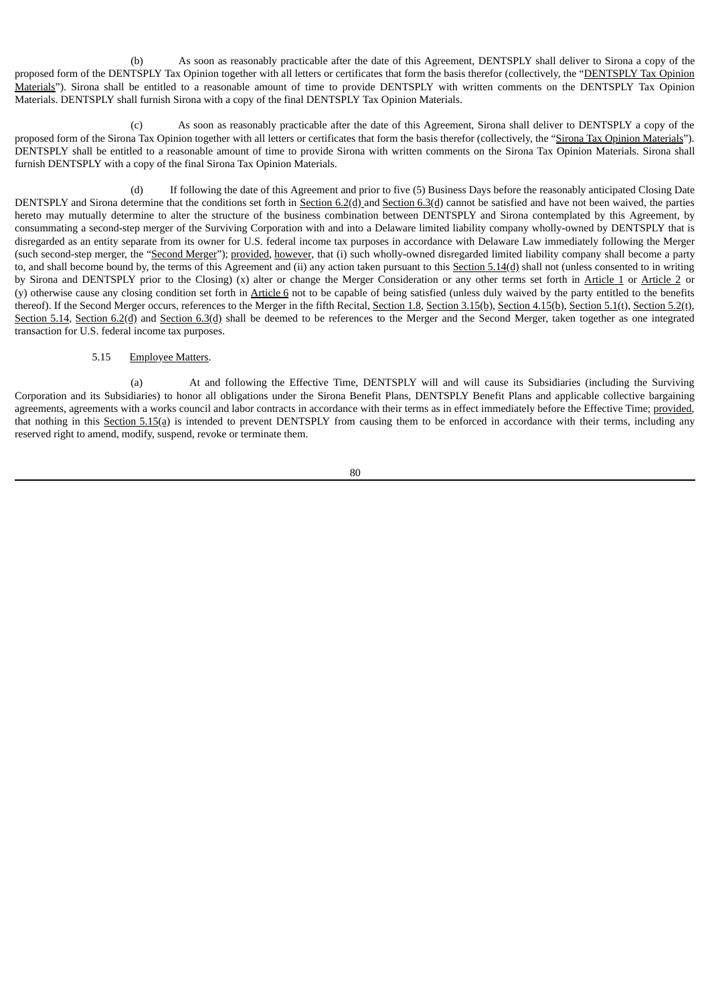(b) As soon as reasonably practicable after the date of this Agreement, DENTSPLY shall deliver to Sirona a copy of the proposed form of the DENTSPLY Tax Opinion together with all letters or certificates that form the basis therefor (collectively, the "DENTSPLY Tax Opinion Materials"). Sirona shall be entitled to a reasonable amount of time to provide DENTSPLY with written comments on the DENTSPLY Tax Opinion Materials. DENTSPLY shall furnish Sirona with a copy of the final DENTSPLY Tax Opinion Materials.

(c) As soon as reasonably practicable after the date of this Agreement, Sirona shall deliver to DENTSPLY a copy of the proposed form of the Sirona Tax Opinion together with all letters or certificates that form the basis therefor (collectively, the "Sirona Tax Opinion Materials"). DENTSPLY shall be entitled to a reasonable amount of time to provide Sirona with written comments on the Sirona Tax Opinion Materials. Sirona shall furnish DENTSPLY with a copy of the final Sirona Tax Opinion Materials.

(d) If following the date of this Agreement and prior to five (5) Business Days before the reasonably anticipated Closing Date DENTSPLY and Sirona determine that the conditions set forth in Section 6.2(d) and Section 6.3(d) cannot be satisfied and have not been waived, the parties hereto may mutually determine to alter the structure of the business combination between DENTSPLY and Sirona contemplated by this Agreement, by consummating a second-step merger of the Surviving Corporation with and into a Delaware limited liability company wholly-owned by DENTSPLY that is disregarded as an entity separate from its owner for U.S. federal income tax purposes in accordance with Delaware Law immediately following the Merger (such second-step merger, the "Second Merger"); provided, however, that (i) such wholly-owned disregarded limited liability company shall become a party to, and shall become bound by, the terms of this Agreement and (ii) any action taken pursuant to this  $Section 5.14(d)$  shall not (unless consented to in writing by Sirona and DENTSPLY prior to the Closing) (x) alter or change the Merger Consideration or any other terms set forth in Article 1 or Article 2 or (y) otherwise cause any closing condition set forth in Article 6 not to be capable of being satisfied (unless duly waived by the party entitled to the benefits thereof). If the Second Merger occurs, references to the Merger in the fifth Recital, Section 1.8, Section 3.15(b), Section 4.15(b), Section 5.1(t), Section 5.2(t), Section 5.14, Section 6.2(d) and Section 6.3(d) shall be deemed to be references to the Merger and the Second Merger, taken together as one integrated transaction for U.S. federal income tax purposes.

## 5.15 Employee Matters.

(a) At and following the Effective Time, DENTSPLY will and will cause its Subsidiaries (including the Surviving Corporation and its Subsidiaries) to honor all obligations under the Sirona Benefit Plans, DENTSPLY Benefit Plans and applicable collective bargaining agreements, agreements with a works council and labor contracts in accordance with their terms as in effect immediately before the Effective Time; provided, that nothing in this Section 5.15(a) is intended to prevent DENTSPLY from causing them to be enforced in accordance with their terms, including any reserved right to amend, modify, suspend, revoke or terminate them.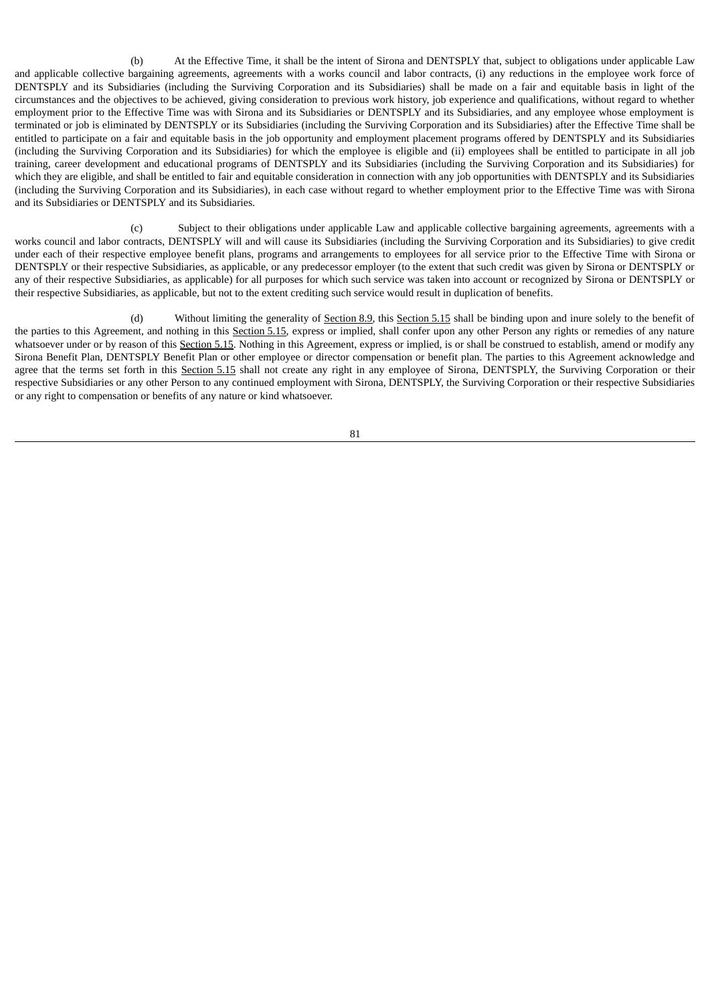(b) At the Effective Time, it shall be the intent of Sirona and DENTSPLY that, subject to obligations under applicable Law and applicable collective bargaining agreements, agreements with a works council and labor contracts, (i) any reductions in the employee work force of DENTSPLY and its Subsidiaries (including the Surviving Corporation and its Subsidiaries) shall be made on a fair and equitable basis in light of the circumstances and the objectives to be achieved, giving consideration to previous work history, job experience and qualifications, without regard to whether employment prior to the Effective Time was with Sirona and its Subsidiaries or DENTSPLY and its Subsidiaries, and any employee whose employment is terminated or job is eliminated by DENTSPLY or its Subsidiaries (including the Surviving Corporation and its Subsidiaries) after the Effective Time shall be entitled to participate on a fair and equitable basis in the job opportunity and employment placement programs offered by DENTSPLY and its Subsidiaries (including the Surviving Corporation and its Subsidiaries) for which the employee is eligible and (ii) employees shall be entitled to participate in all job training, career development and educational programs of DENTSPLY and its Subsidiaries (including the Surviving Corporation and its Subsidiaries) for which they are eligible, and shall be entitled to fair and equitable consideration in connection with any job opportunities with DENTSPLY and its Subsidiaries (including the Surviving Corporation and its Subsidiaries), in each case without regard to whether employment prior to the Effective Time was with Sirona and its Subsidiaries or DENTSPLY and its Subsidiaries.

(c) Subject to their obligations under applicable Law and applicable collective bargaining agreements, agreements with a works council and labor contracts, DENTSPLY will and will cause its Subsidiaries (including the Surviving Corporation and its Subsidiaries) to give credit under each of their respective employee benefit plans, programs and arrangements to employees for all service prior to the Effective Time with Sirona or DENTSPLY or their respective Subsidiaries, as applicable, or any predecessor employer (to the extent that such credit was given by Sirona or DENTSPLY or any of their respective Subsidiaries, as applicable) for all purposes for which such service was taken into account or recognized by Sirona or DENTSPLY or their respective Subsidiaries, as applicable, but not to the extent crediting such service would result in duplication of benefits.

(d) Without limiting the generality of Section 8.9, this Section 5.15 shall be binding upon and inure solely to the benefit of the parties to this Agreement, and nothing in this Section 5.15, express or implied, shall confer upon any other Person any rights or remedies of any nature whatsoever under or by reason of this Section 5.15. Nothing in this Agreement, express or implied, is or shall be construed to establish, amend or modify any Sirona Benefit Plan, DENTSPLY Benefit Plan or other employee or director compensation or benefit plan. The parties to this Agreement acknowledge and agree that the terms set forth in this Section 5.15 shall not create any right in any employee of Sirona, DENTSPLY, the Surviving Corporation or their respective Subsidiaries or any other Person to any continued employment with Sirona, DENTSPLY, the Surviving Corporation or their respective Subsidiaries or any right to compensation or benefits of any nature or kind whatsoever.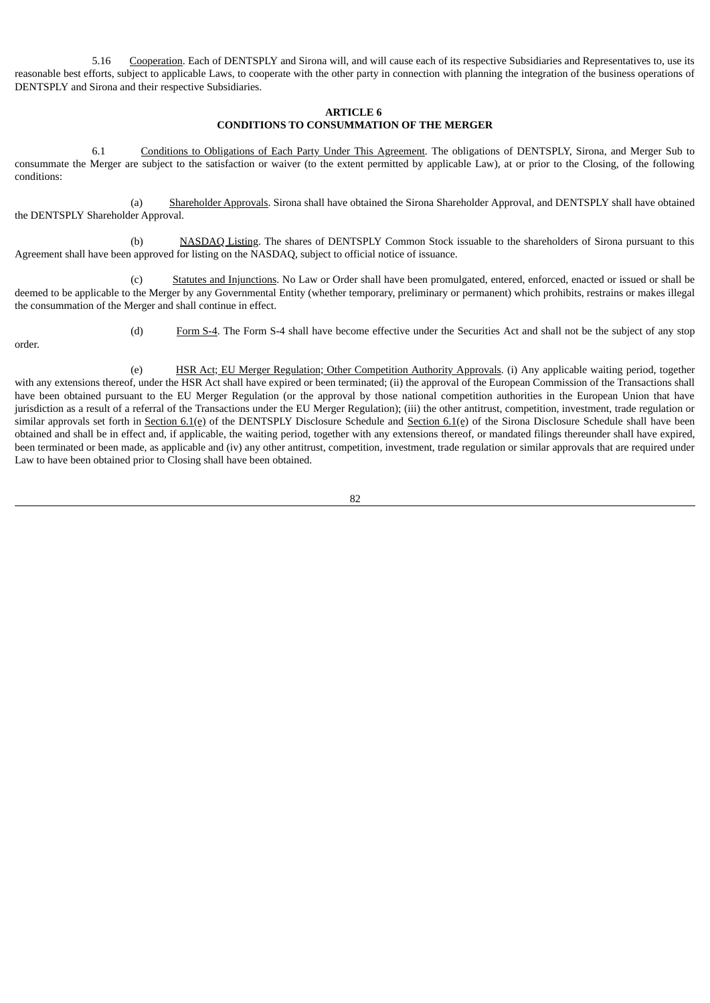5.16 Cooperation. Each of DENTSPLY and Sirona will, and will cause each of its respective Subsidiaries and Representatives to, use its reasonable best efforts, subject to applicable Laws, to cooperate with the other party in connection with planning the integration of the business operations of DENTSPLY and Sirona and their respective Subsidiaries.

## **ARTICLE 6 CONDITIONS TO CONSUMMATION OF THE MERGER**

6.1 Conditions to Obligations of Each Party Under This Agreement. The obligations of DENTSPLY, Sirona, and Merger Sub to consummate the Merger are subject to the satisfaction or waiver (to the extent permitted by applicable Law), at or prior to the Closing, of the following conditions:

(a) Shareholder Approvals. Sirona shall have obtained the Sirona Shareholder Approval, and DENTSPLY shall have obtained the DENTSPLY Shareholder Approval.

(b) NASDAQ Listing. The shares of DENTSPLY Common Stock issuable to the shareholders of Sirona pursuant to this Agreement shall have been approved for listing on the NASDAQ, subject to official notice of issuance.

(c) Statutes and Injunctions. No Law or Order shall have been promulgated, entered, enforced, enacted or issued or shall be deemed to be applicable to the Merger by any Governmental Entity (whether temporary, preliminary or permanent) which prohibits, restrains or makes illegal the consummation of the Merger and shall continue in effect.

order.

(d) Form S-4. The Form S-4 shall have become effective under the Securities Act and shall not be the subject of any stop

(e) HSR Act; EU Merger Regulation; Other Competition Authority Approvals. (i) Any applicable waiting period, together with any extensions thereof, under the HSR Act shall have expired or been terminated; (ii) the approval of the European Commission of the Transactions shall have been obtained pursuant to the EU Merger Regulation (or the approval by those national competition authorities in the European Union that have jurisdiction as a result of a referral of the Transactions under the EU Merger Regulation); (iii) the other antitrust, competition, investment, trade regulation or similar approvals set forth in Section  $6.1(e)$  of the DENTSPLY Disclosure Schedule and Section  $6.1(e)$  of the Sirona Disclosure Schedule shall have been obtained and shall be in effect and, if applicable, the waiting period, together with any extensions thereof, or mandated filings thereunder shall have expired, been terminated or been made, as applicable and (iv) any other antitrust, competition, investment, trade regulation or similar approvals that are required under Law to have been obtained prior to Closing shall have been obtained.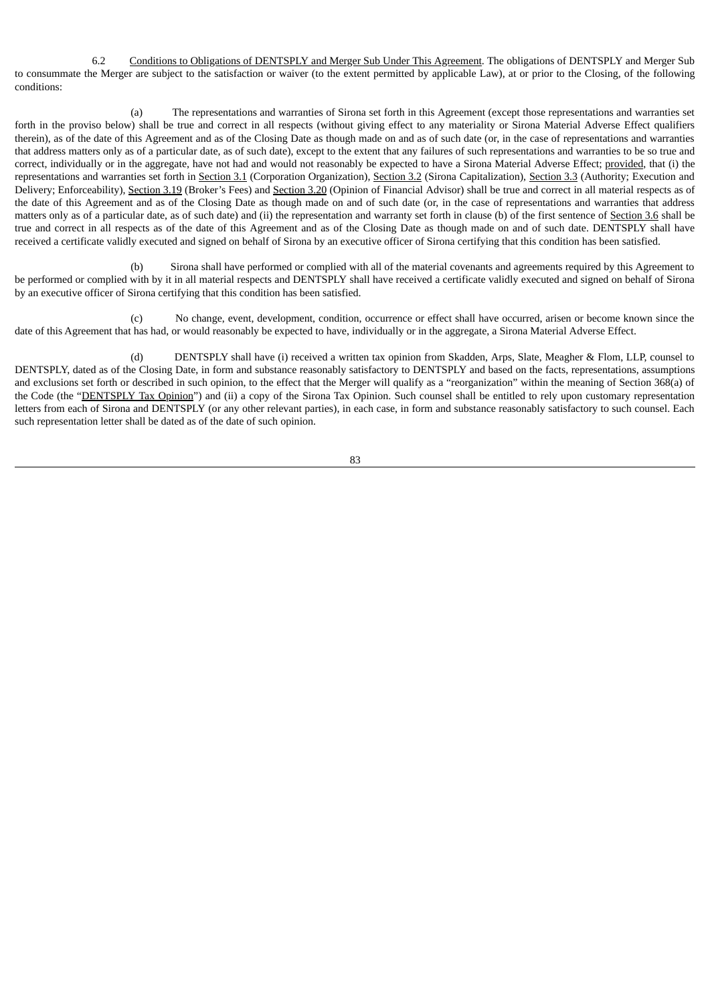6.2 Conditions to Obligations of DENTSPLY and Merger Sub Under This Agreement. The obligations of DENTSPLY and Merger Sub to consummate the Merger are subject to the satisfaction or waiver (to the extent permitted by applicable Law), at or prior to the Closing, of the following conditions:

(a) The representations and warranties of Sirona set forth in this Agreement (except those representations and warranties set forth in the proviso below) shall be true and correct in all respects (without giving effect to any materiality or Sirona Material Adverse Effect qualifiers therein), as of the date of this Agreement and as of the Closing Date as though made on and as of such date (or, in the case of representations and warranties that address matters only as of a particular date, as of such date), except to the extent that any failures of such representations and warranties to be so true and correct, individually or in the aggregate, have not had and would not reasonably be expected to have a Sirona Material Adverse Effect; provided, that (i) the representations and warranties set forth in Section 3.1 (Corporation Organization), Section 3.2 (Sirona Capitalization), Section 3.3 (Authority; Execution and Delivery; Enforceability), Section 3.19 (Broker's Fees) and Section 3.20 (Opinion of Financial Advisor) shall be true and correct in all material respects as of the date of this Agreement and as of the Closing Date as though made on and of such date (or, in the case of representations and warranties that address matters only as of a particular date, as of such date) and (ii) the representation and warranty set forth in clause (b) of the first sentence of Section 3.6 shall be true and correct in all respects as of the date of this Agreement and as of the Closing Date as though made on and of such date. DENTSPLY shall have received a certificate validly executed and signed on behalf of Sirona by an executive officer of Sirona certifying that this condition has been satisfied.

(b) Sirona shall have performed or complied with all of the material covenants and agreements required by this Agreement to be performed or complied with by it in all material respects and DENTSPLY shall have received a certificate validly executed and signed on behalf of Sirona by an executive officer of Sirona certifying that this condition has been satisfied.

(c) No change, event, development, condition, occurrence or effect shall have occurred, arisen or become known since the date of this Agreement that has had, or would reasonably be expected to have, individually or in the aggregate, a Sirona Material Adverse Effect.

(d) DENTSPLY shall have (i) received a written tax opinion from Skadden, Arps, Slate, Meagher & Flom, LLP, counsel to DENTSPLY, dated as of the Closing Date, in form and substance reasonably satisfactory to DENTSPLY and based on the facts, representations, assumptions and exclusions set forth or described in such opinion, to the effect that the Merger will qualify as a "reorganization" within the meaning of Section 368(a) of the Code (the "DENTSPLY Tax Opinion") and (ii) a copy of the Sirona Tax Opinion. Such counsel shall be entitled to rely upon customary representation letters from each of Sirona and DENTSPLY (or any other relevant parties), in each case, in form and substance reasonably satisfactory to such counsel. Each such representation letter shall be dated as of the date of such opinion.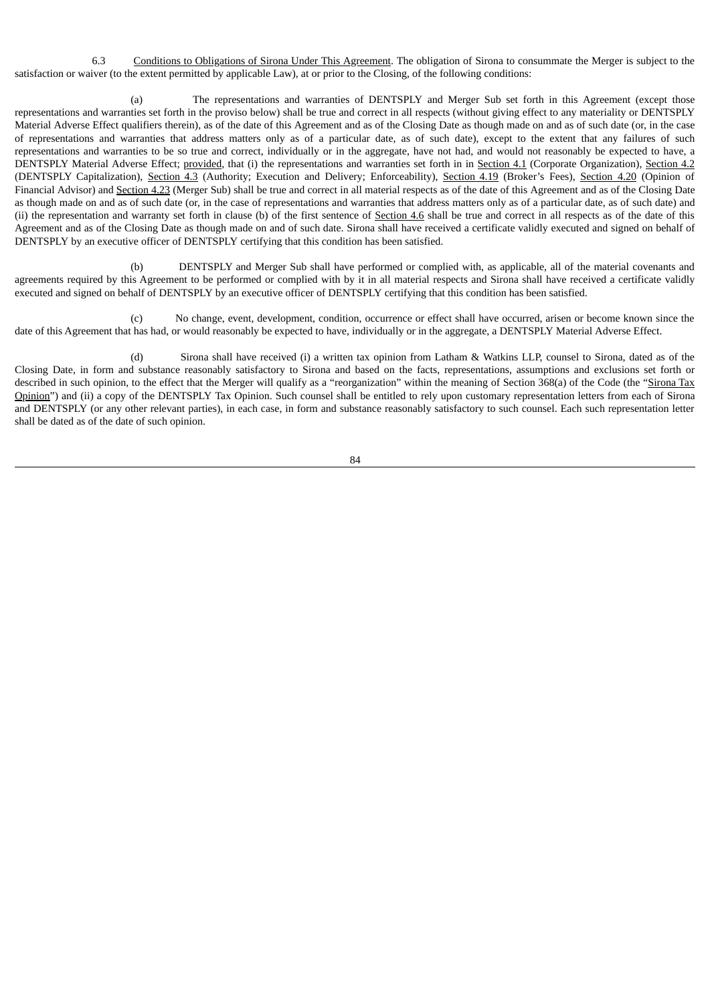6.3 Conditions to Obligations of Sirona Under This Agreement. The obligation of Sirona to consummate the Merger is subject to the satisfaction or waiver (to the extent permitted by applicable Law), at or prior to the Closing, of the following conditions:

(a) The representations and warranties of DENTSPLY and Merger Sub set forth in this Agreement (except those representations and warranties set forth in the proviso below) shall be true and correct in all respects (without giving effect to any materiality or DENTSPLY Material Adverse Effect qualifiers therein), as of the date of this Agreement and as of the Closing Date as though made on and as of such date (or, in the case of representations and warranties that address matters only as of a particular date, as of such date), except to the extent that any failures of such representations and warranties to be so true and correct, individually or in the aggregate, have not had, and would not reasonably be expected to have, a DENTSPLY Material Adverse Effect; provided, that (i) the representations and warranties set forth in in Section 4.1 (Corporate Organization), Section 4.2 (DENTSPLY Capitalization), Section 4.3 (Authority; Execution and Delivery; Enforceability), Section 4.19 (Broker's Fees), Section 4.20 (Opinion of Financial Advisor) and Section 4.23 (Merger Sub) shall be true and correct in all material respects as of the date of this Agreement and as of the Closing Date as though made on and as of such date (or, in the case of representations and warranties that address matters only as of a particular date, as of such date) and (ii) the representation and warranty set forth in clause (b) of the first sentence of Section 4.6 shall be true and correct in all respects as of the date of this Agreement and as of the Closing Date as though made on and of such date. Sirona shall have received a certificate validly executed and signed on behalf of DENTSPLY by an executive officer of DENTSPLY certifying that this condition has been satisfied.

(b) DENTSPLY and Merger Sub shall have performed or complied with, as applicable, all of the material covenants and agreements required by this Agreement to be performed or complied with by it in all material respects and Sirona shall have received a certificate validly executed and signed on behalf of DENTSPLY by an executive officer of DENTSPLY certifying that this condition has been satisfied.

(c) No change, event, development, condition, occurrence or effect shall have occurred, arisen or become known since the date of this Agreement that has had, or would reasonably be expected to have, individually or in the aggregate, a DENTSPLY Material Adverse Effect.

(d) Sirona shall have received (i) a written tax opinion from Latham & Watkins LLP, counsel to Sirona, dated as of the Closing Date, in form and substance reasonably satisfactory to Sirona and based on the facts, representations, assumptions and exclusions set forth or described in such opinion, to the effect that the Merger will qualify as a "reorganization" within the meaning of Section 368(a) of the Code (the "Sirona Tax Opinion") and (ii) a copy of the DENTSPLY Tax Opinion. Such counsel shall be entitled to rely upon customary representation letters from each of Sirona and DENTSPLY (or any other relevant parties), in each case, in form and substance reasonably satisfactory to such counsel. Each such representation letter shall be dated as of the date of such opinion.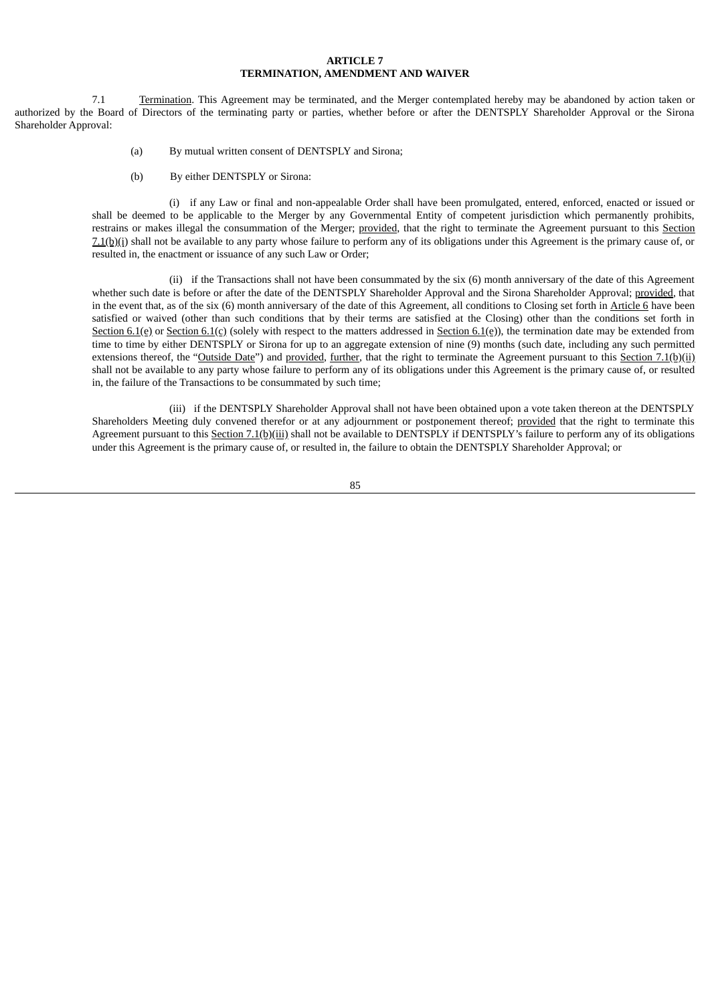## **ARTICLE 7 TERMINATION, AMENDMENT AND WAIVER**

7.1 Termination. This Agreement may be terminated, and the Merger contemplated hereby may be abandoned by action taken or authorized by the Board of Directors of the terminating party or parties, whether before or after the DENTSPLY Shareholder Approval or the Sirona Shareholder Approval:

- (a) By mutual written consent of DENTSPLY and Sirona;
- (b) By either DENTSPLY or Sirona:

(i) if any Law or final and non-appealable Order shall have been promulgated, entered, enforced, enacted or issued or shall be deemed to be applicable to the Merger by any Governmental Entity of competent jurisdiction which permanently prohibits, restrains or makes illegal the consummation of the Merger; provided, that the right to terminate the Agreement pursuant to this Section  $7.1(b)(i)$  shall not be available to any party whose failure to perform any of its obligations under this Agreement is the primary cause of, or resulted in, the enactment or issuance of any such Law or Order;

(ii) if the Transactions shall not have been consummated by the six (6) month anniversary of the date of this Agreement whether such date is before or after the date of the DENTSPLY Shareholder Approval and the Sirona Shareholder Approval; provided, that in the event that, as of the six (6) month anniversary of the date of this Agreement, all conditions to Closing set forth in Article 6 have been satisfied or waived (other than such conditions that by their terms are satisfied at the Closing) other than the conditions set forth in Section  $6.1$ (e) or Section  $6.1$ (c) (solely with respect to the matters addressed in Section  $6.1$ (e)), the termination date may be extended from time to time by either DENTSPLY or Sirona for up to an aggregate extension of nine (9) months (such date, including any such permitted extensions thereof, the "Outside Date") and provided, further, that the right to terminate the Agreement pursuant to this Section 7.1(b)(ii) shall not be available to any party whose failure to perform any of its obligations under this Agreement is the primary cause of, or resulted in, the failure of the Transactions to be consummated by such time;

(iii) if the DENTSPLY Shareholder Approval shall not have been obtained upon a vote taken thereon at the DENTSPLY Shareholders Meeting duly convened therefor or at any adjournment or postponement thereof; provided that the right to terminate this Agreement pursuant to this Section 7.1(b)(iii) shall not be available to DENTSPLY if DENTSPLY's failure to perform any of its obligations under this Agreement is the primary cause of, or resulted in, the failure to obtain the DENTSPLY Shareholder Approval; or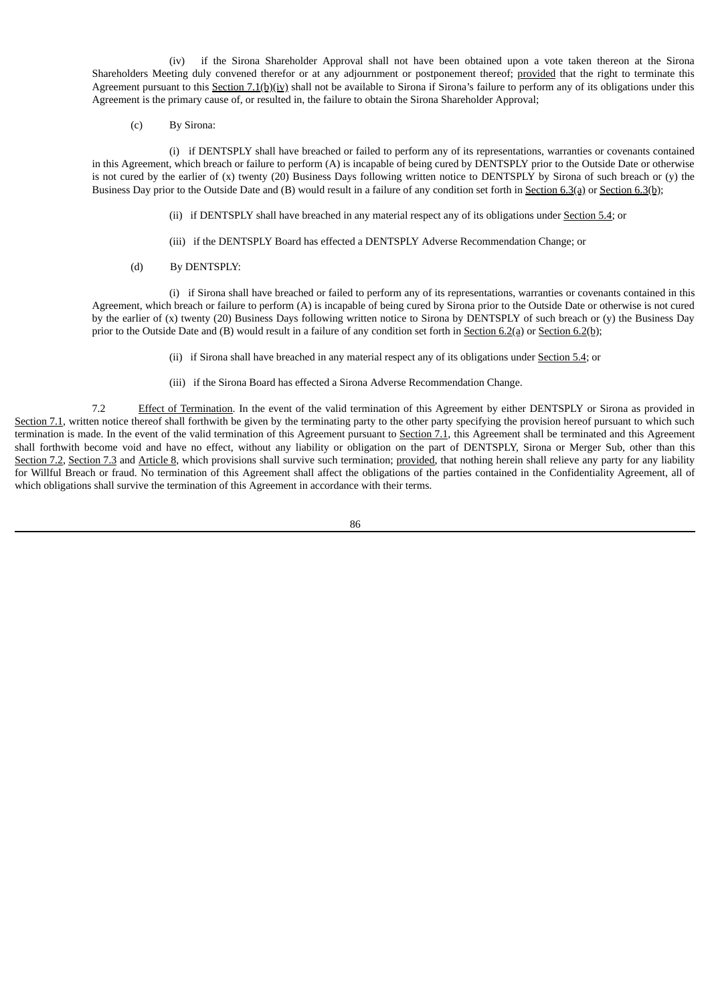(iv) if the Sirona Shareholder Approval shall not have been obtained upon a vote taken thereon at the Sirona Shareholders Meeting duly convened therefor or at any adjournment or postponement thereof; provided that the right to terminate this Agreement pursuant to this Section 7.1(b)(iv) shall not be available to Sirona if Sirona's failure to perform any of its obligations under this Agreement is the primary cause of, or resulted in, the failure to obtain the Sirona Shareholder Approval;

(c) By Sirona:

(i) if DENTSPLY shall have breached or failed to perform any of its representations, warranties or covenants contained in this Agreement, which breach or failure to perform (A) is incapable of being cured by DENTSPLY prior to the Outside Date or otherwise is not cured by the earlier of (x) twenty (20) Business Days following written notice to DENTSPLY by Sirona of such breach or (y) the Business Day prior to the Outside Date and (B) would result in a failure of any condition set forth in Section 6.3(a) or Section 6.3(b);

- (ii) if DENTSPLY shall have breached in any material respect any of its obligations under Section 5.4; or
- (iii) if the DENTSPLY Board has effected a DENTSPLY Adverse Recommendation Change; or
- (d) By DENTSPLY:

(i) if Sirona shall have breached or failed to perform any of its representations, warranties or covenants contained in this Agreement, which breach or failure to perform (A) is incapable of being cured by Sirona prior to the Outside Date or otherwise is not cured by the earlier of (x) twenty (20) Business Days following written notice to Sirona by DENTSPLY of such breach or (y) the Business Day prior to the Outside Date and (B) would result in a failure of any condition set forth in Section 6.2(a) or Section 6.2(b);

(ii) if Sirona shall have breached in any material respect any of its obligations under Section 5.4; or

(iii) if the Sirona Board has effected a Sirona Adverse Recommendation Change.

7.2 Effect of Termination. In the event of the valid termination of this Agreement by either DENTSPLY or Sirona as provided in Section 7.1, written notice thereof shall forthwith be given by the terminating party to the other party specifying the provision hereof pursuant to which such termination is made. In the event of the valid termination of this Agreement pursuant to Section 7.1, this Agreement shall be terminated and this Agreement shall forthwith become void and have no effect, without any liability or obligation on the part of DENTSPLY, Sirona or Merger Sub, other than this Section 7.2, Section 7.3 and Article 8, which provisions shall survive such termination; provided, that nothing herein shall relieve any party for any liability for Willful Breach or fraud. No termination of this Agreement shall affect the obligations of the parties contained in the Confidentiality Agreement, all of which obligations shall survive the termination of this Agreement in accordance with their terms.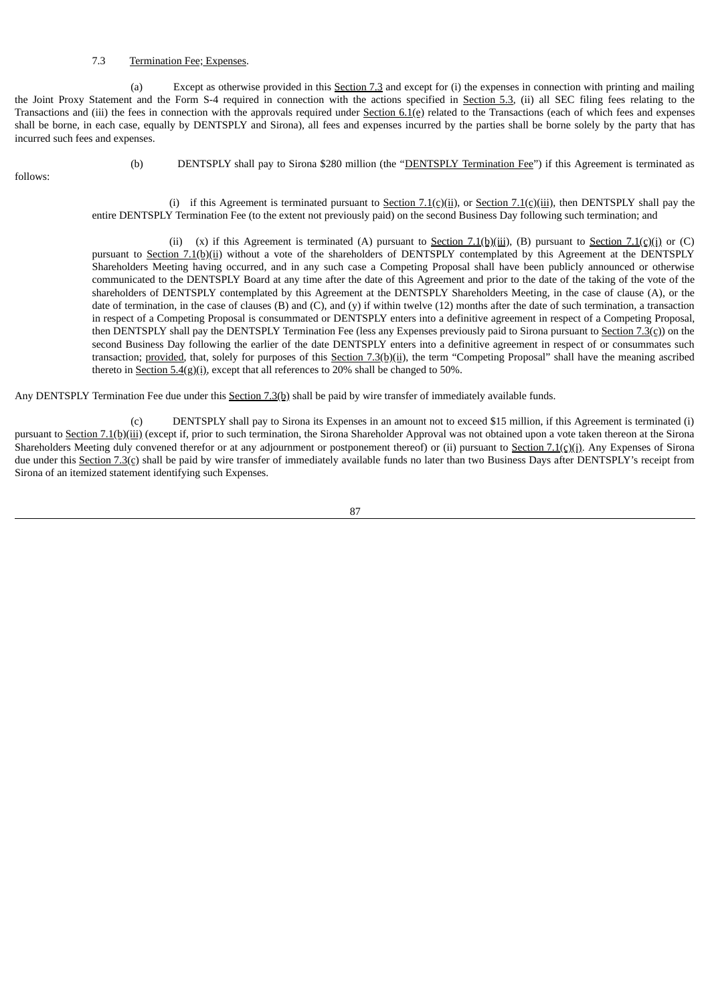#### 7.3 Termination Fee; Expenses.

(a) Except as otherwise provided in this Section 7.3 and except for (i) the expenses in connection with printing and mailing the Joint Proxy Statement and the Form S-4 required in connection with the actions specified in Section 5.3, (ii) all SEC filing fees relating to the Transactions and (iii) the fees in connection with the approvals required under Section 6.1(e) related to the Transactions (each of which fees and expenses shall be borne, in each case, equally by DENTSPLY and Sirona), all fees and expenses incurred by the parties shall be borne solely by the party that has incurred such fees and expenses.

follows:

(b) DENTSPLY shall pay to Sirona \$280 million (the "DENTSPLY Termination Fee") if this Agreement is terminated as

(i) if this Agreement is terminated pursuant to Section 7.1(c)(ii), or Section 7.1(c)(iii), then DENTSPLY shall pay the entire DENTSPLY Termination Fee (to the extent not previously paid) on the second Business Day following such termination; and

(ii) (x) if this Agreement is terminated (A) pursuant to **Section 7.1(b)(iii)**, (B) pursuant to **Section 7.1(c)(i)** or (C) pursuant to Section 7.1(b)(ii) without a vote of the shareholders of DENTSPLY contemplated by this Agreement at the DENTSPLY Shareholders Meeting having occurred, and in any such case a Competing Proposal shall have been publicly announced or otherwise communicated to the DENTSPLY Board at any time after the date of this Agreement and prior to the date of the taking of the vote of the shareholders of DENTSPLY contemplated by this Agreement at the DENTSPLY Shareholders Meeting, in the case of clause (A), or the date of termination, in the case of clauses (B) and (C), and (y) if within twelve (12) months after the date of such termination, a transaction in respect of a Competing Proposal is consummated or DENTSPLY enters into a definitive agreement in respect of a Competing Proposal, then DENTSPLY shall pay the DENTSPLY Termination Fee (less any Expenses previously paid to Sirona pursuant to Section 7.3(c)) on the second Business Day following the earlier of the date DENTSPLY enters into a definitive agreement in respect of or consummates such transaction; provided, that, solely for purposes of this  $Section 7.3(b)(ii)$ , the term "Competing Proposal" shall have the meaning ascribed thereto in Section  $5.4(g)(i)$ , except that all references to 20% shall be changed to 50%.

Any DENTSPLY Termination Fee due under this Section 7.3(b) shall be paid by wire transfer of immediately available funds.

(c) DENTSPLY shall pay to Sirona its Expenses in an amount not to exceed \$15 million, if this Agreement is terminated (i) pursuant to Section 7.1(b)(iii) (except if, prior to such termination, the Sirona Shareholder Approval was not obtained upon a vote taken thereon at the Sirona Shareholders Meeting duly convened therefor or at any adjournment or postponement thereof) or (ii) pursuant to Section 7.1(c)(i). Any Expenses of Sirona due under this Section 7.3(c) shall be paid by wire transfer of immediately available funds no later than two Business Days after DENTSPLY's receipt from Sirona of an itemized statement identifying such Expenses.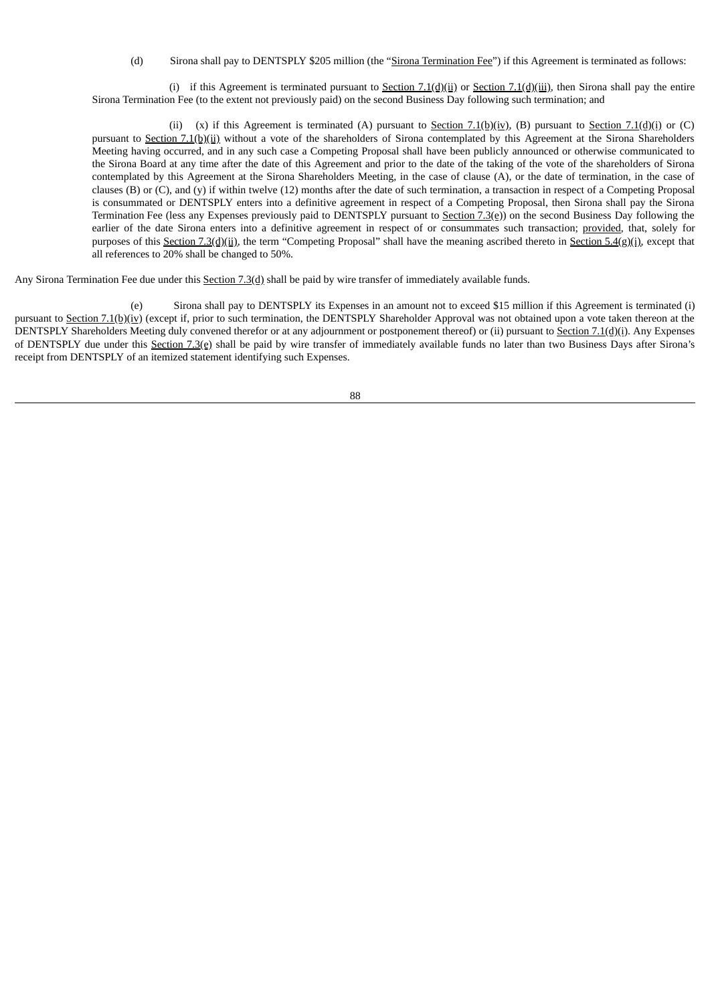(d) Sirona shall pay to DENTSPLY \$205 million (the "Sirona Termination Fee") if this Agreement is terminated as follows:

(i) if this Agreement is terminated pursuant to Section 7.1(d)(ii) or Section 7.1(d)(iii), then Sirona shall pay the entire Sirona Termination Fee (to the extent not previously paid) on the second Business Day following such termination; and

(ii) (x) if this Agreement is terminated (A) pursuant to Section 7.1(b)(iv), (B) pursuant to Section 7.1(d)(i) or (C) pursuant to Section 7.1(b)(ii) without a vote of the shareholders of Sirona contemplated by this Agreement at the Sirona Shareholders Meeting having occurred, and in any such case a Competing Proposal shall have been publicly announced or otherwise communicated to the Sirona Board at any time after the date of this Agreement and prior to the date of the taking of the vote of the shareholders of Sirona contemplated by this Agreement at the Sirona Shareholders Meeting, in the case of clause (A), or the date of termination, in the case of clauses (B) or (C), and (y) if within twelve (12) months after the date of such termination, a transaction in respect of a Competing Proposal is consummated or DENTSPLY enters into a definitive agreement in respect of a Competing Proposal, then Sirona shall pay the Sirona Termination Fee (less any Expenses previously paid to DENTSPLY pursuant to Section 7.3(e)) on the second Business Day following the earlier of the date Sirona enters into a definitive agreement in respect of or consummates such transaction; provided, that, solely for purposes of this Section 7.3(d)(ii), the term "Competing Proposal" shall have the meaning ascribed thereto in Section 5.4(g)(i), except that all references to 20% shall be changed to 50%.

Any Sirona Termination Fee due under this Section 7.3(d) shall be paid by wire transfer of immediately available funds.

(e) Sirona shall pay to DENTSPLY its Expenses in an amount not to exceed \$15 million if this Agreement is terminated (i) pursuant to Section 7.1(b)(iv) (except if, prior to such termination, the DENTSPLY Shareholder Approval was not obtained upon a vote taken thereon at the DENTSPLY Shareholders Meeting duly convened therefor or at any adjournment or postponement thereof) or (ii) pursuant to Section 7.1(d)(i). Any Expenses of DENTSPLY due under this Section 7.3(e) shall be paid by wire transfer of immediately available funds no later than two Business Days after Sirona's receipt from DENTSPLY of an itemized statement identifying such Expenses.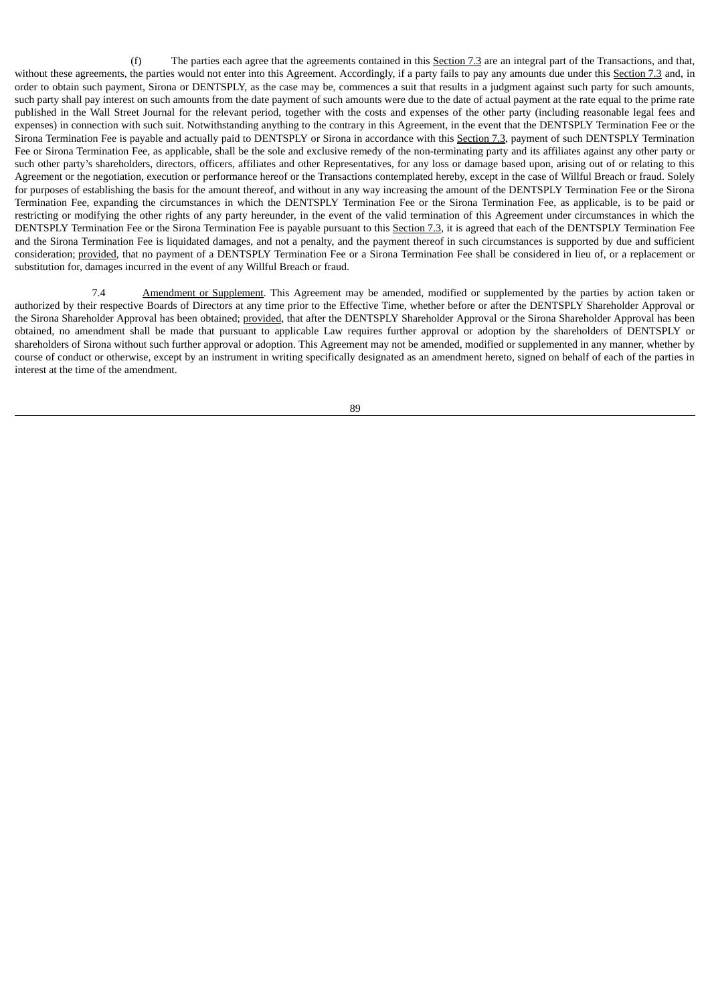(f) The parties each agree that the agreements contained in this Section 7.3 are an integral part of the Transactions, and that, without these agreements, the parties would not enter into this Agreement. Accordingly, if a party fails to pay any amounts due under this Section 7.3 and, in order to obtain such payment, Sirona or DENTSPLY, as the case may be, commences a suit that results in a judgment against such party for such amounts, such party shall pay interest on such amounts from the date payment of such amounts were due to the date of actual payment at the rate equal to the prime rate published in the Wall Street Journal for the relevant period, together with the costs and expenses of the other party (including reasonable legal fees and expenses) in connection with such suit. Notwithstanding anything to the contrary in this Agreement, in the event that the DENTSPLY Termination Fee or the Sirona Termination Fee is payable and actually paid to DENTSPLY or Sirona in accordance with this Section 7.3, payment of such DENTSPLY Termination Fee or Sirona Termination Fee, as applicable, shall be the sole and exclusive remedy of the non-terminating party and its affiliates against any other party or such other party's shareholders, directors, officers, affiliates and other Representatives, for any loss or damage based upon, arising out of or relating to this Agreement or the negotiation, execution or performance hereof or the Transactions contemplated hereby, except in the case of Willful Breach or fraud. Solely for purposes of establishing the basis for the amount thereof, and without in any way increasing the amount of the DENTSPLY Termination Fee or the Sirona Termination Fee, expanding the circumstances in which the DENTSPLY Termination Fee or the Sirona Termination Fee, as applicable, is to be paid or restricting or modifying the other rights of any party hereunder, in the event of the valid termination of this Agreement under circumstances in which the DENTSPLY Termination Fee or the Sirona Termination Fee is payable pursuant to this Section 7.3, it is agreed that each of the DENTSPLY Termination Fee and the Sirona Termination Fee is liquidated damages, and not a penalty, and the payment thereof in such circumstances is supported by due and sufficient consideration; provided, that no payment of a DENTSPLY Termination Fee or a Sirona Termination Fee shall be considered in lieu of, or a replacement or substitution for, damages incurred in the event of any Willful Breach or fraud.

7.4 Amendment or Supplement. This Agreement may be amended, modified or supplemented by the parties by action taken or authorized by their respective Boards of Directors at any time prior to the Effective Time, whether before or after the DENTSPLY Shareholder Approval or the Sirona Shareholder Approval has been obtained; provided, that after the DENTSPLY Shareholder Approval or the Sirona Shareholder Approval has been obtained, no amendment shall be made that pursuant to applicable Law requires further approval or adoption by the shareholders of DENTSPLY or shareholders of Sirona without such further approval or adoption. This Agreement may not be amended, modified or supplemented in any manner, whether by course of conduct or otherwise, except by an instrument in writing specifically designated as an amendment hereto, signed on behalf of each of the parties in interest at the time of the amendment.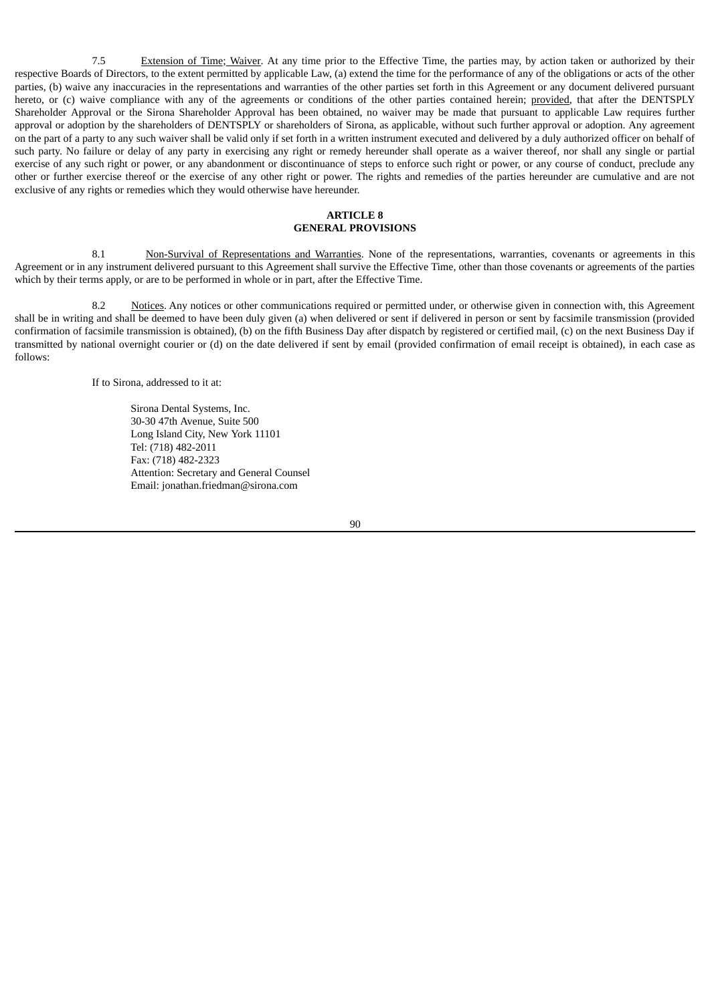7.5 Extension of Time; Waiver. At any time prior to the Effective Time, the parties may, by action taken or authorized by their respective Boards of Directors, to the extent permitted by applicable Law, (a) extend the time for the performance of any of the obligations or acts of the other parties, (b) waive any inaccuracies in the representations and warranties of the other parties set forth in this Agreement or any document delivered pursuant hereto, or (c) waive compliance with any of the agreements or conditions of the other parties contained herein; provided, that after the DENTSPLY Shareholder Approval or the Sirona Shareholder Approval has been obtained, no waiver may be made that pursuant to applicable Law requires further approval or adoption by the shareholders of DENTSPLY or shareholders of Sirona, as applicable, without such further approval or adoption. Any agreement on the part of a party to any such waiver shall be valid only if set forth in a written instrument executed and delivered by a duly authorized officer on behalf of such party. No failure or delay of any party in exercising any right or remedy hereunder shall operate as a waiver thereof, nor shall any single or partial exercise of any such right or power, or any abandonment or discontinuance of steps to enforce such right or power, or any course of conduct, preclude any other or further exercise thereof or the exercise of any other right or power. The rights and remedies of the parties hereunder are cumulative and are not exclusive of any rights or remedies which they would otherwise have hereunder.

# **ARTICLE 8 GENERAL PROVISIONS**

8.1 Non-Survival of Representations and Warranties. None of the representations, warranties, covenants or agreements in this Agreement or in any instrument delivered pursuant to this Agreement shall survive the Effective Time, other than those covenants or agreements of the parties which by their terms apply, or are to be performed in whole or in part, after the Effective Time.

8.2 Notices. Any notices or other communications required or permitted under, or otherwise given in connection with, this Agreement shall be in writing and shall be deemed to have been duly given (a) when delivered or sent if delivered in person or sent by facsimile transmission (provided confirmation of facsimile transmission is obtained), (b) on the fifth Business Day after dispatch by registered or certified mail, (c) on the next Business Day if transmitted by national overnight courier or (d) on the date delivered if sent by email (provided confirmation of email receipt is obtained), in each case as follows:

If to Sirona, addressed to it at:

Sirona Dental Systems, Inc. 30-30 47th Avenue, Suite 500 Long Island City, New York 11101 Tel: (718) 482-2011 Fax: (718) 482-2323 Attention: Secretary and General Counsel Email: jonathan.friedman@sirona.com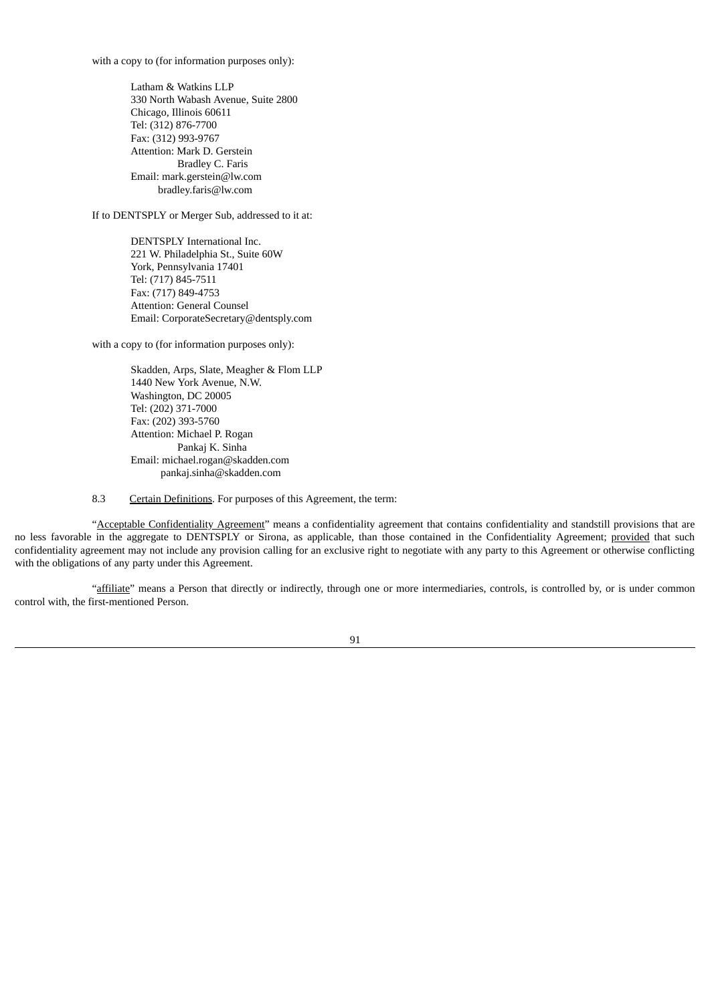with a copy to (for information purposes only):

Latham & Watkins LLP 330 North Wabash Avenue, Suite 2800 Chicago, Illinois 60611 Tel: (312) 876-7700 Fax: (312) 993-9767 Attention: Mark D. Gerstein Bradley C. Faris Email: mark.gerstein@lw.com bradley.faris@lw.com

If to DENTSPLY or Merger Sub, addressed to it at:

DENTSPLY International Inc. 221 W. Philadelphia St., Suite 60W York, Pennsylvania 17401 Tel: (717) 845-7511 Fax: (717) 849-4753 Attention: General Counsel Email: CorporateSecretary@dentsply.com

with a copy to (for information purposes only):

Skadden, Arps, Slate, Meagher & Flom LLP 1440 New York Avenue, N.W. Washington, DC 20005 Tel: (202) 371-7000 Fax: (202) 393-5760 Attention: Michael P. Rogan Pankaj K. Sinha Email: michael.rogan@skadden.com pankaj.sinha@skadden.com

8.3 Certain Definitions. For purposes of this Agreement, the term:

"Acceptable Confidentiality Agreement" means a confidentiality agreement that contains confidentiality and standstill provisions that are no less favorable in the aggregate to DENTSPLY or Sirona, as applicable, than those contained in the Confidentiality Agreement; provided that such confidentiality agreement may not include any provision calling for an exclusive right to negotiate with any party to this Agreement or otherwise conflicting with the obligations of any party under this Agreement.

"affiliate" means a Person that directly or indirectly, through one or more intermediaries, controls, is controlled by, or is under common control with, the first-mentioned Person.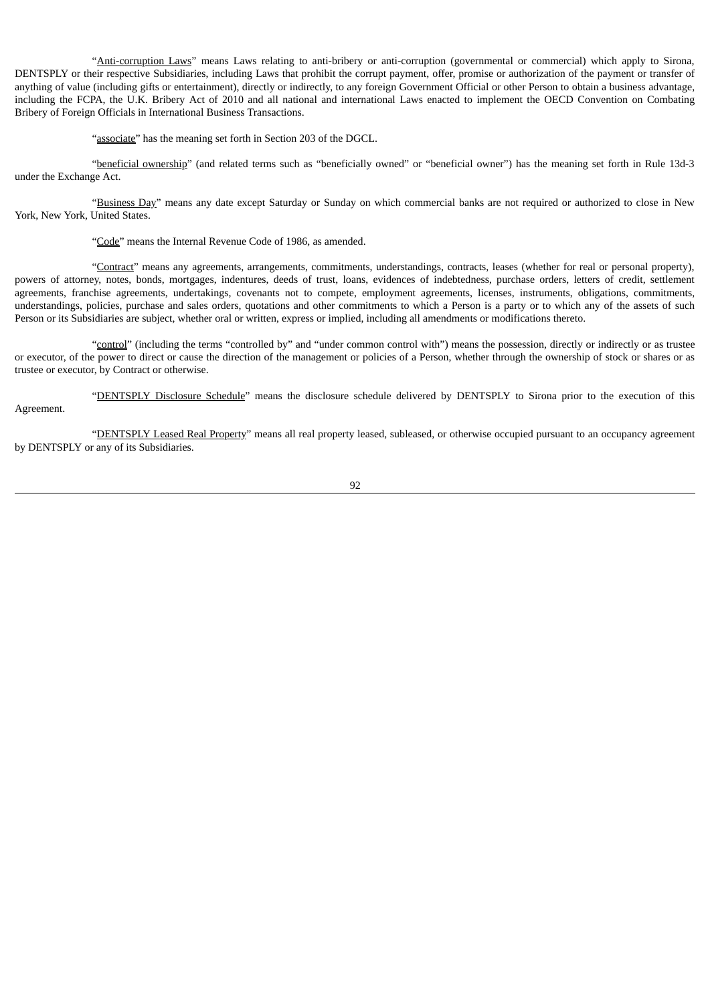"Anti-corruption Laws" means Laws relating to anti-bribery or anti-corruption (governmental or commercial) which apply to Sirona, DENTSPLY or their respective Subsidiaries, including Laws that prohibit the corrupt payment, offer, promise or authorization of the payment or transfer of anything of value (including gifts or entertainment), directly or indirectly, to any foreign Government Official or other Person to obtain a business advantage, including the FCPA, the U.K. Bribery Act of 2010 and all national and international Laws enacted to implement the OECD Convention on Combating Bribery of Foreign Officials in International Business Transactions.

"associate" has the meaning set forth in Section 203 of the DGCL.

"beneficial ownership" (and related terms such as "beneficially owned" or "beneficial owner") has the meaning set forth in Rule 13d-3 under the Exchange Act.

"Business Day" means any date except Saturday or Sunday on which commercial banks are not required or authorized to close in New York, New York, United States.

"Code" means the Internal Revenue Code of 1986, as amended.

"Contract" means any agreements, arrangements, commitments, understandings, contracts, leases (whether for real or personal property), powers of attorney, notes, bonds, mortgages, indentures, deeds of trust, loans, evidences of indebtedness, purchase orders, letters of credit, settlement agreements, franchise agreements, undertakings, covenants not to compete, employment agreements, licenses, instruments, obligations, commitments, understandings, policies, purchase and sales orders, quotations and other commitments to which a Person is a party or to which any of the assets of such Person or its Subsidiaries are subject, whether oral or written, express or implied, including all amendments or modifications thereto.

"control" (including the terms "controlled by" and "under common control with") means the possession, directly or indirectly or as trustee or executor, of the power to direct or cause the direction of the management or policies of a Person, whether through the ownership of stock or shares or as trustee or executor, by Contract or otherwise.

"DENTSPLY Disclosure Schedule" means the disclosure schedule delivered by DENTSPLY to Sirona prior to the execution of this Agreement.

"DENTSPLY Leased Real Property" means all real property leased, subleased, or otherwise occupied pursuant to an occupancy agreement by DENTSPLY or any of its Subsidiaries.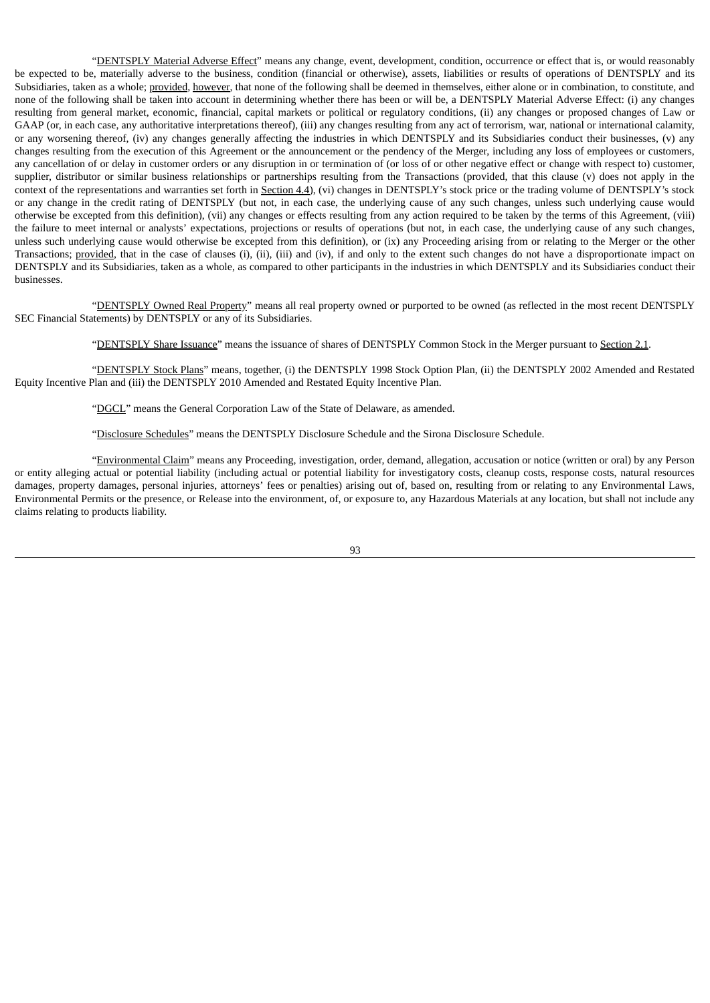"DENTSPLY Material Adverse Effect" means any change, event, development, condition, occurrence or effect that is, or would reasonably be expected to be, materially adverse to the business, condition (financial or otherwise), assets, liabilities or results of operations of DENTSPLY and its Subsidiaries, taken as a whole; provided, however, that none of the following shall be deemed in themselves, either alone or in combination, to constitute, and none of the following shall be taken into account in determining whether there has been or will be, a DENTSPLY Material Adverse Effect: (i) any changes resulting from general market, economic, financial, capital markets or political or regulatory conditions, (ii) any changes or proposed changes of Law or GAAP (or, in each case, any authoritative interpretations thereof), (iii) any changes resulting from any act of terrorism, war, national or international calamity, or any worsening thereof, (iv) any changes generally affecting the industries in which DENTSPLY and its Subsidiaries conduct their businesses, (v) any changes resulting from the execution of this Agreement or the announcement or the pendency of the Merger, including any loss of employees or customers, any cancellation of or delay in customer orders or any disruption in or termination of (or loss of or other negative effect or change with respect to) customer, supplier, distributor or similar business relationships or partnerships resulting from the Transactions (provided, that this clause (v) does not apply in the context of the representations and warranties set forth in Section 4.4), (vi) changes in DENTSPLY's stock price or the trading volume of DENTSPLY's stock or any change in the credit rating of DENTSPLY (but not, in each case, the underlying cause of any such changes, unless such underlying cause would otherwise be excepted from this definition), (vii) any changes or effects resulting from any action required to be taken by the terms of this Agreement, (viii) the failure to meet internal or analysts' expectations, projections or results of operations (but not, in each case, the underlying cause of any such changes, unless such underlying cause would otherwise be excepted from this definition), or (ix) any Proceeding arising from or relating to the Merger or the other Transactions; provided, that in the case of clauses (i), (ii), (iii) and (iv), if and only to the extent such changes do not have a disproportionate impact on DENTSPLY and its Subsidiaries, taken as a whole, as compared to other participants in the industries in which DENTSPLY and its Subsidiaries conduct their businesses.

"DENTSPLY Owned Real Property" means all real property owned or purported to be owned (as reflected in the most recent DENTSPLY SEC Financial Statements) by DENTSPLY or any of its Subsidiaries.

"DENTSPLY Share Issuance" means the issuance of shares of DENTSPLY Common Stock in the Merger pursuant to Section 2.1.

"DENTSPLY Stock Plans" means, together, (i) the DENTSPLY 1998 Stock Option Plan, (ii) the DENTSPLY 2002 Amended and Restated Equity Incentive Plan and (iii) the DENTSPLY 2010 Amended and Restated Equity Incentive Plan.

"DGCL" means the General Corporation Law of the State of Delaware, as amended.

"Disclosure Schedules" means the DENTSPLY Disclosure Schedule and the Sirona Disclosure Schedule.

"Environmental Claim" means any Proceeding, investigation, order, demand, allegation, accusation or notice (written or oral) by any Person or entity alleging actual or potential liability (including actual or potential liability for investigatory costs, cleanup costs, response costs, natural resources damages, property damages, personal injuries, attorneys' fees or penalties) arising out of, based on, resulting from or relating to any Environmental Laws, Environmental Permits or the presence, or Release into the environment, of, or exposure to, any Hazardous Materials at any location, but shall not include any claims relating to products liability.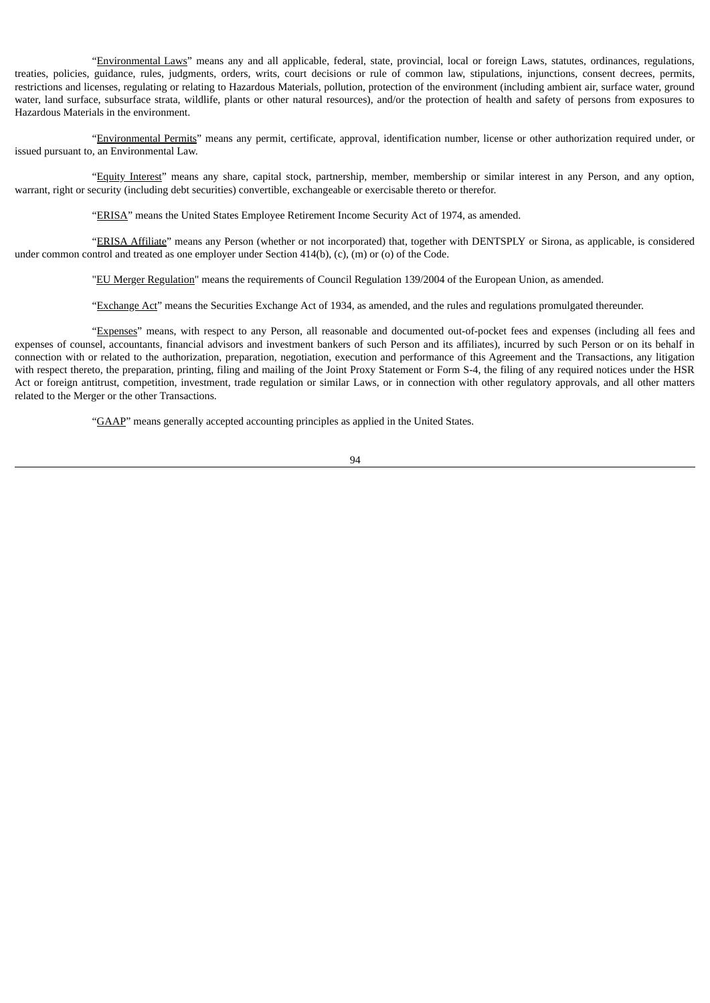"Environmental Laws" means any and all applicable, federal, state, provincial, local or foreign Laws, statutes, ordinances, regulations, treaties, policies, guidance, rules, judgments, orders, writs, court decisions or rule of common law, stipulations, injunctions, consent decrees, permits, restrictions and licenses, regulating or relating to Hazardous Materials, pollution, protection of the environment (including ambient air, surface water, ground water, land surface, subsurface strata, wildlife, plants or other natural resources), and/or the protection of health and safety of persons from exposures to Hazardous Materials in the environment.

"Environmental Permits" means any permit, certificate, approval, identification number, license or other authorization required under, or issued pursuant to, an Environmental Law.

"Equity Interest" means any share, capital stock, partnership, member, membership or similar interest in any Person, and any option, warrant, right or security (including debt securities) convertible, exchangeable or exercisable thereto or therefor.

"ERISA" means the United States Employee Retirement Income Security Act of 1974, as amended.

"ERISA Affiliate" means any Person (whether or not incorporated) that, together with DENTSPLY or Sirona, as applicable, is considered under common control and treated as one employer under Section 414(b), (c), (m) or (o) of the Code.

"EU Merger Regulation" means the requirements of Council Regulation 139/2004 of the European Union, as amended.

"Exchange Act" means the Securities Exchange Act of 1934, as amended, and the rules and regulations promulgated thereunder.

"Expenses" means, with respect to any Person, all reasonable and documented out-of-pocket fees and expenses (including all fees and expenses of counsel, accountants, financial advisors and investment bankers of such Person and its affiliates), incurred by such Person or on its behalf in connection with or related to the authorization, preparation, negotiation, execution and performance of this Agreement and the Transactions, any litigation with respect thereto, the preparation, printing, filing and mailing of the Joint Proxy Statement or Form S-4, the filing of any required notices under the HSR Act or foreign antitrust, competition, investment, trade regulation or similar Laws, or in connection with other regulatory approvals, and all other matters related to the Merger or the other Transactions.

"GAAP" means generally accepted accounting principles as applied in the United States.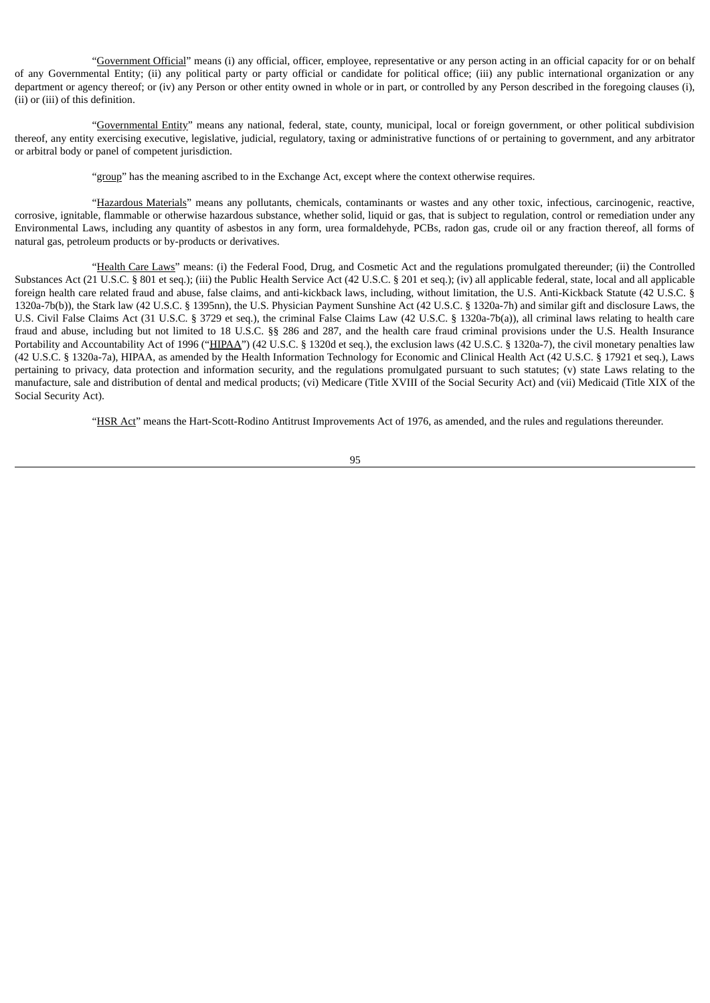"Government Official" means (i) any official, officer, employee, representative or any person acting in an official capacity for or on behalf of any Governmental Entity; (ii) any political party or party official or candidate for political office; (iii) any public international organization or any department or agency thereof; or (iv) any Person or other entity owned in whole or in part, or controlled by any Person described in the foregoing clauses (i), (ii) or (iii) of this definition.

"Governmental Entity" means any national, federal, state, county, municipal, local or foreign government, or other political subdivision thereof, any entity exercising executive, legislative, judicial, regulatory, taxing or administrative functions of or pertaining to government, and any arbitrator or arbitral body or panel of competent jurisdiction.

"group" has the meaning ascribed to in the Exchange Act, except where the context otherwise requires.

"Hazardous Materials" means any pollutants, chemicals, contaminants or wastes and any other toxic, infectious, carcinogenic, reactive, corrosive, ignitable, flammable or otherwise hazardous substance, whether solid, liquid or gas, that is subject to regulation, control or remediation under any Environmental Laws, including any quantity of asbestos in any form, urea formaldehyde, PCBs, radon gas, crude oil or any fraction thereof, all forms of natural gas, petroleum products or by-products or derivatives.

"Health Care Laws" means: (i) the Federal Food, Drug, and Cosmetic Act and the regulations promulgated thereunder; (ii) the Controlled Substances Act (21 U.S.C. § 801 et seq.); (iii) the Public Health Service Act (42 U.S.C. § 201 et seq.); (iv) all applicable federal, state, local and all applicable foreign health care related fraud and abuse, false claims, and anti-kickback laws, including, without limitation, the U.S. Anti-Kickback Statute (42 U.S.C. § 1320a-7b(b)), the Stark law (42 U.S.C. § 1395nn), the U.S. Physician Payment Sunshine Act (42 U.S.C. § 1320a-7h) and similar gift and disclosure Laws, the U.S. Civil False Claims Act (31 U.S.C. § 3729 et seq.), the criminal False Claims Law (42 U.S.C. § 1320a-7b(a)), all criminal laws relating to health care fraud and abuse, including but not limited to 18 U.S.C. §§ 286 and 287, and the health care fraud criminal provisions under the U.S. Health Insurance Portability and Accountability Act of 1996 ("HIPAA") (42 U.S.C. § 1320d et seq.), the exclusion laws (42 U.S.C. § 1320a-7), the civil monetary penalties law (42 U.S.C. § 1320a-7a), HIPAA, as amended by the Health Information Technology for Economic and Clinical Health Act (42 U.S.C. § 17921 et seq.), Laws pertaining to privacy, data protection and information security, and the regulations promulgated pursuant to such statutes; (v) state Laws relating to the manufacture, sale and distribution of dental and medical products; (vi) Medicare (Title XVIII of the Social Security Act) and (vii) Medicaid (Title XIX of the Social Security Act).

"HSR Act" means the Hart-Scott-Rodino Antitrust Improvements Act of 1976, as amended, and the rules and regulations thereunder.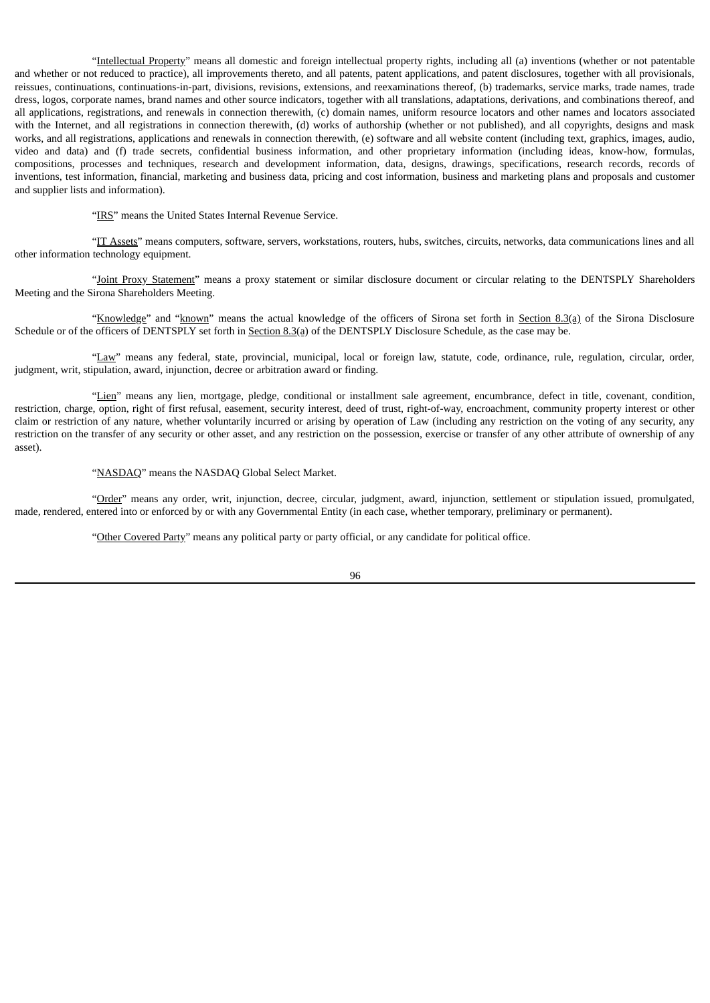"Intellectual Property" means all domestic and foreign intellectual property rights, including all (a) inventions (whether or not patentable and whether or not reduced to practice), all improvements thereto, and all patents, patent applications, and patent disclosures, together with all provisionals, reissues, continuations, continuations-in-part, divisions, revisions, extensions, and reexaminations thereof, (b) trademarks, service marks, trade names, trade dress, logos, corporate names, brand names and other source indicators, together with all translations, adaptations, derivations, and combinations thereof, and all applications, registrations, and renewals in connection therewith, (c) domain names, uniform resource locators and other names and locators associated with the Internet, and all registrations in connection therewith, (d) works of authorship (whether or not published), and all copyrights, designs and mask works, and all registrations, applications and renewals in connection therewith, (e) software and all website content (including text, graphics, images, audio, video and data) and (f) trade secrets, confidential business information, and other proprietary information (including ideas, know-how, formulas, compositions, processes and techniques, research and development information, data, designs, drawings, specifications, research records, records of inventions, test information, financial, marketing and business data, pricing and cost information, business and marketing plans and proposals and customer and supplier lists and information).

"IRS" means the United States Internal Revenue Service.

"IT Assets" means computers, software, servers, workstations, routers, hubs, switches, circuits, networks, data communications lines and all other information technology equipment.

"Joint Proxy Statement" means a proxy statement or similar disclosure document or circular relating to the DENTSPLY Shareholders Meeting and the Sirona Shareholders Meeting.

"Knowledge" and "known" means the actual knowledge of the officers of Sirona set forth in Section 8.3(a) of the Sirona Disclosure Schedule or of the officers of DENTSPLY set forth in Section 8.3(a) of the DENTSPLY Disclosure Schedule, as the case may be.

"Law" means any federal, state, provincial, municipal, local or foreign law, statute, code, ordinance, rule, regulation, circular, order, judgment, writ, stipulation, award, injunction, decree or arbitration award or finding.

"Lien" means any lien, mortgage, pledge, conditional or installment sale agreement, encumbrance, defect in title, covenant, condition, restriction, charge, option, right of first refusal, easement, security interest, deed of trust, right-of-way, encroachment, community property interest or other claim or restriction of any nature, whether voluntarily incurred or arising by operation of Law (including any restriction on the voting of any security, any restriction on the transfer of any security or other asset, and any restriction on the possession, exercise or transfer of any other attribute of ownership of any asset).

"NASDAQ" means the NASDAQ Global Select Market.

"Order" means any order, writ, injunction, decree, circular, judgment, award, injunction, settlement or stipulation issued, promulgated, made, rendered, entered into or enforced by or with any Governmental Entity (in each case, whether temporary, preliminary or permanent).

"Other Covered Party" means any political party or party official, or any candidate for political office.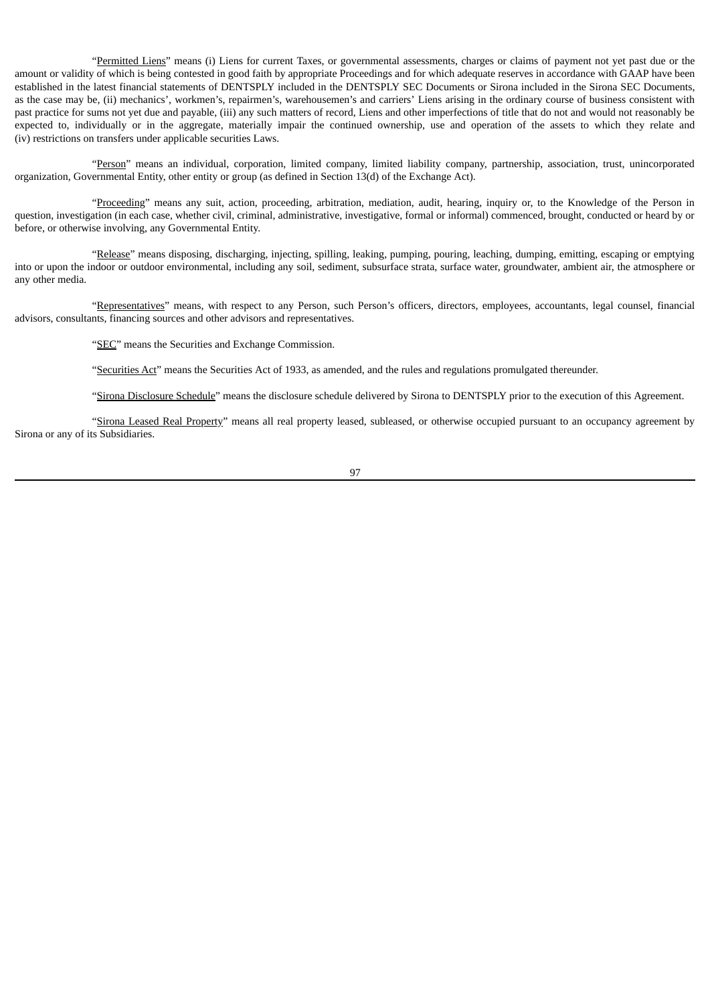"Permitted Liens" means (i) Liens for current Taxes, or governmental assessments, charges or claims of payment not yet past due or the amount or validity of which is being contested in good faith by appropriate Proceedings and for which adequate reserves in accordance with GAAP have been established in the latest financial statements of DENTSPLY included in the DENTSPLY SEC Documents or Sirona included in the Sirona SEC Documents, as the case may be, (ii) mechanics', workmen's, repairmen's, warehousemen's and carriers' Liens arising in the ordinary course of business consistent with past practice for sums not yet due and payable, (iii) any such matters of record, Liens and other imperfections of title that do not and would not reasonably be expected to, individually or in the aggregate, materially impair the continued ownership, use and operation of the assets to which they relate and (iv) restrictions on transfers under applicable securities Laws.

"Person" means an individual, corporation, limited company, limited liability company, partnership, association, trust, unincorporated organization, Governmental Entity, other entity or group (as defined in Section 13(d) of the Exchange Act).

"Proceeding" means any suit, action, proceeding, arbitration, mediation, audit, hearing, inquiry or, to the Knowledge of the Person in question, investigation (in each case, whether civil, criminal, administrative, investigative, formal or informal) commenced, brought, conducted or heard by or before, or otherwise involving, any Governmental Entity.

"Release" means disposing, discharging, injecting, spilling, leaking, pumping, pouring, leaching, dumping, emitting, escaping or emptying into or upon the indoor or outdoor environmental, including any soil, sediment, subsurface strata, surface water, groundwater, ambient air, the atmosphere or any other media.

"Representatives" means, with respect to any Person, such Person's officers, directors, employees, accountants, legal counsel, financial advisors, consultants, financing sources and other advisors and representatives.

"SEC" means the Securities and Exchange Commission.

"Securities Act" means the Securities Act of 1933, as amended, and the rules and regulations promulgated thereunder.

"Sirona Disclosure Schedule" means the disclosure schedule delivered by Sirona to DENTSPLY prior to the execution of this Agreement.

"Sirona Leased Real Property" means all real property leased, subleased, or otherwise occupied pursuant to an occupancy agreement by Sirona or any of its Subsidiaries.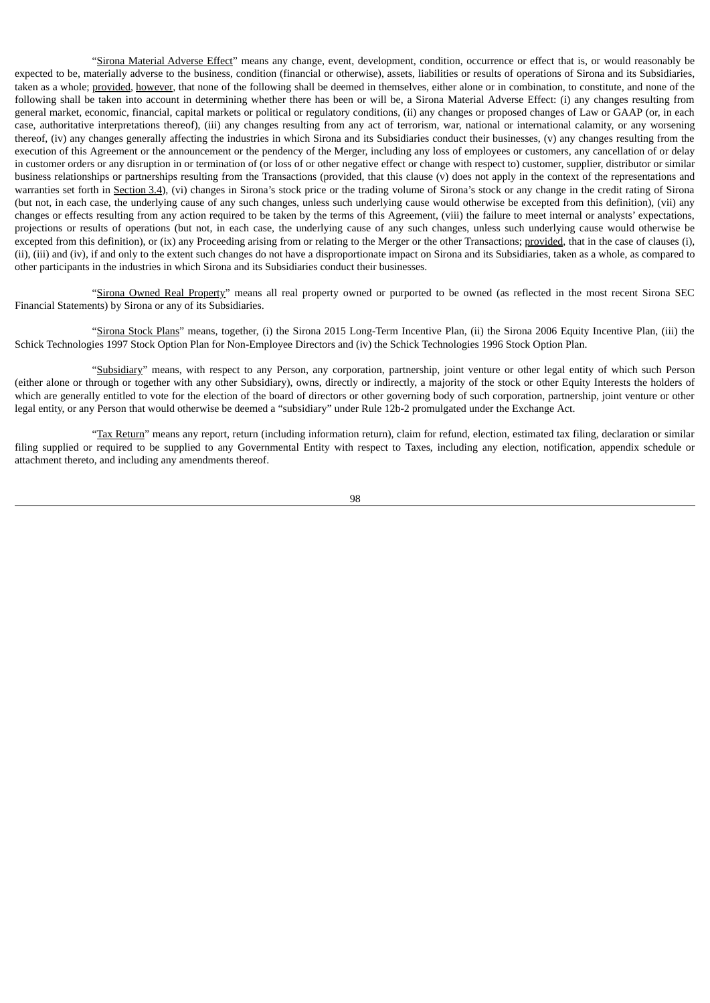"Sirona Material Adverse Effect" means any change, event, development, condition, occurrence or effect that is, or would reasonably be expected to be, materially adverse to the business, condition (financial or otherwise), assets, liabilities or results of operations of Sirona and its Subsidiaries, taken as a whole; provided, however, that none of the following shall be deemed in themselves, either alone or in combination, to constitute, and none of the following shall be taken into account in determining whether there has been or will be, a Sirona Material Adverse Effect: (i) any changes resulting from general market, economic, financial, capital markets or political or regulatory conditions, (ii) any changes or proposed changes of Law or GAAP (or, in each case, authoritative interpretations thereof), (iii) any changes resulting from any act of terrorism, war, national or international calamity, or any worsening thereof, (iv) any changes generally affecting the industries in which Sirona and its Subsidiaries conduct their businesses, (v) any changes resulting from the execution of this Agreement or the announcement or the pendency of the Merger, including any loss of employees or customers, any cancellation of or delay in customer orders or any disruption in or termination of (or loss of or other negative effect or change with respect to) customer, supplier, distributor or similar business relationships or partnerships resulting from the Transactions (provided, that this clause (v) does not apply in the context of the representations and warranties set forth in Section 3.4), (vi) changes in Sirona's stock price or the trading volume of Sirona's stock or any change in the credit rating of Sirona (but not, in each case, the underlying cause of any such changes, unless such underlying cause would otherwise be excepted from this definition), (vii) any changes or effects resulting from any action required to be taken by the terms of this Agreement, (viii) the failure to meet internal or analysts' expectations, projections or results of operations (but not, in each case, the underlying cause of any such changes, unless such underlying cause would otherwise be excepted from this definition), or (ix) any Proceeding arising from or relating to the Merger or the other Transactions; provided, that in the case of clauses (i), (ii), (iii) and (iv), if and only to the extent such changes do not have a disproportionate impact on Sirona and its Subsidiaries, taken as a whole, as compared to other participants in the industries in which Sirona and its Subsidiaries conduct their businesses.

"Sirona Owned Real Property" means all real property owned or purported to be owned (as reflected in the most recent Sirona SEC Financial Statements) by Sirona or any of its Subsidiaries.

"Sirona Stock Plans" means, together, (i) the Sirona 2015 Long-Term Incentive Plan, (ii) the Sirona 2006 Equity Incentive Plan, (iii) the Schick Technologies 1997 Stock Option Plan for Non-Employee Directors and (iv) the Schick Technologies 1996 Stock Option Plan.

"Subsidiary" means, with respect to any Person, any corporation, partnership, joint venture or other legal entity of which such Person (either alone or through or together with any other Subsidiary), owns, directly or indirectly, a majority of the stock or other Equity Interests the holders of which are generally entitled to vote for the election of the board of directors or other governing body of such corporation, partnership, joint venture or other legal entity, or any Person that would otherwise be deemed a "subsidiary" under Rule 12b-2 promulgated under the Exchange Act.

"Tax Return" means any report, return (including information return), claim for refund, election, estimated tax filing, declaration or similar filing supplied or required to be supplied to any Governmental Entity with respect to Taxes, including any election, notification, appendix schedule or attachment thereto, and including any amendments thereof.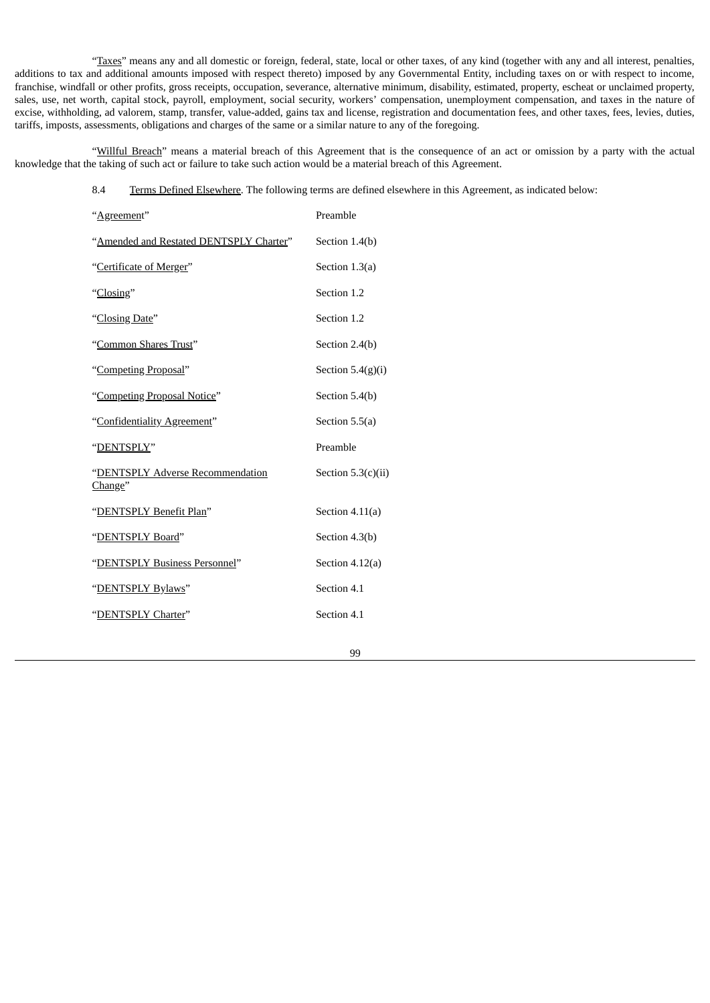"Taxes" means any and all domestic or foreign, federal, state, local or other taxes, of any kind (together with any and all interest, penalties, additions to tax and additional amounts imposed with respect thereto) imposed by any Governmental Entity, including taxes on or with respect to income, franchise, windfall or other profits, gross receipts, occupation, severance, alternative minimum, disability, estimated, property, escheat or unclaimed property, sales, use, net worth, capital stock, payroll, employment, social security, workers' compensation, unemployment compensation, and taxes in the nature of excise, withholding, ad valorem, stamp, transfer, value-added, gains tax and license, registration and documentation fees, and other taxes, fees, levies, duties, tariffs, imposts, assessments, obligations and charges of the same or a similar nature to any of the foregoing.

"Willful Breach" means a material breach of this Agreement that is the consequence of an act or omission by a party with the actual knowledge that the taking of such act or failure to take such action would be a material breach of this Agreement.

#### 8.4 Terms Defined Elsewhere. The following terms are defined elsewhere in this Agreement, as indicated below:

| "Agreement"                                 | Preamble             |
|---------------------------------------------|----------------------|
| "Amended and Restated DENTSPLY Charter"     | Section 1.4(b)       |
| "Certificate of Merger"                     | Section $1.3(a)$     |
| "Closing"                                   | Section 1.2          |
| "Closing Date"                              | Section 1.2          |
| "Common Shares Trust"                       | Section 2.4(b)       |
| "Competing Proposal"                        | Section $5.4(g)(i)$  |
| "Competing Proposal Notice"                 | Section 5.4(b)       |
| "Confidentiality Agreement"                 | Section $5.5(a)$     |
| "DENTSPLY"                                  | Preamble             |
| "DENTSPLY Adverse Recommendation<br>Change" | Section $5.3(c)(ii)$ |
| "DENTSPLY Benefit Plan"                     | Section $4.11(a)$    |
| "DENTSPLY Board"                            | Section 4.3(b)       |
| "DENTSPLY Business Personnel"               | Section $4.12(a)$    |
| "DENTSPLY Bylaws"                           | Section 4.1          |
| "DENTSPLY Charter"                          | Section 4.1          |
|                                             |                      |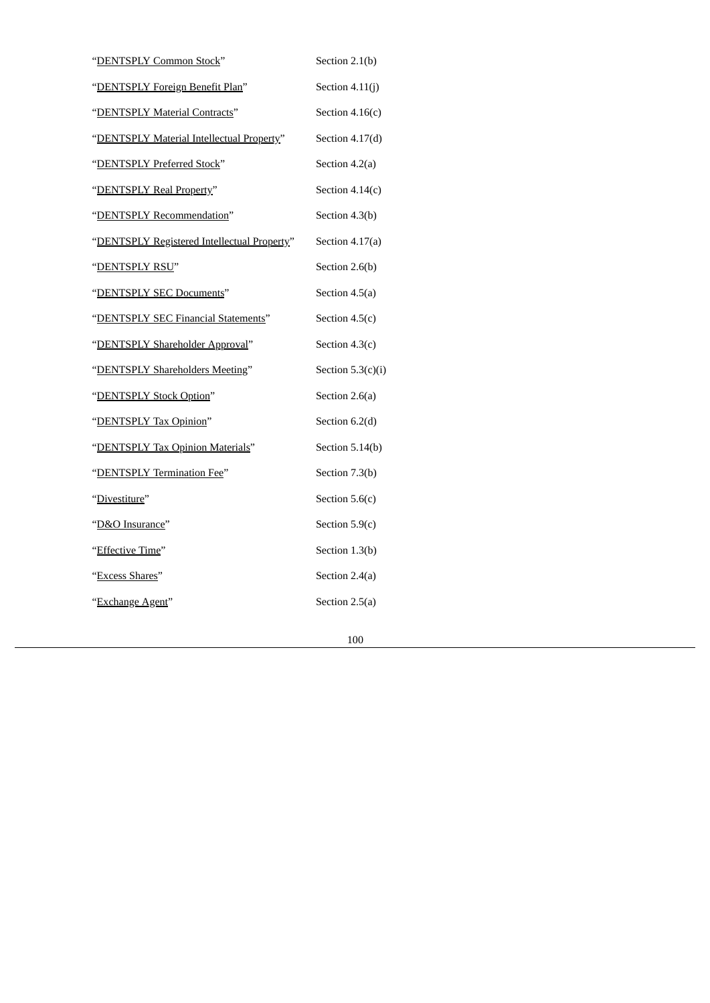| "DENTSPLY Common Stock"                     | Section 2.1(b)      |
|---------------------------------------------|---------------------|
| "DENTSPLY Foreign Benefit Plan"             | Section 4.11(j)     |
| "DENTSPLY Material Contracts"               | Section $4.16(c)$   |
| "DENTSPLY Material Intellectual Property"   | Section 4.17(d)     |
| "DENTSPLY Preferred Stock"                  | Section 4.2(a)      |
| "DENTSPLY Real Property"                    | Section $4.14(c)$   |
| "DENTSPLY Recommendation"                   | Section 4.3(b)      |
| "DENTSPLY Registered Intellectual Property" | Section $4.17(a)$   |
| "DENTSPLY RSU"                              | Section 2.6(b)      |
| "DENTSPLY SEC Documents"                    | Section 4.5(a)      |
| "DENTSPLY SEC Financial Statements"         | Section 4.5(c)      |
| "DENTSPLY Shareholder Approval"             | Section $4.3(c)$    |
| "DENTSPLY Shareholders Meeting"             | Section $5.3(c)(i)$ |
| "DENTSPLY Stock Option"                     | Section 2.6(a)      |
| "DENTSPLY Tax Opinion"                      | Section 6.2(d)      |
| "DENTSPLY Tax Opinion Materials"            | Section 5.14(b)     |
| "DENTSPLY Termination Fee"                  | Section 7.3(b)      |
| "Divestiture"                               | Section $5.6(c)$    |
| "D&O Insurance"                             | Section $5.9(c)$    |
| "Effective Time"                            | Section 1.3(b)      |
| "Excess Shares"                             | Section 2.4(a)      |
| "Exchange Agent"                            | Section 2.5(a)      |
|                                             |                     |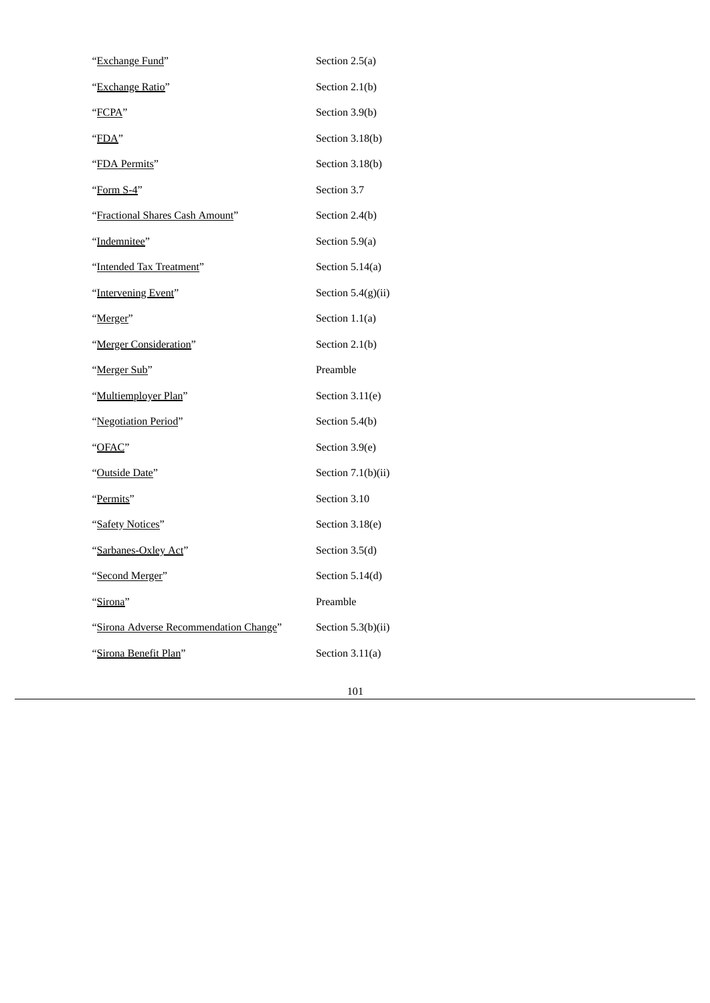| "Exchange Fund"                        | Section 2.5(a)     |
|----------------------------------------|--------------------|
| "Exchange Ratio"                       | Section 2.1(b)     |
| "FCPA"                                 | Section 3.9(b)     |
| "FDA"                                  | Section 3.18(b)    |
| "FDA Permits"                          | Section 3.18(b)    |
| "Form S-4"                             | Section 3.7        |
| "Fractional Shares Cash Amount"        | Section 2.4(b)     |
| "Indemnitee"                           | Section 5.9(a)     |
| "Intended Tax Treatment"               | Section 5.14(a)    |
| "Intervening Event"                    | Section 5.4(g)(ii) |
| "Merger"                               | Section $1.1(a)$   |
| "Merger Consideration"                 | Section 2.1(b)     |
| "Merger Sub"                           | Preamble           |
| "Multiemployer Plan"                   | Section 3.11(e)    |
| "Negotiation Period"                   | Section 5.4(b)     |
| "OFAC"                                 | Section 3.9(e)     |
| "Outside Date"                         | Section 7.1(b)(ii) |
| "Permits"                              | Section 3.10       |
| "Safety Notices"                       | Section 3.18(e)    |
| "Sarbanes-Oxley Act"                   | Section 3.5(d)     |
| "Second Merger"                        | Section 5.14(d)    |
| "Sirona"                               | Preamble           |
| "Sirona Adverse Recommendation Change" | Section 5.3(b)(ii) |
| "Sirona Benefit Plan"                  | Section 3.11(a)    |
|                                        |                    |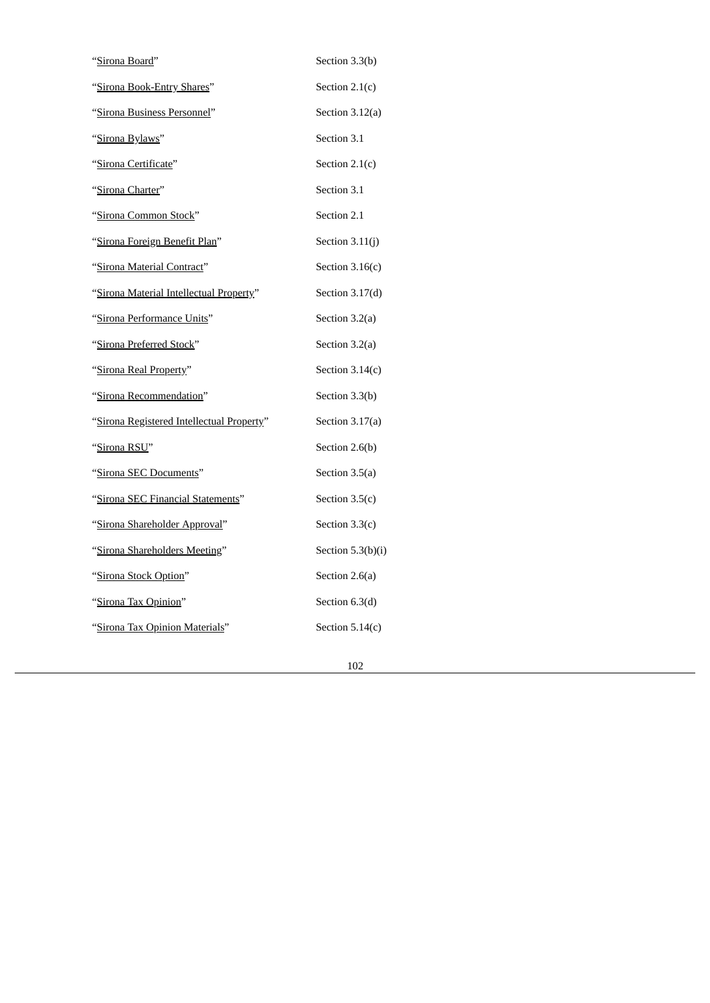| "Sirona Board"                            | Section 3.3(b)    |
|-------------------------------------------|-------------------|
| "Sirona Book-Entry Shares"                | Section $2.1(c)$  |
| "Sirona Business Personnel"               | Section $3.12(a)$ |
| "Sirona Bylaws"                           | Section 3.1       |
| "Sirona Certificate"                      | Section $2.1(c)$  |
| "Sirona Charter"                          | Section 3.1       |
| "Sirona Common Stock"                     | Section 2.1       |
| "Sirona Foreign Benefit Plan"             | Section 3.11(j)   |
| "Sirona Material Contract"                | Section $3.16(c)$ |
| "Sirona Material Intellectual Property"   | Section 3.17(d)   |
| "Sirona Performance Units"                | Section 3.2(a)    |
| "Sirona Preferred Stock"                  | Section 3.2(a)    |
| "Sirona Real Property"                    | Section $3.14(c)$ |
| "Sirona Recommendation"                   | Section 3.3(b)    |
| "Sirona Registered Intellectual Property" | Section $3.17(a)$ |
| "Sirona RSU"                              | Section 2.6(b)    |
| "Sirona SEC Documents"                    | Section 3.5(a)    |
| "Sirona SEC Financial Statements"         | Section $3.5(c)$  |
| "Sirona Shareholder Approval"             | Section $3.3(c)$  |
| "Sirona Shareholders Meeting"             | Section 5.3(b)(i) |
| "Sirona Stock Option"                     | Section 2.6(a)    |
| "Sirona Tax Opinion"                      | Section 6.3(d)    |
| "Sirona Tax Opinion Materials"            | Section $5.14(c)$ |
|                                           |                   |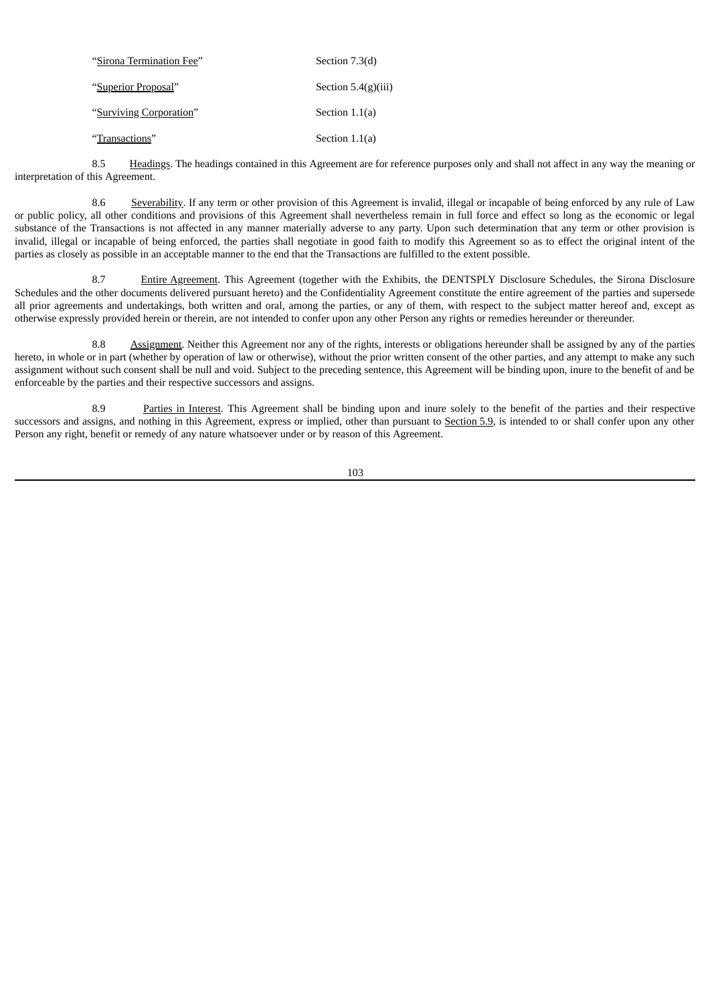| "Sirona Termination Fee" | Section 7.3(d)        |
|--------------------------|-----------------------|
| "Superior Proposal"      | Section $5.4(g)(iii)$ |
| "Surviving Corporation"  | Section $1.1(a)$      |
| "Transactions"           | Section $1.1(a)$      |

8.5 Headings. The headings contained in this Agreement are for reference purposes only and shall not affect in any way the meaning or interpretation of this Agreement.

8.6 Severability. If any term or other provision of this Agreement is invalid, illegal or incapable of being enforced by any rule of Law or public policy, all other conditions and provisions of this Agreement shall nevertheless remain in full force and effect so long as the economic or legal substance of the Transactions is not affected in any manner materially adverse to any party. Upon such determination that any term or other provision is invalid, illegal or incapable of being enforced, the parties shall negotiate in good faith to modify this Agreement so as to effect the original intent of the parties as closely as possible in an acceptable manner to the end that the Transactions are fulfilled to the extent possible.

8.7 Entire Agreement. This Agreement (together with the Exhibits, the DENTSPLY Disclosure Schedules, the Sirona Disclosure Schedules and the other documents delivered pursuant hereto) and the Confidentiality Agreement constitute the entire agreement of the parties and supersede all prior agreements and undertakings, both written and oral, among the parties, or any of them, with respect to the subject matter hereof and, except as otherwise expressly provided herein or therein, are not intended to confer upon any other Person any rights or remedies hereunder or thereunder.

8.8 Assignment. Neither this Agreement nor any of the rights, interests or obligations hereunder shall be assigned by any of the parties hereto, in whole or in part (whether by operation of law or otherwise), without the prior written consent of the other parties, and any attempt to make any such assignment without such consent shall be null and void. Subject to the preceding sentence, this Agreement will be binding upon, inure to the benefit of and be enforceable by the parties and their respective successors and assigns.

8.9 Parties in Interest. This Agreement shall be binding upon and inure solely to the benefit of the parties and their respective successors and assigns, and nothing in this Agreement, express or implied, other than pursuant to Section 5.9, is intended to or shall confer upon any other Person any right, benefit or remedy of any nature whatsoever under or by reason of this Agreement.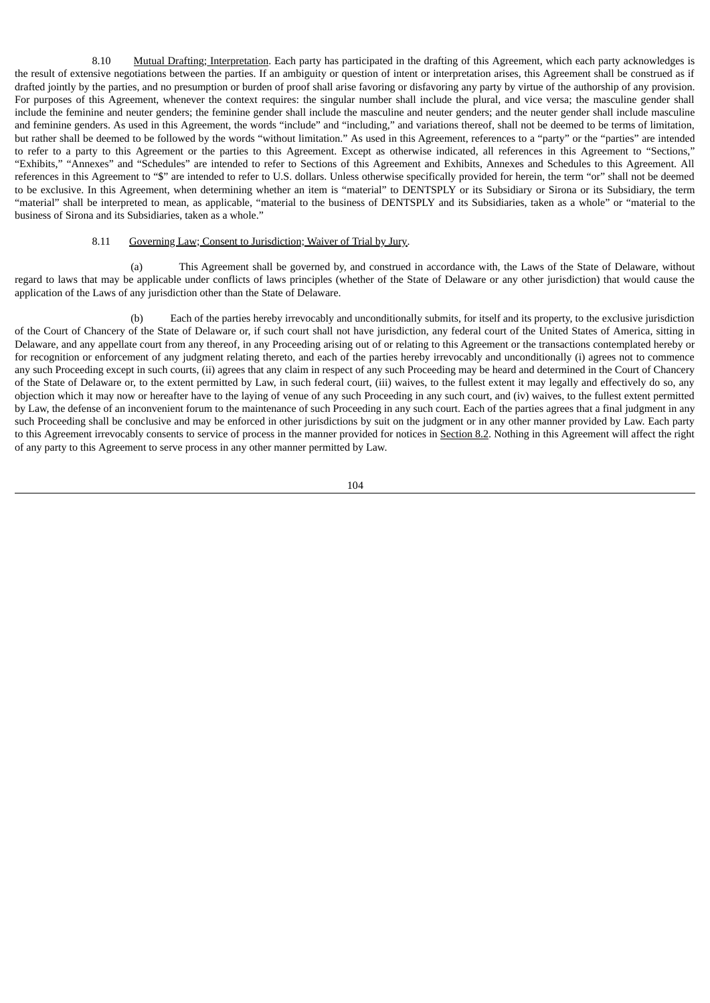8.10 Mutual Drafting; Interpretation. Each party has participated in the drafting of this Agreement, which each party acknowledges is the result of extensive negotiations between the parties. If an ambiguity or question of intent or interpretation arises, this Agreement shall be construed as if drafted jointly by the parties, and no presumption or burden of proof shall arise favoring or disfavoring any party by virtue of the authorship of any provision. For purposes of this Agreement, whenever the context requires: the singular number shall include the plural, and vice versa; the masculine gender shall include the feminine and neuter genders; the feminine gender shall include the masculine and neuter genders; and the neuter gender shall include masculine and feminine genders. As used in this Agreement, the words "include" and "including," and variations thereof, shall not be deemed to be terms of limitation, but rather shall be deemed to be followed by the words "without limitation." As used in this Agreement, references to a "party" or the "parties" are intended to refer to a party to this Agreement or the parties to this Agreement. Except as otherwise indicated, all references in this Agreement to "Sections," "Exhibits," "Annexes" and "Schedules" are intended to refer to Sections of this Agreement and Exhibits, Annexes and Schedules to this Agreement. All references in this Agreement to "\$" are intended to refer to U.S. dollars. Unless otherwise specifically provided for herein, the term "or" shall not be deemed to be exclusive. In this Agreement, when determining whether an item is "material" to DENTSPLY or its Subsidiary or Sirona or its Subsidiary, the term "material" shall be interpreted to mean, as applicable, "material to the business of DENTSPLY and its Subsidiaries, taken as a whole" or "material to the business of Sirona and its Subsidiaries, taken as a whole."

#### 8.11 Governing Law; Consent to Jurisdiction; Waiver of Trial by Jury.

(a) This Agreement shall be governed by, and construed in accordance with, the Laws of the State of Delaware, without regard to laws that may be applicable under conflicts of laws principles (whether of the State of Delaware or any other jurisdiction) that would cause the application of the Laws of any jurisdiction other than the State of Delaware.

(b) Each of the parties hereby irrevocably and unconditionally submits, for itself and its property, to the exclusive jurisdiction of the Court of Chancery of the State of Delaware or, if such court shall not have jurisdiction, any federal court of the United States of America, sitting in Delaware, and any appellate court from any thereof, in any Proceeding arising out of or relating to this Agreement or the transactions contemplated hereby or for recognition or enforcement of any judgment relating thereto, and each of the parties hereby irrevocably and unconditionally (i) agrees not to commence any such Proceeding except in such courts, (ii) agrees that any claim in respect of any such Proceeding may be heard and determined in the Court of Chancery of the State of Delaware or, to the extent permitted by Law, in such federal court, (iii) waives, to the fullest extent it may legally and effectively do so, any objection which it may now or hereafter have to the laying of venue of any such Proceeding in any such court, and (iv) waives, to the fullest extent permitted by Law, the defense of an inconvenient forum to the maintenance of such Proceeding in any such court. Each of the parties agrees that a final judgment in any such Proceeding shall be conclusive and may be enforced in other jurisdictions by suit on the judgment or in any other manner provided by Law. Each party to this Agreement irrevocably consents to service of process in the manner provided for notices in Section 8.2. Nothing in this Agreement will affect the right of any party to this Agreement to serve process in any other manner permitted by Law.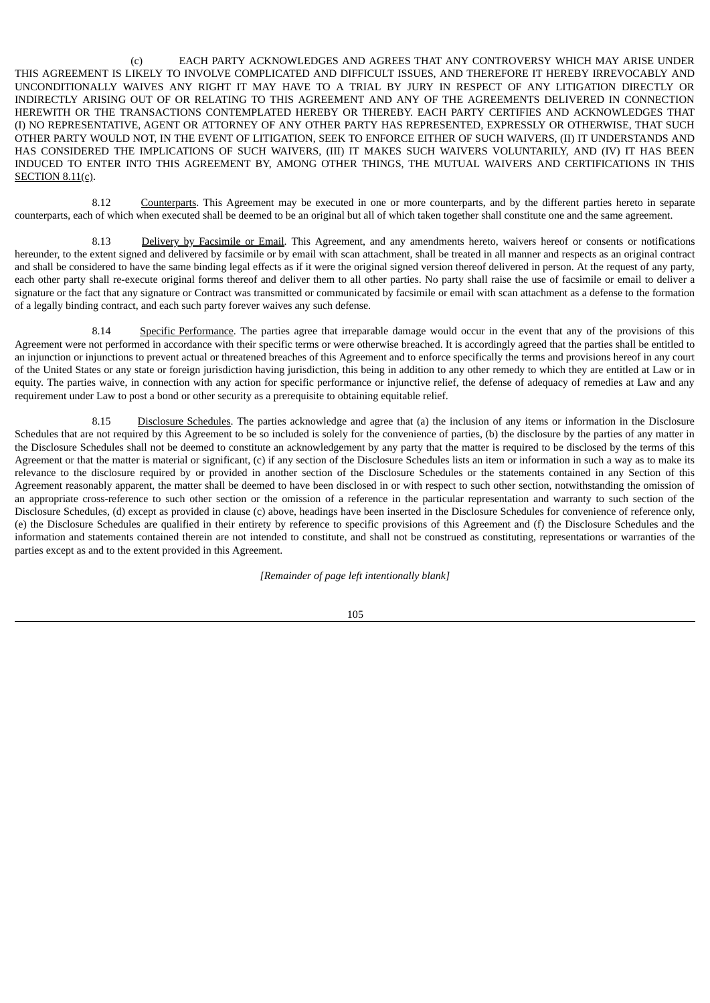(c) EACH PARTY ACKNOWLEDGES AND AGREES THAT ANY CONTROVERSY WHICH MAY ARISE UNDER THIS AGREEMENT IS LIKELY TO INVOLVE COMPLICATED AND DIFFICULT ISSUES, AND THEREFORE IT HEREBY IRREVOCABLY AND UNCONDITIONALLY WAIVES ANY RIGHT IT MAY HAVE TO A TRIAL BY JURY IN RESPECT OF ANY LITIGATION DIRECTLY OR INDIRECTLY ARISING OUT OF OR RELATING TO THIS AGREEMENT AND ANY OF THE AGREEMENTS DELIVERED IN CONNECTION HEREWITH OR THE TRANSACTIONS CONTEMPLATED HEREBY OR THEREBY. EACH PARTY CERTIFIES AND ACKNOWLEDGES THAT (I) NO REPRESENTATIVE, AGENT OR ATTORNEY OF ANY OTHER PARTY HAS REPRESENTED, EXPRESSLY OR OTHERWISE, THAT SUCH OTHER PARTY WOULD NOT, IN THE EVENT OF LITIGATION, SEEK TO ENFORCE EITHER OF SUCH WAIVERS, (II) IT UNDERSTANDS AND HAS CONSIDERED THE IMPLICATIONS OF SUCH WAIVERS, (III) IT MAKES SUCH WAIVERS VOLUNTARILY, AND (IV) IT HAS BEEN INDUCED TO ENTER INTO THIS AGREEMENT BY, AMONG OTHER THINGS, THE MUTUAL WAIVERS AND CERTIFICATIONS IN THIS SECTION 8.11(c).

8.12 Counterparts. This Agreement may be executed in one or more counterparts, and by the different parties hereto in separate counterparts, each of which when executed shall be deemed to be an original but all of which taken together shall constitute one and the same agreement.

8.13 Delivery by Facsimile or Email. This Agreement, and any amendments hereto, waivers hereof or consents or notifications hereunder, to the extent signed and delivered by facsimile or by email with scan attachment, shall be treated in all manner and respects as an original contract and shall be considered to have the same binding legal effects as if it were the original signed version thereof delivered in person. At the request of any party, each other party shall re-execute original forms thereof and deliver them to all other parties. No party shall raise the use of facsimile or email to deliver a signature or the fact that any signature or Contract was transmitted or communicated by facsimile or email with scan attachment as a defense to the formation of a legally binding contract, and each such party forever waives any such defense.

8.14 Specific Performance. The parties agree that irreparable damage would occur in the event that any of the provisions of this Agreement were not performed in accordance with their specific terms or were otherwise breached. It is accordingly agreed that the parties shall be entitled to an injunction or injunctions to prevent actual or threatened breaches of this Agreement and to enforce specifically the terms and provisions hereof in any court of the United States or any state or foreign jurisdiction having jurisdiction, this being in addition to any other remedy to which they are entitled at Law or in equity. The parties waive, in connection with any action for specific performance or injunctive relief, the defense of adequacy of remedies at Law and any requirement under Law to post a bond or other security as a prerequisite to obtaining equitable relief.

8.15 Disclosure Schedules. The parties acknowledge and agree that (a) the inclusion of any items or information in the Disclosure Schedules that are not required by this Agreement to be so included is solely for the convenience of parties, (b) the disclosure by the parties of any matter in the Disclosure Schedules shall not be deemed to constitute an acknowledgement by any party that the matter is required to be disclosed by the terms of this Agreement or that the matter is material or significant, (c) if any section of the Disclosure Schedules lists an item or information in such a way as to make its relevance to the disclosure required by or provided in another section of the Disclosure Schedules or the statements contained in any Section of this Agreement reasonably apparent, the matter shall be deemed to have been disclosed in or with respect to such other section, notwithstanding the omission of an appropriate cross-reference to such other section or the omission of a reference in the particular representation and warranty to such section of the Disclosure Schedules, (d) except as provided in clause (c) above, headings have been inserted in the Disclosure Schedules for convenience of reference only, (e) the Disclosure Schedules are qualified in their entirety by reference to specific provisions of this Agreement and (f) the Disclosure Schedules and the information and statements contained therein are not intended to constitute, and shall not be construed as constituting, representations or warranties of the parties except as and to the extent provided in this Agreement.

*[Remainder of page left intentionally blank]*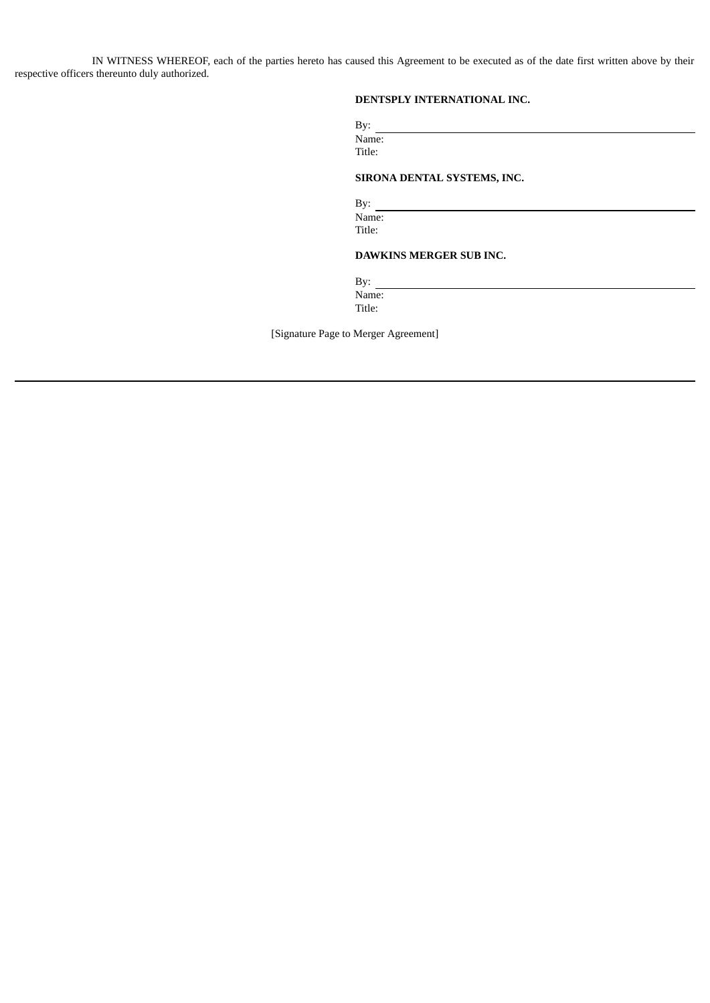IN WITNESS WHEREOF, each of the parties hereto has caused this Agreement to be executed as of the date first written above by their respective officers thereunto duly authorized.

# **DENTSPLY INTERNATIONAL INC.**

| Bу:    |
|--------|
| Name:  |
| Title: |

# **SIRONA DENTAL SYSTEMS, INC.**

By: Name: Title:

### **DAWKINS MERGER SUB INC.**

By: Name: Title:

[Signature Page to Merger Agreement]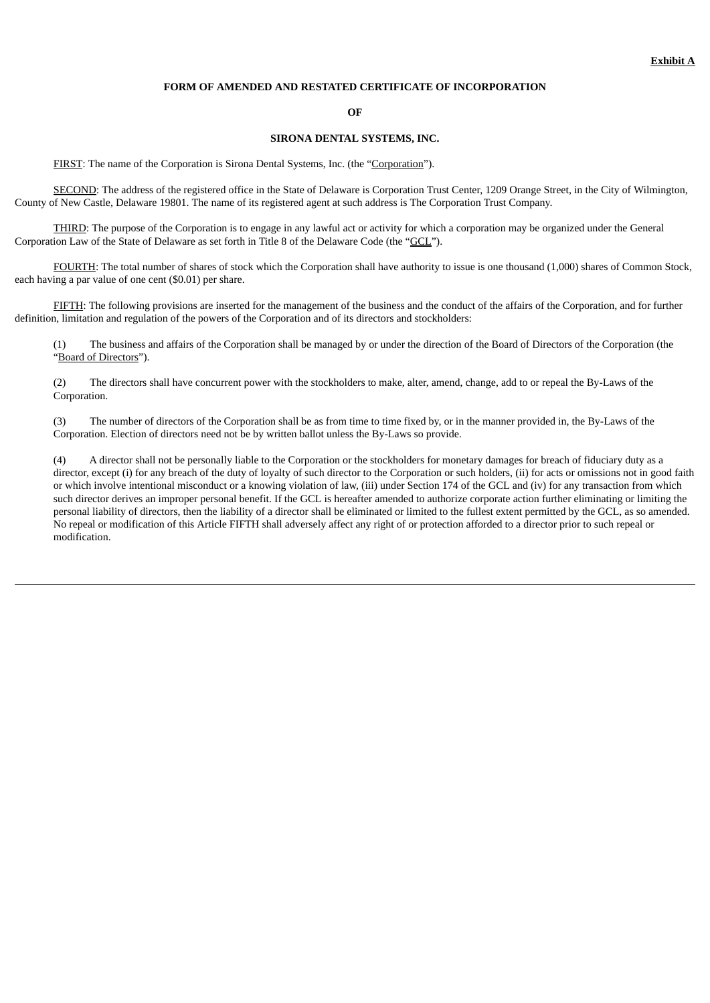#### **FORM OF AMENDED AND RESTATED CERTIFICATE OF INCORPORATION**

#### **OF**

### **SIRONA DENTAL SYSTEMS, INC.**

FIRST: The name of the Corporation is Sirona Dental Systems, Inc. (the "Corporation").

SECOND: The address of the registered office in the State of Delaware is Corporation Trust Center, 1209 Orange Street, in the City of Wilmington, County of New Castle, Delaware 19801. The name of its registered agent at such address is The Corporation Trust Company.

THIRD: The purpose of the Corporation is to engage in any lawful act or activity for which a corporation may be organized under the General Corporation Law of the State of Delaware as set forth in Title 8 of the Delaware Code (the "GCL").

FOURTH: The total number of shares of stock which the Corporation shall have authority to issue is one thousand (1,000) shares of Common Stock, each having a par value of one cent (\$0.01) per share.

FIFTH: The following provisions are inserted for the management of the business and the conduct of the affairs of the Corporation, and for further definition, limitation and regulation of the powers of the Corporation and of its directors and stockholders:

(1) The business and affairs of the Corporation shall be managed by or under the direction of the Board of Directors of the Corporation (the "Board of Directors").

(2) The directors shall have concurrent power with the stockholders to make, alter, amend, change, add to or repeal the By-Laws of the Corporation.

(3) The number of directors of the Corporation shall be as from time to time fixed by, or in the manner provided in, the By-Laws of the Corporation. Election of directors need not be by written ballot unless the By-Laws so provide.

(4) A director shall not be personally liable to the Corporation or the stockholders for monetary damages for breach of fiduciary duty as a director, except (i) for any breach of the duty of loyalty of such director to the Corporation or such holders, (ii) for acts or omissions not in good faith or which involve intentional misconduct or a knowing violation of law, (iii) under Section 174 of the GCL and (iv) for any transaction from which such director derives an improper personal benefit. If the GCL is hereafter amended to authorize corporate action further eliminating or limiting the personal liability of directors, then the liability of a director shall be eliminated or limited to the fullest extent permitted by the GCL, as so amended. No repeal or modification of this Article FIFTH shall adversely affect any right of or protection afforded to a director prior to such repeal or modification.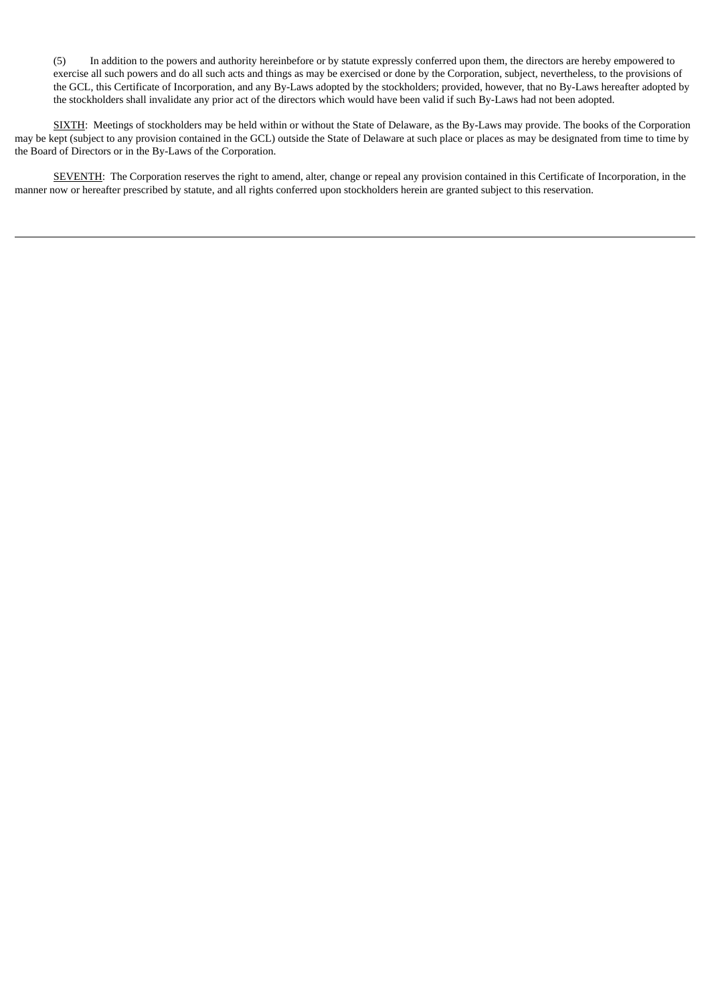(5) In addition to the powers and authority hereinbefore or by statute expressly conferred upon them, the directors are hereby empowered to exercise all such powers and do all such acts and things as may be exercised or done by the Corporation, subject, nevertheless, to the provisions of the GCL, this Certificate of Incorporation, and any By-Laws adopted by the stockholders; provided, however, that no By-Laws hereafter adopted by the stockholders shall invalidate any prior act of the directors which would have been valid if such By-Laws had not been adopted.

SIXTH: Meetings of stockholders may be held within or without the State of Delaware, as the By-Laws may provide. The books of the Corporation may be kept (subject to any provision contained in the GCL) outside the State of Delaware at such place or places as may be designated from time to time by the Board of Directors or in the By-Laws of the Corporation.

SEVENTH: The Corporation reserves the right to amend, alter, change or repeal any provision contained in this Certificate of Incorporation, in the manner now or hereafter prescribed by statute, and all rights conferred upon stockholders herein are granted subject to this reservation.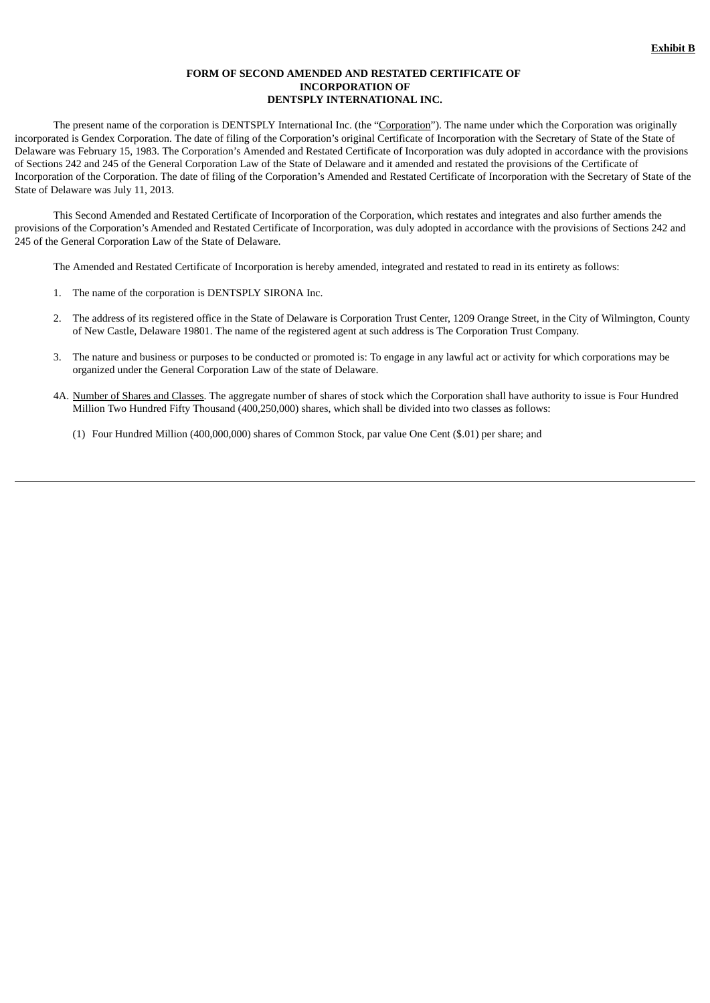### **FORM OF SECOND AMENDED AND RESTATED CERTIFICATE OF INCORPORATION OF DENTSPLY INTERNATIONAL INC.**

The present name of the corporation is DENTSPLY International Inc. (the "Corporation"). The name under which the Corporation was originally incorporated is Gendex Corporation. The date of filing of the Corporation's original Certificate of Incorporation with the Secretary of State of the State of Delaware was February 15, 1983. The Corporation's Amended and Restated Certificate of Incorporation was duly adopted in accordance with the provisions of Sections 242 and 245 of the General Corporation Law of the State of Delaware and it amended and restated the provisions of the Certificate of Incorporation of the Corporation. The date of filing of the Corporation's Amended and Restated Certificate of Incorporation with the Secretary of State of the State of Delaware was July 11, 2013.

This Second Amended and Restated Certificate of Incorporation of the Corporation, which restates and integrates and also further amends the provisions of the Corporation's Amended and Restated Certificate of Incorporation, was duly adopted in accordance with the provisions of Sections 242 and 245 of the General Corporation Law of the State of Delaware.

The Amended and Restated Certificate of Incorporation is hereby amended, integrated and restated to read in its entirety as follows:

- 1. The name of the corporation is DENTSPLY SIRONA Inc.
- 2. The address of its registered office in the State of Delaware is Corporation Trust Center, 1209 Orange Street, in the City of Wilmington, County of New Castle, Delaware 19801. The name of the registered agent at such address is The Corporation Trust Company.
- 3. The nature and business or purposes to be conducted or promoted is: To engage in any lawful act or activity for which corporations may be organized under the General Corporation Law of the state of Delaware.
- 4A. Number of Shares and Classes. The aggregate number of shares of stock which the Corporation shall have authority to issue is Four Hundred Million Two Hundred Fifty Thousand (400,250,000) shares, which shall be divided into two classes as follows:

(1) Four Hundred Million (400,000,000) shares of Common Stock, par value One Cent (\$.01) per share; and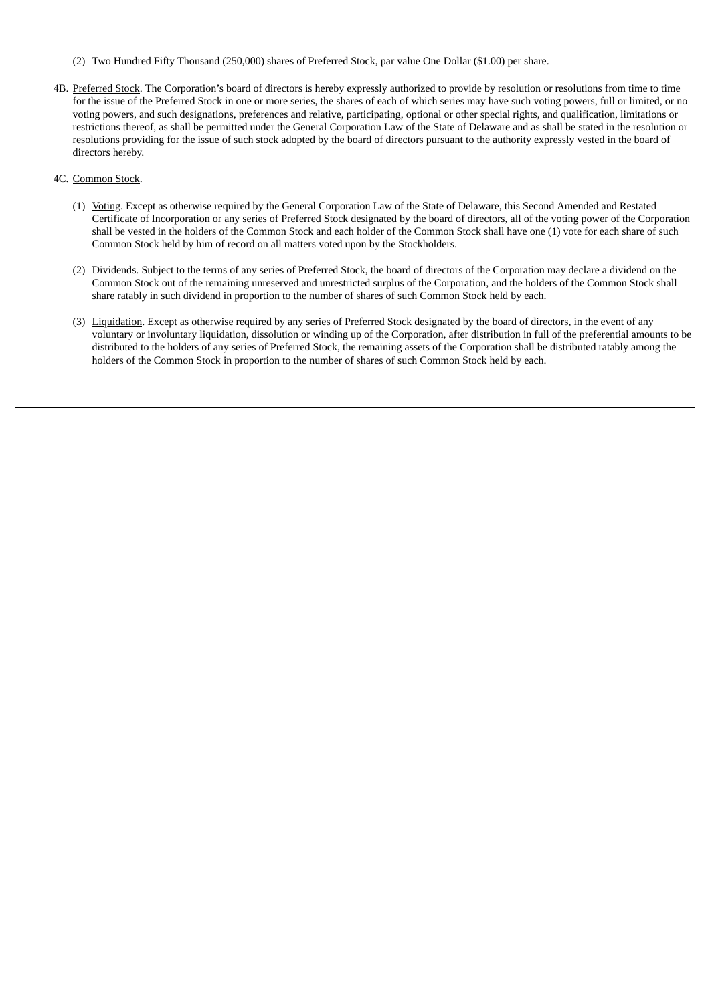- (2) Two Hundred Fifty Thousand (250,000) shares of Preferred Stock, par value One Dollar (\$1.00) per share.
- 4B. Preferred Stock. The Corporation's board of directors is hereby expressly authorized to provide by resolution or resolutions from time to time for the issue of the Preferred Stock in one or more series, the shares of each of which series may have such voting powers, full or limited, or no voting powers, and such designations, preferences and relative, participating, optional or other special rights, and qualification, limitations or restrictions thereof, as shall be permitted under the General Corporation Law of the State of Delaware and as shall be stated in the resolution or resolutions providing for the issue of such stock adopted by the board of directors pursuant to the authority expressly vested in the board of directors hereby.

#### 4C. Common Stock.

- (1) Voting. Except as otherwise required by the General Corporation Law of the State of Delaware, this Second Amended and Restated Certificate of Incorporation or any series of Preferred Stock designated by the board of directors, all of the voting power of the Corporation shall be vested in the holders of the Common Stock and each holder of the Common Stock shall have one (1) vote for each share of such Common Stock held by him of record on all matters voted upon by the Stockholders.
- (2) Dividends. Subject to the terms of any series of Preferred Stock, the board of directors of the Corporation may declare a dividend on the Common Stock out of the remaining unreserved and unrestricted surplus of the Corporation, and the holders of the Common Stock shall share ratably in such dividend in proportion to the number of shares of such Common Stock held by each.
- (3) Liquidation. Except as otherwise required by any series of Preferred Stock designated by the board of directors, in the event of any voluntary or involuntary liquidation, dissolution or winding up of the Corporation, after distribution in full of the preferential amounts to be distributed to the holders of any series of Preferred Stock, the remaining assets of the Corporation shall be distributed ratably among the holders of the Common Stock in proportion to the number of shares of such Common Stock held by each.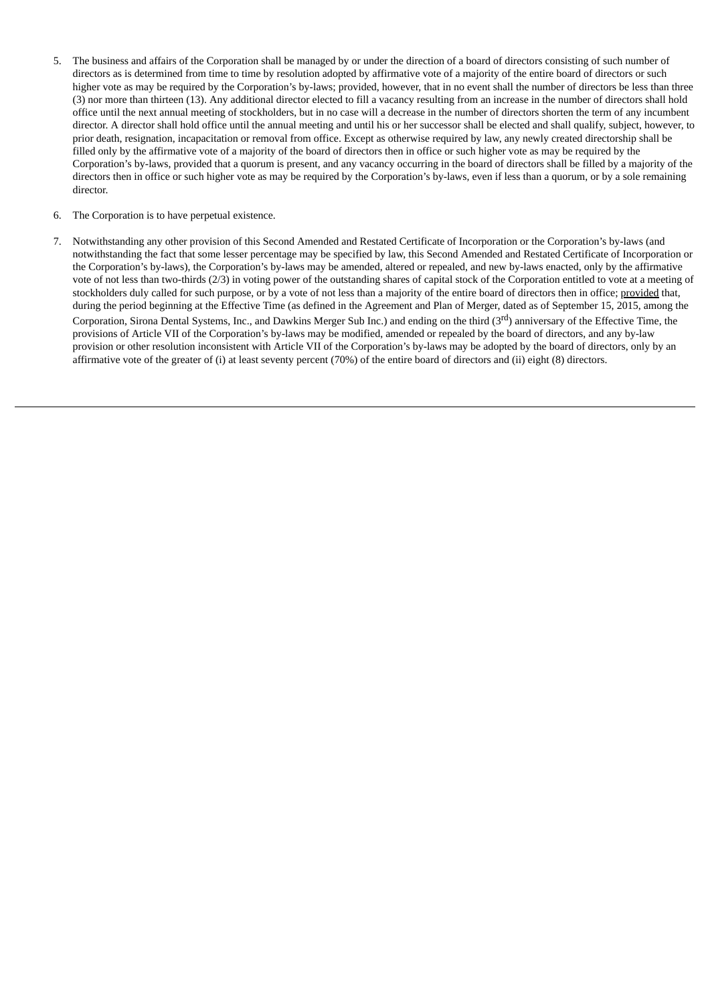- 5. The business and affairs of the Corporation shall be managed by or under the direction of a board of directors consisting of such number of directors as is determined from time to time by resolution adopted by affirmative vote of a majority of the entire board of directors or such higher vote as may be required by the Corporation's by-laws; provided, however, that in no event shall the number of directors be less than three (3) nor more than thirteen (13). Any additional director elected to fill a vacancy resulting from an increase in the number of directors shall hold office until the next annual meeting of stockholders, but in no case will a decrease in the number of directors shorten the term of any incumbent director. A director shall hold office until the annual meeting and until his or her successor shall be elected and shall qualify, subject, however, to prior death, resignation, incapacitation or removal from office. Except as otherwise required by law, any newly created directorship shall be filled only by the affirmative vote of a majority of the board of directors then in office or such higher vote as may be required by the Corporation's by-laws, provided that a quorum is present, and any vacancy occurring in the board of directors shall be filled by a majority of the directors then in office or such higher vote as may be required by the Corporation's by-laws, even if less than a quorum, or by a sole remaining director.
- 6. The Corporation is to have perpetual existence.
- 7. Notwithstanding any other provision of this Second Amended and Restated Certificate of Incorporation or the Corporation's by-laws (and notwithstanding the fact that some lesser percentage may be specified by law, this Second Amended and Restated Certificate of Incorporation or the Corporation's by-laws), the Corporation's by-laws may be amended, altered or repealed, and new by-laws enacted, only by the affirmative vote of not less than two-thirds (2/3) in voting power of the outstanding shares of capital stock of the Corporation entitled to vote at a meeting of stockholders duly called for such purpose, or by a vote of not less than a majority of the entire board of directors then in office; provided that, during the period beginning at the Effective Time (as defined in the Agreement and Plan of Merger, dated as of September 15, 2015, among the Corporation, Sirona Dental Systems, Inc., and Dawkins Merger Sub Inc.) and ending on the third (3<sup>rd</sup>) anniversary of the Effective Time, the provisions of Article VII of the Corporation's by-laws may be modified, amended or repealed by the board of directors, and any by-law provision or other resolution inconsistent with Article VII of the Corporation's by-laws may be adopted by the board of directors, only by an affirmative vote of the greater of (i) at least seventy percent (70%) of the entire board of directors and (ii) eight (8) directors.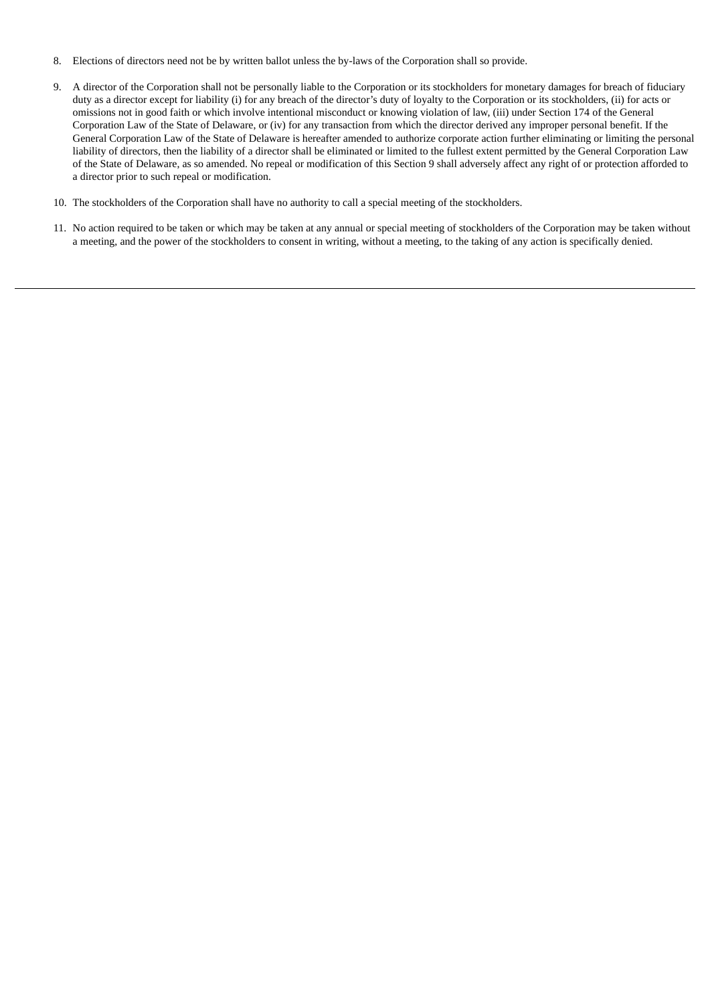- 8. Elections of directors need not be by written ballot unless the by-laws of the Corporation shall so provide.
- 9. A director of the Corporation shall not be personally liable to the Corporation or its stockholders for monetary damages for breach of fiduciary duty as a director except for liability (i) for any breach of the director's duty of loyalty to the Corporation or its stockholders, (ii) for acts or omissions not in good faith or which involve intentional misconduct or knowing violation of law, (iii) under Section 174 of the General Corporation Law of the State of Delaware, or (iv) for any transaction from which the director derived any improper personal benefit. If the General Corporation Law of the State of Delaware is hereafter amended to authorize corporate action further eliminating or limiting the personal liability of directors, then the liability of a director shall be eliminated or limited to the fullest extent permitted by the General Corporation Law of the State of Delaware, as so amended. No repeal or modification of this Section 9 shall adversely affect any right of or protection afforded to a director prior to such repeal or modification.
- 10. The stockholders of the Corporation shall have no authority to call a special meeting of the stockholders.
- 11. No action required to be taken or which may be taken at any annual or special meeting of stockholders of the Corporation may be taken without a meeting, and the power of the stockholders to consent in writing, without a meeting, to the taking of any action is specifically denied.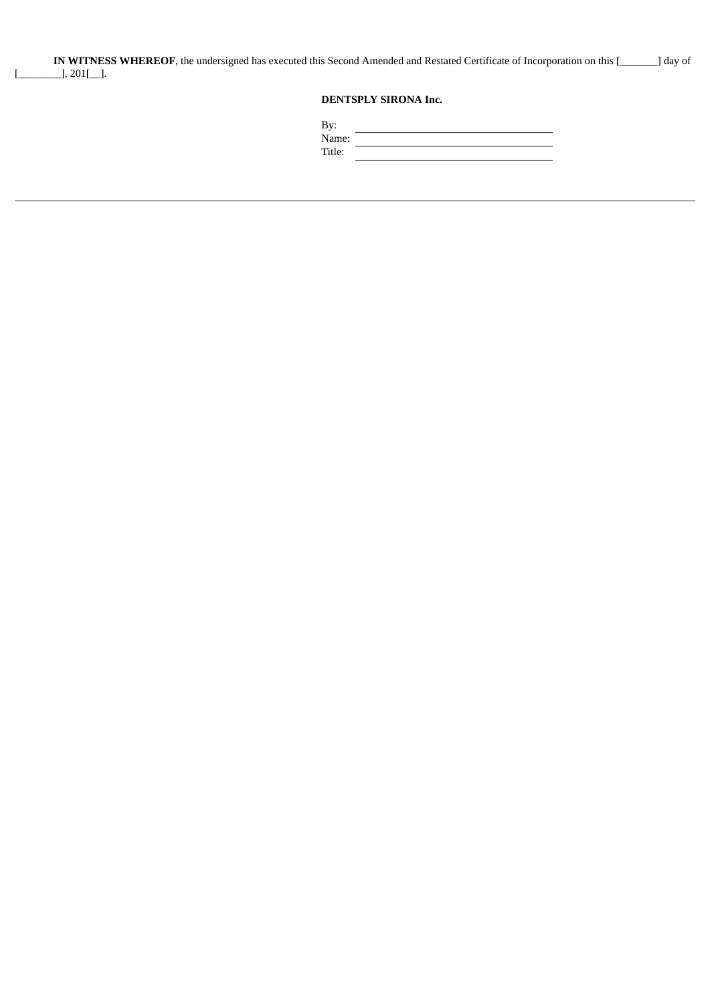# **DENTSPLY SIRONA Inc.**

| By:    |  |
|--------|--|
| Name:  |  |
| Title: |  |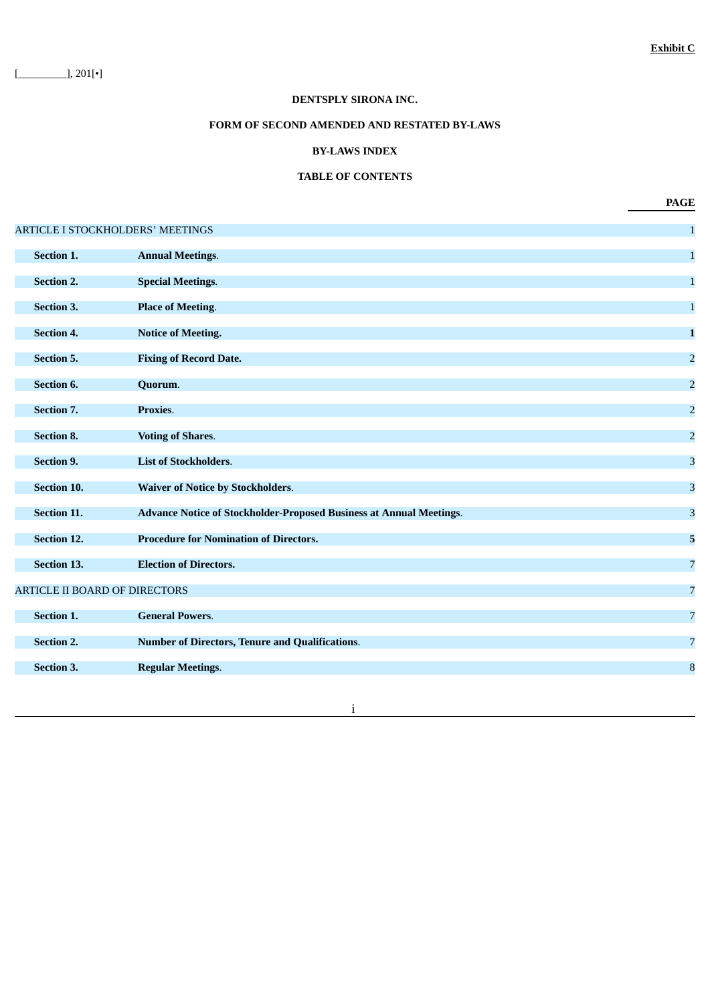# **DENTSPLY SIRONA INC.**

# **FORM OF SECOND AMENDED AND RESTATED BY-LAWS**

## **BY-LAWS INDEX**

# **TABLE OF CONTENTS**

|                                         |                                                                     | <b>PAGE</b>    |
|-----------------------------------------|---------------------------------------------------------------------|----------------|
| <b>ARTICLE I STOCKHOLDERS' MEETINGS</b> |                                                                     | $\mathbf{1}$   |
| Section 1.                              | <b>Annual Meetings.</b>                                             | $\mathbf{1}$   |
| <b>Section 2.</b>                       | <b>Special Meetings.</b>                                            | $\mathbf{1}$   |
| <b>Section 3.</b>                       | <b>Place of Meeting.</b>                                            | $\mathbf{1}$   |
| <b>Section 4.</b>                       | <b>Notice of Meeting.</b>                                           | $\mathbf{1}$   |
| <b>Section 5.</b>                       | <b>Fixing of Record Date.</b>                                       | $\overline{a}$ |
|                                         |                                                                     |                |
| Section 6.                              | Quorum.                                                             | $\overline{a}$ |
| <b>Section 7.</b>                       | Proxies.                                                            | $\overline{2}$ |
| <b>Section 8.</b>                       | <b>Voting of Shares.</b>                                            | $\overline{2}$ |
| <b>Section 9.</b>                       | <b>List of Stockholders.</b>                                        | 3              |
| <b>Section 10.</b>                      | <b>Waiver of Notice by Stockholders.</b>                            | 3              |
| <b>Section 11.</b>                      | Advance Notice of Stockholder-Proposed Business at Annual Meetings. | 3              |
| Section 12.                             | <b>Procedure for Nomination of Directors.</b>                       | 5              |
| Section 13.                             | <b>Election of Directors.</b>                                       | 7              |
|                                         |                                                                     |                |
| ARTICLE II BOARD OF DIRECTORS           |                                                                     | 7              |
| Section 1.                              | <b>General Powers.</b>                                              | $\overline{7}$ |
| <b>Section 2.</b>                       | <b>Number of Directors, Tenure and Qualifications.</b>              | $\overline{7}$ |
| <b>Section 3.</b>                       | <b>Regular Meetings.</b>                                            | 8              |
|                                         |                                                                     |                |

i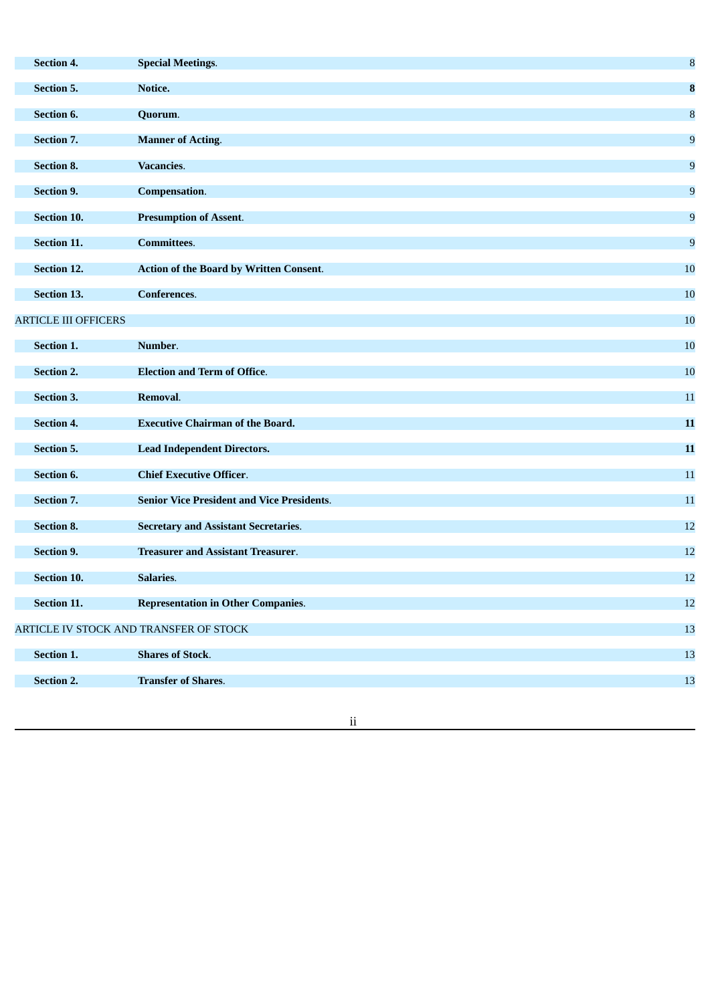| <b>Section 4.</b>           | <b>Special Meetings.</b>                          | $\boldsymbol{8}$ |
|-----------------------------|---------------------------------------------------|------------------|
| <b>Section 5.</b>           | Notice.                                           | $\bf{8}$         |
| Section 6.                  | Quorum.                                           | 8                |
| Section 7.                  | <b>Manner of Acting.</b>                          | 9                |
| <b>Section 8.</b>           | <b>Vacancies.</b>                                 | $\overline{9}$   |
| Section 9.                  | Compensation.                                     | $\overline{9}$   |
| <b>Section 10.</b>          | <b>Presumption of Assent.</b>                     | $\boldsymbol{9}$ |
| Section 11.                 | <b>Committees.</b>                                | $\overline{9}$   |
| Section 12.                 | Action of the Board by Written Consent.           | 10               |
| <b>Section 13.</b>          | Conferences.                                      | 10               |
| <b>ARTICLE III OFFICERS</b> |                                                   | 10               |
| Section 1.                  | Number.                                           | 10               |
| <b>Section 2.</b>           | <b>Election and Term of Office.</b>               | 10               |
| <b>Section 3.</b>           | Removal.                                          | 11               |
| <b>Section 4.</b>           | <b>Executive Chairman of the Board.</b>           | <b>11</b>        |
| Section 5.                  | <b>Lead Independent Directors.</b>                | <b>11</b>        |
| Section 6.                  | <b>Chief Executive Officer.</b>                   | 11               |
| Section 7.                  | <b>Senior Vice President and Vice Presidents.</b> | 11               |
| <b>Section 8.</b>           | <b>Secretary and Assistant Secretaries.</b>       | 12               |
| <b>Section 9.</b>           | <b>Treasurer and Assistant Treasurer.</b>         | 12               |
| Section 10.                 | Salaries.                                         | 12               |
| Section 11.                 | <b>Representation in Other Companies.</b>         | 12               |
|                             | ARTICLE IV STOCK AND TRANSFER OF STOCK            | 13               |
| Section 1.                  | <b>Shares of Stock.</b>                           | 13               |
| Section 2.                  | <b>Transfer of Shares.</b>                        | 13               |
|                             |                                                   |                  |
|                             | $\mathbf{ii}$                                     |                  |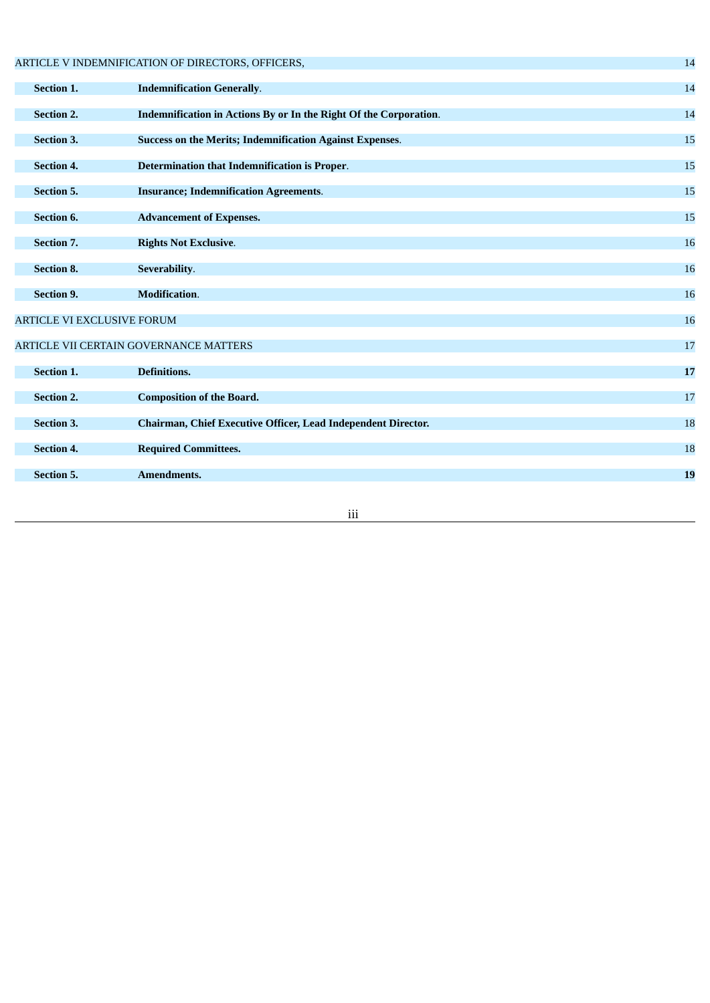|                                   | ARTICLE V INDEMNIFICATION OF DIRECTORS, OFFICERS,                 | 14 |
|-----------------------------------|-------------------------------------------------------------------|----|
| Section 1.                        | <b>Indemnification Generally.</b>                                 | 14 |
| <b>Section 2.</b>                 | Indemnification in Actions By or In the Right Of the Corporation. | 14 |
| <b>Section 3.</b>                 | Success on the Merits; Indemnification Against Expenses.          | 15 |
| <b>Section 4.</b>                 | Determination that Indemnification is Proper.                     | 15 |
| <b>Section 5.</b>                 | <b>Insurance; Indemnification Agreements.</b>                     | 15 |
| <b>Section 6.</b>                 | <b>Advancement of Expenses.</b>                                   | 15 |
| <b>Section 7.</b>                 | <b>Rights Not Exclusive.</b>                                      | 16 |
| <b>Section 8.</b>                 | Severability.                                                     | 16 |
| <b>Section 9.</b>                 | <b>Modification.</b>                                              | 16 |
| <b>ARTICLE VI EXCLUSIVE FORUM</b> |                                                                   | 16 |
|                                   | ARTICLE VII CERTAIN GOVERNANCE MATTERS                            | 17 |
| <b>Section 1.</b>                 | <b>Definitions.</b>                                               | 17 |
| <b>Section 2.</b>                 | <b>Composition of the Board.</b>                                  | 17 |
| <b>Section 3.</b>                 | Chairman, Chief Executive Officer, Lead Independent Director.     | 18 |
| <b>Section 4.</b>                 | <b>Required Committees.</b>                                       | 18 |
| <b>Section 5.</b>                 | <b>Amendments.</b>                                                | 19 |
|                                   |                                                                   |    |

iii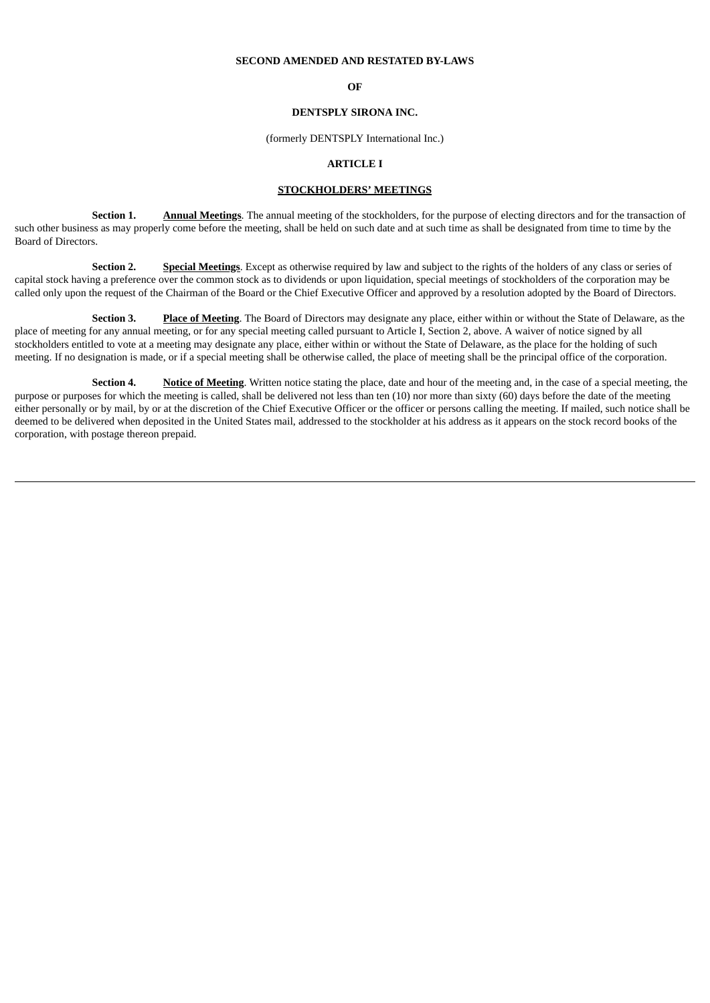### **SECOND AMENDED AND RESTATED BY-LAWS**

**OF**

### **DENTSPLY SIRONA INC.**

(formerly DENTSPLY International Inc.)

### **ARTICLE I**

#### **STOCKHOLDERS' MEETINGS**

**Section 1. Annual Meetings**. The annual meeting of the stockholders, for the purpose of electing directors and for the transaction of such other business as may properly come before the meeting, shall be held on such date and at such time as shall be designated from time to time by the Board of Directors.

**Section 2. Special Meetings**. Except as otherwise required by law and subject to the rights of the holders of any class or series of capital stock having a preference over the common stock as to dividends or upon liquidation, special meetings of stockholders of the corporation may be called only upon the request of the Chairman of the Board or the Chief Executive Officer and approved by a resolution adopted by the Board of Directors.

**Section 3. Place of Meeting**. The Board of Directors may designate any place, either within or without the State of Delaware, as the place of meeting for any annual meeting, or for any special meeting called pursuant to Article I, Section 2, above. A waiver of notice signed by all stockholders entitled to vote at a meeting may designate any place, either within or without the State of Delaware, as the place for the holding of such meeting. If no designation is made, or if a special meeting shall be otherwise called, the place of meeting shall be the principal office of the corporation.

**Section 4. Notice of Meeting**. Written notice stating the place, date and hour of the meeting and, in the case of a special meeting, the purpose or purposes for which the meeting is called, shall be delivered not less than ten (10) nor more than sixty (60) days before the date of the meeting either personally or by mail, by or at the discretion of the Chief Executive Officer or the officer or persons calling the meeting. If mailed, such notice shall be deemed to be delivered when deposited in the United States mail, addressed to the stockholder at his address as it appears on the stock record books of the corporation, with postage thereon prepaid.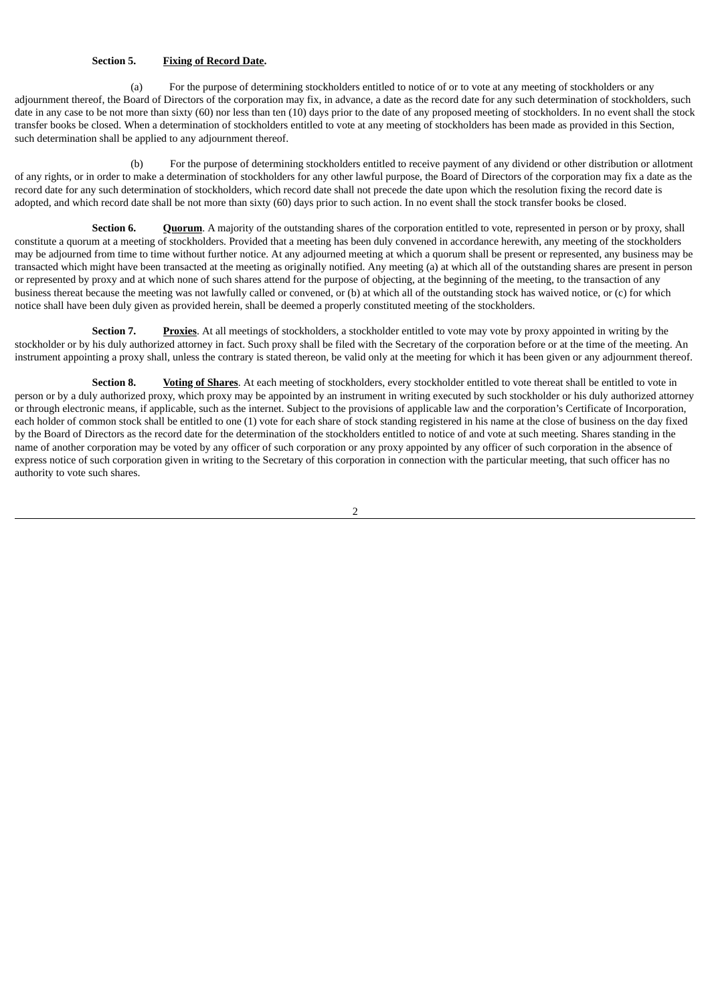### **Section 5. Fixing of Record Date.**

(a) For the purpose of determining stockholders entitled to notice of or to vote at any meeting of stockholders or any adjournment thereof, the Board of Directors of the corporation may fix, in advance, a date as the record date for any such determination of stockholders, such date in any case to be not more than sixty (60) nor less than ten (10) days prior to the date of any proposed meeting of stockholders. In no event shall the stock transfer books be closed. When a determination of stockholders entitled to vote at any meeting of stockholders has been made as provided in this Section, such determination shall be applied to any adjournment thereof.

(b) For the purpose of determining stockholders entitled to receive payment of any dividend or other distribution or allotment of any rights, or in order to make a determination of stockholders for any other lawful purpose, the Board of Directors of the corporation may fix a date as the record date for any such determination of stockholders, which record date shall not precede the date upon which the resolution fixing the record date is adopted, and which record date shall be not more than sixty (60) days prior to such action. In no event shall the stock transfer books be closed.

**Section 6.** Quorum. A majority of the outstanding shares of the corporation entitled to vote, represented in person or by proxy, shall constitute a quorum at a meeting of stockholders. Provided that a meeting has been duly convened in accordance herewith, any meeting of the stockholders may be adjourned from time to time without further notice. At any adjourned meeting at which a quorum shall be present or represented, any business may be transacted which might have been transacted at the meeting as originally notified. Any meeting (a) at which all of the outstanding shares are present in person or represented by proxy and at which none of such shares attend for the purpose of objecting, at the beginning of the meeting, to the transaction of any business thereat because the meeting was not lawfully called or convened, or (b) at which all of the outstanding stock has waived notice, or (c) for which notice shall have been duly given as provided herein, shall be deemed a properly constituted meeting of the stockholders.

**Section 7. Proxies**. At all meetings of stockholders, a stockholder entitled to vote may vote by proxy appointed in writing by the stockholder or by his duly authorized attorney in fact. Such proxy shall be filed with the Secretary of the corporation before or at the time of the meeting. An instrument appointing a proxy shall, unless the contrary is stated thereon, be valid only at the meeting for which it has been given or any adjournment thereof.

**Section 8. Voting of Shares**. At each meeting of stockholders, every stockholder entitled to vote thereat shall be entitled to vote in person or by a duly authorized proxy, which proxy may be appointed by an instrument in writing executed by such stockholder or his duly authorized attorney or through electronic means, if applicable, such as the internet. Subject to the provisions of applicable law and the corporation's Certificate of Incorporation, each holder of common stock shall be entitled to one (1) vote for each share of stock standing registered in his name at the close of business on the day fixed by the Board of Directors as the record date for the determination of the stockholders entitled to notice of and vote at such meeting. Shares standing in the name of another corporation may be voted by any officer of such corporation or any proxy appointed by any officer of such corporation in the absence of express notice of such corporation given in writing to the Secretary of this corporation in connection with the particular meeting, that such officer has no authority to vote such shares.

 $\overline{2}$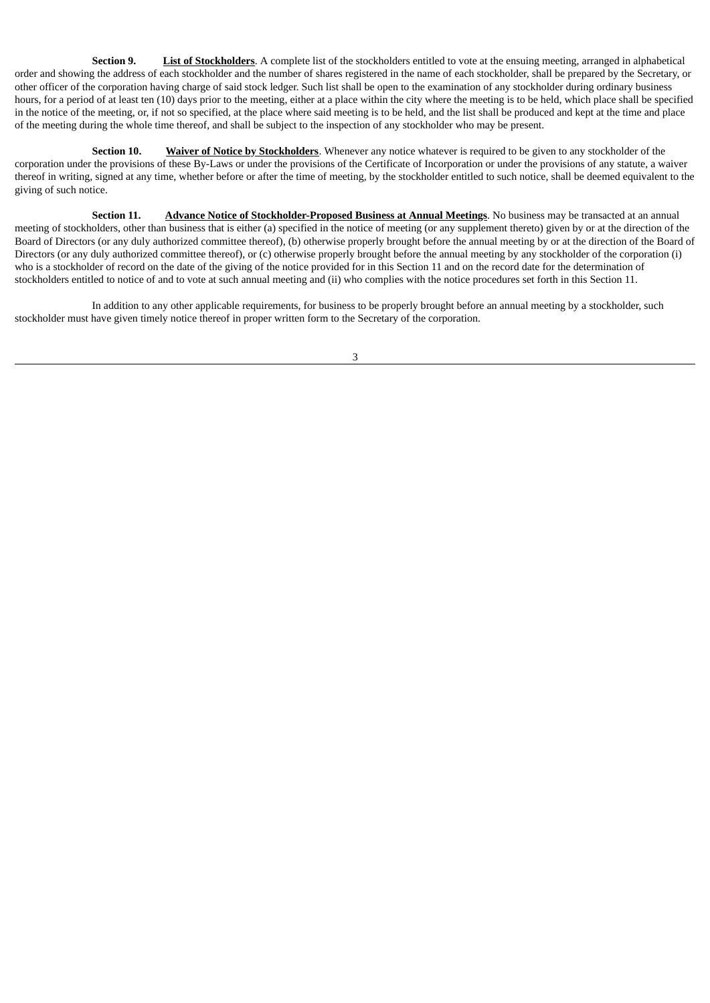**Section 9. List of Stockholders**. A complete list of the stockholders entitled to vote at the ensuing meeting, arranged in alphabetical order and showing the address of each stockholder and the number of shares registered in the name of each stockholder, shall be prepared by the Secretary, or other officer of the corporation having charge of said stock ledger. Such list shall be open to the examination of any stockholder during ordinary business hours, for a period of at least ten (10) days prior to the meeting, either at a place within the city where the meeting is to be held, which place shall be specified in the notice of the meeting, or, if not so specified, at the place where said meeting is to be held, and the list shall be produced and kept at the time and place of the meeting during the whole time thereof, and shall be subject to the inspection of any stockholder who may be present.

**Section 10. Waiver of Notice by Stockholders**. Whenever any notice whatever is required to be given to any stockholder of the corporation under the provisions of these By-Laws or under the provisions of the Certificate of Incorporation or under the provisions of any statute, a waiver thereof in writing, signed at any time, whether before or after the time of meeting, by the stockholder entitled to such notice, shall be deemed equivalent to the giving of such notice.

**Section 11. Advance Notice of Stockholder-Proposed Business at Annual Meetings**. No business may be transacted at an annual meeting of stockholders, other than business that is either (a) specified in the notice of meeting (or any supplement thereto) given by or at the direction of the Board of Directors (or any duly authorized committee thereof), (b) otherwise properly brought before the annual meeting by or at the direction of the Board of Directors (or any duly authorized committee thereof), or (c) otherwise properly brought before the annual meeting by any stockholder of the corporation (i) who is a stockholder of record on the date of the giving of the notice provided for in this Section 11 and on the record date for the determination of stockholders entitled to notice of and to vote at such annual meeting and (ii) who complies with the notice procedures set forth in this Section 11.

In addition to any other applicable requirements, for business to be properly brought before an annual meeting by a stockholder, such stockholder must have given timely notice thereof in proper written form to the Secretary of the corporation.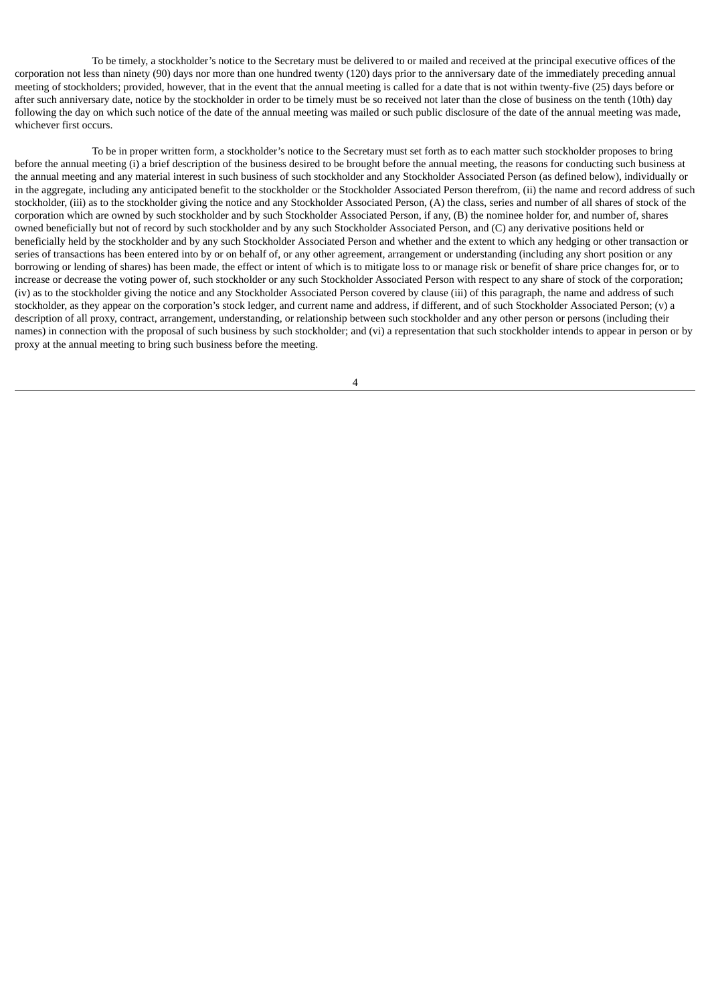To be timely, a stockholder's notice to the Secretary must be delivered to or mailed and received at the principal executive offices of the corporation not less than ninety (90) days nor more than one hundred twenty (120) days prior to the anniversary date of the immediately preceding annual meeting of stockholders; provided, however, that in the event that the annual meeting is called for a date that is not within twenty-five (25) days before or after such anniversary date, notice by the stockholder in order to be timely must be so received not later than the close of business on the tenth (10th) day following the day on which such notice of the date of the annual meeting was mailed or such public disclosure of the date of the annual meeting was made, whichever first occurs.

To be in proper written form, a stockholder's notice to the Secretary must set forth as to each matter such stockholder proposes to bring before the annual meeting (i) a brief description of the business desired to be brought before the annual meeting, the reasons for conducting such business at the annual meeting and any material interest in such business of such stockholder and any Stockholder Associated Person (as defined below), individually or in the aggregate, including any anticipated benefit to the stockholder or the Stockholder Associated Person therefrom, (ii) the name and record address of such stockholder, (iii) as to the stockholder giving the notice and any Stockholder Associated Person, (A) the class, series and number of all shares of stock of the corporation which are owned by such stockholder and by such Stockholder Associated Person, if any, (B) the nominee holder for, and number of, shares owned beneficially but not of record by such stockholder and by any such Stockholder Associated Person, and (C) any derivative positions held or beneficially held by the stockholder and by any such Stockholder Associated Person and whether and the extent to which any hedging or other transaction or series of transactions has been entered into by or on behalf of, or any other agreement, arrangement or understanding (including any short position or any borrowing or lending of shares) has been made, the effect or intent of which is to mitigate loss to or manage risk or benefit of share price changes for, or to increase or decrease the voting power of, such stockholder or any such Stockholder Associated Person with respect to any share of stock of the corporation; (iv) as to the stockholder giving the notice and any Stockholder Associated Person covered by clause (iii) of this paragraph, the name and address of such stockholder, as they appear on the corporation's stock ledger, and current name and address, if different, and of such Stockholder Associated Person; (v) a description of all proxy, contract, arrangement, understanding, or relationship between such stockholder and any other person or persons (including their names) in connection with the proposal of such business by such stockholder; and (vi) a representation that such stockholder intends to appear in person or by proxy at the annual meeting to bring such business before the meeting.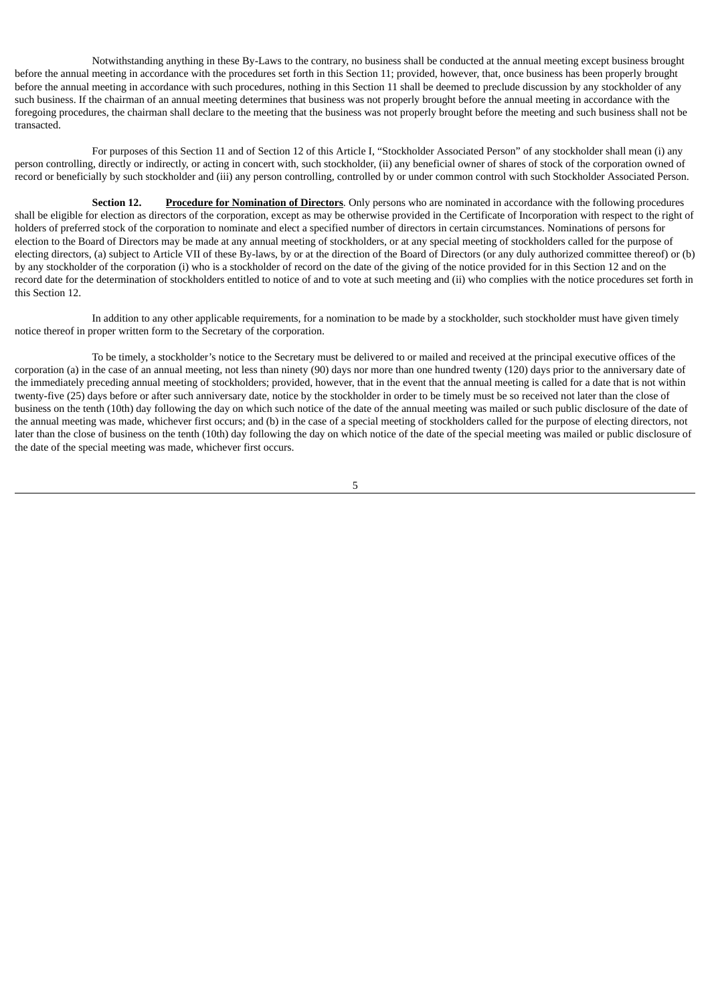Notwithstanding anything in these By-Laws to the contrary, no business shall be conducted at the annual meeting except business brought before the annual meeting in accordance with the procedures set forth in this Section 11; provided, however, that, once business has been properly brought before the annual meeting in accordance with such procedures, nothing in this Section 11 shall be deemed to preclude discussion by any stockholder of any such business. If the chairman of an annual meeting determines that business was not properly brought before the annual meeting in accordance with the foregoing procedures, the chairman shall declare to the meeting that the business was not properly brought before the meeting and such business shall not be transacted.

For purposes of this Section 11 and of Section 12 of this Article I, "Stockholder Associated Person" of any stockholder shall mean (i) any person controlling, directly or indirectly, or acting in concert with, such stockholder, (ii) any beneficial owner of shares of stock of the corporation owned of record or beneficially by such stockholder and (iii) any person controlling, controlled by or under common control with such Stockholder Associated Person.

**Section 12. Procedure for Nomination of Directors**. Only persons who are nominated in accordance with the following procedures shall be eligible for election as directors of the corporation, except as may be otherwise provided in the Certificate of Incorporation with respect to the right of holders of preferred stock of the corporation to nominate and elect a specified number of directors in certain circumstances. Nominations of persons for election to the Board of Directors may be made at any annual meeting of stockholders, or at any special meeting of stockholders called for the purpose of electing directors, (a) subject to Article VII of these By-laws, by or at the direction of the Board of Directors (or any duly authorized committee thereof) or (b) by any stockholder of the corporation (i) who is a stockholder of record on the date of the giving of the notice provided for in this Section 12 and on the record date for the determination of stockholders entitled to notice of and to vote at such meeting and (ii) who complies with the notice procedures set forth in this Section 12.

In addition to any other applicable requirements, for a nomination to be made by a stockholder, such stockholder must have given timely notice thereof in proper written form to the Secretary of the corporation.

To be timely, a stockholder's notice to the Secretary must be delivered to or mailed and received at the principal executive offices of the corporation (a) in the case of an annual meeting, not less than ninety (90) days nor more than one hundred twenty (120) days prior to the anniversary date of the immediately preceding annual meeting of stockholders; provided, however, that in the event that the annual meeting is called for a date that is not within twenty-five (25) days before or after such anniversary date, notice by the stockholder in order to be timely must be so received not later than the close of business on the tenth (10th) day following the day on which such notice of the date of the annual meeting was mailed or such public disclosure of the date of the annual meeting was made, whichever first occurs; and (b) in the case of a special meeting of stockholders called for the purpose of electing directors, not later than the close of business on the tenth (10th) day following the day on which notice of the date of the special meeting was mailed or public disclosure of the date of the special meeting was made, whichever first occurs.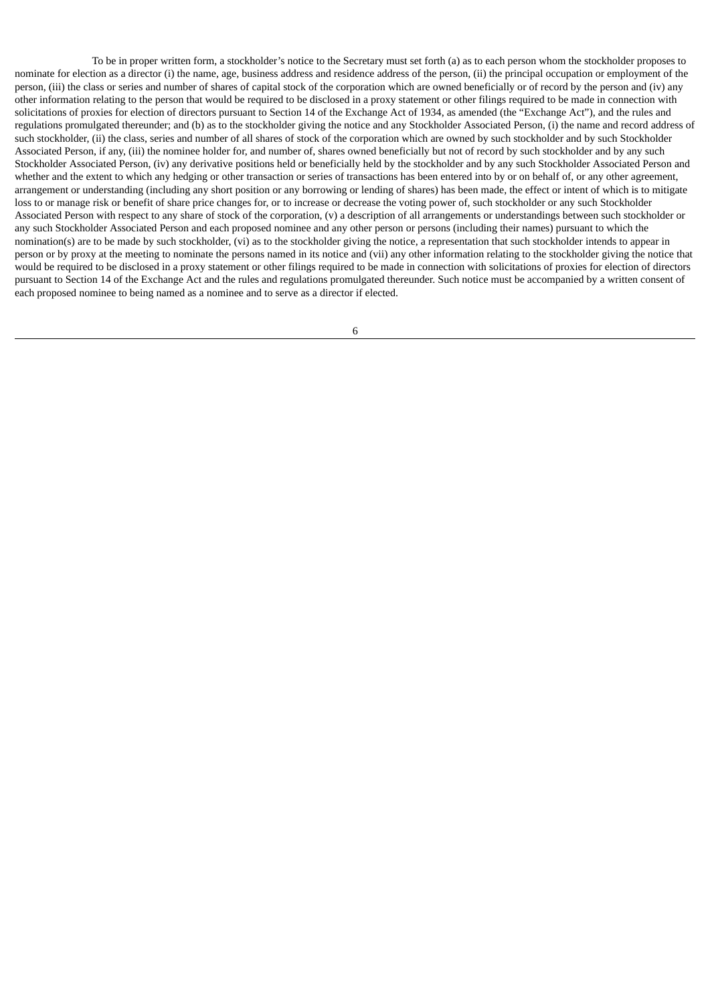To be in proper written form, a stockholder's notice to the Secretary must set forth (a) as to each person whom the stockholder proposes to nominate for election as a director (i) the name, age, business address and residence address of the person, (ii) the principal occupation or employment of the person, (iii) the class or series and number of shares of capital stock of the corporation which are owned beneficially or of record by the person and (iv) any other information relating to the person that would be required to be disclosed in a proxy statement or other filings required to be made in connection with solicitations of proxies for election of directors pursuant to Section 14 of the Exchange Act of 1934, as amended (the "Exchange Act"), and the rules and regulations promulgated thereunder; and (b) as to the stockholder giving the notice and any Stockholder Associated Person, (i) the name and record address of such stockholder, (ii) the class, series and number of all shares of stock of the corporation which are owned by such stockholder and by such Stockholder Associated Person, if any, (iii) the nominee holder for, and number of, shares owned beneficially but not of record by such stockholder and by any such Stockholder Associated Person, (iv) any derivative positions held or beneficially held by the stockholder and by any such Stockholder Associated Person and whether and the extent to which any hedging or other transaction or series of transactions has been entered into by or on behalf of, or any other agreement, arrangement or understanding (including any short position or any borrowing or lending of shares) has been made, the effect or intent of which is to mitigate loss to or manage risk or benefit of share price changes for, or to increase or decrease the voting power of, such stockholder or any such Stockholder Associated Person with respect to any share of stock of the corporation, (v) a description of all arrangements or understandings between such stockholder or any such Stockholder Associated Person and each proposed nominee and any other person or persons (including their names) pursuant to which the nomination(s) are to be made by such stockholder, (vi) as to the stockholder giving the notice, a representation that such stockholder intends to appear in person or by proxy at the meeting to nominate the persons named in its notice and (vii) any other information relating to the stockholder giving the notice that would be required to be disclosed in a proxy statement or other filings required to be made in connection with solicitations of proxies for election of directors pursuant to Section 14 of the Exchange Act and the rules and regulations promulgated thereunder. Such notice must be accompanied by a written consent of each proposed nominee to being named as a nominee and to serve as a director if elected.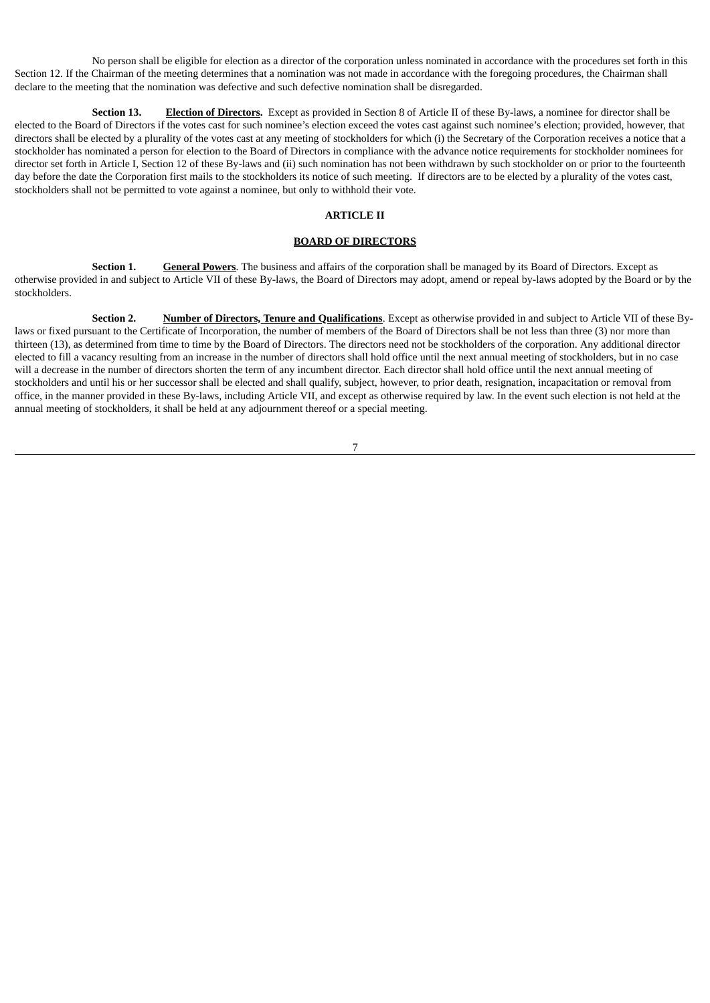No person shall be eligible for election as a director of the corporation unless nominated in accordance with the procedures set forth in this Section 12. If the Chairman of the meeting determines that a nomination was not made in accordance with the foregoing procedures, the Chairman shall declare to the meeting that the nomination was defective and such defective nomination shall be disregarded.

**Section 13. Election of Directors.** Except as provided in Section 8 of Article II of these By-laws, a nominee for director shall be elected to the Board of Directors if the votes cast for such nominee's election exceed the votes cast against such nominee's election; provided, however, that directors shall be elected by a plurality of the votes cast at any meeting of stockholders for which (i) the Secretary of the Corporation receives a notice that a stockholder has nominated a person for election to the Board of Directors in compliance with the advance notice requirements for stockholder nominees for director set forth in Article I, Section 12 of these By-laws and (ii) such nomination has not been withdrawn by such stockholder on or prior to the fourteenth day before the date the Corporation first mails to the stockholders its notice of such meeting. If directors are to be elected by a plurality of the votes cast, stockholders shall not be permitted to vote against a nominee, but only to withhold their vote.

### **ARTICLE II**

### **BOARD OF DIRECTORS**

**Section 1.** General Powers. The business and affairs of the corporation shall be managed by its Board of Directors. Except as otherwise provided in and subject to Article VII of these By-laws, the Board of Directors may adopt, amend or repeal by-laws adopted by the Board or by the stockholders.

**Section 2. Number of Directors, Tenure and Qualifications**. Except as otherwise provided in and subject to Article VII of these Bylaws or fixed pursuant to the Certificate of Incorporation, the number of members of the Board of Directors shall be not less than three (3) nor more than thirteen (13), as determined from time to time by the Board of Directors. The directors need not be stockholders of the corporation. Any additional director elected to fill a vacancy resulting from an increase in the number of directors shall hold office until the next annual meeting of stockholders, but in no case will a decrease in the number of directors shorten the term of any incumbent director. Each director shall hold office until the next annual meeting of stockholders and until his or her successor shall be elected and shall qualify, subject, however, to prior death, resignation, incapacitation or removal from office, in the manner provided in these By-laws, including Article VII, and except as otherwise required by law. In the event such election is not held at the annual meeting of stockholders, it shall be held at any adjournment thereof or a special meeting.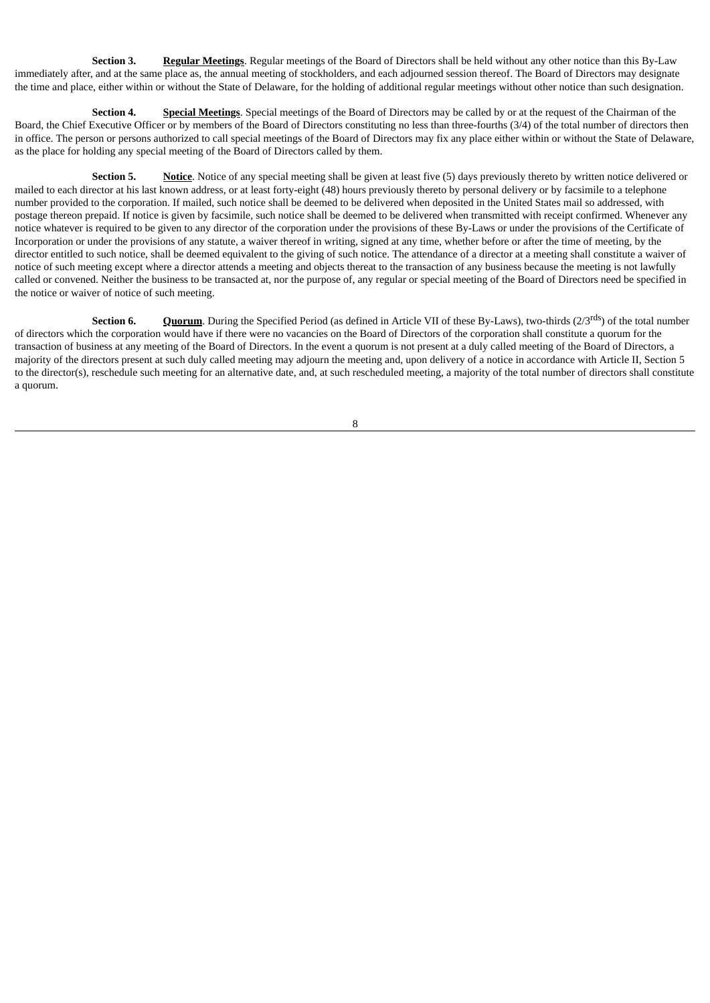**Section 3. Regular Meetings**. Regular meetings of the Board of Directors shall be held without any other notice than this By-Law immediately after, and at the same place as, the annual meeting of stockholders, and each adjourned session thereof. The Board of Directors may designate the time and place, either within or without the State of Delaware, for the holding of additional regular meetings without other notice than such designation.

**Section 4. Special Meetings**. Special meetings of the Board of Directors may be called by or at the request of the Chairman of the Board, the Chief Executive Officer or by members of the Board of Directors constituting no less than three-fourths (3/4) of the total number of directors then in office. The person or persons authorized to call special meetings of the Board of Directors may fix any place either within or without the State of Delaware, as the place for holding any special meeting of the Board of Directors called by them.

**Section 5. <b>Notice**</u>. Notice of any special meeting shall be given at least five (5) days previously thereto by written notice delivered or mailed to each director at his last known address, or at least forty-eight (48) hours previously thereto by personal delivery or by facsimile to a telephone number provided to the corporation. If mailed, such notice shall be deemed to be delivered when deposited in the United States mail so addressed, with postage thereon prepaid. If notice is given by facsimile, such notice shall be deemed to be delivered when transmitted with receipt confirmed. Whenever any notice whatever is required to be given to any director of the corporation under the provisions of these By-Laws or under the provisions of the Certificate of Incorporation or under the provisions of any statute, a waiver thereof in writing, signed at any time, whether before or after the time of meeting, by the director entitled to such notice, shall be deemed equivalent to the giving of such notice. The attendance of a director at a meeting shall constitute a waiver of notice of such meeting except where a director attends a meeting and objects thereat to the transaction of any business because the meeting is not lawfully called or convened. Neither the business to be transacted at, nor the purpose of, any regular or special meeting of the Board of Directors need be specified in the notice or waiver of notice of such meeting.

**Section 6. Quorum**. During the Specified Period (as defined in Article VII of these By-Laws), two-thirds (2/3<sup>rds</sup>) of the total number of directors which the corporation would have if there were no vacancies on the Board of Directors of the corporation shall constitute a quorum for the transaction of business at any meeting of the Board of Directors. In the event a quorum is not present at a duly called meeting of the Board of Directors, a majority of the directors present at such duly called meeting may adjourn the meeting and, upon delivery of a notice in accordance with Article II, Section 5 to the director(s), reschedule such meeting for an alternative date, and, at such rescheduled meeting, a majority of the total number of directors shall constitute a quorum.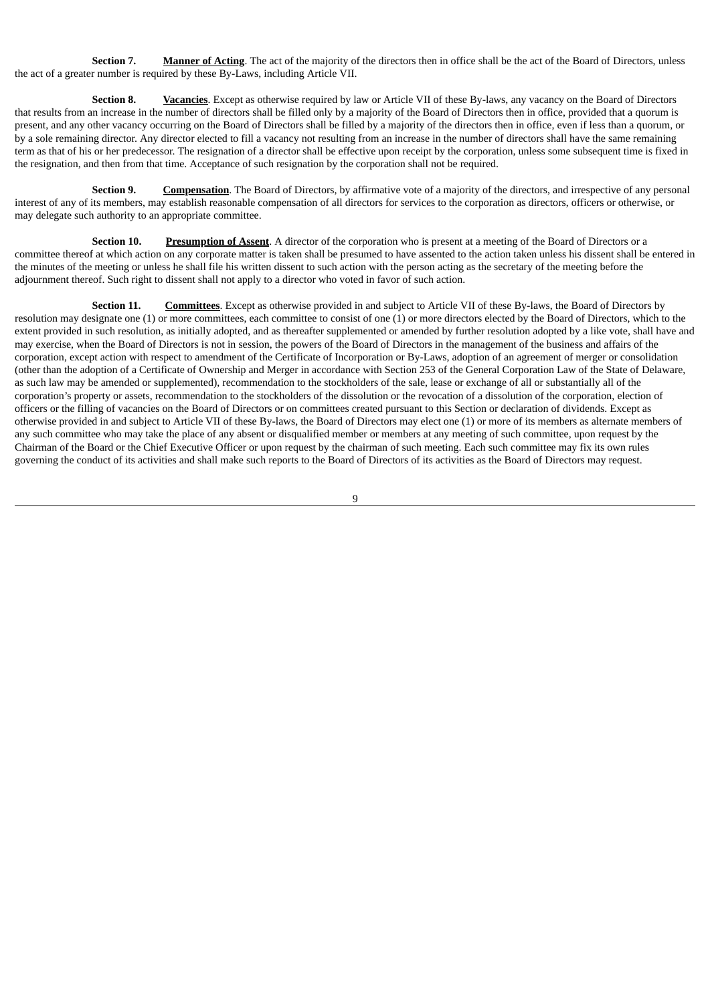**Section 7. Manner of Acting**. The act of the majority of the directors then in office shall be the act of the Board of Directors, unless the act of a greater number is required by these By-Laws, including Article VII.

**Section 8. Vacancies**. Except as otherwise required by law or Article VII of these By-laws, any vacancy on the Board of Directors that results from an increase in the number of directors shall be filled only by a majority of the Board of Directors then in office, provided that a quorum is present, and any other vacancy occurring on the Board of Directors shall be filled by a majority of the directors then in office, even if less than a quorum, or by a sole remaining director. Any director elected to fill a vacancy not resulting from an increase in the number of directors shall have the same remaining term as that of his or her predecessor. The resignation of a director shall be effective upon receipt by the corporation, unless some subsequent time is fixed in the resignation, and then from that time. Acceptance of such resignation by the corporation shall not be required.

**Section 9. Compensation**. The Board of Directors, by affirmative vote of a majority of the directors, and irrespective of any personal interest of any of its members, may establish reasonable compensation of all directors for services to the corporation as directors, officers or otherwise, or may delegate such authority to an appropriate committee.

**Section 10.** Presumption of Assent. A director of the corporation who is present at a meeting of the Board of Directors or a committee thereof at which action on any corporate matter is taken shall be presumed to have assented to the action taken unless his dissent shall be entered in the minutes of the meeting or unless he shall file his written dissent to such action with the person acting as the secretary of the meeting before the adjournment thereof. Such right to dissent shall not apply to a director who voted in favor of such action.

**Section 11. Committees**. Except as otherwise provided in and subject to Article VII of these By-laws, the Board of Directors by resolution may designate one (1) or more committees, each committee to consist of one (1) or more directors elected by the Board of Directors, which to the extent provided in such resolution, as initially adopted, and as thereafter supplemented or amended by further resolution adopted by a like vote, shall have and may exercise, when the Board of Directors is not in session, the powers of the Board of Directors in the management of the business and affairs of the corporation, except action with respect to amendment of the Certificate of Incorporation or By-Laws, adoption of an agreement of merger or consolidation (other than the adoption of a Certificate of Ownership and Merger in accordance with Section 253 of the General Corporation Law of the State of Delaware, as such law may be amended or supplemented), recommendation to the stockholders of the sale, lease or exchange of all or substantially all of the corporation's property or assets, recommendation to the stockholders of the dissolution or the revocation of a dissolution of the corporation, election of officers or the filling of vacancies on the Board of Directors or on committees created pursuant to this Section or declaration of dividends. Except as otherwise provided in and subject to Article VII of these By-laws, the Board of Directors may elect one (1) or more of its members as alternate members of any such committee who may take the place of any absent or disqualified member or members at any meeting of such committee, upon request by the Chairman of the Board or the Chief Executive Officer or upon request by the chairman of such meeting. Each such committee may fix its own rules governing the conduct of its activities and shall make such reports to the Board of Directors of its activities as the Board of Directors may request.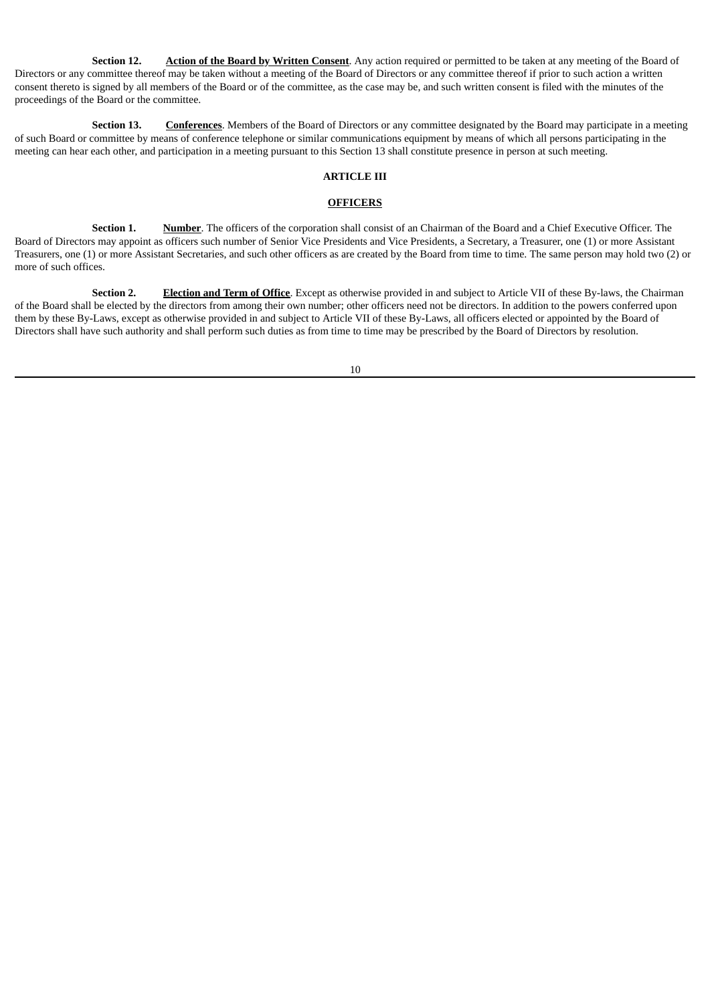**Section 12. Action of the Board by Written Consent**. Any action required or permitted to be taken at any meeting of the Board of Directors or any committee thereof may be taken without a meeting of the Board of Directors or any committee thereof if prior to such action a written consent thereto is signed by all members of the Board or of the committee, as the case may be, and such written consent is filed with the minutes of the proceedings of the Board or the committee.

**Section 13. Conferences**. Members of the Board of Directors or any committee designated by the Board may participate in a meeting of such Board or committee by means of conference telephone or similar communications equipment by means of which all persons participating in the meeting can hear each other, and participation in a meeting pursuant to this Section 13 shall constitute presence in person at such meeting.

### **ARTICLE III**

### **OFFICERS**

**Section 1. Number**. The officers of the corporation shall consist of an Chairman of the Board and a Chief Executive Officer. The Board of Directors may appoint as officers such number of Senior Vice Presidents and Vice Presidents, a Secretary, a Treasurer, one (1) or more Assistant Treasurers, one (1) or more Assistant Secretaries, and such other officers as are created by the Board from time to time. The same person may hold two (2) or more of such offices.

**Section 2. Election and Term of Office**. Except as otherwise provided in and subject to Article VII of these By-laws, the Chairman of the Board shall be elected by the directors from among their own number; other officers need not be directors. In addition to the powers conferred upon them by these By-Laws, except as otherwise provided in and subject to Article VII of these By-Laws, all officers elected or appointed by the Board of Directors shall have such authority and shall perform such duties as from time to time may be prescribed by the Board of Directors by resolution.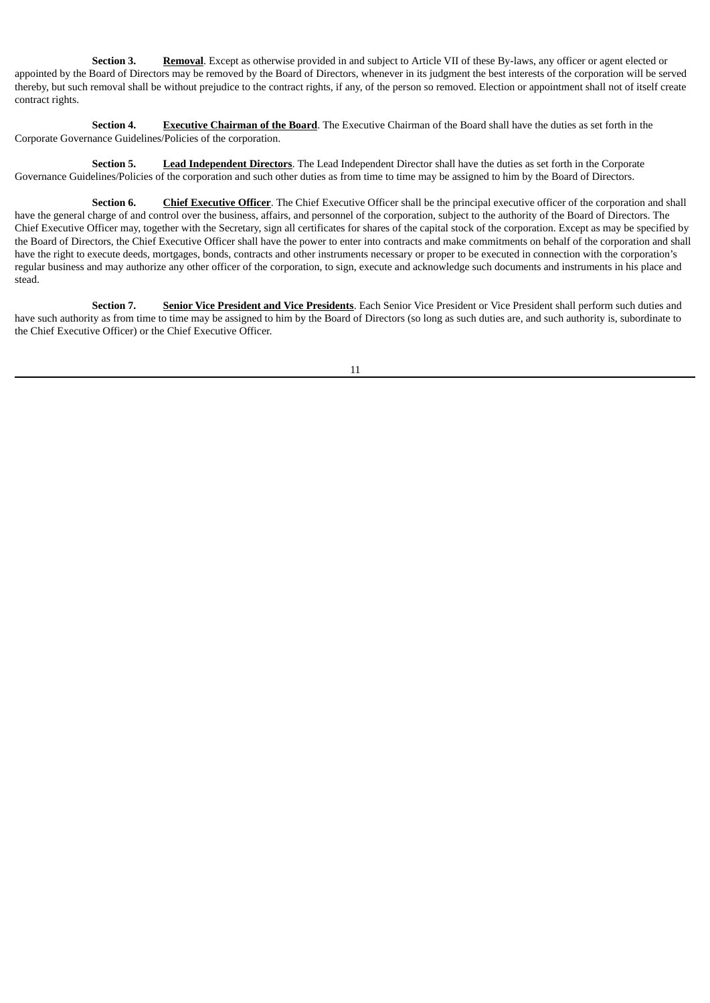**Section 3. Removal**. Except as otherwise provided in and subject to Article VII of these By-laws, any officer or agent elected or appointed by the Board of Directors may be removed by the Board of Directors, whenever in its judgment the best interests of the corporation will be served thereby, but such removal shall be without prejudice to the contract rights, if any, of the person so removed. Election or appointment shall not of itself create contract rights.

**Section 4. Executive Chairman of the Board**. The Executive Chairman of the Board shall have the duties as set forth in the Corporate Governance Guidelines/Policies of the corporation.

**Section 5. Lead Independent Directors**. The Lead Independent Director shall have the duties as set forth in the Corporate Governance Guidelines/Policies of the corporation and such other duties as from time to time may be assigned to him by the Board of Directors.

**Section 6. Chief Executive Officer**. The Chief Executive Officer shall be the principal executive officer of the corporation and shall have the general charge of and control over the business, affairs, and personnel of the corporation, subject to the authority of the Board of Directors. The Chief Executive Officer may, together with the Secretary, sign all certificates for shares of the capital stock of the corporation. Except as may be specified by the Board of Directors, the Chief Executive Officer shall have the power to enter into contracts and make commitments on behalf of the corporation and shall have the right to execute deeds, mortgages, bonds, contracts and other instruments necessary or proper to be executed in connection with the corporation's regular business and may authorize any other officer of the corporation, to sign, execute and acknowledge such documents and instruments in his place and stead.

**Section 7. Senior Vice President and Vice Presidents**. Each Senior Vice President or Vice President shall perform such duties and have such authority as from time to time may be assigned to him by the Board of Directors (so long as such duties are, and such authority is, subordinate to the Chief Executive Officer) or the Chief Executive Officer.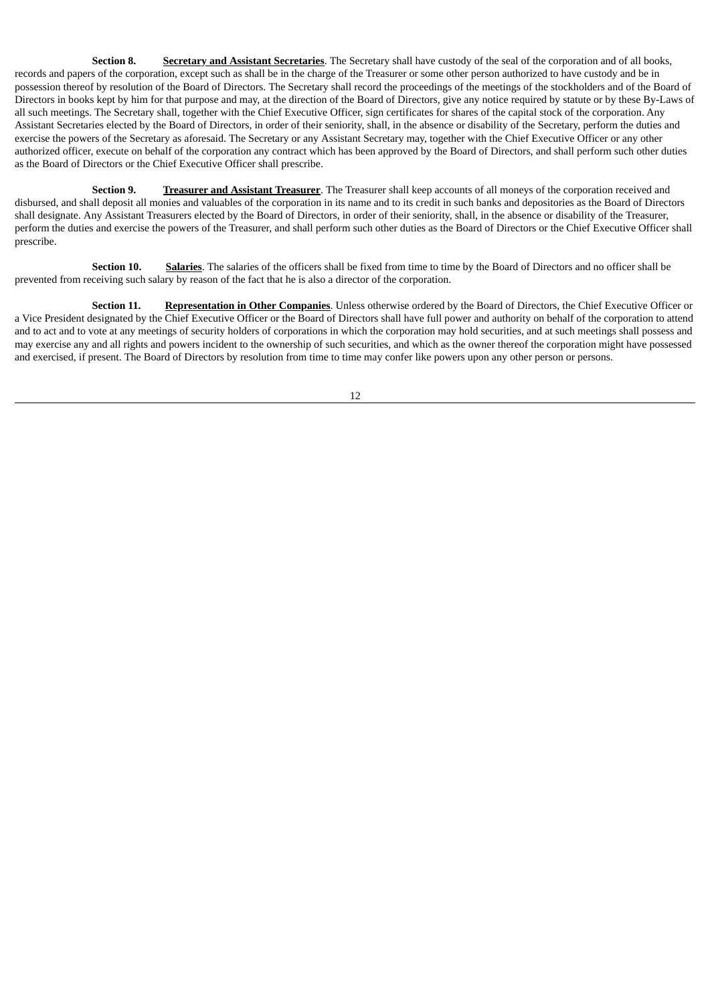**Section 8. Secretary and Assistant Secretaries**. The Secretary shall have custody of the seal of the corporation and of all books, records and papers of the corporation, except such as shall be in the charge of the Treasurer or some other person authorized to have custody and be in possession thereof by resolution of the Board of Directors. The Secretary shall record the proceedings of the meetings of the stockholders and of the Board of Directors in books kept by him for that purpose and may, at the direction of the Board of Directors, give any notice required by statute or by these By-Laws of all such meetings. The Secretary shall, together with the Chief Executive Officer, sign certificates for shares of the capital stock of the corporation. Any Assistant Secretaries elected by the Board of Directors, in order of their seniority, shall, in the absence or disability of the Secretary, perform the duties and exercise the powers of the Secretary as aforesaid. The Secretary or any Assistant Secretary may, together with the Chief Executive Officer or any other authorized officer, execute on behalf of the corporation any contract which has been approved by the Board of Directors, and shall perform such other duties as the Board of Directors or the Chief Executive Officer shall prescribe.

**Section 9. Treasurer and Assistant Treasurer**. The Treasurer shall keep accounts of all moneys of the corporation received and disbursed, and shall deposit all monies and valuables of the corporation in its name and to its credit in such banks and depositories as the Board of Directors shall designate. Any Assistant Treasurers elected by the Board of Directors, in order of their seniority, shall, in the absence or disability of the Treasurer, perform the duties and exercise the powers of the Treasurer, and shall perform such other duties as the Board of Directors or the Chief Executive Officer shall prescribe.

**Section 10. Salaries**. The salaries of the officers shall be fixed from time to time by the Board of Directors and no officer shall be prevented from receiving such salary by reason of the fact that he is also a director of the corporation.

**Section 11. Representation in Other Companies**. Unless otherwise ordered by the Board of Directors, the Chief Executive Officer or a Vice President designated by the Chief Executive Officer or the Board of Directors shall have full power and authority on behalf of the corporation to attend and to act and to vote at any meetings of security holders of corporations in which the corporation may hold securities, and at such meetings shall possess and may exercise any and all rights and powers incident to the ownership of such securities, and which as the owner thereof the corporation might have possessed and exercised, if present. The Board of Directors by resolution from time to time may confer like powers upon any other person or persons.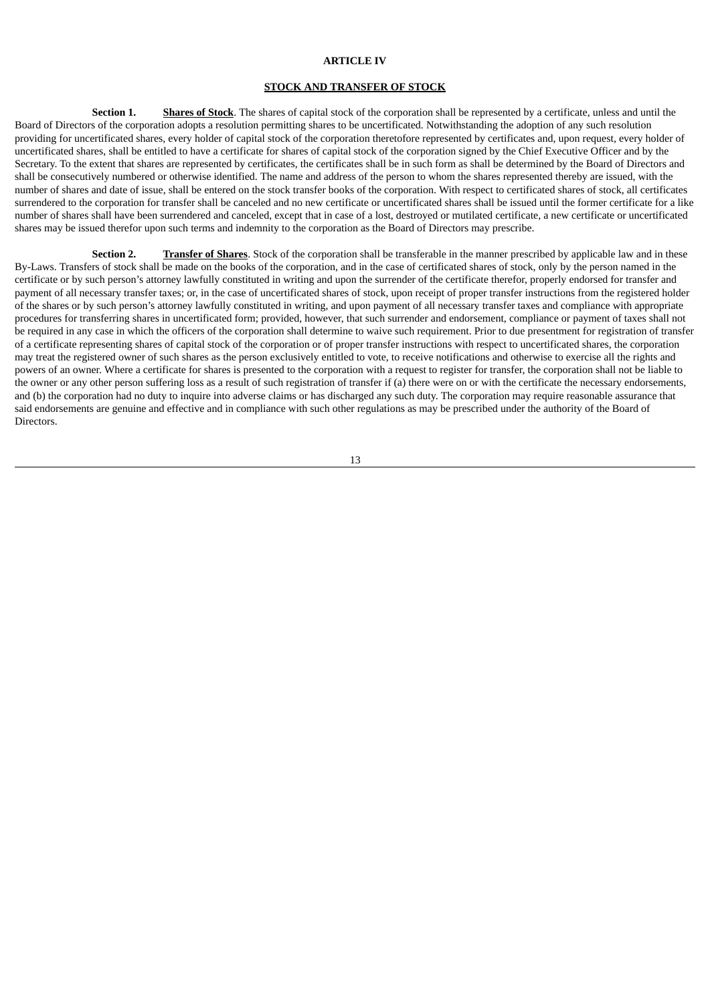### **ARTICLE IV**

#### **STOCK AND TRANSFER OF STOCK**

**Section 1. Shares of Stock**. The shares of capital stock of the corporation shall be represented by a certificate, unless and until the Board of Directors of the corporation adopts a resolution permitting shares to be uncertificated. Notwithstanding the adoption of any such resolution providing for uncertificated shares, every holder of capital stock of the corporation theretofore represented by certificates and, upon request, every holder of uncertificated shares, shall be entitled to have a certificate for shares of capital stock of the corporation signed by the Chief Executive Officer and by the Secretary. To the extent that shares are represented by certificates, the certificates shall be in such form as shall be determined by the Board of Directors and shall be consecutively numbered or otherwise identified. The name and address of the person to whom the shares represented thereby are issued, with the number of shares and date of issue, shall be entered on the stock transfer books of the corporation. With respect to certificated shares of stock, all certificates surrendered to the corporation for transfer shall be canceled and no new certificate or uncertificated shares shall be issued until the former certificate for a like number of shares shall have been surrendered and canceled, except that in case of a lost, destroyed or mutilated certificate, a new certificate or uncertificated shares may be issued therefor upon such terms and indemnity to the corporation as the Board of Directors may prescribe.

**Section 2. Transfer of Shares**. Stock of the corporation shall be transferable in the manner prescribed by applicable law and in these By-Laws. Transfers of stock shall be made on the books of the corporation, and in the case of certificated shares of stock, only by the person named in the certificate or by such person's attorney lawfully constituted in writing and upon the surrender of the certificate therefor, properly endorsed for transfer and payment of all necessary transfer taxes; or, in the case of uncertificated shares of stock, upon receipt of proper transfer instructions from the registered holder of the shares or by such person's attorney lawfully constituted in writing, and upon payment of all necessary transfer taxes and compliance with appropriate procedures for transferring shares in uncertificated form; provided, however, that such surrender and endorsement, compliance or payment of taxes shall not be required in any case in which the officers of the corporation shall determine to waive such requirement. Prior to due presentment for registration of transfer of a certificate representing shares of capital stock of the corporation or of proper transfer instructions with respect to uncertificated shares, the corporation may treat the registered owner of such shares as the person exclusively entitled to vote, to receive notifications and otherwise to exercise all the rights and powers of an owner. Where a certificate for shares is presented to the corporation with a request to register for transfer, the corporation shall not be liable to the owner or any other person suffering loss as a result of such registration of transfer if (a) there were on or with the certificate the necessary endorsements, and (b) the corporation had no duty to inquire into adverse claims or has discharged any such duty. The corporation may require reasonable assurance that said endorsements are genuine and effective and in compliance with such other regulations as may be prescribed under the authority of the Board of **Directors**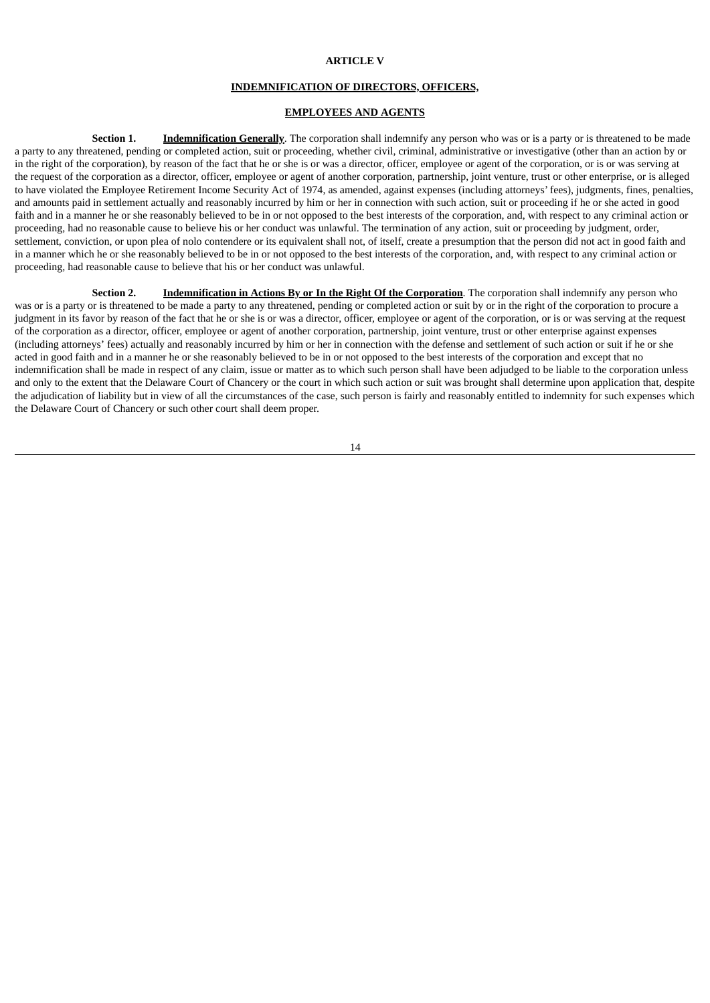### **ARTICLE V**

### **INDEMNIFICATION OF DIRECTORS, OFFICERS,**

### **EMPLOYEES AND AGENTS**

**Section 1. Indemnification Generally**. The corporation shall indemnify any person who was or is a party or is threatened to be made a party to any threatened, pending or completed action, suit or proceeding, whether civil, criminal, administrative or investigative (other than an action by or in the right of the corporation), by reason of the fact that he or she is or was a director, officer, employee or agent of the corporation, or is or was serving at the request of the corporation as a director, officer, employee or agent of another corporation, partnership, joint venture, trust or other enterprise, or is alleged to have violated the Employee Retirement Income Security Act of 1974, as amended, against expenses (including attorneys' fees), judgments, fines, penalties, and amounts paid in settlement actually and reasonably incurred by him or her in connection with such action, suit or proceeding if he or she acted in good faith and in a manner he or she reasonably believed to be in or not opposed to the best interests of the corporation, and, with respect to any criminal action or proceeding, had no reasonable cause to believe his or her conduct was unlawful. The termination of any action, suit or proceeding by judgment, order, settlement, conviction, or upon plea of nolo contendere or its equivalent shall not, of itself, create a presumption that the person did not act in good faith and in a manner which he or she reasonably believed to be in or not opposed to the best interests of the corporation, and, with respect to any criminal action or proceeding, had reasonable cause to believe that his or her conduct was unlawful.

**Section 2. Indemnification in Actions By or In the Right Of the Corporation**. The corporation shall indemnify any person who was or is a party or is threatened to be made a party to any threatened, pending or completed action or suit by or in the right of the corporation to procure a judgment in its favor by reason of the fact that he or she is or was a director, officer, employee or agent of the corporation, or is or was serving at the request of the corporation as a director, officer, employee or agent of another corporation, partnership, joint venture, trust or other enterprise against expenses (including attorneys' fees) actually and reasonably incurred by him or her in connection with the defense and settlement of such action or suit if he or she acted in good faith and in a manner he or she reasonably believed to be in or not opposed to the best interests of the corporation and except that no indemnification shall be made in respect of any claim, issue or matter as to which such person shall have been adjudged to be liable to the corporation unless and only to the extent that the Delaware Court of Chancery or the court in which such action or suit was brought shall determine upon application that, despite the adjudication of liability but in view of all the circumstances of the case, such person is fairly and reasonably entitled to indemnity for such expenses which the Delaware Court of Chancery or such other court shall deem proper.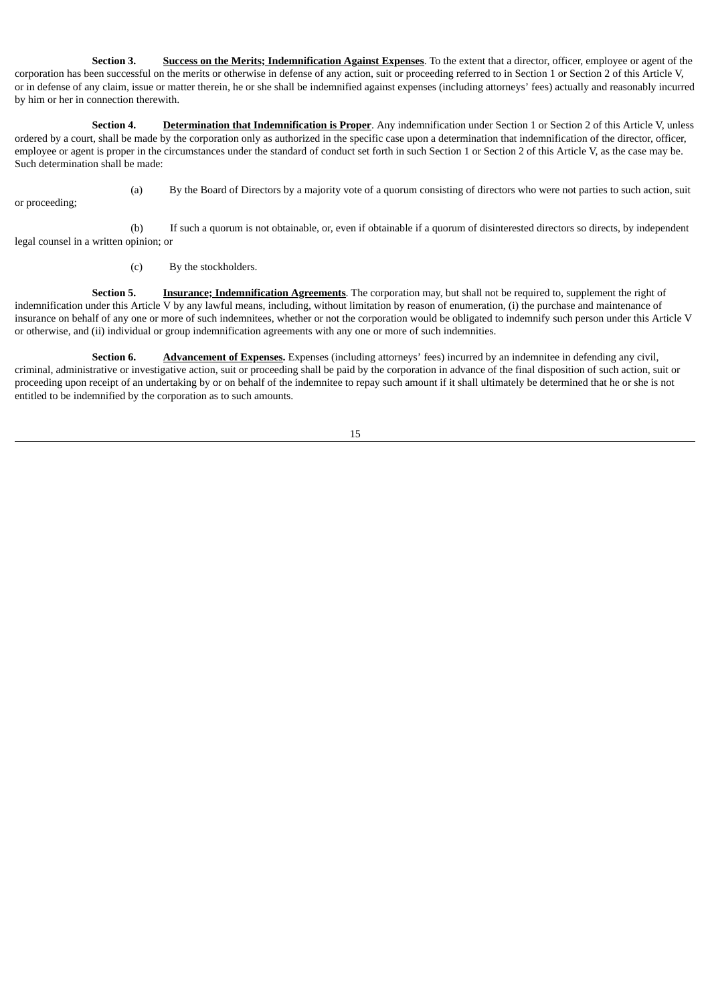**Section 3. Success on the Merits; Indemnification Against Expenses**. To the extent that a director, officer, employee or agent of the corporation has been successful on the merits or otherwise in defense of any action, suit or proceeding referred to in Section 1 or Section 2 of this Article V, or in defense of any claim, issue or matter therein, he or she shall be indemnified against expenses (including attorneys' fees) actually and reasonably incurred by him or her in connection therewith.

**Section 4. Determination that Indemnification is Proper**. Any indemnification under Section 1 or Section 2 of this Article V, unless ordered by a court, shall be made by the corporation only as authorized in the specific case upon a determination that indemnification of the director, officer, employee or agent is proper in the circumstances under the standard of conduct set forth in such Section 1 or Section 2 of this Article V, as the case may be. Such determination shall be made:

or proceeding;

(a) By the Board of Directors by a majority vote of a quorum consisting of directors who were not parties to such action, suit

(b) If such a quorum is not obtainable, or, even if obtainable if a quorum of disinterested directors so directs, by independent legal counsel in a written opinion; or

(c) By the stockholders.

**Section 5. Insurance; Indemnification Agreements**. The corporation may, but shall not be required to, supplement the right of indemnification under this Article V by any lawful means, including, without limitation by reason of enumeration, (i) the purchase and maintenance of insurance on behalf of any one or more of such indemnitees, whether or not the corporation would be obligated to indemnify such person under this Article V or otherwise, and (ii) individual or group indemnification agreements with any one or more of such indemnities.

**Section 6. Advancement of Expenses.** Expenses (including attorneys' fees) incurred by an indemnitee in defending any civil, criminal, administrative or investigative action, suit or proceeding shall be paid by the corporation in advance of the final disposition of such action, suit or proceeding upon receipt of an undertaking by or on behalf of the indemnitee to repay such amount if it shall ultimately be determined that he or she is not entitled to be indemnified by the corporation as to such amounts.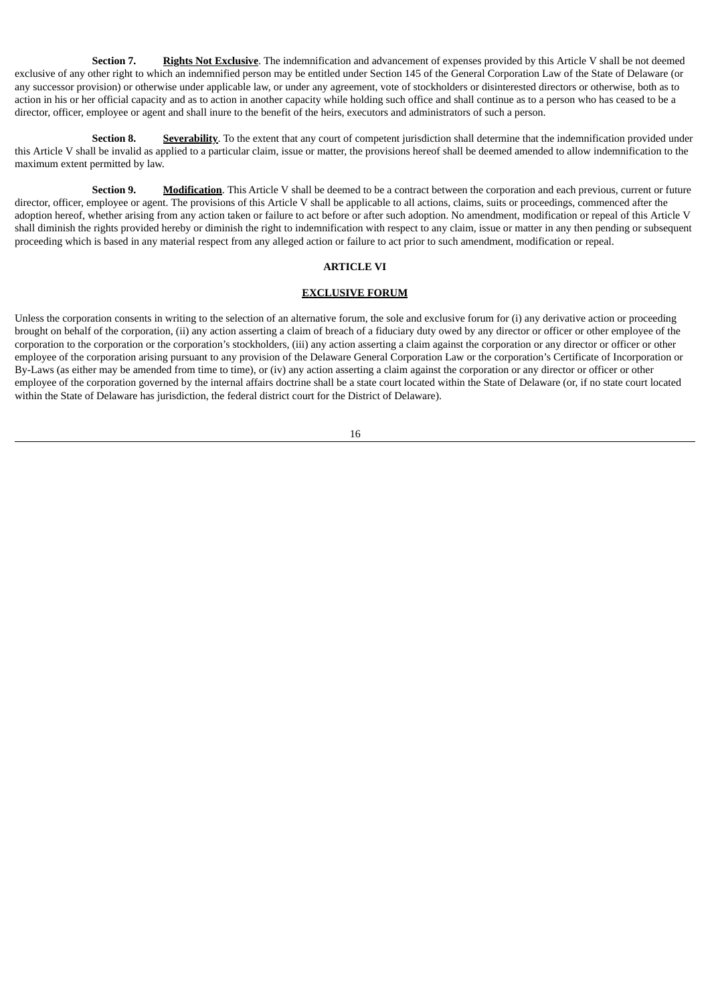**Section 7. Rights Not Exclusive**. The indemnification and advancement of expenses provided by this Article V shall be not deemed exclusive of any other right to which an indemnified person may be entitled under Section 145 of the General Corporation Law of the State of Delaware (or any successor provision) or otherwise under applicable law, or under any agreement, vote of stockholders or disinterested directors or otherwise, both as to action in his or her official capacity and as to action in another capacity while holding such office and shall continue as to a person who has ceased to be a director, officer, employee or agent and shall inure to the benefit of the heirs, executors and administrators of such a person.

**Section 8. Severability**. To the extent that any court of competent jurisdiction shall determine that the indemnification provided under this Article V shall be invalid as applied to a particular claim, issue or matter, the provisions hereof shall be deemed amended to allow indemnification to the maximum extent permitted by law.

**Section 9. Modification**. This Article V shall be deemed to be a contract between the corporation and each previous, current or future director, officer, employee or agent. The provisions of this Article V shall be applicable to all actions, claims, suits or proceedings, commenced after the adoption hereof, whether arising from any action taken or failure to act before or after such adoption. No amendment, modification or repeal of this Article V shall diminish the rights provided hereby or diminish the right to indemnification with respect to any claim, issue or matter in any then pending or subsequent proceeding which is based in any material respect from any alleged action or failure to act prior to such amendment, modification or repeal.

#### **ARTICLE VI**

#### **EXCLUSIVE FORUM**

Unless the corporation consents in writing to the selection of an alternative forum, the sole and exclusive forum for (i) any derivative action or proceeding brought on behalf of the corporation, (ii) any action asserting a claim of breach of a fiduciary duty owed by any director or officer or other employee of the corporation to the corporation or the corporation's stockholders, (iii) any action asserting a claim against the corporation or any director or officer or other employee of the corporation arising pursuant to any provision of the Delaware General Corporation Law or the corporation's Certificate of Incorporation or By-Laws (as either may be amended from time to time), or (iv) any action asserting a claim against the corporation or any director or officer or other employee of the corporation governed by the internal affairs doctrine shall be a state court located within the State of Delaware (or, if no state court located within the State of Delaware has jurisdiction, the federal district court for the District of Delaware).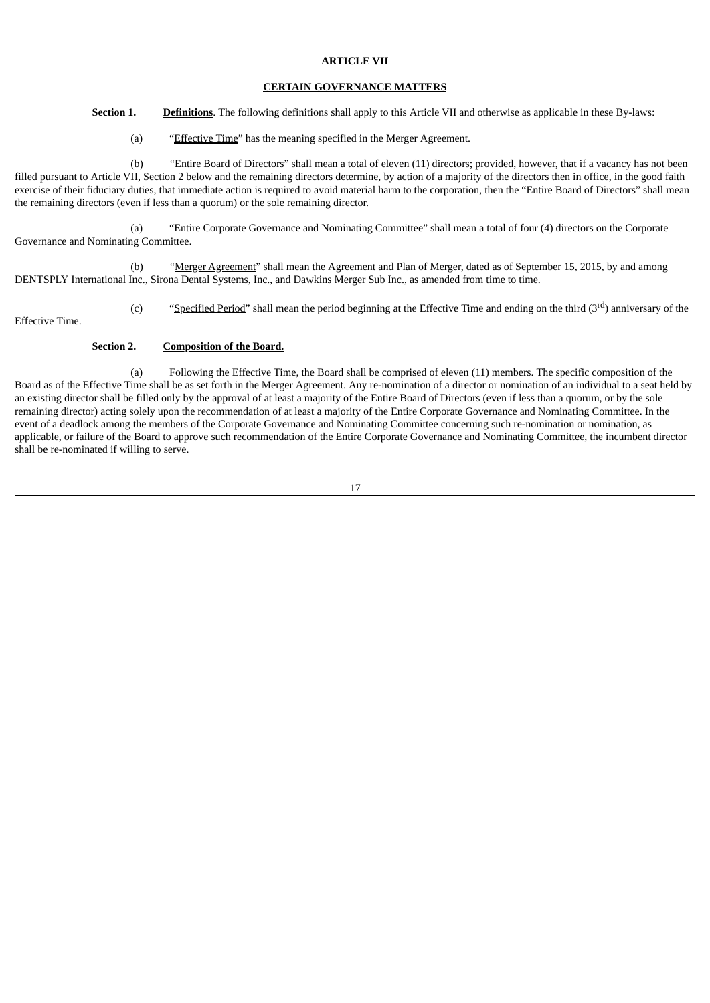### **ARTICLE VII**

#### **CERTAIN GOVERNANCE MATTERS**

**Section 1. Definitions**. The following definitions shall apply to this Article VII and otherwise as applicable in these By-laws:

(a) "Effective Time" has the meaning specified in the Merger Agreement.

(b) "Entire Board of Directors" shall mean a total of eleven (11) directors; provided, however, that if a vacancy has not been filled pursuant to Article VII, Section 2 below and the remaining directors determine, by action of a majority of the directors then in office, in the good faith exercise of their fiduciary duties, that immediate action is required to avoid material harm to the corporation, then the "Entire Board of Directors" shall mean the remaining directors (even if less than a quorum) or the sole remaining director.

(a) "Entire Corporate Governance and Nominating Committee" shall mean a total of four (4) directors on the Corporate Governance and Nominating Committee.

(b) "Merger Agreement" shall mean the Agreement and Plan of Merger, dated as of September 15, 2015, by and among DENTSPLY International Inc., Sirona Dental Systems, Inc., and Dawkins Merger Sub Inc., as amended from time to time.

Effective Time.

(c) "Specified Period" shall mean the period beginning at the Effective Time and ending on the third (3<sup>rd</sup>) anniversary of the

# **Section 2. Composition of the Board.**

(a) Following the Effective Time, the Board shall be comprised of eleven (11) members. The specific composition of the Board as of the Effective Time shall be as set forth in the Merger Agreement. Any re-nomination of a director or nomination of an individual to a seat held by an existing director shall be filled only by the approval of at least a majority of the Entire Board of Directors (even if less than a quorum, or by the sole remaining director) acting solely upon the recommendation of at least a majority of the Entire Corporate Governance and Nominating Committee. In the event of a deadlock among the members of the Corporate Governance and Nominating Committee concerning such re-nomination or nomination, as applicable, or failure of the Board to approve such recommendation of the Entire Corporate Governance and Nominating Committee, the incumbent director shall be re-nominated if willing to serve.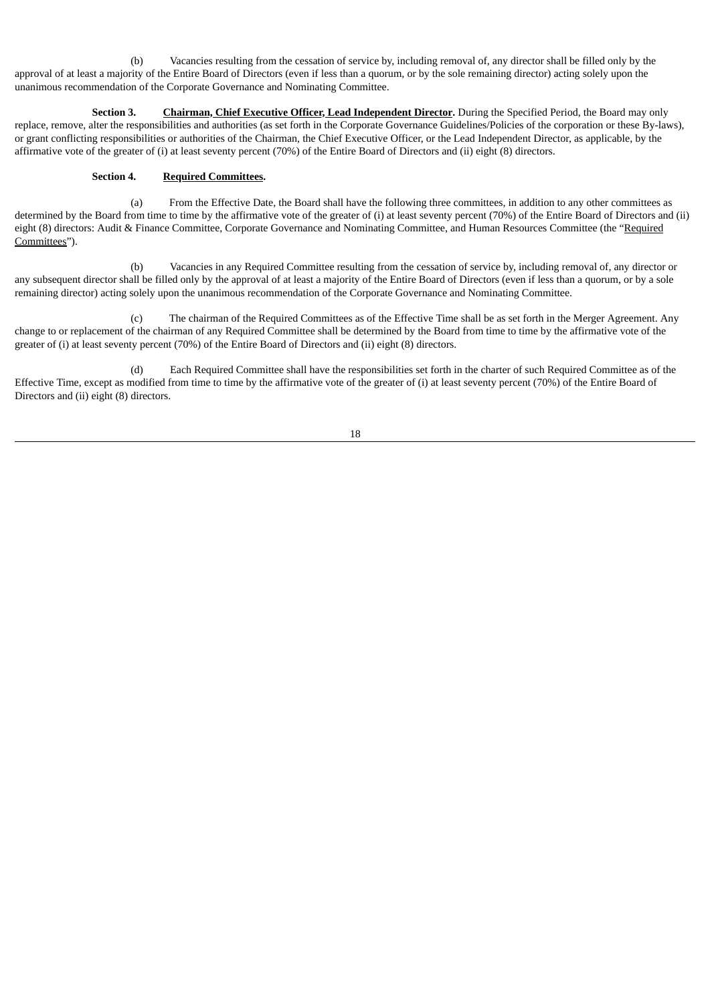(b) Vacancies resulting from the cessation of service by, including removal of, any director shall be filled only by the approval of at least a majority of the Entire Board of Directors (even if less than a quorum, or by the sole remaining director) acting solely upon the unanimous recommendation of the Corporate Governance and Nominating Committee.

**Section 3. Chairman, Chief Executive Officer, Lead Independent Director.** During the Specified Period, the Board may only replace, remove, alter the responsibilities and authorities (as set forth in the Corporate Governance Guidelines/Policies of the corporation or these By-laws), or grant conflicting responsibilities or authorities of the Chairman, the Chief Executive Officer, or the Lead Independent Director, as applicable, by the affirmative vote of the greater of (i) at least seventy percent (70%) of the Entire Board of Directors and (ii) eight (8) directors.

### **Section 4. Required Committees.**

(a) From the Effective Date, the Board shall have the following three committees, in addition to any other committees as determined by the Board from time to time by the affirmative vote of the greater of (i) at least seventy percent (70%) of the Entire Board of Directors and (ii) eight (8) directors: Audit & Finance Committee, Corporate Governance and Nominating Committee, and Human Resources Committee (the "Required Committees").

(b) Vacancies in any Required Committee resulting from the cessation of service by, including removal of, any director or any subsequent director shall be filled only by the approval of at least a majority of the Entire Board of Directors (even if less than a quorum, or by a sole remaining director) acting solely upon the unanimous recommendation of the Corporate Governance and Nominating Committee.

(c) The chairman of the Required Committees as of the Effective Time shall be as set forth in the Merger Agreement. Any change to or replacement of the chairman of any Required Committee shall be determined by the Board from time to time by the affirmative vote of the greater of (i) at least seventy percent (70%) of the Entire Board of Directors and (ii) eight (8) directors.

(d) Each Required Committee shall have the responsibilities set forth in the charter of such Required Committee as of the Effective Time, except as modified from time to time by the affirmative vote of the greater of (i) at least seventy percent (70%) of the Entire Board of Directors and (ii) eight (8) directors.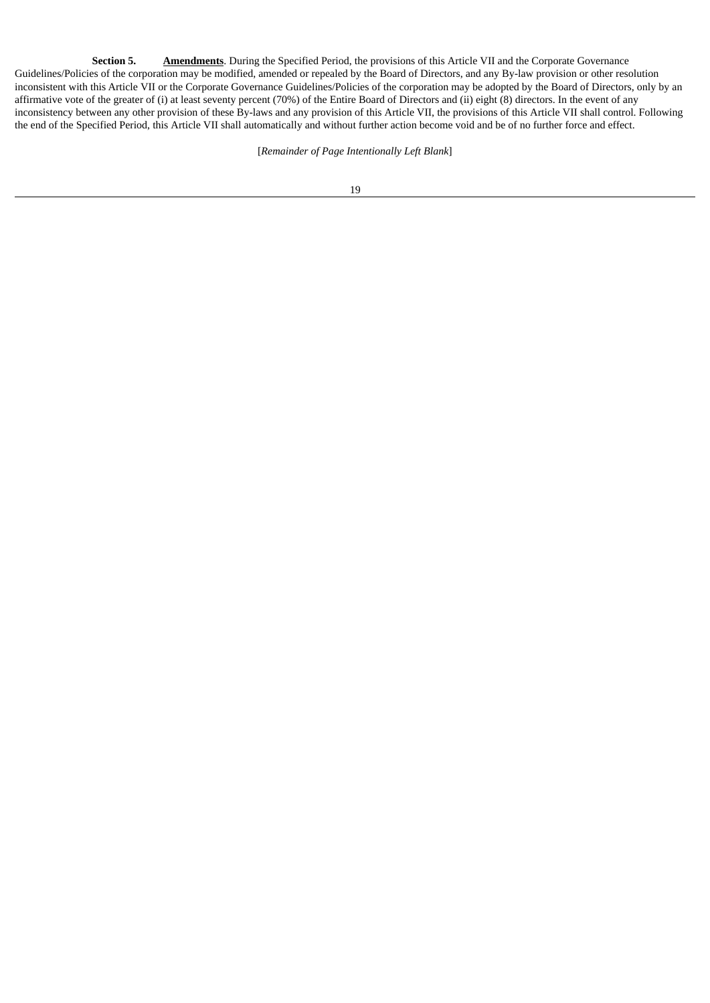**Section 5. Amendments**. During the Specified Period, the provisions of this Article VII and the Corporate Governance Guidelines/Policies of the corporation may be modified, amended or repealed by the Board of Directors, and any By-law provision or other resolution inconsistent with this Article VII or the Corporate Governance Guidelines/Policies of the corporation may be adopted by the Board of Directors, only by an affirmative vote of the greater of (i) at least seventy percent (70%) of the Entire Board of Directors and (ii) eight (8) directors. In the event of any inconsistency between any other provision of these By-laws and any provision of this Article VII, the provisions of this Article VII shall control. Following the end of the Specified Period, this Article VII shall automatically and without further action become void and be of no further force and effect.

[*Remainder of Page Intentionally Left Blank*]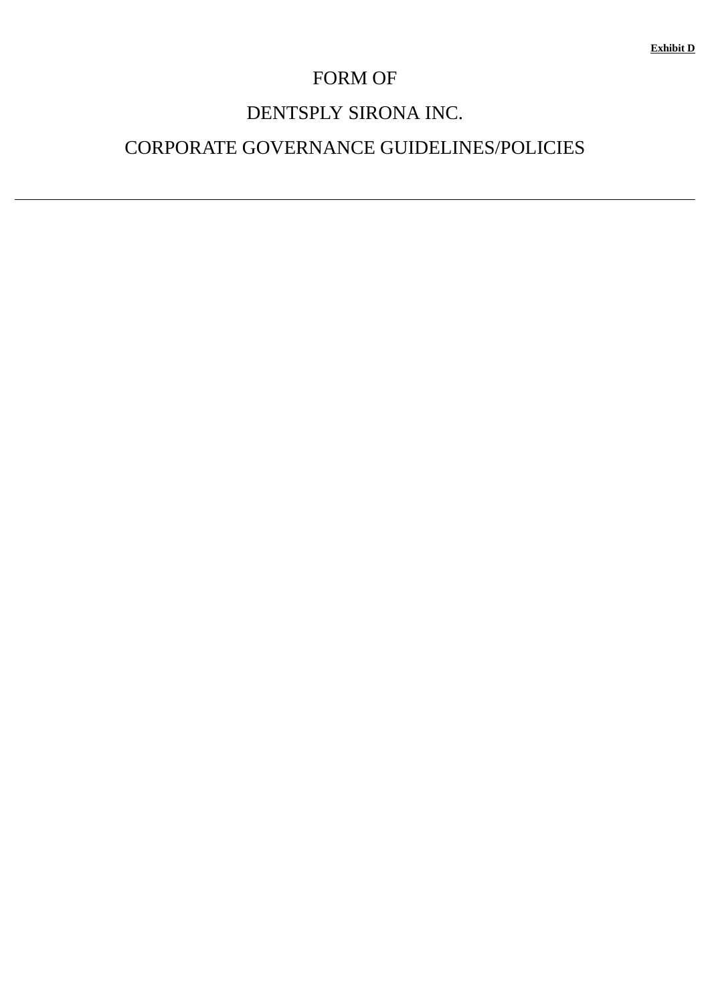# FORM OF

## DENTSPLY SIRONA INC.

# CORPORATE GOVERNANCE GUIDELINES/POLICIES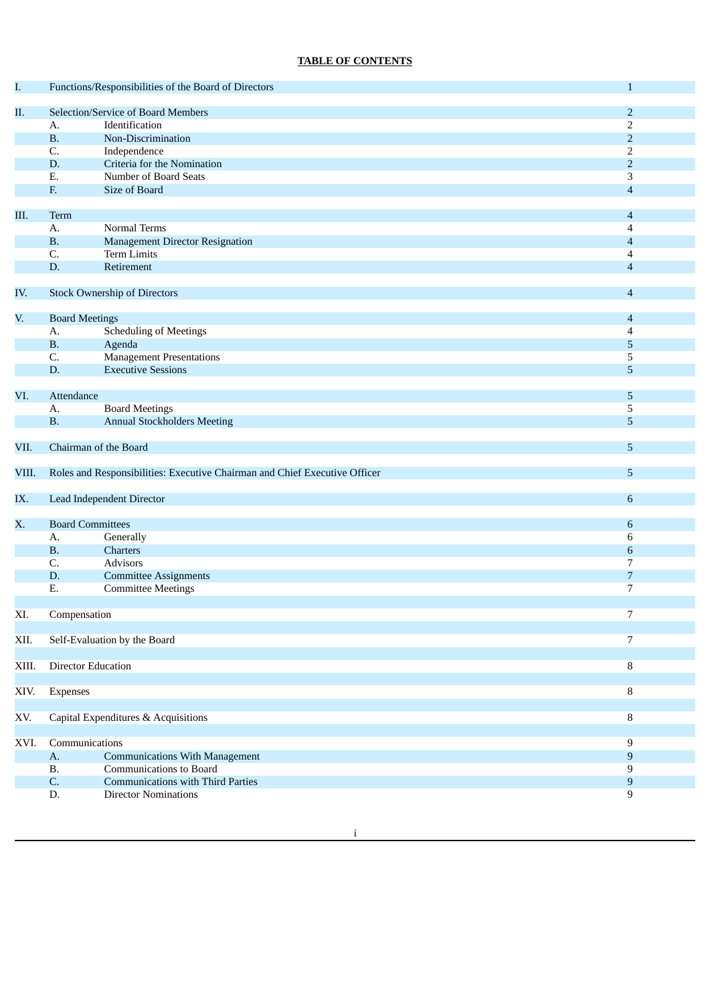## **TABLE OF CONTENTS**

| Ι.    | Functions/Responsibilities of the Board of Directors  |                                                                            |                     |
|-------|-------------------------------------------------------|----------------------------------------------------------------------------|---------------------|
| П.    | Selection/Service of Board Members                    |                                                                            | $\overline{2}$      |
|       | A.                                                    | Identification                                                             | $\overline{2}$      |
|       | B.                                                    | Non-Discrimination                                                         | $\overline{2}$      |
|       | C.                                                    | Independence                                                               | $\overline{2}$      |
|       | D.                                                    | Criteria for the Nomination                                                | $\overline{2}$      |
|       | Ε.                                                    | Number of Board Seats                                                      | 3                   |
|       | F.                                                    | Size of Board                                                              | $\overline{4}$      |
|       |                                                       |                                                                            |                     |
| Ш.    | Term                                                  |                                                                            | $\overline{4}$      |
|       | A.                                                    | Normal Terms                                                               | 4                   |
|       | <b>B.</b>                                             | <b>Management Director Resignation</b>                                     | $\overline{4}$      |
|       | C.                                                    | Term Limits                                                                | 4                   |
|       | D.                                                    | Retirement                                                                 | $\overline{4}$      |
|       |                                                       |                                                                            |                     |
| IV.   | <b>Stock Ownership of Directors</b><br>$\overline{4}$ |                                                                            |                     |
|       |                                                       |                                                                            |                     |
| V.    | <b>Board Meetings</b>                                 |                                                                            | $\overline{4}$      |
|       | А.                                                    | <b>Scheduling of Meetings</b>                                              | 4                   |
|       | <b>B.</b>                                             | Agenda                                                                     | 5                   |
|       | C.                                                    | <b>Management Presentations</b>                                            | 5                   |
|       | D.                                                    | <b>Executive Sessions</b>                                                  | 5                   |
|       |                                                       |                                                                            |                     |
| VI.   | Attendance                                            |                                                                            | 5                   |
|       | A.                                                    | <b>Board Meetings</b>                                                      | 5                   |
|       | <b>B.</b>                                             | <b>Annual Stockholders Meeting</b>                                         | 5                   |
| VII.  | Chairman of the Board                                 |                                                                            | 5                   |
|       |                                                       |                                                                            |                     |
| VIII. |                                                       | Roles and Responsibilities: Executive Chairman and Chief Executive Officer | 5                   |
|       |                                                       |                                                                            |                     |
| IX.   | Lead Independent Director                             |                                                                            | 6                   |
|       |                                                       |                                                                            |                     |
| Х.    | <b>Board Committees</b>                               |                                                                            | 6                   |
|       | А.                                                    | Generally                                                                  | 6                   |
|       | B.                                                    | Charters                                                                   | 6                   |
|       | C.                                                    | Advisors                                                                   | 7                   |
|       | D.<br>Ε.                                              | <b>Committee Assignments</b><br><b>Committee Meetings</b>                  | $\overline{7}$<br>7 |
|       |                                                       |                                                                            |                     |
| XI.   | Compensation<br>7                                     |                                                                            |                     |
|       |                                                       |                                                                            |                     |
| XII.  | Self-Evaluation by the Board                          |                                                                            | 7                   |
|       |                                                       |                                                                            |                     |
| XIII. | <b>Director Education</b>                             |                                                                            | 8                   |
|       |                                                       |                                                                            |                     |
| XIV.  | Expenses                                              |                                                                            | $\, 8$              |
|       |                                                       |                                                                            |                     |
| XV.   | Capital Expenditures & Acquisitions                   |                                                                            | 8                   |
|       |                                                       |                                                                            |                     |
| XVI.  | Communications<br>9                                   |                                                                            |                     |
|       | A.                                                    | <b>Communications With Management</b>                                      | $9\,$               |
|       | <b>B.</b>                                             | Communications to Board                                                    | 9                   |
|       | C.                                                    | <b>Communications with Third Parties</b>                                   | $9\,$               |
|       | D.                                                    | <b>Director Nominations</b>                                                | 9                   |
|       |                                                       |                                                                            |                     |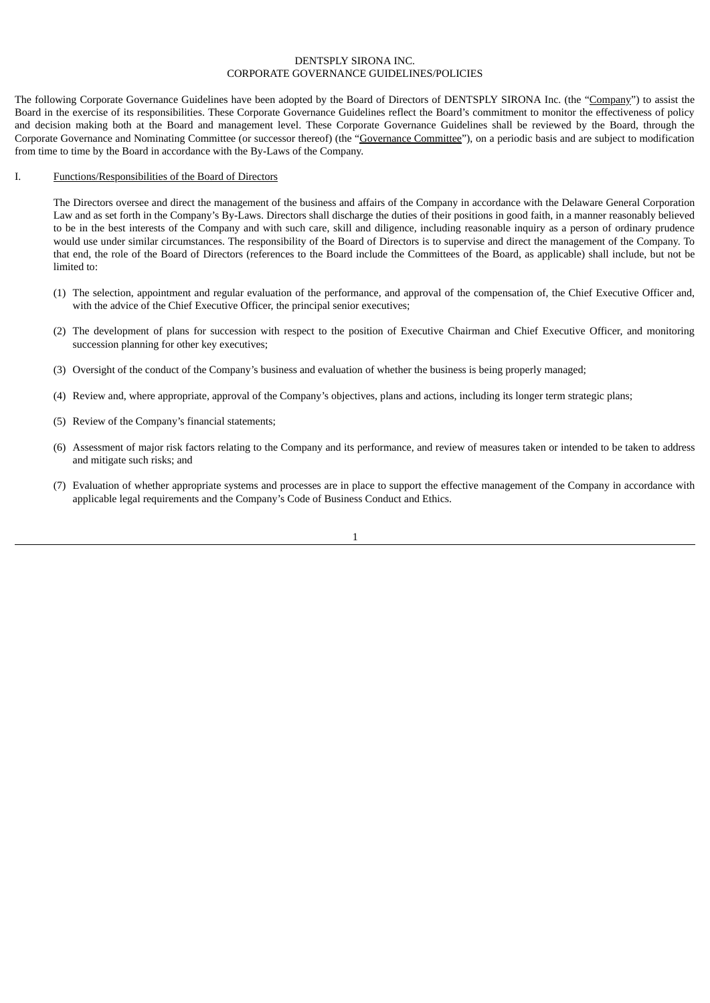### DENTSPLY SIRONA INC. CORPORATE GOVERNANCE GUIDELINES/POLICIES

The following Corporate Governance Guidelines have been adopted by the Board of Directors of DENTSPLY SIRONA Inc. (the "Company") to assist the Board in the exercise of its responsibilities. These Corporate Governance Guidelines reflect the Board's commitment to monitor the effectiveness of policy and decision making both at the Board and management level. These Corporate Governance Guidelines shall be reviewed by the Board, through the Corporate Governance and Nominating Committee (or successor thereof) (the "Governance Committee"), on a periodic basis and are subject to modification from time to time by the Board in accordance with the By-Laws of the Company.

### I. Functions/Responsibilities of the Board of Directors

The Directors oversee and direct the management of the business and affairs of the Company in accordance with the Delaware General Corporation Law and as set forth in the Company's By-Laws. Directors shall discharge the duties of their positions in good faith, in a manner reasonably believed to be in the best interests of the Company and with such care, skill and diligence, including reasonable inquiry as a person of ordinary prudence would use under similar circumstances. The responsibility of the Board of Directors is to supervise and direct the management of the Company. To that end, the role of the Board of Directors (references to the Board include the Committees of the Board, as applicable) shall include, but not be limited to:

- (1) The selection, appointment and regular evaluation of the performance, and approval of the compensation of, the Chief Executive Officer and, with the advice of the Chief Executive Officer, the principal senior executives;
- (2) The development of plans for succession with respect to the position of Executive Chairman and Chief Executive Officer, and monitoring succession planning for other key executives;
- (3) Oversight of the conduct of the Company's business and evaluation of whether the business is being properly managed;
- (4) Review and, where appropriate, approval of the Company's objectives, plans and actions, including its longer term strategic plans;
- (5) Review of the Company's financial statements;
- (6) Assessment of major risk factors relating to the Company and its performance, and review of measures taken or intended to be taken to address and mitigate such risks; and
- (7) Evaluation of whether appropriate systems and processes are in place to support the effective management of the Company in accordance with applicable legal requirements and the Company's Code of Business Conduct and Ethics.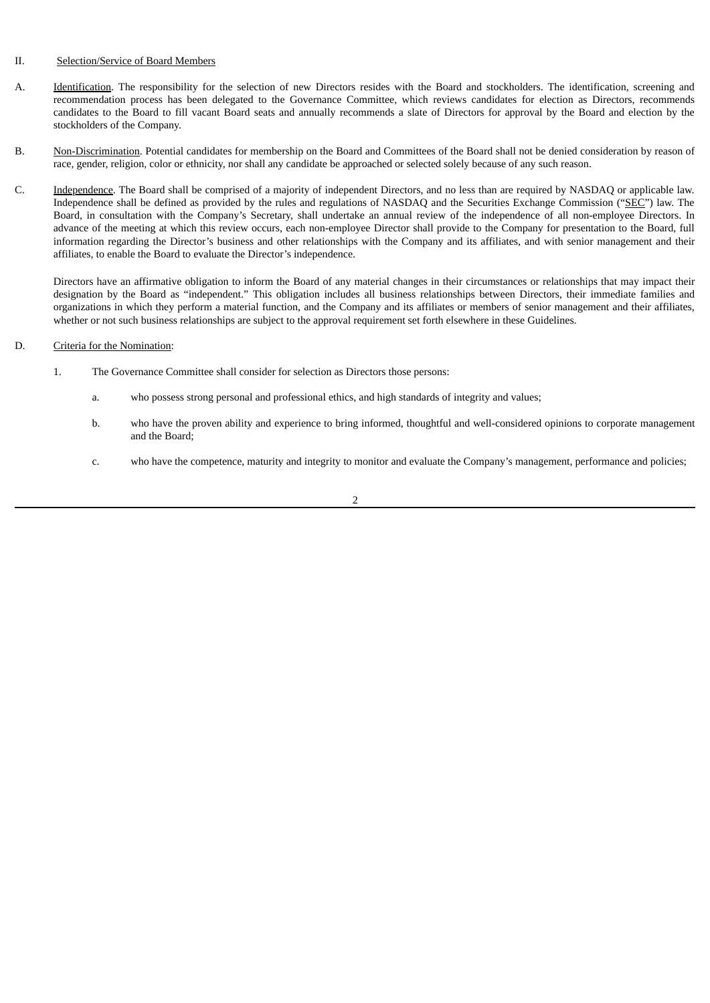### II. Selection/Service of Board Members

- A. Identification. The responsibility for the selection of new Directors resides with the Board and stockholders. The identification, screening and recommendation process has been delegated to the Governance Committee, which reviews candidates for election as Directors, recommends candidates to the Board to fill vacant Board seats and annually recommends a slate of Directors for approval by the Board and election by the stockholders of the Company.
- B. Non-Discrimination. Potential candidates for membership on the Board and Committees of the Board shall not be denied consideration by reason of race, gender, religion, color or ethnicity, nor shall any candidate be approached or selected solely because of any such reason.
- C. Independence. The Board shall be comprised of a majority of independent Directors, and no less than are required by NASDAQ or applicable law. Independence shall be defined as provided by the rules and regulations of NASDAQ and the Securities Exchange Commission ("SEC") law. The Board, in consultation with the Company's Secretary, shall undertake an annual review of the independence of all non-employee Directors. In advance of the meeting at which this review occurs, each non-employee Director shall provide to the Company for presentation to the Board, full information regarding the Director's business and other relationships with the Company and its affiliates, and with senior management and their affiliates, to enable the Board to evaluate the Director's independence.

Directors have an affirmative obligation to inform the Board of any material changes in their circumstances or relationships that may impact their designation by the Board as "independent." This obligation includes all business relationships between Directors, their immediate families and organizations in which they perform a material function, and the Company and its affiliates or members of senior management and their affiliates, whether or not such business relationships are subject to the approval requirement set forth elsewhere in these Guidelines.

### D. Criteria for the Nomination:

- 1. The Governance Committee shall consider for selection as Directors those persons:
	- a. who possess strong personal and professional ethics, and high standards of integrity and values;
	- b. who have the proven ability and experience to bring informed, thoughtful and well-considered opinions to corporate management and the Board;
	- c. who have the competence, maturity and integrity to monitor and evaluate the Company's management, performance and policies;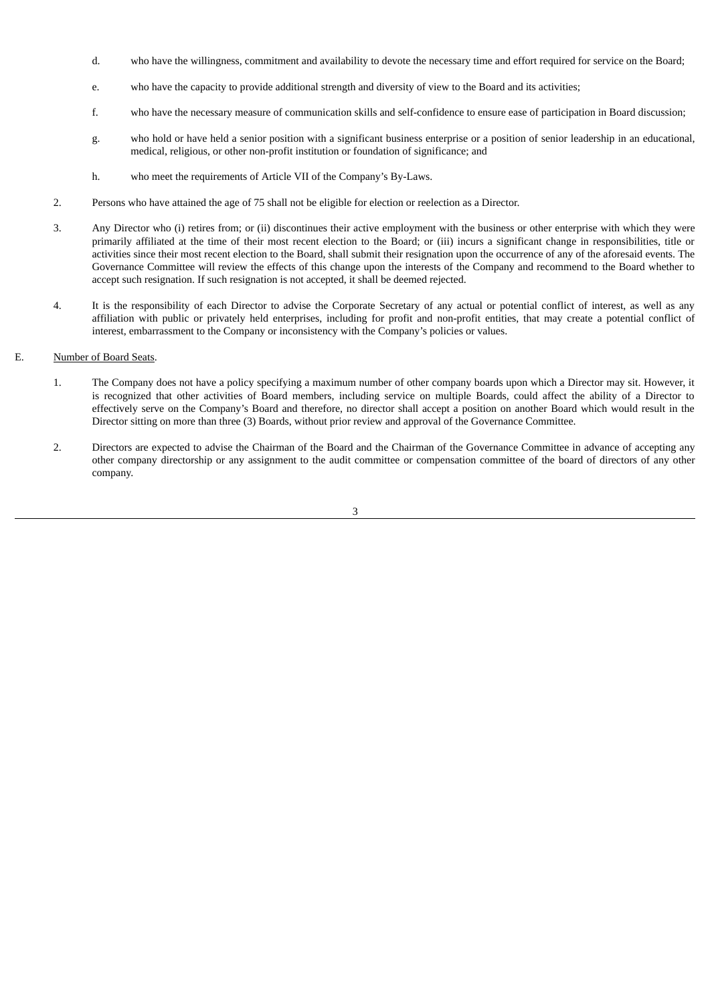- d. who have the willingness, commitment and availability to devote the necessary time and effort required for service on the Board;
- e. who have the capacity to provide additional strength and diversity of view to the Board and its activities;
- f. who have the necessary measure of communication skills and self-confidence to ensure ease of participation in Board discussion;
- g. who hold or have held a senior position with a significant business enterprise or a position of senior leadership in an educational, medical, religious, or other non-profit institution or foundation of significance; and
- h. who meet the requirements of Article VII of the Company's By-Laws.
- 2. Persons who have attained the age of 75 shall not be eligible for election or reelection as a Director.
- 3. Any Director who (i) retires from; or (ii) discontinues their active employment with the business or other enterprise with which they were primarily affiliated at the time of their most recent election to the Board; or (iii) incurs a significant change in responsibilities, title or activities since their most recent election to the Board, shall submit their resignation upon the occurrence of any of the aforesaid events. The Governance Committee will review the effects of this change upon the interests of the Company and recommend to the Board whether to accept such resignation. If such resignation is not accepted, it shall be deemed rejected.
- 4. It is the responsibility of each Director to advise the Corporate Secretary of any actual or potential conflict of interest, as well as any affiliation with public or privately held enterprises, including for profit and non-profit entities, that may create a potential conflict of interest, embarrassment to the Company or inconsistency with the Company's policies or values.

#### E. Number of Board Seats.

- 1. The Company does not have a policy specifying a maximum number of other company boards upon which a Director may sit. However, it is recognized that other activities of Board members, including service on multiple Boards, could affect the ability of a Director to effectively serve on the Company's Board and therefore, no director shall accept a position on another Board which would result in the Director sitting on more than three (3) Boards, without prior review and approval of the Governance Committee.
- 2. Directors are expected to advise the Chairman of the Board and the Chairman of the Governance Committee in advance of accepting any other company directorship or any assignment to the audit committee or compensation committee of the board of directors of any other company.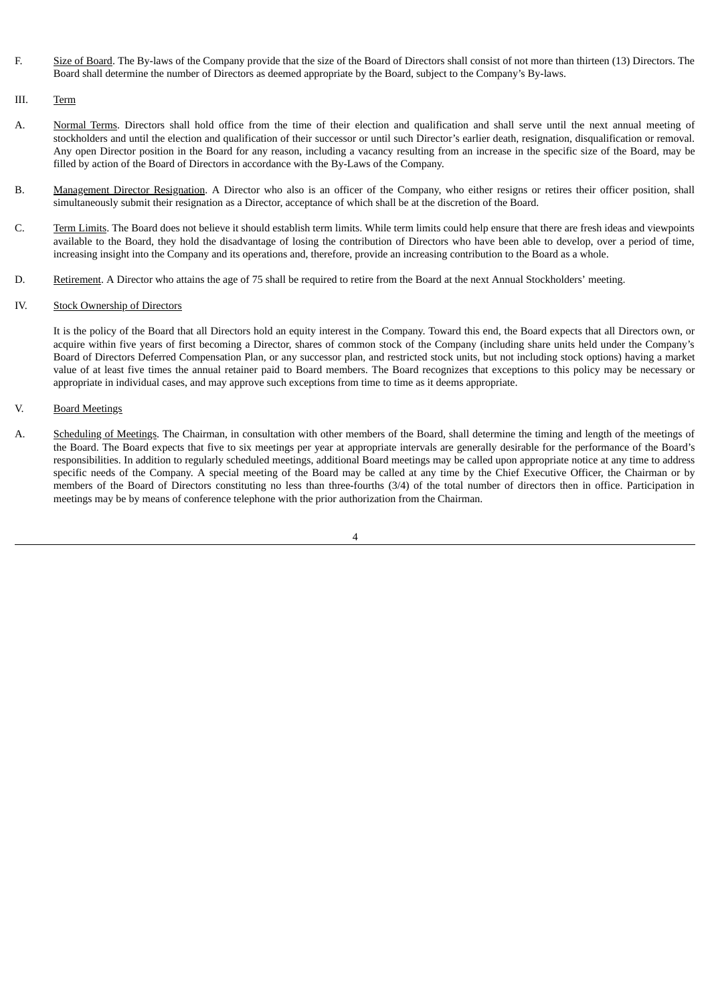F. Size of Board. The By-laws of the Company provide that the size of the Board of Directors shall consist of not more than thirteen (13) Directors. The Board shall determine the number of Directors as deemed appropriate by the Board, subject to the Company's By-laws.

### III. Term

- A. Normal Terms. Directors shall hold office from the time of their election and qualification and shall serve until the next annual meeting of stockholders and until the election and qualification of their successor or until such Director's earlier death, resignation, disqualification or removal. Any open Director position in the Board for any reason, including a vacancy resulting from an increase in the specific size of the Board, may be filled by action of the Board of Directors in accordance with the By-Laws of the Company.
- B. Management Director Resignation. A Director who also is an officer of the Company, who either resigns or retires their officer position, shall simultaneously submit their resignation as a Director, acceptance of which shall be at the discretion of the Board.
- C. Term Limits. The Board does not believe it should establish term limits. While term limits could help ensure that there are fresh ideas and viewpoints available to the Board, they hold the disadvantage of losing the contribution of Directors who have been able to develop, over a period of time, increasing insight into the Company and its operations and, therefore, provide an increasing contribution to the Board as a whole.
- D. Retirement. A Director who attains the age of 75 shall be required to retire from the Board at the next Annual Stockholders' meeting.

## IV. Stock Ownership of Directors

It is the policy of the Board that all Directors hold an equity interest in the Company. Toward this end, the Board expects that all Directors own, or acquire within five years of first becoming a Director, shares of common stock of the Company (including share units held under the Company's Board of Directors Deferred Compensation Plan, or any successor plan, and restricted stock units, but not including stock options) having a market value of at least five times the annual retainer paid to Board members. The Board recognizes that exceptions to this policy may be necessary or appropriate in individual cases, and may approve such exceptions from time to time as it deems appropriate.

## V. Board Meetings

A. Scheduling of Meetings. The Chairman, in consultation with other members of the Board, shall determine the timing and length of the meetings of the Board. The Board expects that five to six meetings per year at appropriate intervals are generally desirable for the performance of the Board's responsibilities. In addition to regularly scheduled meetings, additional Board meetings may be called upon appropriate notice at any time to address specific needs of the Company. A special meeting of the Board may be called at any time by the Chief Executive Officer, the Chairman or by members of the Board of Directors constituting no less than three-fourths (3/4) of the total number of directors then in office. Participation in meetings may be by means of conference telephone with the prior authorization from the Chairman.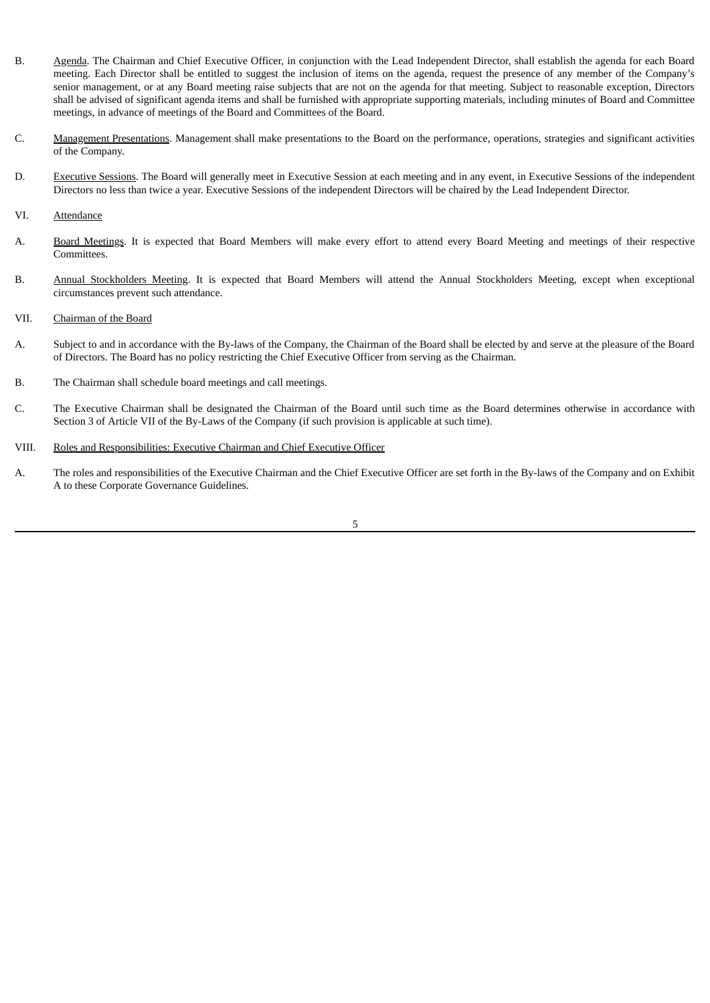- B. Agenda. The Chairman and Chief Executive Officer, in conjunction with the Lead Independent Director, shall establish the agenda for each Board meeting. Each Director shall be entitled to suggest the inclusion of items on the agenda, request the presence of any member of the Company's senior management, or at any Board meeting raise subjects that are not on the agenda for that meeting. Subject to reasonable exception, Directors shall be advised of significant agenda items and shall be furnished with appropriate supporting materials, including minutes of Board and Committee meetings, in advance of meetings of the Board and Committees of the Board.
- C. Management Presentations. Management shall make presentations to the Board on the performance, operations, strategies and significant activities of the Company.
- D. Executive Sessions. The Board will generally meet in Executive Session at each meeting and in any event, in Executive Sessions of the independent Directors no less than twice a year. Executive Sessions of the independent Directors will be chaired by the Lead Independent Director.
- VI. Attendance
- A. Board Meetings. It is expected that Board Members will make every effort to attend every Board Meeting and meetings of their respective Committees.
- B. Annual Stockholders Meeting. It is expected that Board Members will attend the Annual Stockholders Meeting, except when exceptional circumstances prevent such attendance.

## VII. Chairman of the Board

- A. Subject to and in accordance with the By-laws of the Company, the Chairman of the Board shall be elected by and serve at the pleasure of the Board of Directors. The Board has no policy restricting the Chief Executive Officer from serving as the Chairman.
- B. The Chairman shall schedule board meetings and call meetings.
- C. The Executive Chairman shall be designated the Chairman of the Board until such time as the Board determines otherwise in accordance with Section 3 of Article VII of the By-Laws of the Company (if such provision is applicable at such time).

#### VIII. Roles and Responsibilities: Executive Chairman and Chief Executive Officer

A. The roles and responsibilities of the Executive Chairman and the Chief Executive Officer are set forth in the By-laws of the Company and on Exhibit A to these Corporate Governance Guidelines.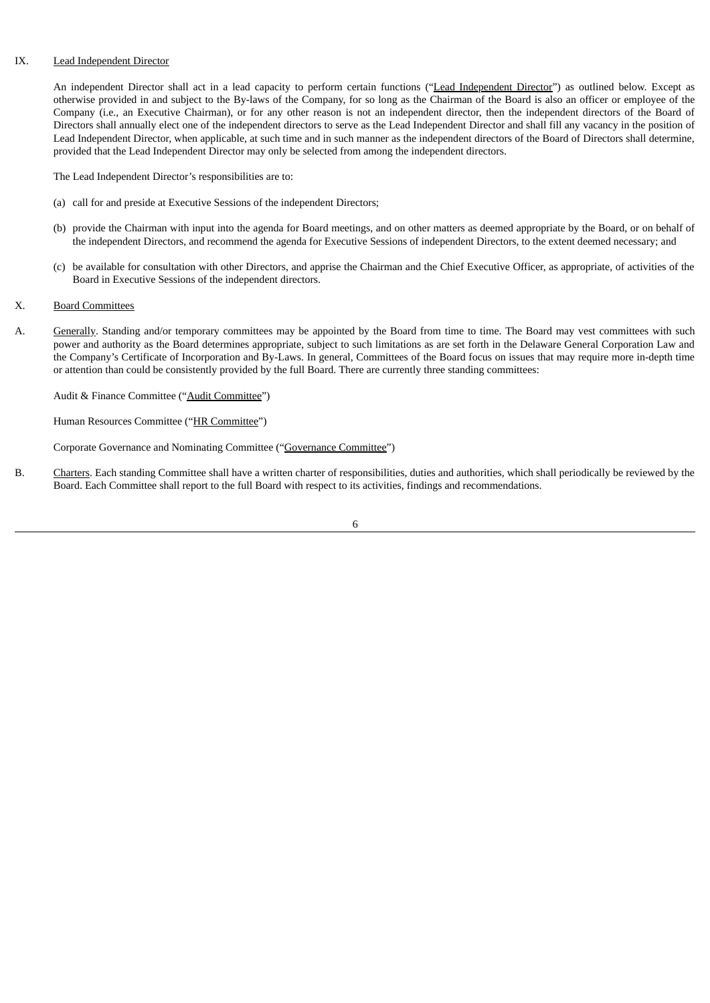#### IX. Lead Independent Director

An independent Director shall act in a lead capacity to perform certain functions ("Lead Independent Director") as outlined below. Except as otherwise provided in and subject to the By-laws of the Company, for so long as the Chairman of the Board is also an officer or employee of the Company (i.e., an Executive Chairman), or for any other reason is not an independent director, then the independent directors of the Board of Directors shall annually elect one of the independent directors to serve as the Lead Independent Director and shall fill any vacancy in the position of Lead Independent Director, when applicable, at such time and in such manner as the independent directors of the Board of Directors shall determine, provided that the Lead Independent Director may only be selected from among the independent directors.

The Lead Independent Director's responsibilities are to:

- (a) call for and preside at Executive Sessions of the independent Directors;
- (b) provide the Chairman with input into the agenda for Board meetings, and on other matters as deemed appropriate by the Board, or on behalf of the independent Directors, and recommend the agenda for Executive Sessions of independent Directors, to the extent deemed necessary; and
- (c) be available for consultation with other Directors, and apprise the Chairman and the Chief Executive Officer, as appropriate, of activities of the Board in Executive Sessions of the independent directors.

#### X. Board Committees

A. Generally. Standing and/or temporary committees may be appointed by the Board from time to time. The Board may vest committees with such power and authority as the Board determines appropriate, subject to such limitations as are set forth in the Delaware General Corporation Law and the Company's Certificate of Incorporation and By-Laws. In general, Committees of the Board focus on issues that may require more in-depth time or attention than could be consistently provided by the full Board. There are currently three standing committees:

Audit & Finance Committee ("Audit Committee")

Human Resources Committee ("HR Committee")

Corporate Governance and Nominating Committee ("Governance Committee")

B. Charters. Each standing Committee shall have a written charter of responsibilities, duties and authorities, which shall periodically be reviewed by the Board. Each Committee shall report to the full Board with respect to its activities, findings and recommendations.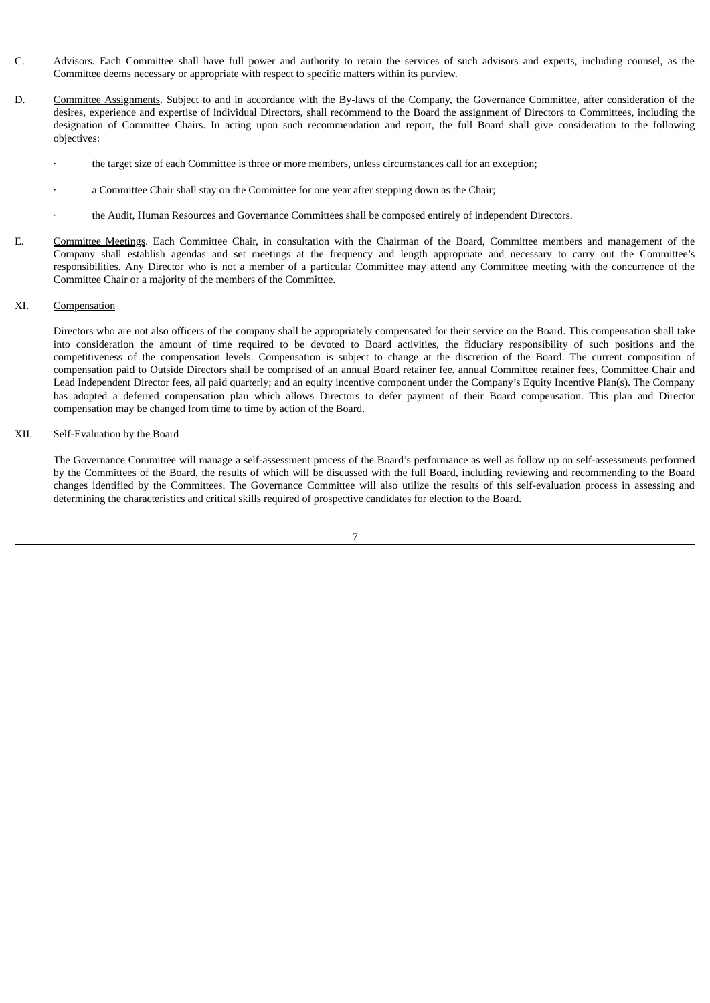- C. Advisors. Each Committee shall have full power and authority to retain the services of such advisors and experts, including counsel, as the Committee deems necessary or appropriate with respect to specific matters within its purview.
- D. Committee Assignments. Subject to and in accordance with the By-laws of the Company, the Governance Committee, after consideration of the desires, experience and expertise of individual Directors, shall recommend to the Board the assignment of Directors to Committees, including the designation of Committee Chairs. In acting upon such recommendation and report, the full Board shall give consideration to the following objectives:
	- the target size of each Committee is three or more members, unless circumstances call for an exception;
	- a Committee Chair shall stay on the Committee for one year after stepping down as the Chair;
		- · the Audit, Human Resources and Governance Committees shall be composed entirely of independent Directors.
- E. Committee Meetings. Each Committee Chair, in consultation with the Chairman of the Board, Committee members and management of the Company shall establish agendas and set meetings at the frequency and length appropriate and necessary to carry out the Committee's responsibilities. Any Director who is not a member of a particular Committee may attend any Committee meeting with the concurrence of the Committee Chair or a majority of the members of the Committee.

## XI. Compensation

Directors who are not also officers of the company shall be appropriately compensated for their service on the Board. This compensation shall take into consideration the amount of time required to be devoted to Board activities, the fiduciary responsibility of such positions and the competitiveness of the compensation levels. Compensation is subject to change at the discretion of the Board. The current composition of compensation paid to Outside Directors shall be comprised of an annual Board retainer fee, annual Committee retainer fees, Committee Chair and Lead Independent Director fees, all paid quarterly; and an equity incentive component under the Company's Equity Incentive Plan(s). The Company has adopted a deferred compensation plan which allows Directors to defer payment of their Board compensation. This plan and Director compensation may be changed from time to time by action of the Board.

#### XII. Self-Evaluation by the Board

The Governance Committee will manage a self-assessment process of the Board's performance as well as follow up on self-assessments performed by the Committees of the Board, the results of which will be discussed with the full Board, including reviewing and recommending to the Board changes identified by the Committees. The Governance Committee will also utilize the results of this self-evaluation process in assessing and determining the characteristics and critical skills required of prospective candidates for election to the Board.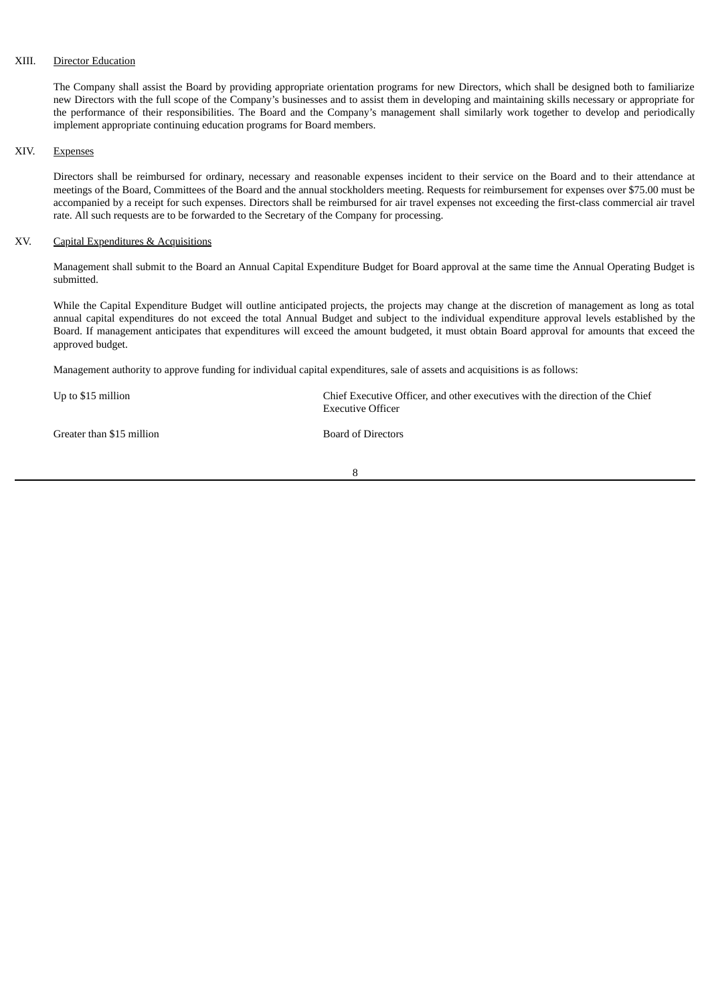## XIII. Director Education

The Company shall assist the Board by providing appropriate orientation programs for new Directors, which shall be designed both to familiarize new Directors with the full scope of the Company's businesses and to assist them in developing and maintaining skills necessary or appropriate for the performance of their responsibilities. The Board and the Company's management shall similarly work together to develop and periodically implement appropriate continuing education programs for Board members.

## XIV. Expenses

Directors shall be reimbursed for ordinary, necessary and reasonable expenses incident to their service on the Board and to their attendance at meetings of the Board, Committees of the Board and the annual stockholders meeting. Requests for reimbursement for expenses over \$75.00 must be accompanied by a receipt for such expenses. Directors shall be reimbursed for air travel expenses not exceeding the first-class commercial air travel rate. All such requests are to be forwarded to the Secretary of the Company for processing.

## XV. Capital Expenditures & Acquisitions

Management shall submit to the Board an Annual Capital Expenditure Budget for Board approval at the same time the Annual Operating Budget is submitted.

While the Capital Expenditure Budget will outline anticipated projects, the projects may change at the discretion of management as long as total annual capital expenditures do not exceed the total Annual Budget and subject to the individual expenditure approval levels established by the Board. If management anticipates that expenditures will exceed the amount budgeted, it must obtain Board approval for amounts that exceed the approved budget.

Management authority to approve funding for individual capital expenditures, sale of assets and acquisitions is as follows:

Greater than \$15 million Board of Directors

Up to \$15 million Chief Executive Officer, and other executives with the direction of the Chief Executive Officer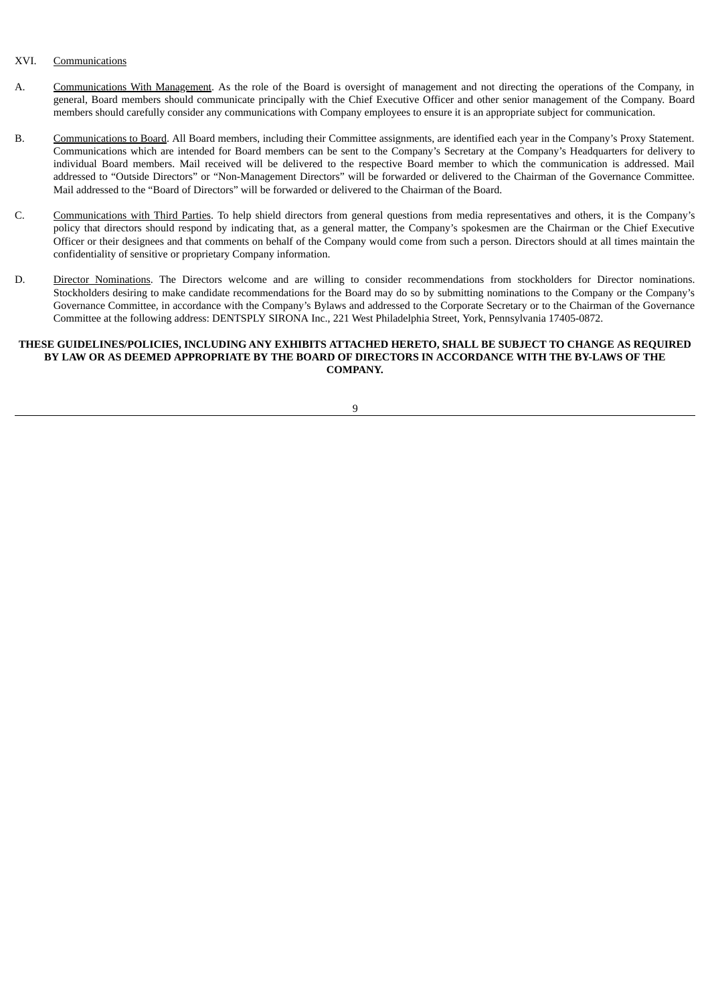#### XVI. Communications

- A. Communications With Management. As the role of the Board is oversight of management and not directing the operations of the Company, in general, Board members should communicate principally with the Chief Executive Officer and other senior management of the Company. Board members should carefully consider any communications with Company employees to ensure it is an appropriate subject for communication.
- B. Communications to Board. All Board members, including their Committee assignments, are identified each year in the Company's Proxy Statement. Communications which are intended for Board members can be sent to the Company's Secretary at the Company's Headquarters for delivery to individual Board members. Mail received will be delivered to the respective Board member to which the communication is addressed. Mail addressed to "Outside Directors" or "Non-Management Directors" will be forwarded or delivered to the Chairman of the Governance Committee. Mail addressed to the "Board of Directors" will be forwarded or delivered to the Chairman of the Board.
- C. Communications with Third Parties. To help shield directors from general questions from media representatives and others, it is the Company's policy that directors should respond by indicating that, as a general matter, the Company's spokesmen are the Chairman or the Chief Executive Officer or their designees and that comments on behalf of the Company would come from such a person. Directors should at all times maintain the confidentiality of sensitive or proprietary Company information.
- D. Director Nominations. The Directors welcome and are willing to consider recommendations from stockholders for Director nominations. Stockholders desiring to make candidate recommendations for the Board may do so by submitting nominations to the Company or the Company's Governance Committee, in accordance with the Company's Bylaws and addressed to the Corporate Secretary or to the Chairman of the Governance Committee at the following address: DENTSPLY SIRONA Inc., 221 West Philadelphia Street, York, Pennsylvania 17405-0872.

#### **THESE GUIDELINES/POLICIES, INCLUDING ANY EXHIBITS ATTACHED HERETO, SHALL BE SUBJECT TO CHANGE AS REQUIRED BY LAW OR AS DEEMED APPROPRIATE BY THE BOARD OF DIRECTORS IN ACCORDANCE WITH THE BY-LAWS OF THE COMPANY.**